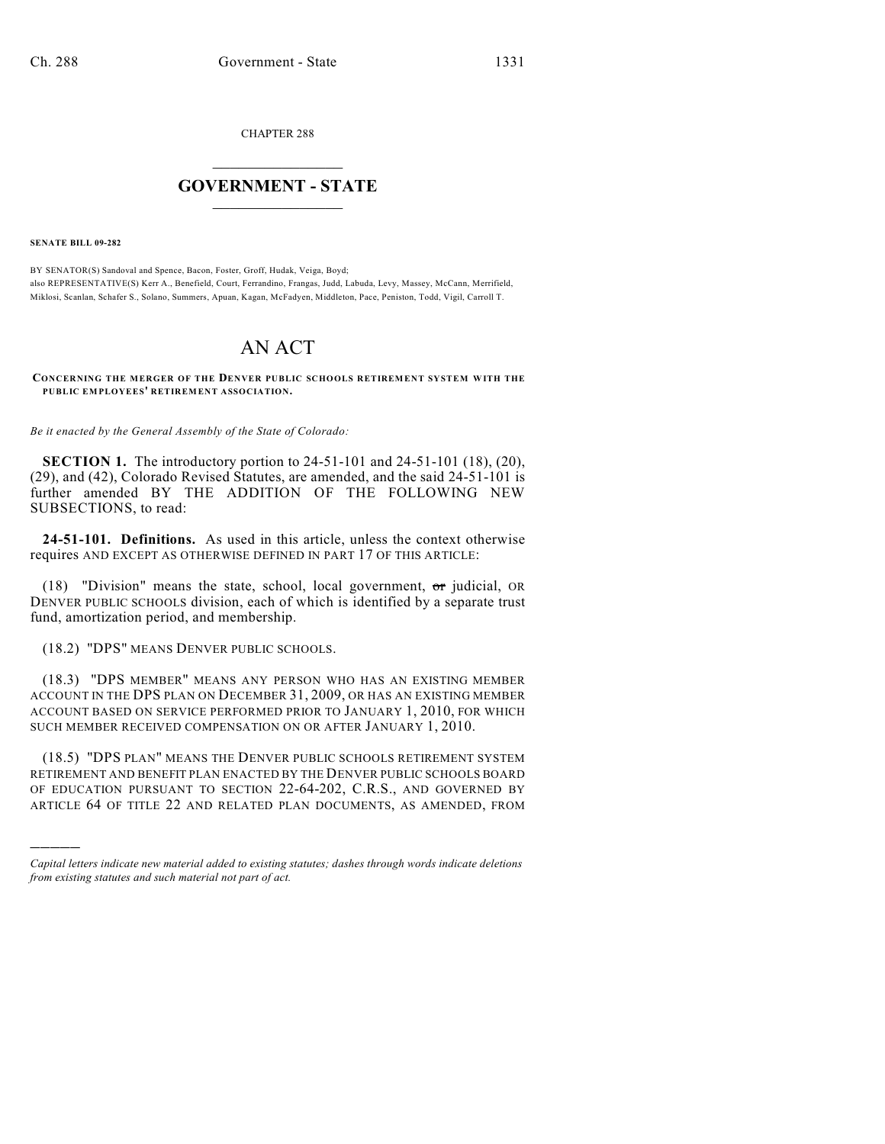CHAPTER 288

## $\mathcal{L}_\text{max}$  . The set of the set of the set of the set of the set of the set of the set of the set of the set of the set of the set of the set of the set of the set of the set of the set of the set of the set of the set **GOVERNMENT - STATE**  $\_$   $\_$   $\_$   $\_$   $\_$   $\_$   $\_$   $\_$

**SENATE BILL 09-282**

)))))

BY SENATOR(S) Sandoval and Spence, Bacon, Foster, Groff, Hudak, Veiga, Boyd; also REPRESENTATIVE(S) Kerr A., Benefield, Court, Ferrandino, Frangas, Judd, Labuda, Levy, Massey, McCann, Merrifield, Miklosi, Scanlan, Schafer S., Solano, Summers, Apuan, Kagan, McFadyen, Middleton, Pace, Peniston, Todd, Vigil, Carroll T.

# AN ACT

**CONCERNING THE MERGER OF THE DENVER PUBLIC SCHOOLS RETIREMENT SYSTEM WITH THE PUBLIC EMPLOYEES' RETIREMENT ASSOCIATION.**

*Be it enacted by the General Assembly of the State of Colorado:*

**SECTION 1.** The introductory portion to 24-51-101 and 24-51-101 (18), (20), (29), and (42), Colorado Revised Statutes, are amended, and the said 24-51-101 is further amended BY THE ADDITION OF THE FOLLOWING NEW SUBSECTIONS, to read:

**24-51-101. Definitions.** As used in this article, unless the context otherwise requires AND EXCEPT AS OTHERWISE DEFINED IN PART 17 OF THIS ARTICLE:

(18) "Division" means the state, school, local government,  $\sigma$ r judicial, OR DENVER PUBLIC SCHOOLS division, each of which is identified by a separate trust fund, amortization period, and membership.

(18.2) "DPS" MEANS DENVER PUBLIC SCHOOLS.

(18.3) "DPS MEMBER" MEANS ANY PERSON WHO HAS AN EXISTING MEMBER ACCOUNT IN THE DPS PLAN ON DECEMBER 31, 2009, OR HAS AN EXISTING MEMBER ACCOUNT BASED ON SERVICE PERFORMED PRIOR TO JANUARY 1, 2010, FOR WHICH SUCH MEMBER RECEIVED COMPENSATION ON OR AFTER JANUARY 1, 2010.

(18.5) "DPS PLAN" MEANS THE DENVER PUBLIC SCHOOLS RETIREMENT SYSTEM RETIREMENT AND BENEFIT PLAN ENACTED BY THE DENVER PUBLIC SCHOOLS BOARD OF EDUCATION PURSUANT TO SECTION 22-64-202, C.R.S., AND GOVERNED BY ARTICLE 64 OF TITLE 22 AND RELATED PLAN DOCUMENTS, AS AMENDED, FROM

*Capital letters indicate new material added to existing statutes; dashes through words indicate deletions from existing statutes and such material not part of act.*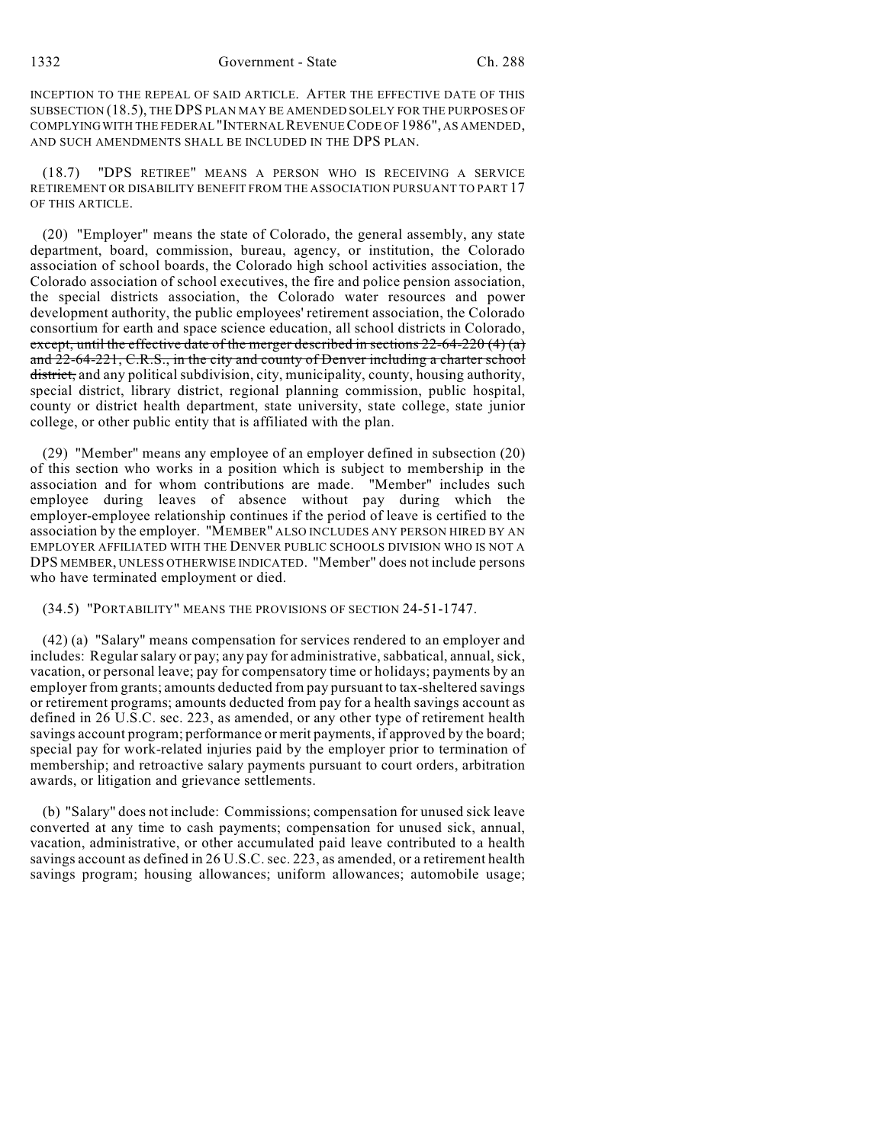### 1332 Government - State Ch. 288

INCEPTION TO THE REPEAL OF SAID ARTICLE. AFTER THE EFFECTIVE DATE OF THIS SUBSECTION (18.5), THE DPS PLAN MAY BE AMENDED SOLELY FOR THE PURPOSES OF COMPLYING WITH THE FEDERAL "INTERNAL REVENUE CODE OF 1986", AS AMENDED, AND SUCH AMENDMENTS SHALL BE INCLUDED IN THE DPS PLAN.

(18.7) "DPS RETIREE" MEANS A PERSON WHO IS RECEIVING A SERVICE RETIREMENT OR DISABILITY BENEFIT FROM THE ASSOCIATION PURSUANT TO PART 17 OF THIS ARTICLE.

(20) "Employer" means the state of Colorado, the general assembly, any state department, board, commission, bureau, agency, or institution, the Colorado association of school boards, the Colorado high school activities association, the Colorado association of school executives, the fire and police pension association, the special districts association, the Colorado water resources and power development authority, the public employees' retirement association, the Colorado consortium for earth and space science education, all school districts in Colorado, except, until the effective date of the merger described in sections  $22-64-220(4)(a)$ and 22-64-221, C.R.S., in the city and county of Denver including a charter school district, and any political subdivision, city, municipality, county, housing authority, special district, library district, regional planning commission, public hospital, county or district health department, state university, state college, state junior college, or other public entity that is affiliated with the plan.

(29) "Member" means any employee of an employer defined in subsection (20) of this section who works in a position which is subject to membership in the association and for whom contributions are made. "Member" includes such employee during leaves of absence without pay during which the employer-employee relationship continues if the period of leave is certified to the association by the employer. "MEMBER" ALSO INCLUDES ANY PERSON HIRED BY AN EMPLOYER AFFILIATED WITH THE DENVER PUBLIC SCHOOLS DIVISION WHO IS NOT A DPS MEMBER, UNLESS OTHERWISE INDICATED. "Member" does not include persons who have terminated employment or died.

### (34.5) "PORTABILITY" MEANS THE PROVISIONS OF SECTION 24-51-1747.

(42) (a) "Salary" means compensation for services rendered to an employer and includes: Regularsalary or pay; any pay for administrative,sabbatical, annual, sick, vacation, or personal leave; pay for compensatory time or holidays; payments by an employer from grants; amounts deducted from pay pursuant to tax-sheltered savings or retirement programs; amounts deducted from pay for a health savings account as defined in 26 U.S.C. sec. 223, as amended, or any other type of retirement health savings account program; performance or merit payments, if approved by the board; special pay for work-related injuries paid by the employer prior to termination of membership; and retroactive salary payments pursuant to court orders, arbitration awards, or litigation and grievance settlements.

(b) "Salary" does not include: Commissions; compensation for unused sick leave converted at any time to cash payments; compensation for unused sick, annual, vacation, administrative, or other accumulated paid leave contributed to a health savings account as defined in 26 U.S.C. sec. 223, as amended, or a retirement health savings program; housing allowances; uniform allowances; automobile usage;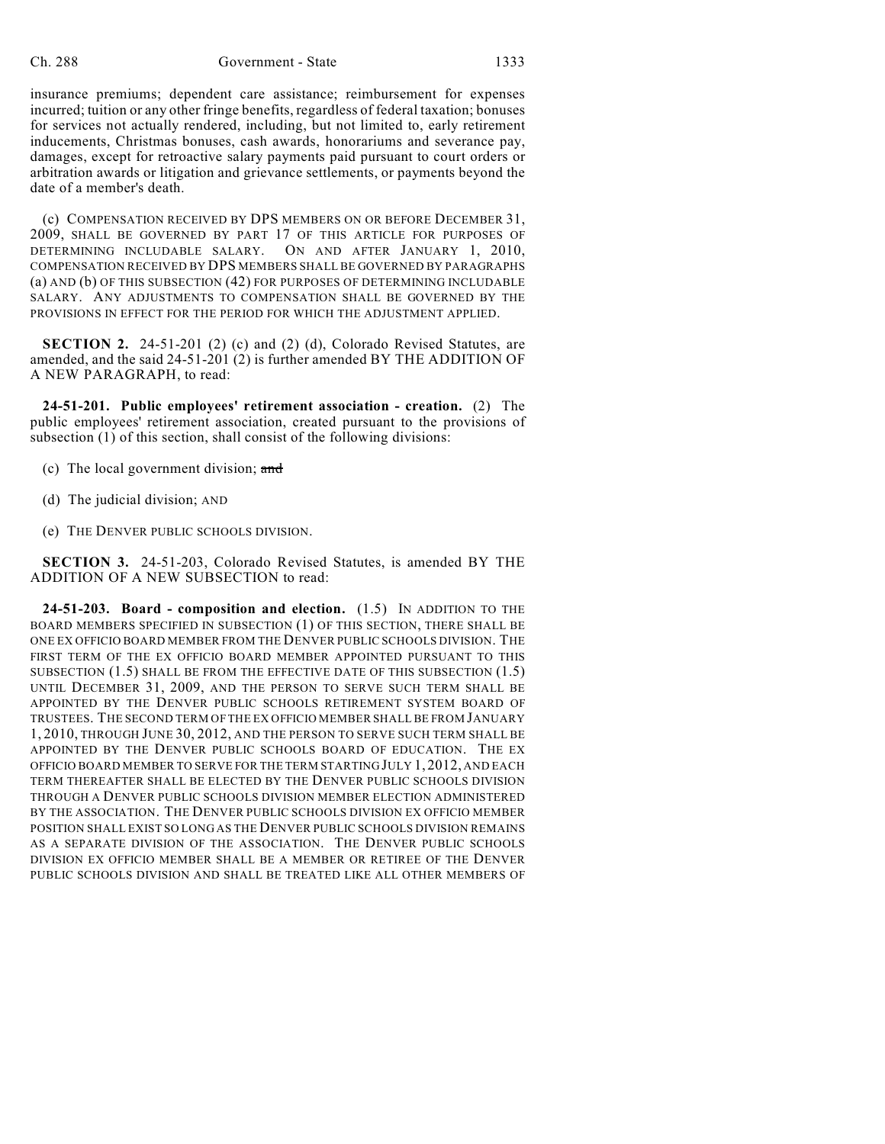insurance premiums; dependent care assistance; reimbursement for expenses incurred; tuition or any other fringe benefits, regardless of federal taxation; bonuses for services not actually rendered, including, but not limited to, early retirement inducements, Christmas bonuses, cash awards, honorariums and severance pay, damages, except for retroactive salary payments paid pursuant to court orders or arbitration awards or litigation and grievance settlements, or payments beyond the date of a member's death.

(c) COMPENSATION RECEIVED BY DPS MEMBERS ON OR BEFORE DECEMBER 31, 2009, SHALL BE GOVERNED BY PART 17 OF THIS ARTICLE FOR PURPOSES OF DETERMINING INCLUDABLE SALARY. ON AND AFTER JANUARY 1, 2010, COMPENSATION RECEIVED BY DPS MEMBERS SHALL BE GOVERNED BY PARAGRAPHS (a) AND (b) OF THIS SUBSECTION (42) FOR PURPOSES OF DETERMINING INCLUDABLE SALARY. ANY ADJUSTMENTS TO COMPENSATION SHALL BE GOVERNED BY THE PROVISIONS IN EFFECT FOR THE PERIOD FOR WHICH THE ADJUSTMENT APPLIED.

**SECTION 2.** 24-51-201 (2) (c) and (2) (d), Colorado Revised Statutes, are amended, and the said 24-51-201 (2) is further amended BY THE ADDITION OF A NEW PARAGRAPH, to read:

**24-51-201. Public employees' retirement association - creation.** (2) The public employees' retirement association, created pursuant to the provisions of subsection (1) of this section, shall consist of the following divisions:

- (c) The local government division; and
- (d) The judicial division; AND
- (e) THE DENVER PUBLIC SCHOOLS DIVISION.

**SECTION 3.** 24-51-203, Colorado Revised Statutes, is amended BY THE ADDITION OF A NEW SUBSECTION to read:

**24-51-203. Board - composition and election.** (1.5) IN ADDITION TO THE BOARD MEMBERS SPECIFIED IN SUBSECTION (1) OF THIS SECTION, THERE SHALL BE ONE EX OFFICIO BOARD MEMBER FROM THE DENVER PUBLIC SCHOOLS DIVISION. THE FIRST TERM OF THE EX OFFICIO BOARD MEMBER APPOINTED PURSUANT TO THIS SUBSECTION (1.5) SHALL BE FROM THE EFFECTIVE DATE OF THIS SUBSECTION (1.5) UNTIL DECEMBER 31, 2009, AND THE PERSON TO SERVE SUCH TERM SHALL BE APPOINTED BY THE DENVER PUBLIC SCHOOLS RETIREMENT SYSTEM BOARD OF TRUSTEES. THE SECOND TERM OF THE EX OFFICIO MEMBER SHALL BE FROM JANUARY 1, 2010, THROUGH JUNE 30, 2012, AND THE PERSON TO SERVE SUCH TERM SHALL BE APPOINTED BY THE DENVER PUBLIC SCHOOLS BOARD OF EDUCATION. THE EX OFFICIO BOARD MEMBER TO SERVE FOR THE TERM STARTING JULY 1, 2012, AND EACH TERM THEREAFTER SHALL BE ELECTED BY THE DENVER PUBLIC SCHOOLS DIVISION THROUGH A DENVER PUBLIC SCHOOLS DIVISION MEMBER ELECTION ADMINISTERED BY THE ASSOCIATION. THE DENVER PUBLIC SCHOOLS DIVISION EX OFFICIO MEMBER POSITION SHALL EXIST SO LONG AS THE DENVER PUBLIC SCHOOLS DIVISION REMAINS AS A SEPARATE DIVISION OF THE ASSOCIATION. THE DENVER PUBLIC SCHOOLS DIVISION EX OFFICIO MEMBER SHALL BE A MEMBER OR RETIREE OF THE DENVER PUBLIC SCHOOLS DIVISION AND SHALL BE TREATED LIKE ALL OTHER MEMBERS OF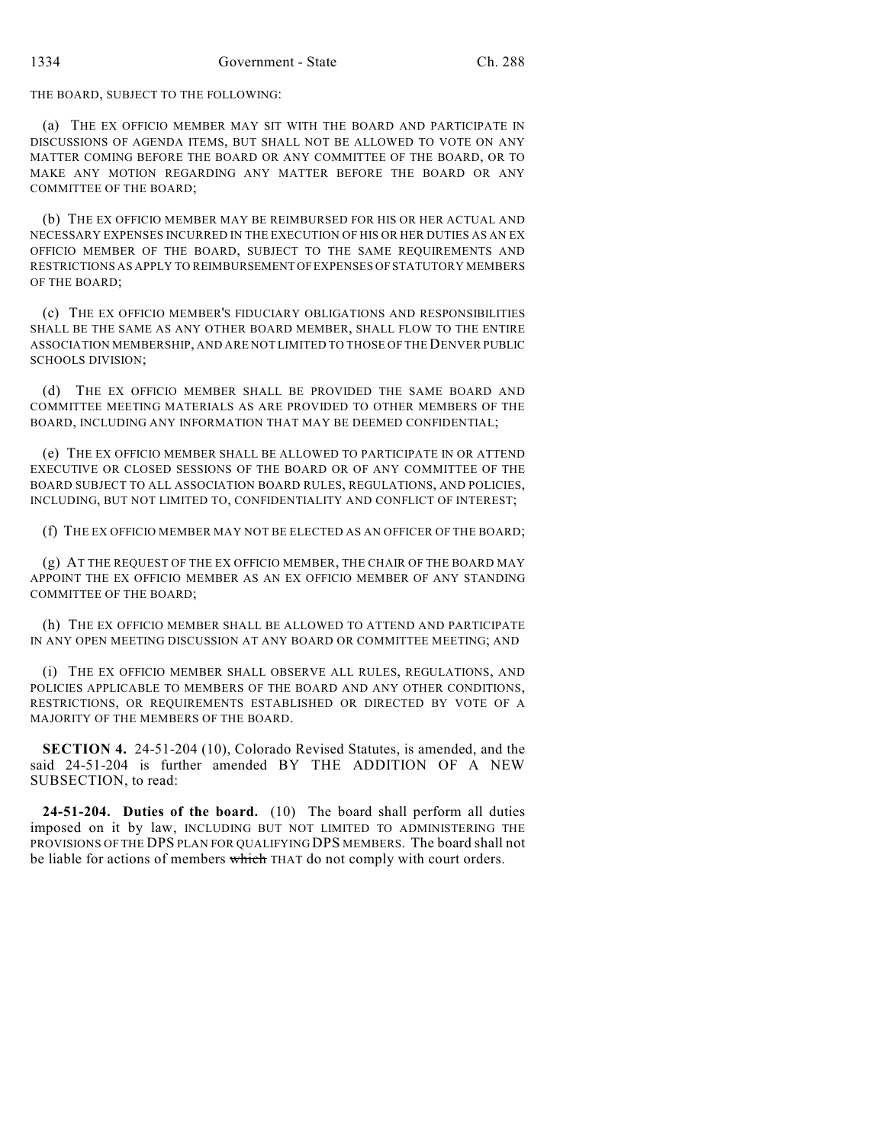THE BOARD, SUBJECT TO THE FOLLOWING:

(a) THE EX OFFICIO MEMBER MAY SIT WITH THE BOARD AND PARTICIPATE IN DISCUSSIONS OF AGENDA ITEMS, BUT SHALL NOT BE ALLOWED TO VOTE ON ANY MATTER COMING BEFORE THE BOARD OR ANY COMMITTEE OF THE BOARD, OR TO MAKE ANY MOTION REGARDING ANY MATTER BEFORE THE BOARD OR ANY COMMITTEE OF THE BOARD;

(b) THE EX OFFICIO MEMBER MAY BE REIMBURSED FOR HIS OR HER ACTUAL AND NECESSARY EXPENSES INCURRED IN THE EXECUTION OF HIS OR HER DUTIES AS AN EX OFFICIO MEMBER OF THE BOARD, SUBJECT TO THE SAME REQUIREMENTS AND RESTRICTIONS AS APPLY TO REIMBURSEMENT OF EXPENSES OF STATUTORY MEMBERS OF THE BOARD;

(c) THE EX OFFICIO MEMBER'S FIDUCIARY OBLIGATIONS AND RESPONSIBILITIES SHALL BE THE SAME AS ANY OTHER BOARD MEMBER, SHALL FLOW TO THE ENTIRE ASSOCIATION MEMBERSHIP, AND ARE NOT LIMITED TO THOSE OF THE DENVER PUBLIC SCHOOLS DIVISION;

(d) THE EX OFFICIO MEMBER SHALL BE PROVIDED THE SAME BOARD AND COMMITTEE MEETING MATERIALS AS ARE PROVIDED TO OTHER MEMBERS OF THE BOARD, INCLUDING ANY INFORMATION THAT MAY BE DEEMED CONFIDENTIAL;

(e) THE EX OFFICIO MEMBER SHALL BE ALLOWED TO PARTICIPATE IN OR ATTEND EXECUTIVE OR CLOSED SESSIONS OF THE BOARD OR OF ANY COMMITTEE OF THE BOARD SUBJECT TO ALL ASSOCIATION BOARD RULES, REGULATIONS, AND POLICIES, INCLUDING, BUT NOT LIMITED TO, CONFIDENTIALITY AND CONFLICT OF INTEREST;

(f) THE EX OFFICIO MEMBER MAY NOT BE ELECTED AS AN OFFICER OF THE BOARD;

(g) AT THE REQUEST OF THE EX OFFICIO MEMBER, THE CHAIR OF THE BOARD MAY APPOINT THE EX OFFICIO MEMBER AS AN EX OFFICIO MEMBER OF ANY STANDING COMMITTEE OF THE BOARD;

(h) THE EX OFFICIO MEMBER SHALL BE ALLOWED TO ATTEND AND PARTICIPATE IN ANY OPEN MEETING DISCUSSION AT ANY BOARD OR COMMITTEE MEETING; AND

(i) THE EX OFFICIO MEMBER SHALL OBSERVE ALL RULES, REGULATIONS, AND POLICIES APPLICABLE TO MEMBERS OF THE BOARD AND ANY OTHER CONDITIONS, RESTRICTIONS, OR REQUIREMENTS ESTABLISHED OR DIRECTED BY VOTE OF A MAJORITY OF THE MEMBERS OF THE BOARD.

**SECTION 4.** 24-51-204 (10), Colorado Revised Statutes, is amended, and the said 24-51-204 is further amended BY THE ADDITION OF A NEW SUBSECTION, to read:

**24-51-204. Duties of the board.** (10) The board shall perform all duties imposed on it by law, INCLUDING BUT NOT LIMITED TO ADMINISTERING THE PROVISIONS OF THE DPS PLAN FOR QUALIFYING DPS MEMBERS. The board shall not be liable for actions of members which THAT do not comply with court orders.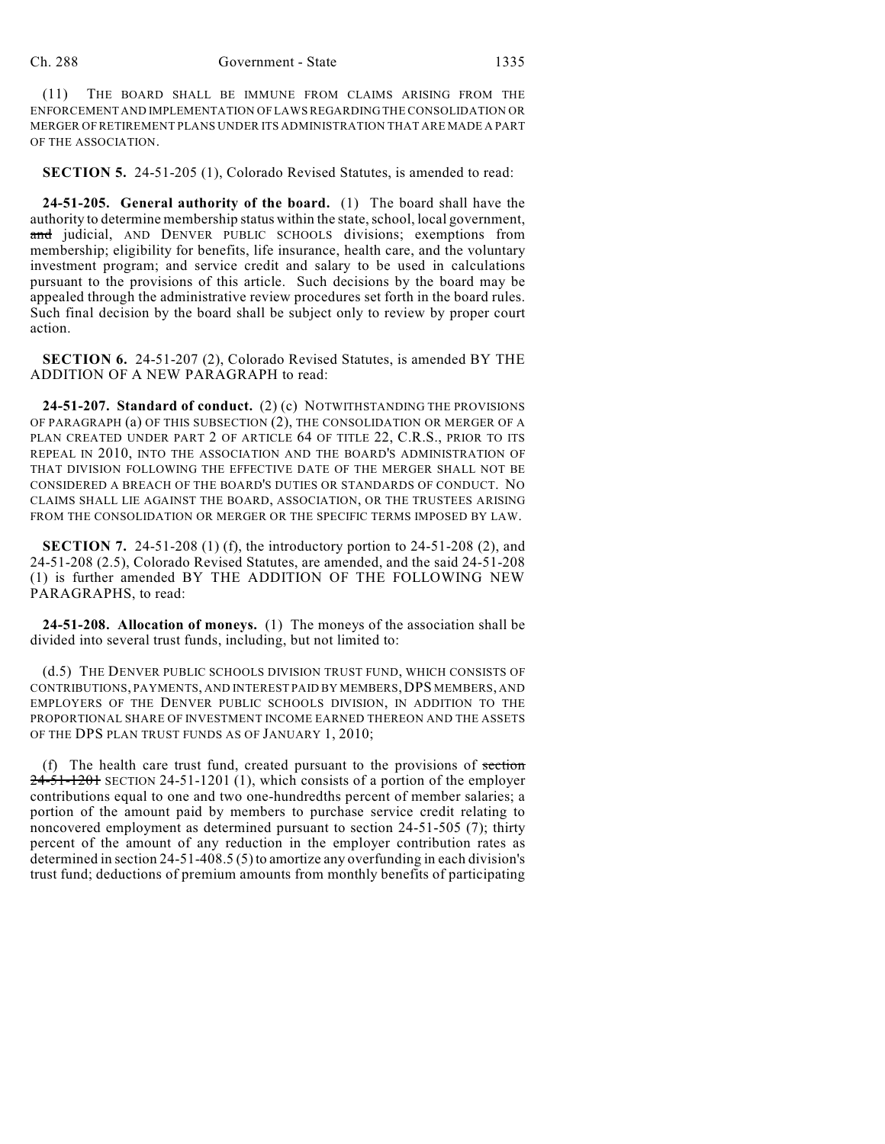(11) THE BOARD SHALL BE IMMUNE FROM CLAIMS ARISING FROM THE ENFORCEMENT AND IMPLEMENTATION OF LAWS REGARDING THE CONSOLIDATION OR MERGER OF RETIREMENT PLANS UNDER ITS ADMINISTRATION THAT ARE MADE A PART OF THE ASSOCIATION.

**SECTION 5.** 24-51-205 (1), Colorado Revised Statutes, is amended to read:

**24-51-205. General authority of the board.** (1) The board shall have the authority to determine membership status within the state, school, local government, and judicial, AND DENVER PUBLIC SCHOOLS divisions; exemptions from membership; eligibility for benefits, life insurance, health care, and the voluntary investment program; and service credit and salary to be used in calculations pursuant to the provisions of this article. Such decisions by the board may be appealed through the administrative review procedures set forth in the board rules. Such final decision by the board shall be subject only to review by proper court action.

**SECTION 6.** 24-51-207 (2), Colorado Revised Statutes, is amended BY THE ADDITION OF A NEW PARAGRAPH to read:

**24-51-207. Standard of conduct.** (2) (c) NOTWITHSTANDING THE PROVISIONS OF PARAGRAPH (a) OF THIS SUBSECTION (2), THE CONSOLIDATION OR MERGER OF A PLAN CREATED UNDER PART 2 OF ARTICLE 64 OF TITLE 22, C.R.S., PRIOR TO ITS REPEAL IN 2010, INTO THE ASSOCIATION AND THE BOARD'S ADMINISTRATION OF THAT DIVISION FOLLOWING THE EFFECTIVE DATE OF THE MERGER SHALL NOT BE CONSIDERED A BREACH OF THE BOARD'S DUTIES OR STANDARDS OF CONDUCT. NO CLAIMS SHALL LIE AGAINST THE BOARD, ASSOCIATION, OR THE TRUSTEES ARISING FROM THE CONSOLIDATION OR MERGER OR THE SPECIFIC TERMS IMPOSED BY LAW.

**SECTION 7.** 24-51-208 (1) (f), the introductory portion to 24-51-208 (2), and 24-51-208 (2.5), Colorado Revised Statutes, are amended, and the said 24-51-208 (1) is further amended BY THE ADDITION OF THE FOLLOWING NEW PARAGRAPHS, to read:

**24-51-208. Allocation of moneys.** (1) The moneys of the association shall be divided into several trust funds, including, but not limited to:

(d.5) THE DENVER PUBLIC SCHOOLS DIVISION TRUST FUND, WHICH CONSISTS OF CONTRIBUTIONS, PAYMENTS, AND INTEREST PAID BY MEMBERS,DPS MEMBERS, AND EMPLOYERS OF THE DENVER PUBLIC SCHOOLS DIVISION, IN ADDITION TO THE PROPORTIONAL SHARE OF INVESTMENT INCOME EARNED THEREON AND THE ASSETS OF THE DPS PLAN TRUST FUNDS AS OF JANUARY 1, 2010;

(f) The health care trust fund, created pursuant to the provisions of  $set$  $24-51-1201$  SECTION 24-51-1201 (1), which consists of a portion of the employer contributions equal to one and two one-hundredths percent of member salaries; a portion of the amount paid by members to purchase service credit relating to noncovered employment as determined pursuant to section 24-51-505 (7); thirty percent of the amount of any reduction in the employer contribution rates as determined in section 24-51-408.5 (5) to amortize any overfunding in each division's trust fund; deductions of premium amounts from monthly benefits of participating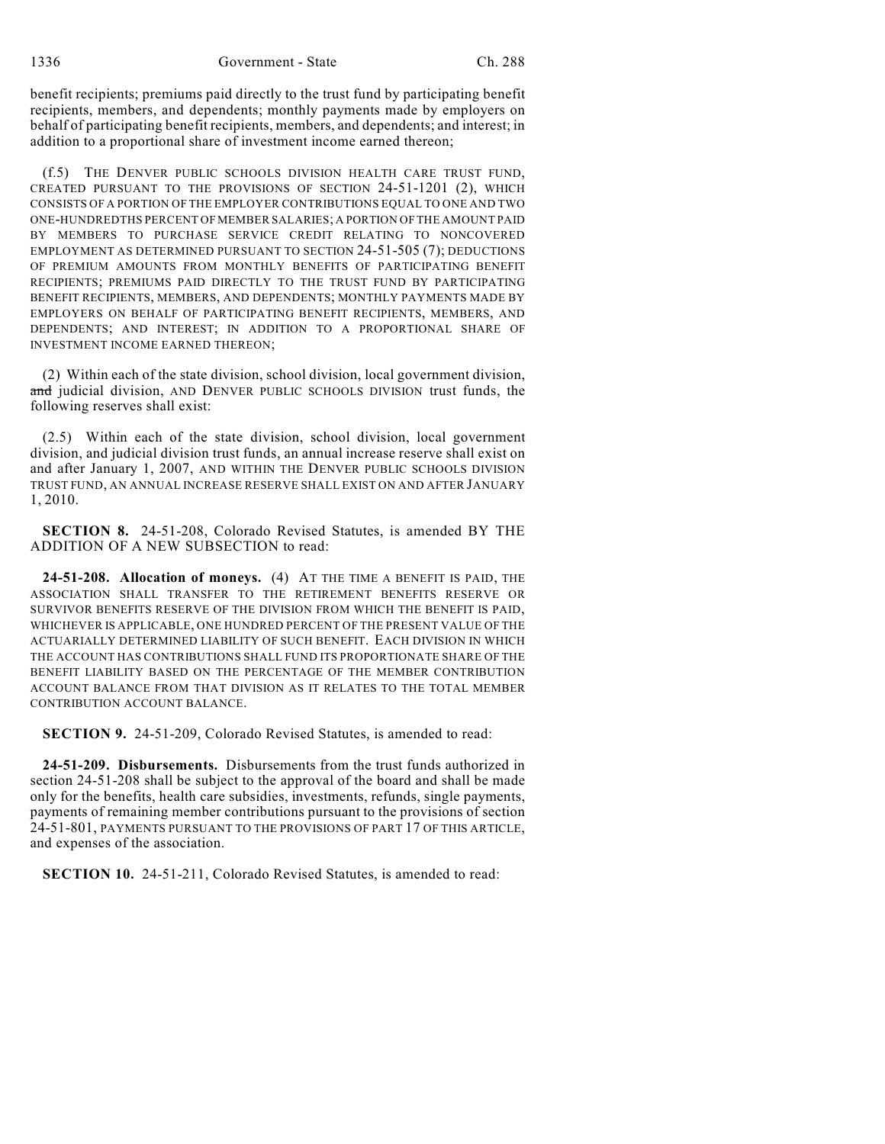benefit recipients; premiums paid directly to the trust fund by participating benefit recipients, members, and dependents; monthly payments made by employers on behalf of participating benefit recipients, members, and dependents; and interest; in addition to a proportional share of investment income earned thereon;

(f.5) THE DENVER PUBLIC SCHOOLS DIVISION HEALTH CARE TRUST FUND, CREATED PURSUANT TO THE PROVISIONS OF SECTION 24-51-1201 (2), WHICH CONSISTS OF A PORTION OF THE EMPLOYER CONTRIBUTIONS EQUAL TO ONE AND TWO ONE-HUNDREDTHS PERCENT OF MEMBER SALARIES; A PORTION OF THE AMOUNT PAID BY MEMBERS TO PURCHASE SERVICE CREDIT RELATING TO NONCOVERED EMPLOYMENT AS DETERMINED PURSUANT TO SECTION 24-51-505 (7); DEDUCTIONS OF PREMIUM AMOUNTS FROM MONTHLY BENEFITS OF PARTICIPATING BENEFIT RECIPIENTS; PREMIUMS PAID DIRECTLY TO THE TRUST FUND BY PARTICIPATING BENEFIT RECIPIENTS, MEMBERS, AND DEPENDENTS; MONTHLY PAYMENTS MADE BY EMPLOYERS ON BEHALF OF PARTICIPATING BENEFIT RECIPIENTS, MEMBERS, AND DEPENDENTS; AND INTEREST; IN ADDITION TO A PROPORTIONAL SHARE OF INVESTMENT INCOME EARNED THEREON;

(2) Within each of the state division, school division, local government division, and judicial division, AND DENVER PUBLIC SCHOOLS DIVISION trust funds, the following reserves shall exist:

(2.5) Within each of the state division, school division, local government division, and judicial division trust funds, an annual increase reserve shall exist on and after January 1, 2007, AND WITHIN THE DENVER PUBLIC SCHOOLS DIVISION TRUST FUND, AN ANNUAL INCREASE RESERVE SHALL EXIST ON AND AFTER JANUARY 1, 2010.

**SECTION 8.** 24-51-208, Colorado Revised Statutes, is amended BY THE ADDITION OF A NEW SUBSECTION to read:

**24-51-208. Allocation of moneys.** (4) AT THE TIME A BENEFIT IS PAID, THE ASSOCIATION SHALL TRANSFER TO THE RETIREMENT BENEFITS RESERVE OR SURVIVOR BENEFITS RESERVE OF THE DIVISION FROM WHICH THE BENEFIT IS PAID, WHICHEVER IS APPLICABLE, ONE HUNDRED PERCENT OF THE PRESENT VALUE OF THE ACTUARIALLY DETERMINED LIABILITY OF SUCH BENEFIT. EACH DIVISION IN WHICH THE ACCOUNT HAS CONTRIBUTIONS SHALL FUND ITS PROPORTIONATE SHARE OF THE BENEFIT LIABILITY BASED ON THE PERCENTAGE OF THE MEMBER CONTRIBUTION ACCOUNT BALANCE FROM THAT DIVISION AS IT RELATES TO THE TOTAL MEMBER CONTRIBUTION ACCOUNT BALANCE.

**SECTION 9.** 24-51-209, Colorado Revised Statutes, is amended to read:

**24-51-209. Disbursements.** Disbursements from the trust funds authorized in section 24-51-208 shall be subject to the approval of the board and shall be made only for the benefits, health care subsidies, investments, refunds, single payments, payments of remaining member contributions pursuant to the provisions of section 24-51-801, PAYMENTS PURSUANT TO THE PROVISIONS OF PART 17 OF THIS ARTICLE, and expenses of the association.

**SECTION 10.** 24-51-211, Colorado Revised Statutes, is amended to read: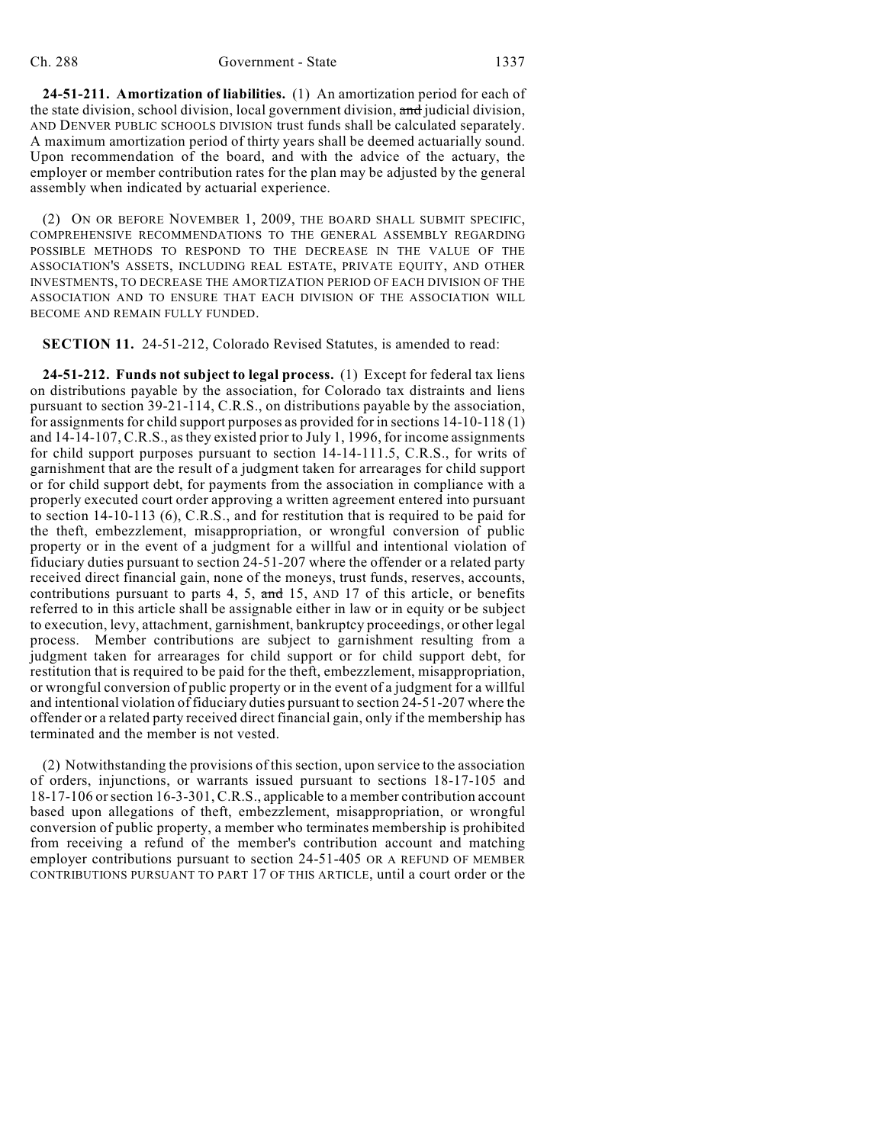**24-51-211. Amortization of liabilities.** (1) An amortization period for each of the state division, school division, local government division, and judicial division, AND DENVER PUBLIC SCHOOLS DIVISION trust funds shall be calculated separately. A maximum amortization period of thirty years shall be deemed actuarially sound. Upon recommendation of the board, and with the advice of the actuary, the employer or member contribution rates for the plan may be adjusted by the general assembly when indicated by actuarial experience.

(2) ON OR BEFORE NOVEMBER 1, 2009, THE BOARD SHALL SUBMIT SPECIFIC, COMPREHENSIVE RECOMMENDATIONS TO THE GENERAL ASSEMBLY REGARDING POSSIBLE METHODS TO RESPOND TO THE DECREASE IN THE VALUE OF THE ASSOCIATION'S ASSETS, INCLUDING REAL ESTATE, PRIVATE EQUITY, AND OTHER INVESTMENTS, TO DECREASE THE AMORTIZATION PERIOD OF EACH DIVISION OF THE ASSOCIATION AND TO ENSURE THAT EACH DIVISION OF THE ASSOCIATION WILL BECOME AND REMAIN FULLY FUNDED.

**SECTION 11.** 24-51-212, Colorado Revised Statutes, is amended to read:

**24-51-212. Funds not subject to legal process.** (1) Except for federal tax liens on distributions payable by the association, for Colorado tax distraints and liens pursuant to section 39-21-114, C.R.S., on distributions payable by the association, for assignments for child support purposes as provided for in sections 14-10-118 (1) and 14-14-107, C.R.S., as they existed prior to July 1, 1996, for income assignments for child support purposes pursuant to section 14-14-111.5, C.R.S., for writs of garnishment that are the result of a judgment taken for arrearages for child support or for child support debt, for payments from the association in compliance with a properly executed court order approving a written agreement entered into pursuant to section 14-10-113 (6), C.R.S., and for restitution that is required to be paid for the theft, embezzlement, misappropriation, or wrongful conversion of public property or in the event of a judgment for a willful and intentional violation of fiduciary duties pursuant to section 24-51-207 where the offender or a related party received direct financial gain, none of the moneys, trust funds, reserves, accounts, contributions pursuant to parts 4, 5, and 15, AND 17 of this article, or benefits referred to in this article shall be assignable either in law or in equity or be subject to execution, levy, attachment, garnishment, bankruptcy proceedings, or other legal process. Member contributions are subject to garnishment resulting from a judgment taken for arrearages for child support or for child support debt, for restitution that is required to be paid for the theft, embezzlement, misappropriation, or wrongful conversion of public property or in the event of a judgment for a willful and intentional violation of fiduciary duties pursuant to section 24-51-207 where the offender or a related party received direct financial gain, only if the membership has terminated and the member is not vested.

(2) Notwithstanding the provisions of this section, upon service to the association of orders, injunctions, or warrants issued pursuant to sections 18-17-105 and 18-17-106 or section 16-3-301, C.R.S., applicable to a member contribution account based upon allegations of theft, embezzlement, misappropriation, or wrongful conversion of public property, a member who terminates membership is prohibited from receiving a refund of the member's contribution account and matching employer contributions pursuant to section 24-51-405 OR A REFUND OF MEMBER CONTRIBUTIONS PURSUANT TO PART 17 OF THIS ARTICLE, until a court order or the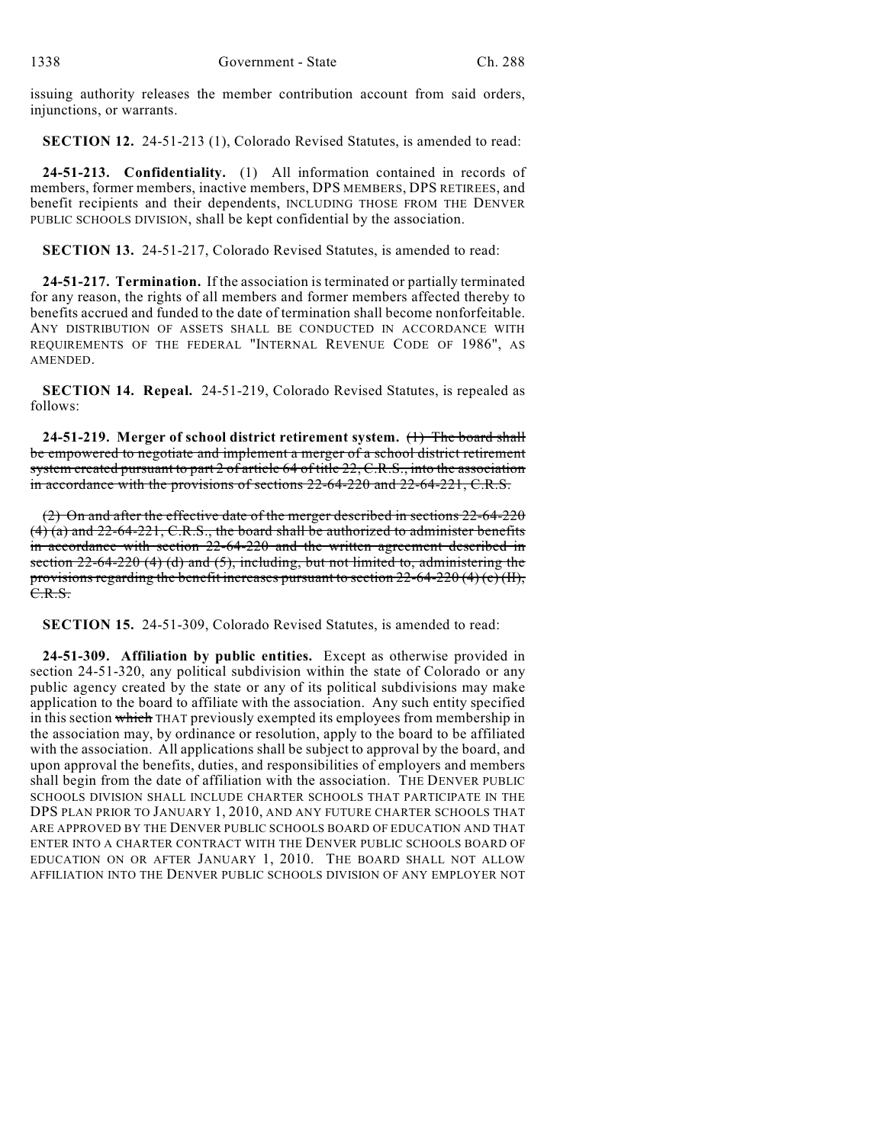issuing authority releases the member contribution account from said orders, injunctions, or warrants.

**SECTION 12.** 24-51-213 (1), Colorado Revised Statutes, is amended to read:

**24-51-213. Confidentiality.** (1) All information contained in records of members, former members, inactive members, DPS MEMBERS, DPS RETIREES, and benefit recipients and their dependents, INCLUDING THOSE FROM THE DENVER PUBLIC SCHOOLS DIVISION, shall be kept confidential by the association.

**SECTION 13.** 24-51-217, Colorado Revised Statutes, is amended to read:

**24-51-217. Termination.** If the association is terminated or partially terminated for any reason, the rights of all members and former members affected thereby to benefits accrued and funded to the date of termination shall become nonforfeitable. ANY DISTRIBUTION OF ASSETS SHALL BE CONDUCTED IN ACCORDANCE WITH REQUIREMENTS OF THE FEDERAL "INTERNAL REVENUE CODE OF 1986", AS AMENDED.

**SECTION 14. Repeal.** 24-51-219, Colorado Revised Statutes, is repealed as follows:

**24-51-219. Merger of school district retirement system.** (1) The board shall be empowered to negotiate and implement a merger of a school district retirement system created pursuant to part 2 of article 64 of title 22, C.R.S., into the association in accordance with the provisions of sections 22-64-220 and 22-64-221, C.R.S.

(2) On and after the effective date of the merger described in sections 22-64-220 (4) (a) and 22-64-221, C.R.S., the board shall be authorized to administer benefits in accordance with section 22-64-220 and the written agreement described in section 22-64-220 (4) (d) and (5), including, but not limited to, administering the provisions regarding the benefit increases pursuant to section  $22-64-220$  (4) (c) (II), C.R.S.

**SECTION 15.** 24-51-309, Colorado Revised Statutes, is amended to read:

**24-51-309. Affiliation by public entities.** Except as otherwise provided in section 24-51-320, any political subdivision within the state of Colorado or any public agency created by the state or any of its political subdivisions may make application to the board to affiliate with the association. Any such entity specified in this section which THAT previously exempted its employees from membership in the association may, by ordinance or resolution, apply to the board to be affiliated with the association. All applications shall be subject to approval by the board, and upon approval the benefits, duties, and responsibilities of employers and members shall begin from the date of affiliation with the association. THE DENVER PUBLIC SCHOOLS DIVISION SHALL INCLUDE CHARTER SCHOOLS THAT PARTICIPATE IN THE DPS PLAN PRIOR TO JANUARY 1, 2010, AND ANY FUTURE CHARTER SCHOOLS THAT ARE APPROVED BY THE DENVER PUBLIC SCHOOLS BOARD OF EDUCATION AND THAT ENTER INTO A CHARTER CONTRACT WITH THE DENVER PUBLIC SCHOOLS BOARD OF EDUCATION ON OR AFTER JANUARY 1, 2010. THE BOARD SHALL NOT ALLOW AFFILIATION INTO THE DENVER PUBLIC SCHOOLS DIVISION OF ANY EMPLOYER NOT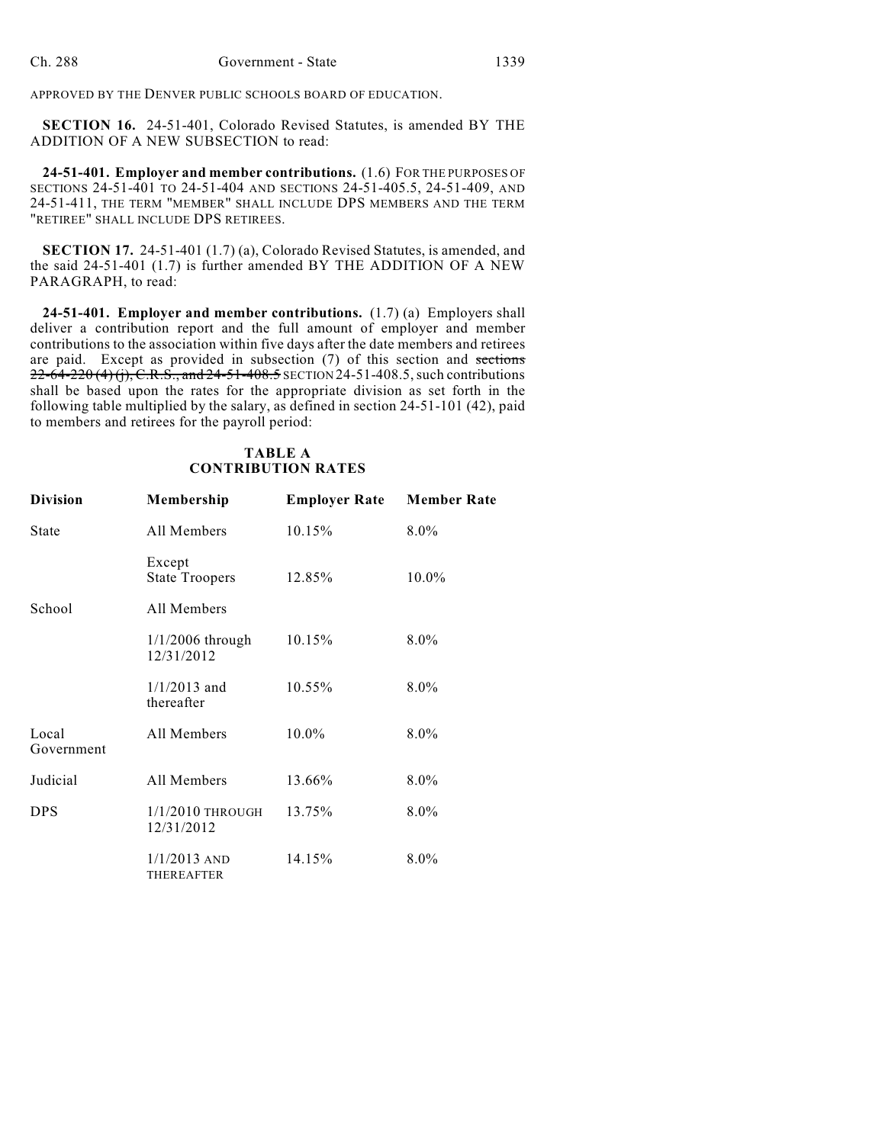APPROVED BY THE DENVER PUBLIC SCHOOLS BOARD OF EDUCATION.

**SECTION 16.** 24-51-401, Colorado Revised Statutes, is amended BY THE ADDITION OF A NEW SUBSECTION to read:

**24-51-401. Employer and member contributions.** (1.6) FOR THE PURPOSES OF SECTIONS 24-51-401 TO 24-51-404 AND SECTIONS 24-51-405.5, 24-51-409, AND 24-51-411, THE TERM "MEMBER" SHALL INCLUDE DPS MEMBERS AND THE TERM "RETIREE" SHALL INCLUDE DPS RETIREES.

**SECTION 17.** 24-51-401 (1.7) (a), Colorado Revised Statutes, is amended, and the said 24-51-401 (1.7) is further amended BY THE ADDITION OF A NEW PARAGRAPH, to read:

**24-51-401. Employer and member contributions.** (1.7) (a) Employers shall deliver a contribution report and the full amount of employer and member contributions to the association within five days after the date members and retirees are paid. Except as provided in subsection (7) of this section and sections  $22-64-220(4)$  (j), C.R.S., and  $24-51-408.5$  SECTION 24-51-408.5, such contributions shall be based upon the rates for the appropriate division as set forth in the following table multiplied by the salary, as defined in section 24-51-101 (42), paid to members and retirees for the payroll period:

### **TABLE A CONTRIBUTION RATES**

| <b>Division</b>     | Membership                          | <b>Employer Rate</b> | <b>Member Rate</b> |
|---------------------|-------------------------------------|----------------------|--------------------|
| <b>State</b>        | All Members                         | 10.15%               | $8.0\%$            |
|                     | Except<br><b>State Troopers</b>     | 12.85%               | 10.0%              |
| School              | All Members                         |                      |                    |
|                     | $1/1/2006$ through<br>12/31/2012    | 10.15%               | $8.0\%$            |
|                     | $1/1/2013$ and<br>thereafter        | 10.55%               | $8.0\%$            |
| Local<br>Government | All Members                         | $10.0\%$             | $8.0\%$            |
| Judicial            | All Members                         | 13.66%               | $8.0\%$            |
| <b>DPS</b>          | $1/1/2010$ THROUGH<br>12/31/2012    | 13.75%               | $8.0\%$            |
|                     | $1/1/2013$ AND<br><b>THEREAFTER</b> | 14.15%               | $8.0\%$            |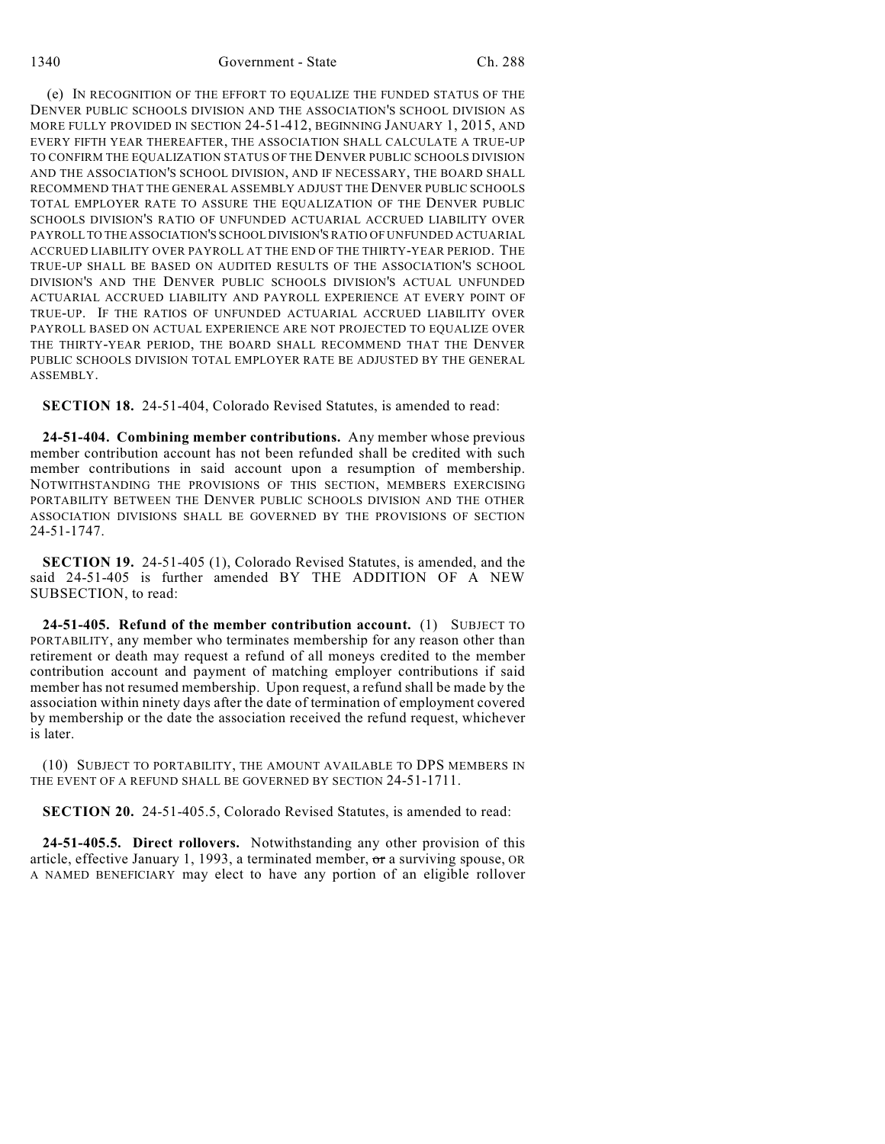(e) IN RECOGNITION OF THE EFFORT TO EQUALIZE THE FUNDED STATUS OF THE DENVER PUBLIC SCHOOLS DIVISION AND THE ASSOCIATION'S SCHOOL DIVISION AS MORE FULLY PROVIDED IN SECTION 24-51-412, BEGINNING JANUARY 1, 2015, AND EVERY FIFTH YEAR THEREAFTER, THE ASSOCIATION SHALL CALCULATE A TRUE-UP TO CONFIRM THE EQUALIZATION STATUS OF THE DENVER PUBLIC SCHOOLS DIVISION AND THE ASSOCIATION'S SCHOOL DIVISION, AND IF NECESSARY, THE BOARD SHALL RECOMMEND THAT THE GENERAL ASSEMBLY ADJUST THE DENVER PUBLIC SCHOOLS TOTAL EMPLOYER RATE TO ASSURE THE EQUALIZATION OF THE DENVER PUBLIC SCHOOLS DIVISION'S RATIO OF UNFUNDED ACTUARIAL ACCRUED LIABILITY OVER PAYROLL TO THE ASSOCIATION'S SCHOOL DIVISION'S RATIO OF UNFUNDED ACTUARIAL ACCRUED LIABILITY OVER PAYROLL AT THE END OF THE THIRTY-YEAR PERIOD. THE TRUE-UP SHALL BE BASED ON AUDITED RESULTS OF THE ASSOCIATION'S SCHOOL DIVISION'S AND THE DENVER PUBLIC SCHOOLS DIVISION'S ACTUAL UNFUNDED ACTUARIAL ACCRUED LIABILITY AND PAYROLL EXPERIENCE AT EVERY POINT OF TRUE-UP. IF THE RATIOS OF UNFUNDED ACTUARIAL ACCRUED LIABILITY OVER PAYROLL BASED ON ACTUAL EXPERIENCE ARE NOT PROJECTED TO EQUALIZE OVER THE THIRTY-YEAR PERIOD, THE BOARD SHALL RECOMMEND THAT THE DENVER PUBLIC SCHOOLS DIVISION TOTAL EMPLOYER RATE BE ADJUSTED BY THE GENERAL ASSEMBLY.

**SECTION 18.** 24-51-404, Colorado Revised Statutes, is amended to read:

**24-51-404. Combining member contributions.** Any member whose previous member contribution account has not been refunded shall be credited with such member contributions in said account upon a resumption of membership. NOTWITHSTANDING THE PROVISIONS OF THIS SECTION, MEMBERS EXERCISING PORTABILITY BETWEEN THE DENVER PUBLIC SCHOOLS DIVISION AND THE OTHER ASSOCIATION DIVISIONS SHALL BE GOVERNED BY THE PROVISIONS OF SECTION 24-51-1747.

**SECTION 19.** 24-51-405 (1), Colorado Revised Statutes, is amended, and the said 24-51-405 is further amended BY THE ADDITION OF A NEW SUBSECTION, to read:

**24-51-405. Refund of the member contribution account.** (1) SUBJECT TO PORTABILITY, any member who terminates membership for any reason other than retirement or death may request a refund of all moneys credited to the member contribution account and payment of matching employer contributions if said member has not resumed membership. Upon request, a refund shall be made by the association within ninety days after the date of termination of employment covered by membership or the date the association received the refund request, whichever is later.

(10) SUBJECT TO PORTABILITY, THE AMOUNT AVAILABLE TO DPS MEMBERS IN THE EVENT OF A REFUND SHALL BE GOVERNED BY SECTION 24-51-1711.

**SECTION 20.** 24-51-405.5, Colorado Revised Statutes, is amended to read:

**24-51-405.5. Direct rollovers.** Notwithstanding any other provision of this article, effective January 1, 1993, a terminated member,  $\sigma$ r a surviving spouse, OR A NAMED BENEFICIARY may elect to have any portion of an eligible rollover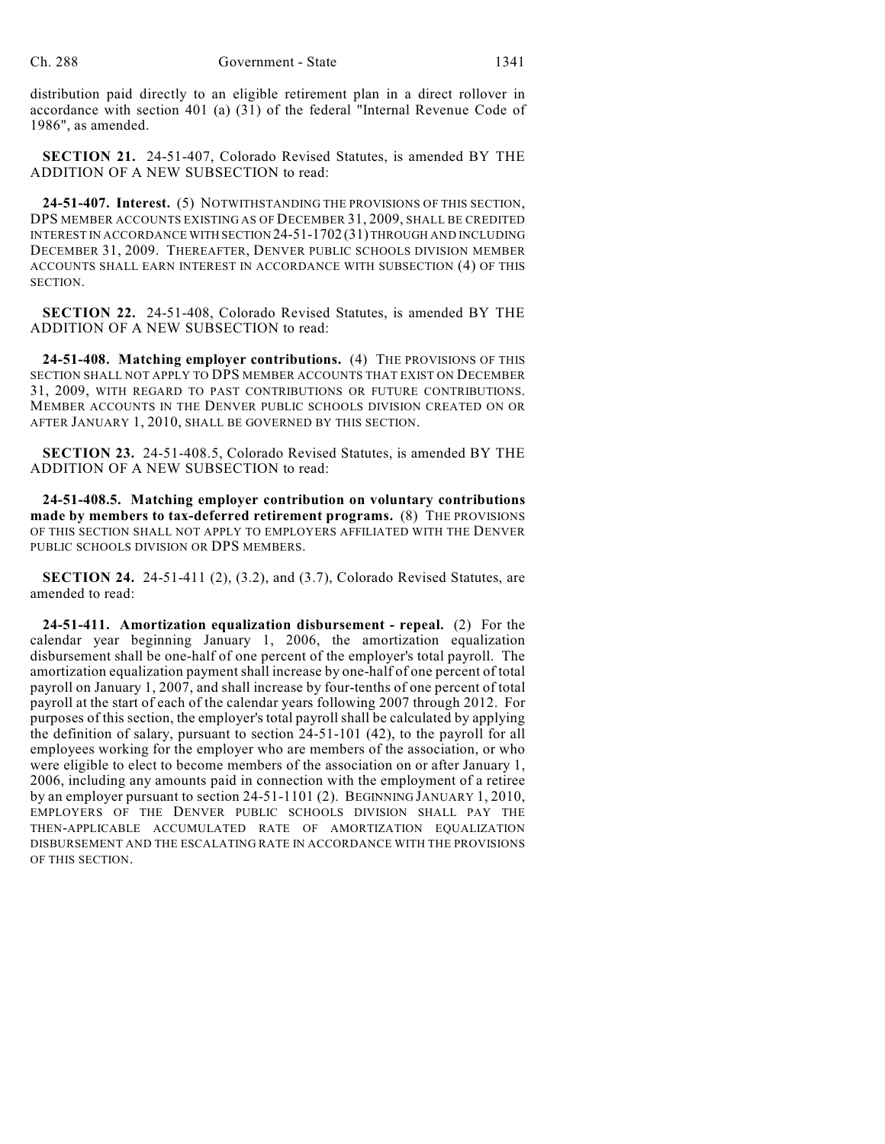distribution paid directly to an eligible retirement plan in a direct rollover in accordance with section 401 (a) (31) of the federal "Internal Revenue Code of 1986", as amended.

**SECTION 21.** 24-51-407, Colorado Revised Statutes, is amended BY THE ADDITION OF A NEW SUBSECTION to read:

**24-51-407. Interest.** (5) NOTWITHSTANDING THE PROVISIONS OF THIS SECTION, DPS MEMBER ACCOUNTS EXISTING AS OF DECEMBER 31, 2009, SHALL BE CREDITED INTEREST IN ACCORDANCE WITH SECTION 24-51-1702 (31) THROUGH AND INCLUDING DECEMBER 31, 2009. THEREAFTER, DENVER PUBLIC SCHOOLS DIVISION MEMBER ACCOUNTS SHALL EARN INTEREST IN ACCORDANCE WITH SUBSECTION (4) OF THIS SECTION.

**SECTION 22.** 24-51-408, Colorado Revised Statutes, is amended BY THE ADDITION OF A NEW SUBSECTION to read:

**24-51-408. Matching employer contributions.** (4) THE PROVISIONS OF THIS SECTION SHALL NOT APPLY TO DPS MEMBER ACCOUNTS THAT EXIST ON DECEMBER 31, 2009, WITH REGARD TO PAST CONTRIBUTIONS OR FUTURE CONTRIBUTIONS. MEMBER ACCOUNTS IN THE DENVER PUBLIC SCHOOLS DIVISION CREATED ON OR AFTER JANUARY 1, 2010, SHALL BE GOVERNED BY THIS SECTION.

**SECTION 23.** 24-51-408.5, Colorado Revised Statutes, is amended BY THE ADDITION OF A NEW SUBSECTION to read:

**24-51-408.5. Matching employer contribution on voluntary contributions made by members to tax-deferred retirement programs.** (8) THE PROVISIONS OF THIS SECTION SHALL NOT APPLY TO EMPLOYERS AFFILIATED WITH THE DENVER PUBLIC SCHOOLS DIVISION OR DPS MEMBERS.

**SECTION 24.** 24-51-411 (2), (3.2), and (3.7), Colorado Revised Statutes, are amended to read:

**24-51-411. Amortization equalization disbursement - repeal.** (2) For the calendar year beginning January 1, 2006, the amortization equalization disbursement shall be one-half of one percent of the employer's total payroll. The amortization equalization payment shall increase by one-half of one percent of total payroll on January 1, 2007, and shall increase by four-tenths of one percent of total payroll at the start of each of the calendar years following 2007 through 2012. For purposes of this section, the employer's total payroll shall be calculated by applying the definition of salary, pursuant to section 24-51-101 (42), to the payroll for all employees working for the employer who are members of the association, or who were eligible to elect to become members of the association on or after January 1, 2006, including any amounts paid in connection with the employment of a retiree by an employer pursuant to section 24-51-1101 (2). BEGINNING JANUARY 1, 2010, EMPLOYERS OF THE DENVER PUBLIC SCHOOLS DIVISION SHALL PAY THE THEN-APPLICABLE ACCUMULATED RATE OF AMORTIZATION EQUALIZATION DISBURSEMENT AND THE ESCALATING RATE IN ACCORDANCE WITH THE PROVISIONS OF THIS SECTION.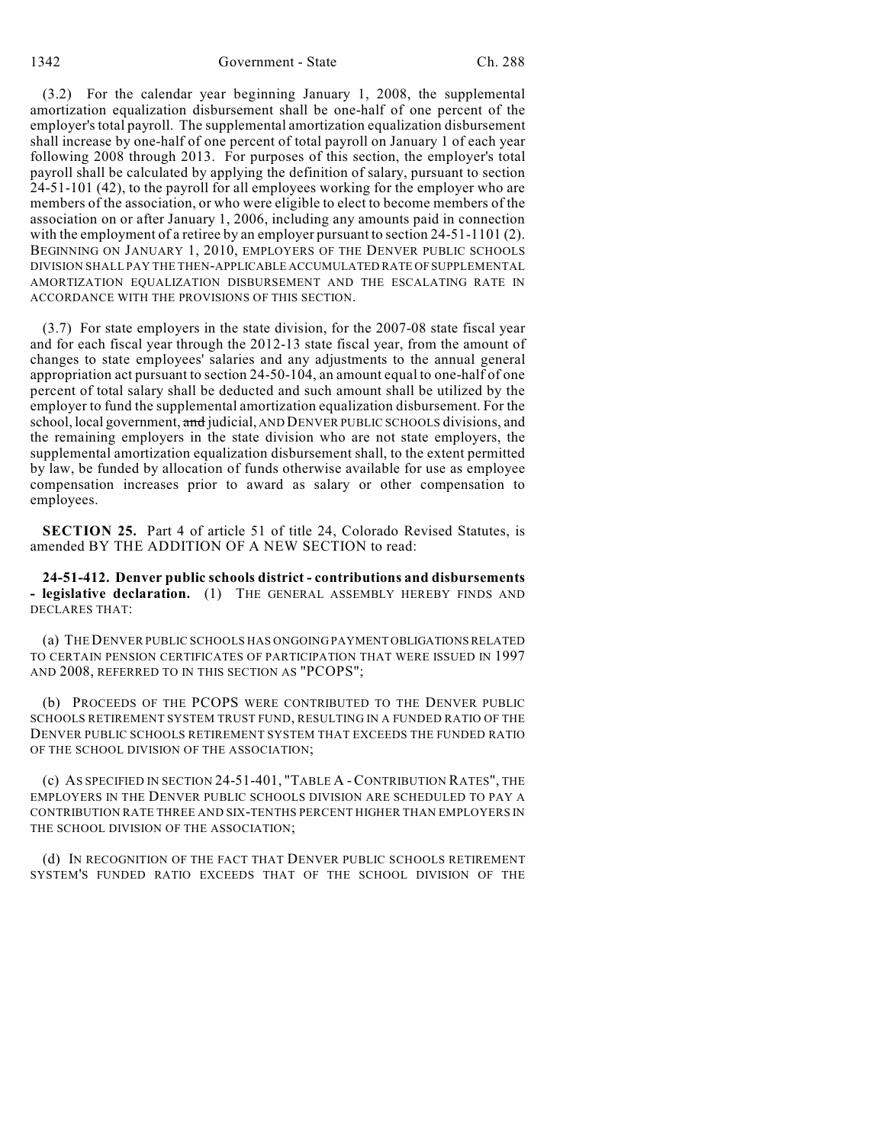(3.2) For the calendar year beginning January 1, 2008, the supplemental amortization equalization disbursement shall be one-half of one percent of the employer's total payroll. The supplemental amortization equalization disbursement shall increase by one-half of one percent of total payroll on January 1 of each year following 2008 through 2013. For purposes of this section, the employer's total payroll shall be calculated by applying the definition of salary, pursuant to section 24-51-101 (42), to the payroll for all employees working for the employer who are members of the association, or who were eligible to elect to become members of the association on or after January 1, 2006, including any amounts paid in connection with the employment of a retiree by an employer pursuant to section 24-51-1101 (2). BEGINNING ON JANUARY 1, 2010, EMPLOYERS OF THE DENVER PUBLIC SCHOOLS DIVISION SHALL PAY THE THEN-APPLICABLE ACCUMULATED RATE OF SUPPLEMENTAL AMORTIZATION EQUALIZATION DISBURSEMENT AND THE ESCALATING RATE IN ACCORDANCE WITH THE PROVISIONS OF THIS SECTION.

(3.7) For state employers in the state division, for the 2007-08 state fiscal year and for each fiscal year through the 2012-13 state fiscal year, from the amount of changes to state employees' salaries and any adjustments to the annual general appropriation act pursuant to section 24-50-104, an amount equal to one-half of one percent of total salary shall be deducted and such amount shall be utilized by the employer to fund the supplemental amortization equalization disbursement. For the school, local government, and judicial, AND DENVER PUBLIC SCHOOLS divisions, and the remaining employers in the state division who are not state employers, the supplemental amortization equalization disbursement shall, to the extent permitted by law, be funded by allocation of funds otherwise available for use as employee compensation increases prior to award as salary or other compensation to employees.

**SECTION 25.** Part 4 of article 51 of title 24, Colorado Revised Statutes, is amended BY THE ADDITION OF A NEW SECTION to read:

**24-51-412. Denver public schools district - contributions and disbursements - legislative declaration.** (1) THE GENERAL ASSEMBLY HEREBY FINDS AND DECLARES THAT:

(a) THE DENVER PUBLIC SCHOOLS HAS ONGOING PAYMENT OBLIGATIONS RELATED TO CERTAIN PENSION CERTIFICATES OF PARTICIPATION THAT WERE ISSUED IN 1997 AND 2008, REFERRED TO IN THIS SECTION AS "PCOPS";

(b) PROCEEDS OF THE PCOPS WERE CONTRIBUTED TO THE DENVER PUBLIC SCHOOLS RETIREMENT SYSTEM TRUST FUND, RESULTING IN A FUNDED RATIO OF THE DENVER PUBLIC SCHOOLS RETIREMENT SYSTEM THAT EXCEEDS THE FUNDED RATIO OF THE SCHOOL DIVISION OF THE ASSOCIATION;

(c) AS SPECIFIED IN SECTION 24-51-401, "TABLE A -CONTRIBUTION RATES", THE EMPLOYERS IN THE DENVER PUBLIC SCHOOLS DIVISION ARE SCHEDULED TO PAY A CONTRIBUTION RATE THREE AND SIX-TENTHS PERCENT HIGHER THAN EMPLOYERS IN THE SCHOOL DIVISION OF THE ASSOCIATION;

(d) IN RECOGNITION OF THE FACT THAT DENVER PUBLIC SCHOOLS RETIREMENT SYSTEM'S FUNDED RATIO EXCEEDS THAT OF THE SCHOOL DIVISION OF THE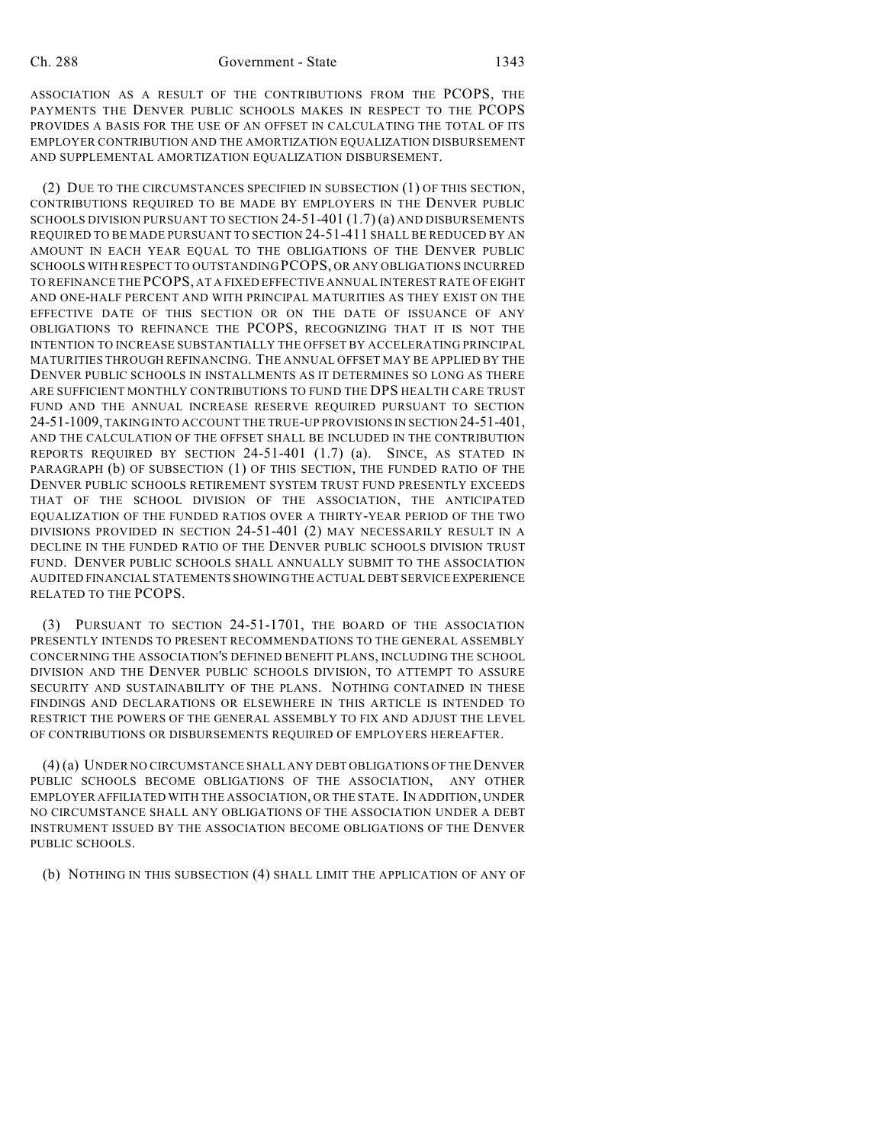ASSOCIATION AS A RESULT OF THE CONTRIBUTIONS FROM THE PCOPS, THE PAYMENTS THE DENVER PUBLIC SCHOOLS MAKES IN RESPECT TO THE PCOPS PROVIDES A BASIS FOR THE USE OF AN OFFSET IN CALCULATING THE TOTAL OF ITS EMPLOYER CONTRIBUTION AND THE AMORTIZATION EQUALIZATION DISBURSEMENT AND SUPPLEMENTAL AMORTIZATION EQUALIZATION DISBURSEMENT.

(2) DUE TO THE CIRCUMSTANCES SPECIFIED IN SUBSECTION (1) OF THIS SECTION, CONTRIBUTIONS REQUIRED TO BE MADE BY EMPLOYERS IN THE DENVER PUBLIC SCHOOLS DIVISION PURSUANT TO SECTION 24-51-401 (1.7) (a) AND DISBURSEMENTS REQUIRED TO BE MADE PURSUANT TO SECTION 24-51-411 SHALL BE REDUCED BY AN AMOUNT IN EACH YEAR EQUAL TO THE OBLIGATIONS OF THE DENVER PUBLIC SCHOOLS WITH RESPECT TO OUTSTANDING PCOPS, OR ANY OBLIGATIONS INCURRED TO REFINANCE THE PCOPS, AT A FIXED EFFECTIVE ANNUAL INTEREST RATE OF EIGHT AND ONE-HALF PERCENT AND WITH PRINCIPAL MATURITIES AS THEY EXIST ON THE EFFECTIVE DATE OF THIS SECTION OR ON THE DATE OF ISSUANCE OF ANY OBLIGATIONS TO REFINANCE THE PCOPS, RECOGNIZING THAT IT IS NOT THE INTENTION TO INCREASE SUBSTANTIALLY THE OFFSET BY ACCELERATING PRINCIPAL MATURITIES THROUGH REFINANCING. THE ANNUAL OFFSET MAY BE APPLIED BY THE DENVER PUBLIC SCHOOLS IN INSTALLMENTS AS IT DETERMINES SO LONG AS THERE ARE SUFFICIENT MONTHLY CONTRIBUTIONS TO FUND THE DPS HEALTH CARE TRUST FUND AND THE ANNUAL INCREASE RESERVE REQUIRED PURSUANT TO SECTION 24-51-1009, TAKING INTO ACCOUNT THE TRUE-UP PROVISIONS IN SECTION 24-51-401, AND THE CALCULATION OF THE OFFSET SHALL BE INCLUDED IN THE CONTRIBUTION REPORTS REQUIRED BY SECTION 24-51-401 (1.7) (a). SINCE, AS STATED IN PARAGRAPH (b) OF SUBSECTION (1) OF THIS SECTION, THE FUNDED RATIO OF THE DENVER PUBLIC SCHOOLS RETIREMENT SYSTEM TRUST FUND PRESENTLY EXCEEDS THAT OF THE SCHOOL DIVISION OF THE ASSOCIATION, THE ANTICIPATED EQUALIZATION OF THE FUNDED RATIOS OVER A THIRTY-YEAR PERIOD OF THE TWO DIVISIONS PROVIDED IN SECTION 24-51-401 (2) MAY NECESSARILY RESULT IN A DECLINE IN THE FUNDED RATIO OF THE DENVER PUBLIC SCHOOLS DIVISION TRUST FUND. DENVER PUBLIC SCHOOLS SHALL ANNUALLY SUBMIT TO THE ASSOCIATION AUDITED FINANCIAL STATEMENTS SHOWING THE ACTUAL DEBT SERVICE EXPERIENCE RELATED TO THE PCOPS.

(3) PURSUANT TO SECTION 24-51-1701, THE BOARD OF THE ASSOCIATION PRESENTLY INTENDS TO PRESENT RECOMMENDATIONS TO THE GENERAL ASSEMBLY CONCERNING THE ASSOCIATION'S DEFINED BENEFIT PLANS, INCLUDING THE SCHOOL DIVISION AND THE DENVER PUBLIC SCHOOLS DIVISION, TO ATTEMPT TO ASSURE SECURITY AND SUSTAINABILITY OF THE PLANS. NOTHING CONTAINED IN THESE FINDINGS AND DECLARATIONS OR ELSEWHERE IN THIS ARTICLE IS INTENDED TO RESTRICT THE POWERS OF THE GENERAL ASSEMBLY TO FIX AND ADJUST THE LEVEL OF CONTRIBUTIONS OR DISBURSEMENTS REQUIRED OF EMPLOYERS HEREAFTER.

(4) (a) UNDER NO CIRCUMSTANCE SHALL ANY DEBT OBLIGATIONS OF THE DENVER PUBLIC SCHOOLS BECOME OBLIGATIONS OF THE ASSOCIATION, ANY OTHER EMPLOYER AFFILIATED WITH THE ASSOCIATION, OR THE STATE. IN ADDITION, UNDER NO CIRCUMSTANCE SHALL ANY OBLIGATIONS OF THE ASSOCIATION UNDER A DEBT INSTRUMENT ISSUED BY THE ASSOCIATION BECOME OBLIGATIONS OF THE DENVER PUBLIC SCHOOLS.

(b) NOTHING IN THIS SUBSECTION (4) SHALL LIMIT THE APPLICATION OF ANY OF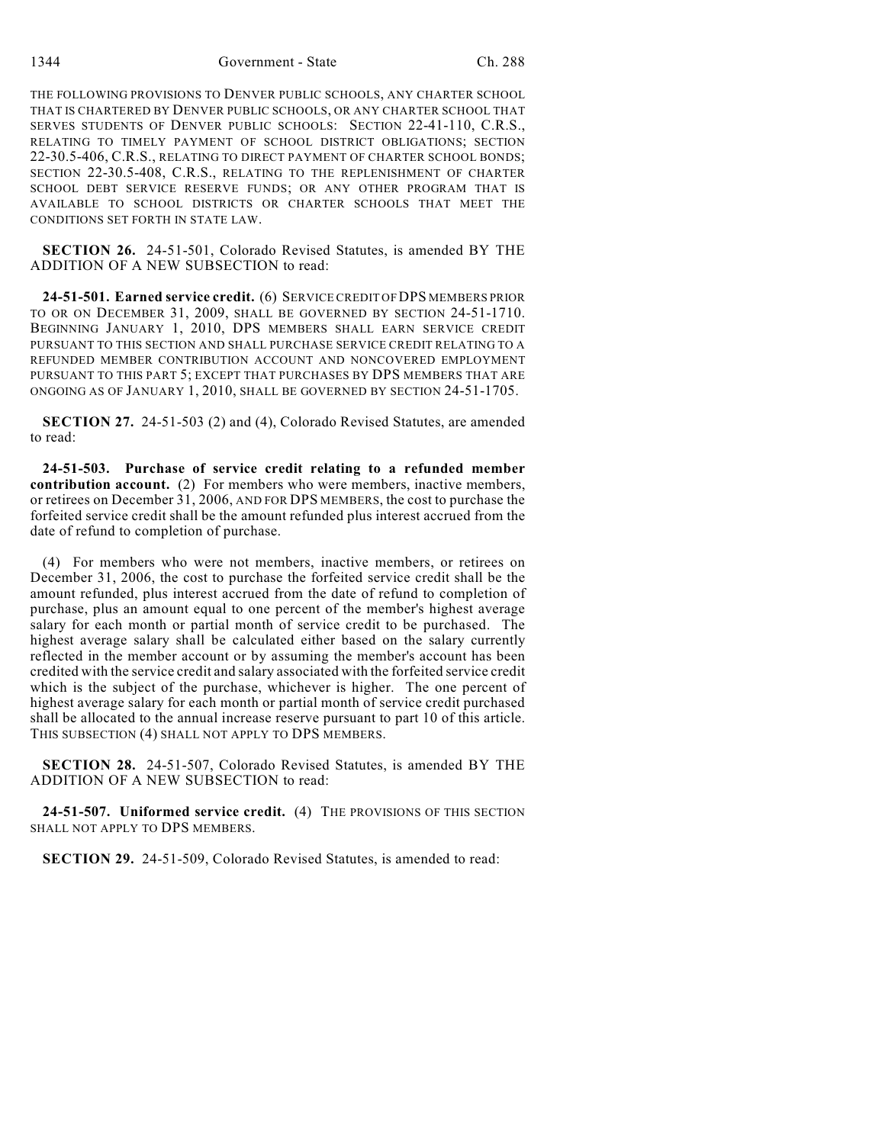1344 Government - State Ch. 288

THE FOLLOWING PROVISIONS TO DENVER PUBLIC SCHOOLS, ANY CHARTER SCHOOL THAT IS CHARTERED BY DENVER PUBLIC SCHOOLS, OR ANY CHARTER SCHOOL THAT SERVES STUDENTS OF DENVER PUBLIC SCHOOLS: SECTION 22-41-110, C.R.S., RELATING TO TIMELY PAYMENT OF SCHOOL DISTRICT OBLIGATIONS; SECTION 22-30.5-406, C.R.S., RELATING TO DIRECT PAYMENT OF CHARTER SCHOOL BONDS; SECTION 22-30.5-408, C.R.S., RELATING TO THE REPLENISHMENT OF CHARTER SCHOOL DEBT SERVICE RESERVE FUNDS; OR ANY OTHER PROGRAM THAT IS AVAILABLE TO SCHOOL DISTRICTS OR CHARTER SCHOOLS THAT MEET THE CONDITIONS SET FORTH IN STATE LAW.

**SECTION 26.** 24-51-501, Colorado Revised Statutes, is amended BY THE ADDITION OF A NEW SUBSECTION to read:

**24-51-501. Earned service credit.** (6) SERVICE CREDIT OF DPS MEMBERS PRIOR TO OR ON DECEMBER 31, 2009, SHALL BE GOVERNED BY SECTION 24-51-1710. BEGINNING JANUARY 1, 2010, DPS MEMBERS SHALL EARN SERVICE CREDIT PURSUANT TO THIS SECTION AND SHALL PURCHASE SERVICE CREDIT RELATING TO A REFUNDED MEMBER CONTRIBUTION ACCOUNT AND NONCOVERED EMPLOYMENT PURSUANT TO THIS PART 5; EXCEPT THAT PURCHASES BY DPS MEMBERS THAT ARE ONGOING AS OF JANUARY 1, 2010, SHALL BE GOVERNED BY SECTION 24-51-1705.

**SECTION 27.** 24-51-503 (2) and (4), Colorado Revised Statutes, are amended to read:

**24-51-503. Purchase of service credit relating to a refunded member contribution account.** (2) For members who were members, inactive members, or retirees on December 31, 2006, AND FOR DPS MEMBERS, the cost to purchase the forfeited service credit shall be the amount refunded plus interest accrued from the date of refund to completion of purchase.

(4) For members who were not members, inactive members, or retirees on December 31, 2006, the cost to purchase the forfeited service credit shall be the amount refunded, plus interest accrued from the date of refund to completion of purchase, plus an amount equal to one percent of the member's highest average salary for each month or partial month of service credit to be purchased. The highest average salary shall be calculated either based on the salary currently reflected in the member account or by assuming the member's account has been credited with the service credit and salary associated with the forfeited service credit which is the subject of the purchase, whichever is higher. The one percent of highest average salary for each month or partial month of service credit purchased shall be allocated to the annual increase reserve pursuant to part 10 of this article. THIS SUBSECTION (4) SHALL NOT APPLY TO DPS MEMBERS.

**SECTION 28.** 24-51-507, Colorado Revised Statutes, is amended BY THE ADDITION OF A NEW SUBSECTION to read:

**24-51-507. Uniformed service credit.** (4) THE PROVISIONS OF THIS SECTION SHALL NOT APPLY TO DPS MEMBERS.

**SECTION 29.** 24-51-509, Colorado Revised Statutes, is amended to read: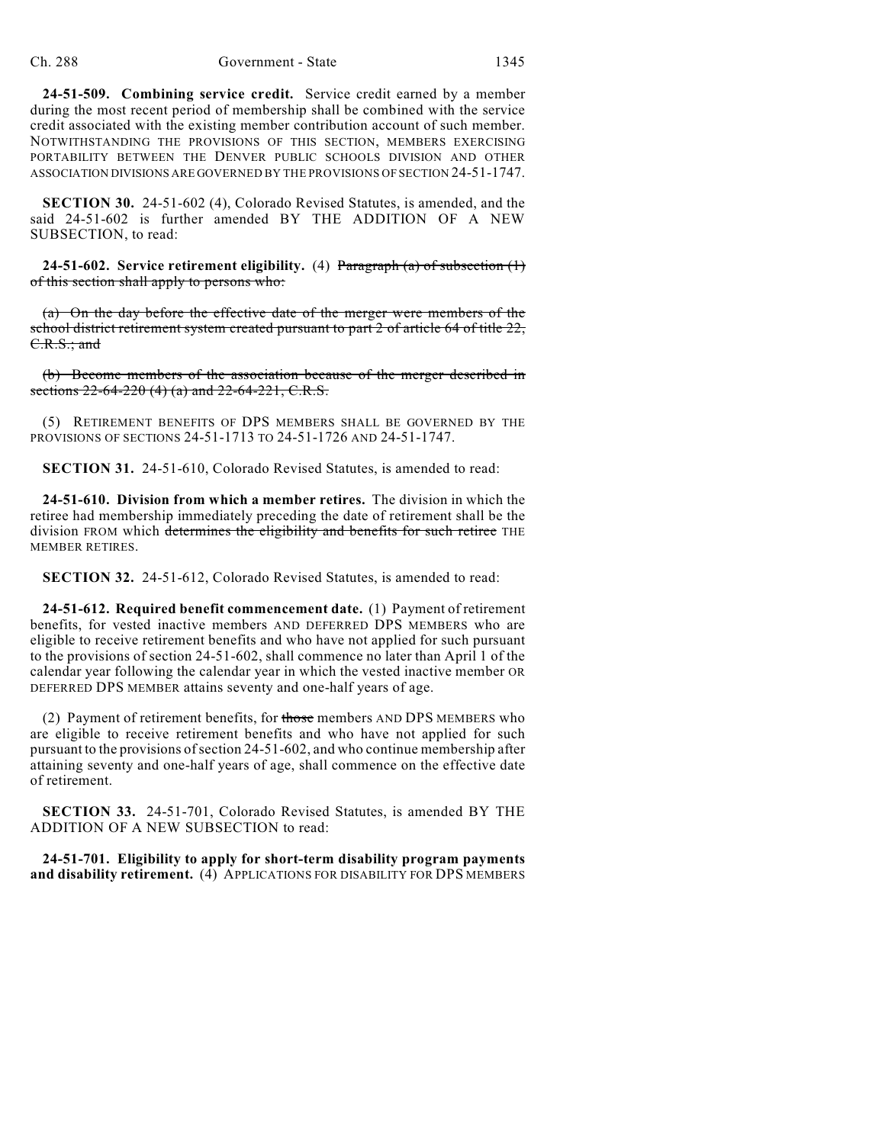**24-51-509. Combining service credit.** Service credit earned by a member during the most recent period of membership shall be combined with the service credit associated with the existing member contribution account of such member. NOTWITHSTANDING THE PROVISIONS OF THIS SECTION, MEMBERS EXERCISING PORTABILITY BETWEEN THE DENVER PUBLIC SCHOOLS DIVISION AND OTHER ASSOCIATION DIVISIONS ARE GOVERNED BY THE PROVISIONS OF SECTION 24-51-1747.

**SECTION 30.** 24-51-602 (4), Colorado Revised Statutes, is amended, and the said 24-51-602 is further amended BY THE ADDITION OF A NEW SUBSECTION, to read:

**24-51-602. Service retirement eligibility.** (4) Paragraph (a) of subsection (1) of this section shall apply to persons who:

(a) On the day before the effective date of the merger were members of the school district retirement system created pursuant to part 2 of article 64 of title 22, C.R.S.; and

(b) Become members of the association because of the merger described in sections  $22-64-220$  (4) (a) and  $22-64-221$ , C.R.S.

(5) RETIREMENT BENEFITS OF DPS MEMBERS SHALL BE GOVERNED BY THE PROVISIONS OF SECTIONS 24-51-1713 TO 24-51-1726 AND 24-51-1747.

**SECTION 31.** 24-51-610, Colorado Revised Statutes, is amended to read:

**24-51-610. Division from which a member retires.** The division in which the retiree had membership immediately preceding the date of retirement shall be the division FROM which determines the eligibility and benefits for such retiree THE MEMBER RETIRES.

**SECTION 32.** 24-51-612, Colorado Revised Statutes, is amended to read:

**24-51-612. Required benefit commencement date.** (1) Payment of retirement benefits, for vested inactive members AND DEFERRED DPS MEMBERS who are eligible to receive retirement benefits and who have not applied for such pursuant to the provisions of section 24-51-602, shall commence no later than April 1 of the calendar year following the calendar year in which the vested inactive member OR DEFERRED DPS MEMBER attains seventy and one-half years of age.

(2) Payment of retirement benefits, for those members AND DPS MEMBERS who are eligible to receive retirement benefits and who have not applied for such pursuant to the provisions of section 24-51-602, and who continue membership after attaining seventy and one-half years of age, shall commence on the effective date of retirement.

**SECTION 33.** 24-51-701, Colorado Revised Statutes, is amended BY THE ADDITION OF A NEW SUBSECTION to read:

**24-51-701. Eligibility to apply for short-term disability program payments and disability retirement.** (4) APPLICATIONS FOR DISABILITY FOR DPS MEMBERS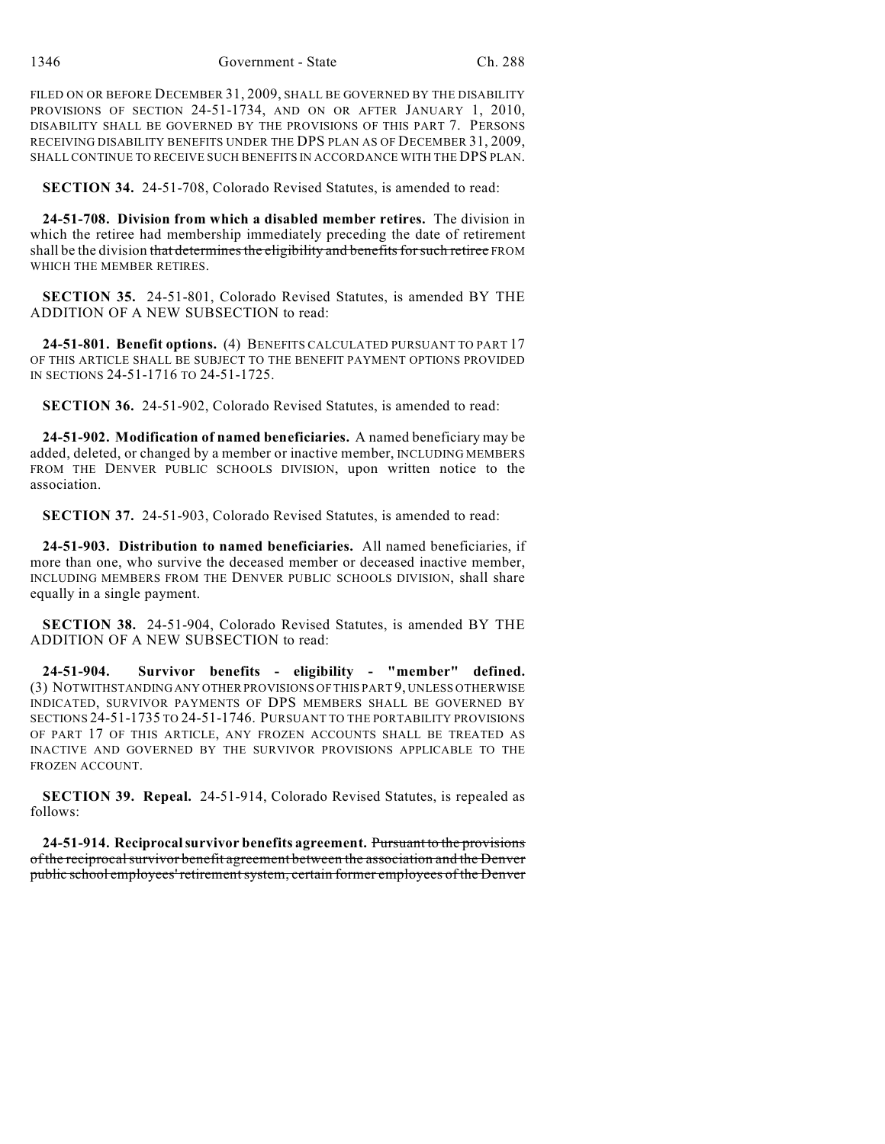FILED ON OR BEFORE DECEMBER 31, 2009, SHALL BE GOVERNED BY THE DISABILITY PROVISIONS OF SECTION 24-51-1734, AND ON OR AFTER JANUARY 1, 2010, DISABILITY SHALL BE GOVERNED BY THE PROVISIONS OF THIS PART 7. PERSONS RECEIVING DISABILITY BENEFITS UNDER THE DPS PLAN AS OF DECEMBER 31, 2009, SHALL CONTINUE TO RECEIVE SUCH BENEFITS IN ACCORDANCE WITH THE DPS PLAN.

**SECTION 34.** 24-51-708, Colorado Revised Statutes, is amended to read:

**24-51-708. Division from which a disabled member retires.** The division in which the retiree had membership immediately preceding the date of retirement shall be the division that determines the eligibility and benefits for such retiree FROM WHICH THE MEMBER RETIRES.

**SECTION 35.** 24-51-801, Colorado Revised Statutes, is amended BY THE ADDITION OF A NEW SUBSECTION to read:

**24-51-801. Benefit options.** (4) BENEFITS CALCULATED PURSUANT TO PART 17 OF THIS ARTICLE SHALL BE SUBJECT TO THE BENEFIT PAYMENT OPTIONS PROVIDED IN SECTIONS 24-51-1716 TO 24-51-1725.

**SECTION 36.** 24-51-902, Colorado Revised Statutes, is amended to read:

**24-51-902. Modification of named beneficiaries.** A named beneficiary may be added, deleted, or changed by a member or inactive member, INCLUDING MEMBERS FROM THE DENVER PUBLIC SCHOOLS DIVISION, upon written notice to the association.

**SECTION 37.** 24-51-903, Colorado Revised Statutes, is amended to read:

**24-51-903. Distribution to named beneficiaries.** All named beneficiaries, if more than one, who survive the deceased member or deceased inactive member, INCLUDING MEMBERS FROM THE DENVER PUBLIC SCHOOLS DIVISION, shall share equally in a single payment.

**SECTION 38.** 24-51-904, Colorado Revised Statutes, is amended BY THE ADDITION OF A NEW SUBSECTION to read:

**24-51-904. Survivor benefits - eligibility - "member" defined.** (3) NOTWITHSTANDING ANY OTHER PROVISIONS OF THIS PART 9, UNLESS OTHERWISE INDICATED, SURVIVOR PAYMENTS OF DPS MEMBERS SHALL BE GOVERNED BY SECTIONS 24-51-1735 TO 24-51-1746. PURSUANT TO THE PORTABILITY PROVISIONS OF PART 17 OF THIS ARTICLE, ANY FROZEN ACCOUNTS SHALL BE TREATED AS INACTIVE AND GOVERNED BY THE SURVIVOR PROVISIONS APPLICABLE TO THE FROZEN ACCOUNT.

**SECTION 39. Repeal.** 24-51-914, Colorado Revised Statutes, is repealed as follows:

**24-51-914. Reciprocal survivor benefits agreement.** Pursuant to the provisions of the reciprocal survivor benefit agreement between the association and the Denver public school employees' retirement system, certain former employees of the Denver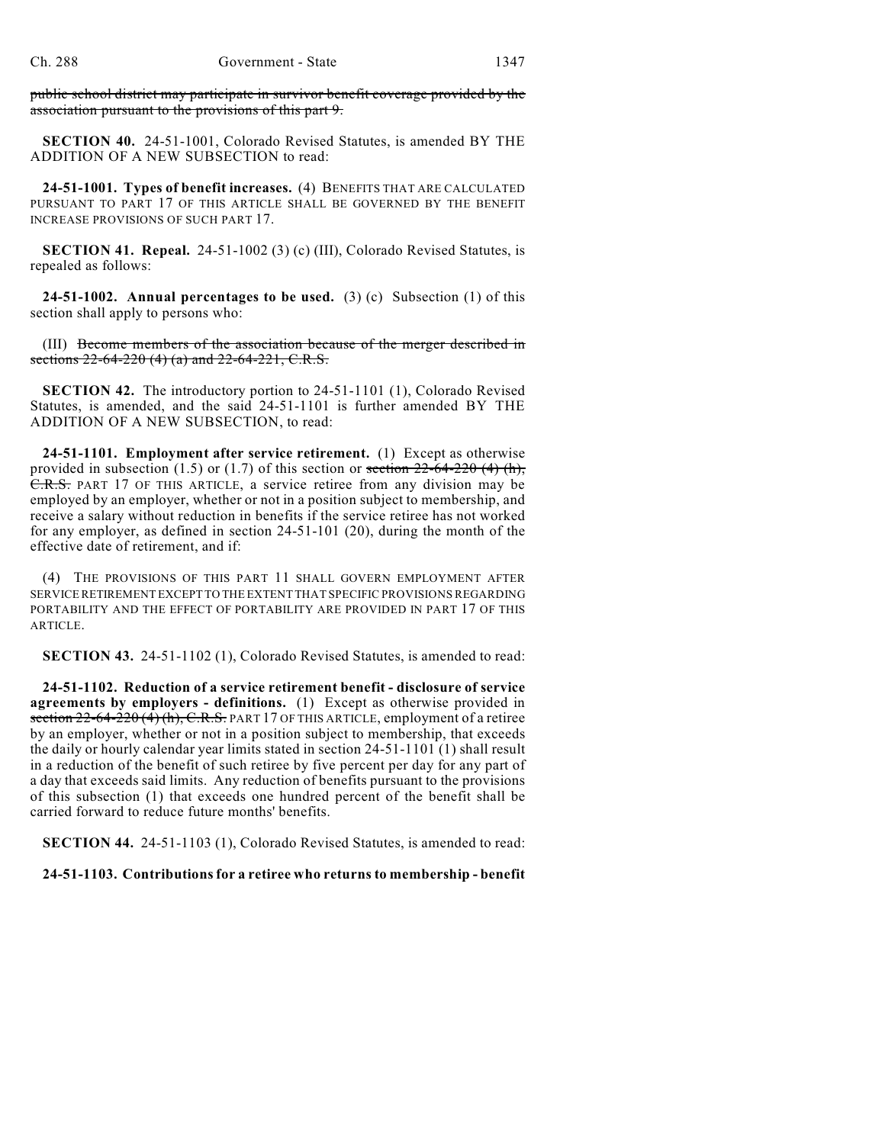public school district may participate in survivor benefit coverage provided by the association pursuant to the provisions of this part 9.

**SECTION 40.** 24-51-1001, Colorado Revised Statutes, is amended BY THE ADDITION OF A NEW SUBSECTION to read:

**24-51-1001. Types of benefit increases.** (4) BENEFITS THAT ARE CALCULATED PURSUANT TO PART 17 OF THIS ARTICLE SHALL BE GOVERNED BY THE BENEFIT INCREASE PROVISIONS OF SUCH PART 17.

**SECTION 41. Repeal.** 24-51-1002 (3) (c) (III), Colorado Revised Statutes, is repealed as follows:

**24-51-1002. Annual percentages to be used.** (3) (c) Subsection (1) of this section shall apply to persons who:

(III) Become members of the association because of the merger described in sections  $22-64-220$  (4) (a) and  $22-64-221$ , C.R.S.

**SECTION 42.** The introductory portion to 24-51-1101 (1), Colorado Revised Statutes, is amended, and the said 24-51-1101 is further amended BY THE ADDITION OF A NEW SUBSECTION, to read:

**24-51-1101. Employment after service retirement.** (1) Except as otherwise provided in subsection (1.5) or (1.7) of this section or section  $22-64-220$  (4) (h), C.R.S. PART 17 OF THIS ARTICLE, a service retiree from any division may be employed by an employer, whether or not in a position subject to membership, and receive a salary without reduction in benefits if the service retiree has not worked for any employer, as defined in section 24-51-101 (20), during the month of the effective date of retirement, and if:

(4) THE PROVISIONS OF THIS PART 11 SHALL GOVERN EMPLOYMENT AFTER SERVICE RETIREMENT EXCEPT TO THE EXTENT THAT SPECIFIC PROVISIONS REGARDING PORTABILITY AND THE EFFECT OF PORTABILITY ARE PROVIDED IN PART 17 OF THIS ARTICLE.

**SECTION 43.** 24-51-1102 (1), Colorado Revised Statutes, is amended to read:

**24-51-1102. Reduction of a service retirement benefit - disclosure of service agreements by employers - definitions.** (1) Except as otherwise provided in section  $22-64-220$  (4) (h), C.R.S. PART 17 OF THIS ARTICLE, employment of a retiree by an employer, whether or not in a position subject to membership, that exceeds the daily or hourly calendar year limits stated in section 24-51-1101 (1) shall result in a reduction of the benefit of such retiree by five percent per day for any part of a day that exceeds said limits. Any reduction of benefits pursuant to the provisions of this subsection (1) that exceeds one hundred percent of the benefit shall be carried forward to reduce future months' benefits.

**SECTION 44.** 24-51-1103 (1), Colorado Revised Statutes, is amended to read:

**24-51-1103. Contributions for a retiree who returns to membership - benefit**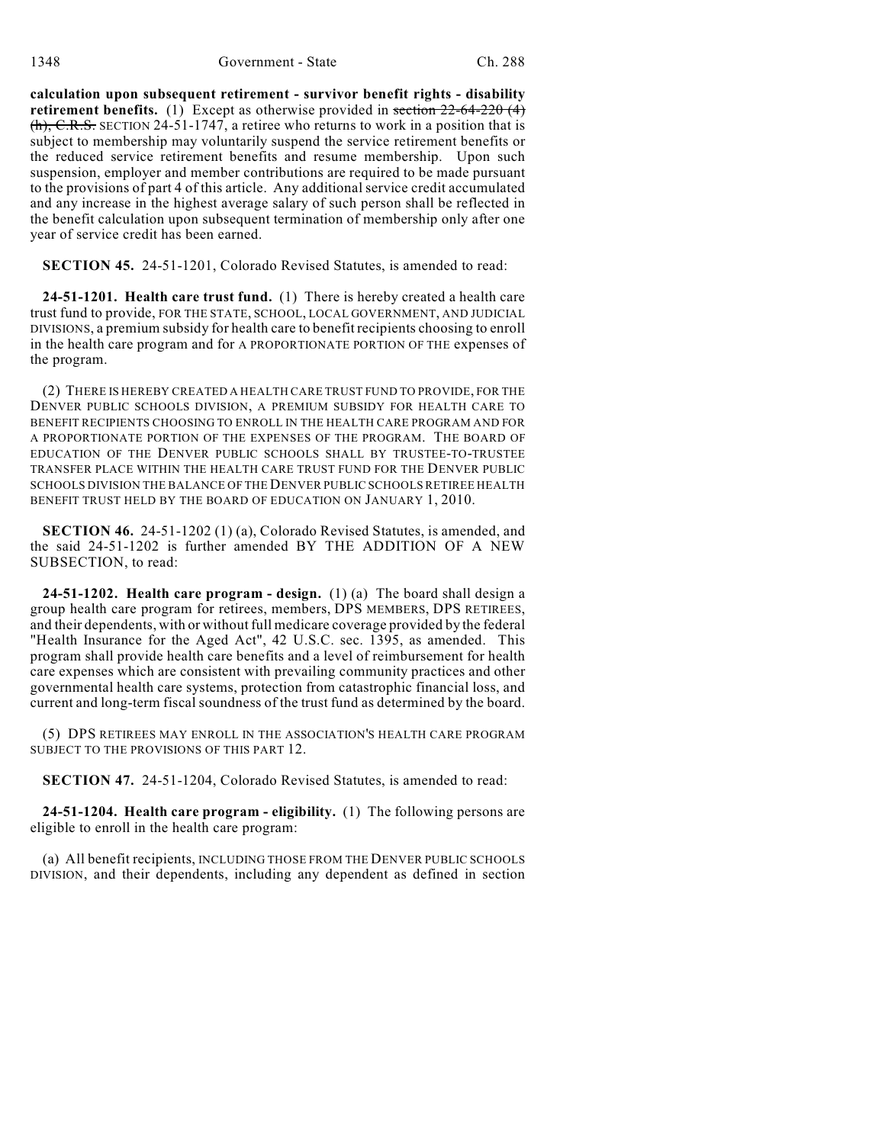**calculation upon subsequent retirement - survivor benefit rights - disability retirement benefits.** (1) Except as otherwise provided in section  $22-64-220(4)$  $(h)$ , C.R.S. SECTION 24-51-1747, a retiree who returns to work in a position that is subject to membership may voluntarily suspend the service retirement benefits or the reduced service retirement benefits and resume membership. Upon such suspension, employer and member contributions are required to be made pursuant to the provisions of part 4 of this article. Any additional service credit accumulated and any increase in the highest average salary of such person shall be reflected in the benefit calculation upon subsequent termination of membership only after one year of service credit has been earned.

**SECTION 45.** 24-51-1201, Colorado Revised Statutes, is amended to read:

**24-51-1201. Health care trust fund.** (1) There is hereby created a health care trust fund to provide, FOR THE STATE, SCHOOL, LOCAL GOVERNMENT, AND JUDICIAL DIVISIONS, a premium subsidy for health care to benefit recipients choosing to enroll in the health care program and for A PROPORTIONATE PORTION OF THE expenses of the program.

(2) THERE IS HEREBY CREATED A HEALTH CARE TRUST FUND TO PROVIDE, FOR THE DENVER PUBLIC SCHOOLS DIVISION, A PREMIUM SUBSIDY FOR HEALTH CARE TO BENEFIT RECIPIENTS CHOOSING TO ENROLL IN THE HEALTH CARE PROGRAM AND FOR A PROPORTIONATE PORTION OF THE EXPENSES OF THE PROGRAM. THE BOARD OF EDUCATION OF THE DENVER PUBLIC SCHOOLS SHALL BY TRUSTEE-TO-TRUSTEE TRANSFER PLACE WITHIN THE HEALTH CARE TRUST FUND FOR THE DENVER PUBLIC SCHOOLS DIVISION THE BALANCE OF THE DENVER PUBLIC SCHOOLS RETIREE HEALTH BENEFIT TRUST HELD BY THE BOARD OF EDUCATION ON JANUARY 1, 2010.

**SECTION 46.** 24-51-1202 (1) (a), Colorado Revised Statutes, is amended, and the said 24-51-1202 is further amended BY THE ADDITION OF A NEW SUBSECTION, to read:

**24-51-1202. Health care program - design.** (1) (a) The board shall design a group health care program for retirees, members, DPS MEMBERS, DPS RETIREES, and their dependents, with or without full medicare coverage provided by the federal "Health Insurance for the Aged Act", 42 U.S.C. sec. 1395, as amended. This program shall provide health care benefits and a level of reimbursement for health care expenses which are consistent with prevailing community practices and other governmental health care systems, protection from catastrophic financial loss, and current and long-term fiscal soundness of the trust fund as determined by the board.

(5) DPS RETIREES MAY ENROLL IN THE ASSOCIATION'S HEALTH CARE PROGRAM SUBJECT TO THE PROVISIONS OF THIS PART 12.

**SECTION 47.** 24-51-1204, Colorado Revised Statutes, is amended to read:

**24-51-1204. Health care program - eligibility.** (1) The following persons are eligible to enroll in the health care program:

(a) All benefit recipients, INCLUDING THOSE FROM THE DENVER PUBLIC SCHOOLS DIVISION, and their dependents, including any dependent as defined in section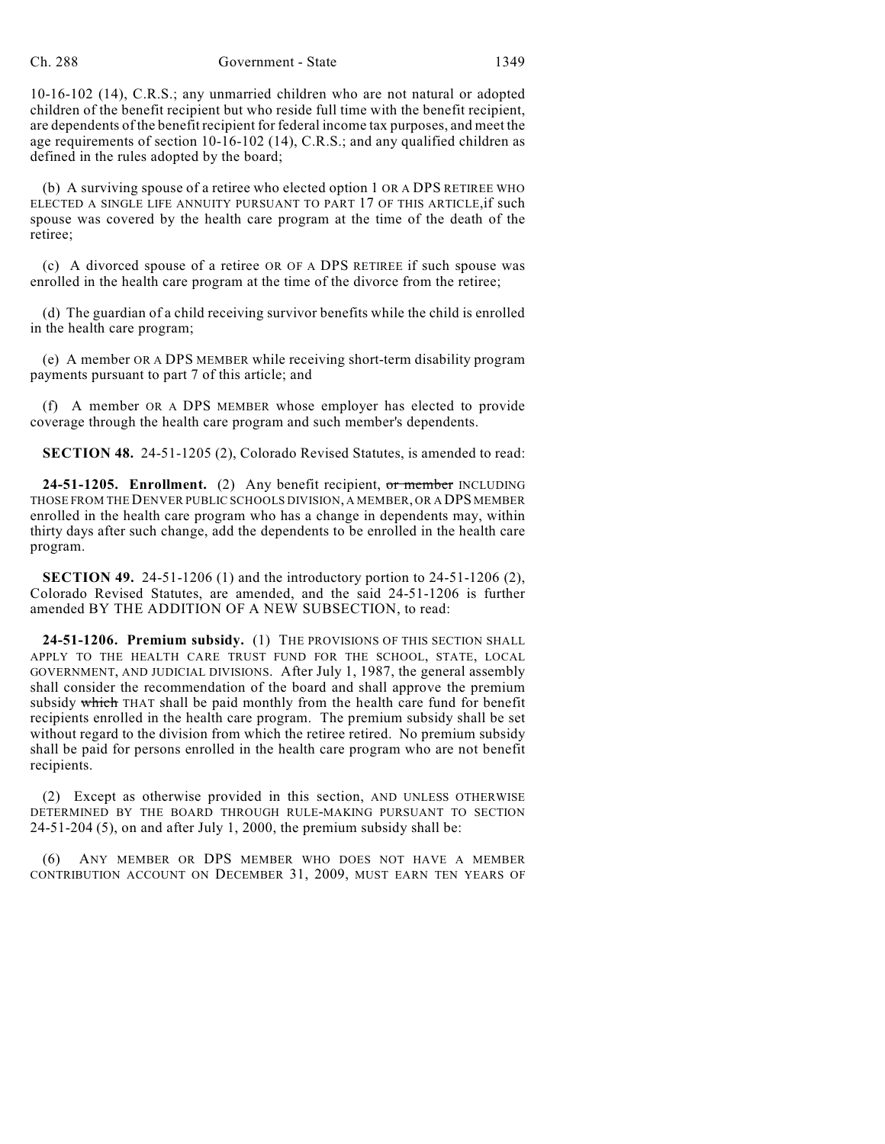10-16-102 (14), C.R.S.; any unmarried children who are not natural or adopted children of the benefit recipient but who reside full time with the benefit recipient, are dependents of the benefit recipient for federal income tax purposes, and meet the age requirements of section 10-16-102 (14), C.R.S.; and any qualified children as defined in the rules adopted by the board;

(b) A surviving spouse of a retiree who elected option 1 OR A DPS RETIREE WHO ELECTED A SINGLE LIFE ANNUITY PURSUANT TO PART 17 OF THIS ARTICLE, if such spouse was covered by the health care program at the time of the death of the retiree;

(c) A divorced spouse of a retiree OR OF A DPS RETIREE if such spouse was enrolled in the health care program at the time of the divorce from the retiree;

(d) The guardian of a child receiving survivor benefits while the child is enrolled in the health care program;

(e) A member OR A DPS MEMBER while receiving short-term disability program payments pursuant to part 7 of this article; and

(f) A member OR A DPS MEMBER whose employer has elected to provide coverage through the health care program and such member's dependents.

**SECTION 48.** 24-51-1205 (2), Colorado Revised Statutes, is amended to read:

**24-51-1205. Enrollment.** (2) Any benefit recipient, or member INCLUDING THOSE FROM THE DENVER PUBLIC SCHOOLS DIVISION, A MEMBER, OR A DPS MEMBER enrolled in the health care program who has a change in dependents may, within thirty days after such change, add the dependents to be enrolled in the health care program.

**SECTION 49.** 24-51-1206 (1) and the introductory portion to 24-51-1206 (2), Colorado Revised Statutes, are amended, and the said 24-51-1206 is further amended BY THE ADDITION OF A NEW SUBSECTION, to read:

**24-51-1206. Premium subsidy.** (1) THE PROVISIONS OF THIS SECTION SHALL APPLY TO THE HEALTH CARE TRUST FUND FOR THE SCHOOL, STATE, LOCAL GOVERNMENT, AND JUDICIAL DIVISIONS. After July 1, 1987, the general assembly shall consider the recommendation of the board and shall approve the premium subsidy which THAT shall be paid monthly from the health care fund for benefit recipients enrolled in the health care program. The premium subsidy shall be set without regard to the division from which the retiree retired. No premium subsidy shall be paid for persons enrolled in the health care program who are not benefit recipients.

(2) Except as otherwise provided in this section, AND UNLESS OTHERWISE DETERMINED BY THE BOARD THROUGH RULE-MAKING PURSUANT TO SECTION 24-51-204 (5), on and after July 1, 2000, the premium subsidy shall be:

(6) ANY MEMBER OR DPS MEMBER WHO DOES NOT HAVE A MEMBER CONTRIBUTION ACCOUNT ON DECEMBER 31, 2009, MUST EARN TEN YEARS OF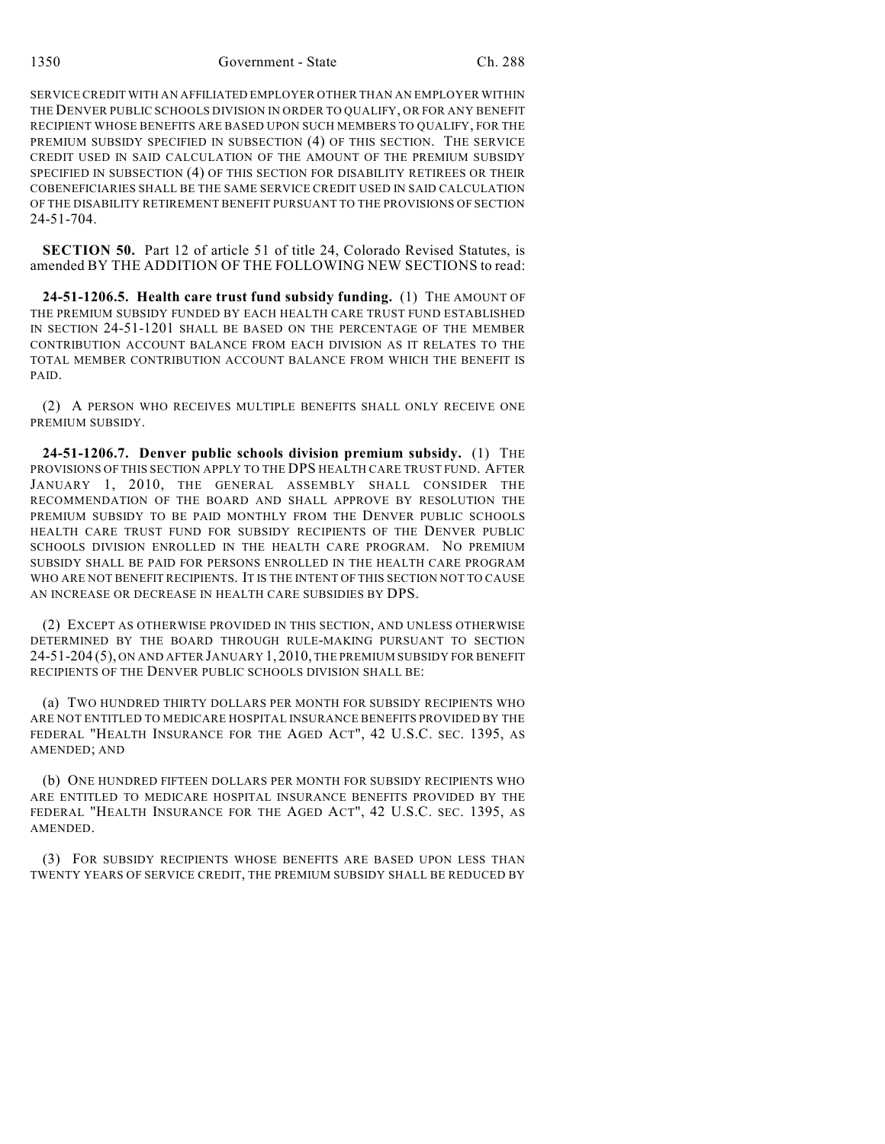1350 Government - State Ch. 288

SERVICE CREDIT WITH AN AFFILIATED EMPLOYER OTHER THAN AN EMPLOYER WITHIN THE DENVER PUBLIC SCHOOLS DIVISION IN ORDER TO QUALIFY, OR FOR ANY BENEFIT RECIPIENT WHOSE BENEFITS ARE BASED UPON SUCH MEMBERS TO QUALIFY, FOR THE PREMIUM SUBSIDY SPECIFIED IN SUBSECTION (4) OF THIS SECTION. THE SERVICE CREDIT USED IN SAID CALCULATION OF THE AMOUNT OF THE PREMIUM SUBSIDY SPECIFIED IN SUBSECTION (4) OF THIS SECTION FOR DISABILITY RETIREES OR THEIR COBENEFICIARIES SHALL BE THE SAME SERVICE CREDIT USED IN SAID CALCULATION OF THE DISABILITY RETIREMENT BENEFIT PURSUANT TO THE PROVISIONS OF SECTION 24-51-704.

**SECTION 50.** Part 12 of article 51 of title 24, Colorado Revised Statutes, is amended BY THE ADDITION OF THE FOLLOWING NEW SECTIONS to read:

**24-51-1206.5. Health care trust fund subsidy funding.** (1) THE AMOUNT OF THE PREMIUM SUBSIDY FUNDED BY EACH HEALTH CARE TRUST FUND ESTABLISHED IN SECTION 24-51-1201 SHALL BE BASED ON THE PERCENTAGE OF THE MEMBER CONTRIBUTION ACCOUNT BALANCE FROM EACH DIVISION AS IT RELATES TO THE TOTAL MEMBER CONTRIBUTION ACCOUNT BALANCE FROM WHICH THE BENEFIT IS PAID.

(2) A PERSON WHO RECEIVES MULTIPLE BENEFITS SHALL ONLY RECEIVE ONE PREMIUM SUBSIDY.

**24-51-1206.7. Denver public schools division premium subsidy.** (1) THE PROVISIONS OF THIS SECTION APPLY TO THE DPS HEALTH CARE TRUST FUND. AFTER JANUARY 1, 2010, THE GENERAL ASSEMBLY SHALL CONSIDER THE RECOMMENDATION OF THE BOARD AND SHALL APPROVE BY RESOLUTION THE PREMIUM SUBSIDY TO BE PAID MONTHLY FROM THE DENVER PUBLIC SCHOOLS HEALTH CARE TRUST FUND FOR SUBSIDY RECIPIENTS OF THE DENVER PUBLIC SCHOOLS DIVISION ENROLLED IN THE HEALTH CARE PROGRAM. NO PREMIUM SUBSIDY SHALL BE PAID FOR PERSONS ENROLLED IN THE HEALTH CARE PROGRAM WHO ARE NOT BENEFIT RECIPIENTS. IT IS THE INTENT OF THIS SECTION NOT TO CAUSE AN INCREASE OR DECREASE IN HEALTH CARE SUBSIDIES BY DPS.

(2) EXCEPT AS OTHERWISE PROVIDED IN THIS SECTION, AND UNLESS OTHERWISE DETERMINED BY THE BOARD THROUGH RULE-MAKING PURSUANT TO SECTION 24-51-204 (5), ON AND AFTER JANUARY 1,2010, THE PREMIUM SUBSIDY FOR BENEFIT RECIPIENTS OF THE DENVER PUBLIC SCHOOLS DIVISION SHALL BE:

(a) TWO HUNDRED THIRTY DOLLARS PER MONTH FOR SUBSIDY RECIPIENTS WHO ARE NOT ENTITLED TO MEDICARE HOSPITAL INSURANCE BENEFITS PROVIDED BY THE FEDERAL "HEALTH INSURANCE FOR THE AGED ACT", 42 U.S.C. SEC. 1395, AS AMENDED; AND

(b) ONE HUNDRED FIFTEEN DOLLARS PER MONTH FOR SUBSIDY RECIPIENTS WHO ARE ENTITLED TO MEDICARE HOSPITAL INSURANCE BENEFITS PROVIDED BY THE FEDERAL "HEALTH INSURANCE FOR THE AGED ACT", 42 U.S.C. SEC. 1395, AS AMENDED.

(3) FOR SUBSIDY RECIPIENTS WHOSE BENEFITS ARE BASED UPON LESS THAN TWENTY YEARS OF SERVICE CREDIT, THE PREMIUM SUBSIDY SHALL BE REDUCED BY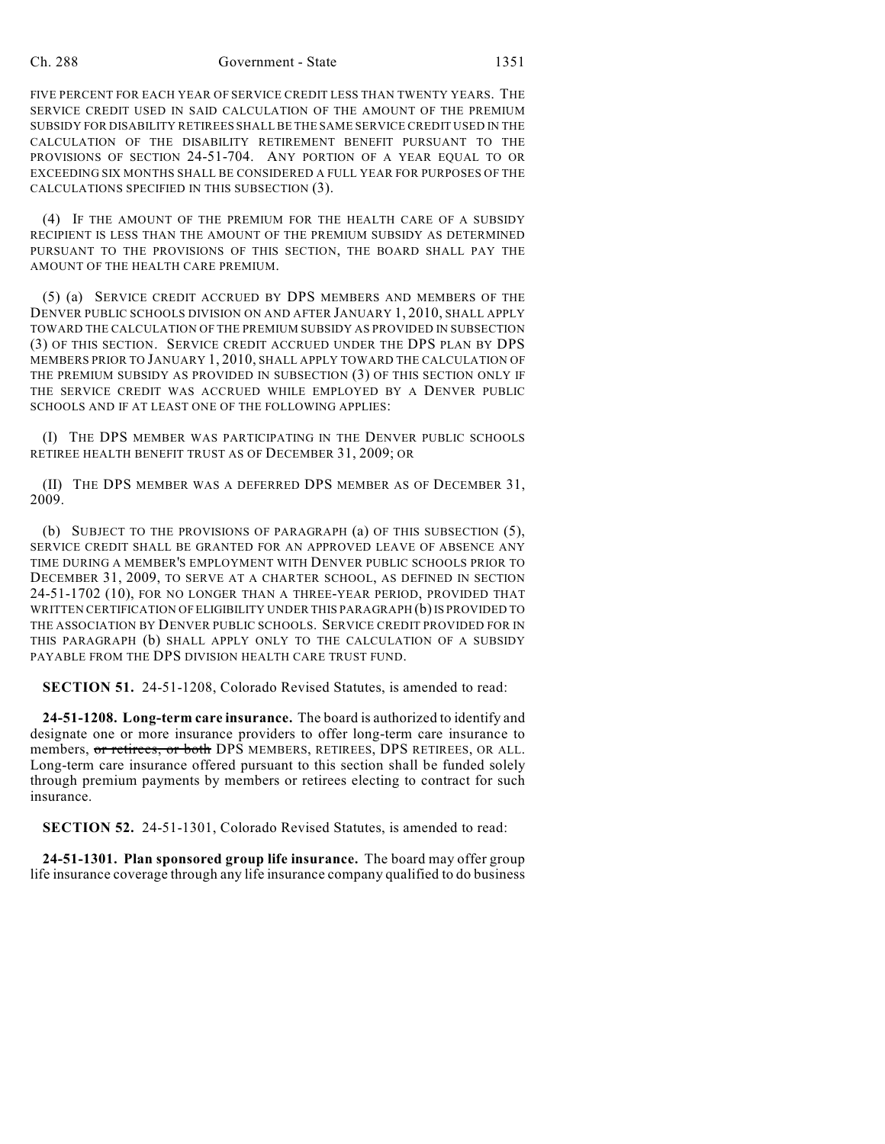FIVE PERCENT FOR EACH YEAR OF SERVICE CREDIT LESS THAN TWENTY YEARS. THE SERVICE CREDIT USED IN SAID CALCULATION OF THE AMOUNT OF THE PREMIUM SUBSIDY FOR DISABILITY RETIREES SHALL BE THE SAME SERVICE CREDIT USED IN THE CALCULATION OF THE DISABILITY RETIREMENT BENEFIT PURSUANT TO THE PROVISIONS OF SECTION 24-51-704. ANY PORTION OF A YEAR EQUAL TO OR EXCEEDING SIX MONTHS SHALL BE CONSIDERED A FULL YEAR FOR PURPOSES OF THE CALCULATIONS SPECIFIED IN THIS SUBSECTION (3).

(4) IF THE AMOUNT OF THE PREMIUM FOR THE HEALTH CARE OF A SUBSIDY RECIPIENT IS LESS THAN THE AMOUNT OF THE PREMIUM SUBSIDY AS DETERMINED PURSUANT TO THE PROVISIONS OF THIS SECTION, THE BOARD SHALL PAY THE AMOUNT OF THE HEALTH CARE PREMIUM.

(5) (a) SERVICE CREDIT ACCRUED BY DPS MEMBERS AND MEMBERS OF THE DENVER PUBLIC SCHOOLS DIVISION ON AND AFTER JANUARY 1, 2010, SHALL APPLY TOWARD THE CALCULATION OF THE PREMIUM SUBSIDY AS PROVIDED IN SUBSECTION (3) OF THIS SECTION. SERVICE CREDIT ACCRUED UNDER THE DPS PLAN BY DPS MEMBERS PRIOR TO JANUARY 1, 2010, SHALL APPLY TOWARD THE CALCULATION OF THE PREMIUM SUBSIDY AS PROVIDED IN SUBSECTION (3) OF THIS SECTION ONLY IF THE SERVICE CREDIT WAS ACCRUED WHILE EMPLOYED BY A DENVER PUBLIC SCHOOLS AND IF AT LEAST ONE OF THE FOLLOWING APPLIES:

(I) THE DPS MEMBER WAS PARTICIPATING IN THE DENVER PUBLIC SCHOOLS RETIREE HEALTH BENEFIT TRUST AS OF DECEMBER 31, 2009; OR

(II) THE DPS MEMBER WAS A DEFERRED DPS MEMBER AS OF DECEMBER 31, 2009.

(b) SUBJECT TO THE PROVISIONS OF PARAGRAPH (a) OF THIS SUBSECTION (5), SERVICE CREDIT SHALL BE GRANTED FOR AN APPROVED LEAVE OF ABSENCE ANY TIME DURING A MEMBER'S EMPLOYMENT WITH DENVER PUBLIC SCHOOLS PRIOR TO DECEMBER 31, 2009, TO SERVE AT A CHARTER SCHOOL, AS DEFINED IN SECTION 24-51-1702 (10), FOR NO LONGER THAN A THREE-YEAR PERIOD, PROVIDED THAT WRITTEN CERTIFICATION OF ELIGIBILITY UNDER THIS PARAGRAPH (b) IS PROVIDED TO THE ASSOCIATION BY DENVER PUBLIC SCHOOLS. SERVICE CREDIT PROVIDED FOR IN THIS PARAGRAPH (b) SHALL APPLY ONLY TO THE CALCULATION OF A SUBSIDY PAYABLE FROM THE DPS DIVISION HEALTH CARE TRUST FUND.

**SECTION 51.** 24-51-1208, Colorado Revised Statutes, is amended to read:

**24-51-1208. Long-term care insurance.** The board is authorized to identify and designate one or more insurance providers to offer long-term care insurance to members, or retirees, or both DPS MEMBERS, RETIREES, DPS RETIREES, OR ALL. Long-term care insurance offered pursuant to this section shall be funded solely through premium payments by members or retirees electing to contract for such insurance.

**SECTION 52.** 24-51-1301, Colorado Revised Statutes, is amended to read:

**24-51-1301. Plan sponsored group life insurance.** The board may offer group life insurance coverage through any life insurance company qualified to do business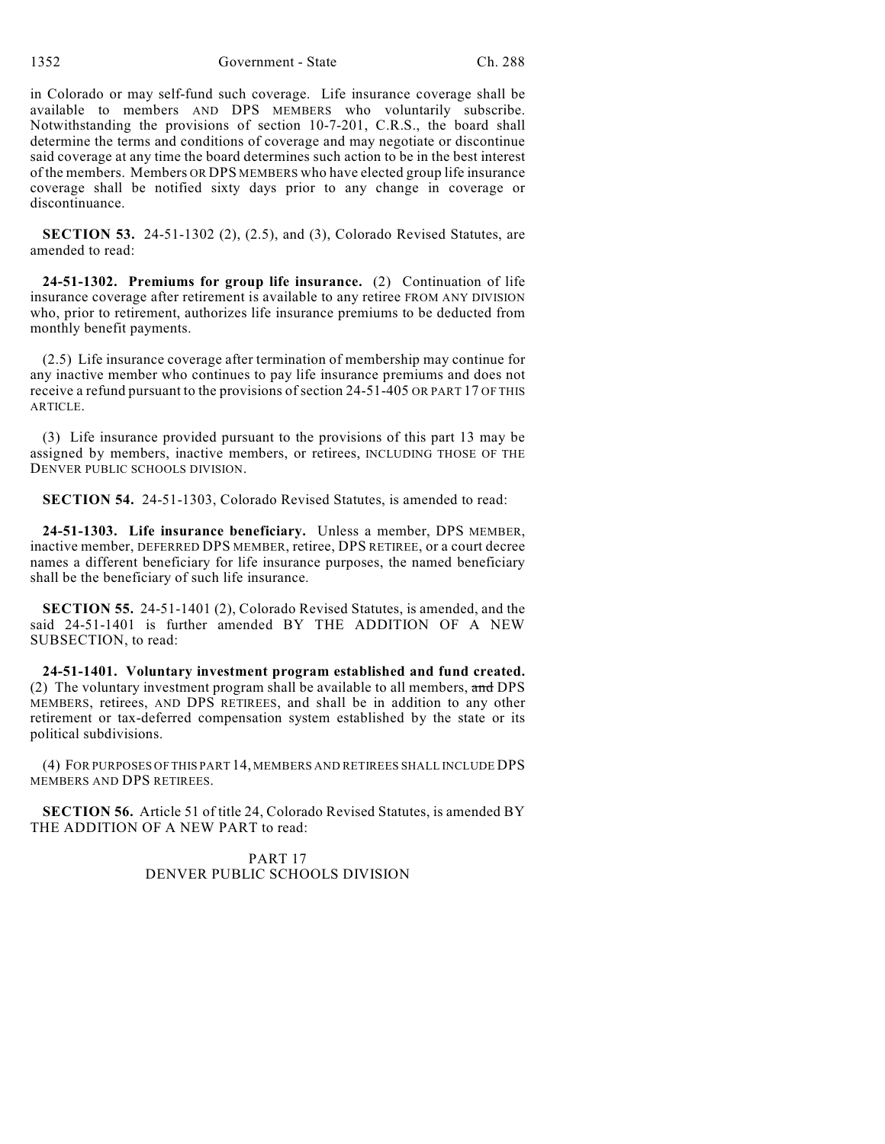in Colorado or may self-fund such coverage. Life insurance coverage shall be available to members AND DPS MEMBERS who voluntarily subscribe. Notwithstanding the provisions of section 10-7-201, C.R.S., the board shall determine the terms and conditions of coverage and may negotiate or discontinue said coverage at any time the board determines such action to be in the best interest of the members. Members OR DPS MEMBERS who have elected group life insurance coverage shall be notified sixty days prior to any change in coverage or discontinuance.

**SECTION 53.** 24-51-1302 (2), (2.5), and (3), Colorado Revised Statutes, are amended to read:

**24-51-1302. Premiums for group life insurance.** (2) Continuation of life insurance coverage after retirement is available to any retiree FROM ANY DIVISION who, prior to retirement, authorizes life insurance premiums to be deducted from monthly benefit payments.

(2.5) Life insurance coverage after termination of membership may continue for any inactive member who continues to pay life insurance premiums and does not receive a refund pursuant to the provisions of section 24-51-405 OR PART 17 OF THIS ARTICLE.

(3) Life insurance provided pursuant to the provisions of this part 13 may be assigned by members, inactive members, or retirees, INCLUDING THOSE OF THE DENVER PUBLIC SCHOOLS DIVISION.

**SECTION 54.** 24-51-1303, Colorado Revised Statutes, is amended to read:

**24-51-1303. Life insurance beneficiary.** Unless a member, DPS MEMBER, inactive member, DEFERRED DPS MEMBER, retiree, DPS RETIREE, or a court decree names a different beneficiary for life insurance purposes, the named beneficiary shall be the beneficiary of such life insurance.

**SECTION 55.** 24-51-1401 (2), Colorado Revised Statutes, is amended, and the said 24-51-1401 is further amended BY THE ADDITION OF A NEW SUBSECTION, to read:

**24-51-1401. Voluntary investment program established and fund created.** (2) The voluntary investment program shall be available to all members, and DPS MEMBERS, retirees, AND DPS RETIREES, and shall be in addition to any other retirement or tax-deferred compensation system established by the state or its political subdivisions.

(4) FOR PURPOSES OF THIS PART 14, MEMBERS AND RETIREES SHALL INCLUDE DPS MEMBERS AND DPS RETIREES.

**SECTION 56.** Article 51 of title 24, Colorado Revised Statutes, is amended BY THE ADDITION OF A NEW PART to read:

> PART 17 DENVER PUBLIC SCHOOLS DIVISION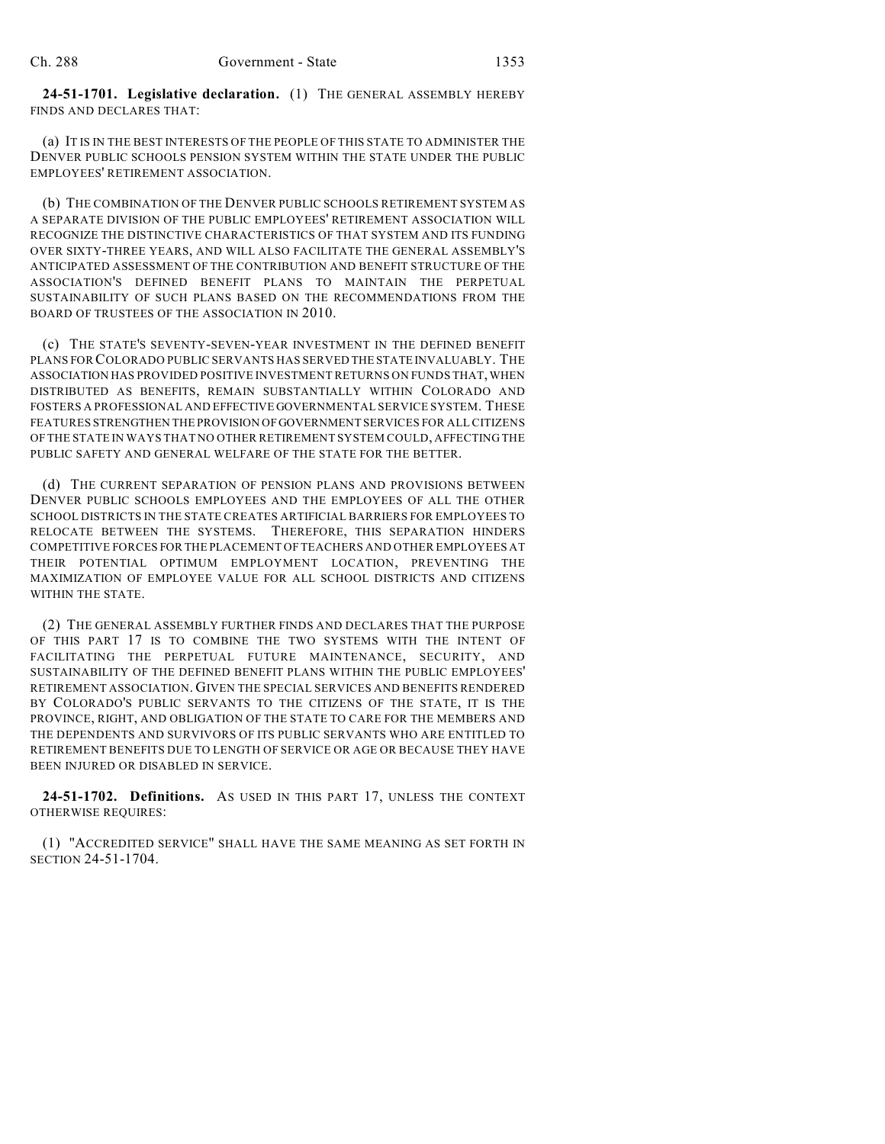**24-51-1701. Legislative declaration.** (1) THE GENERAL ASSEMBLY HEREBY FINDS AND DECLARES THAT:

(a) IT IS IN THE BEST INTERESTS OF THE PEOPLE OF THIS STATE TO ADMINISTER THE DENVER PUBLIC SCHOOLS PENSION SYSTEM WITHIN THE STATE UNDER THE PUBLIC EMPLOYEES' RETIREMENT ASSOCIATION.

(b) THE COMBINATION OF THE DENVER PUBLIC SCHOOLS RETIREMENT SYSTEM AS A SEPARATE DIVISION OF THE PUBLIC EMPLOYEES' RETIREMENT ASSOCIATION WILL RECOGNIZE THE DISTINCTIVE CHARACTERISTICS OF THAT SYSTEM AND ITS FUNDING OVER SIXTY-THREE YEARS, AND WILL ALSO FACILITATE THE GENERAL ASSEMBLY'S ANTICIPATED ASSESSMENT OF THE CONTRIBUTION AND BENEFIT STRUCTURE OF THE ASSOCIATION'S DEFINED BENEFIT PLANS TO MAINTAIN THE PERPETUAL SUSTAINABILITY OF SUCH PLANS BASED ON THE RECOMMENDATIONS FROM THE BOARD OF TRUSTEES OF THE ASSOCIATION IN 2010.

(c) THE STATE'S SEVENTY-SEVEN-YEAR INVESTMENT IN THE DEFINED BENEFIT PLANS FOR COLORADO PUBLIC SERVANTS HAS SERVED THE STATE INVALUABLY. THE ASSOCIATION HAS PROVIDED POSITIVE INVESTMENT RETURNS ON FUNDS THAT, WHEN DISTRIBUTED AS BENEFITS, REMAIN SUBSTANTIALLY WITHIN COLORADO AND FOSTERS A PROFESSIONAL AND EFFECTIVE GOVERNMENTAL SERVICE SYSTEM. THESE FEATURES STRENGTHEN THE PROVISION OF GOVERNMENT SERVICES FOR ALL CITIZENS OF THE STATE IN WAYS THAT NO OTHER RETIREMENT SYSTEM COULD, AFFECTING THE PUBLIC SAFETY AND GENERAL WELFARE OF THE STATE FOR THE BETTER.

(d) THE CURRENT SEPARATION OF PENSION PLANS AND PROVISIONS BETWEEN DENVER PUBLIC SCHOOLS EMPLOYEES AND THE EMPLOYEES OF ALL THE OTHER SCHOOL DISTRICTS IN THE STATE CREATES ARTIFICIAL BARRIERS FOR EMPLOYEES TO RELOCATE BETWEEN THE SYSTEMS. THEREFORE, THIS SEPARATION HINDERS COMPETITIVE FORCES FOR THE PLACEMENT OF TEACHERS AND OTHER EMPLOYEES AT THEIR POTENTIAL OPTIMUM EMPLOYMENT LOCATION, PREVENTING THE MAXIMIZATION OF EMPLOYEE VALUE FOR ALL SCHOOL DISTRICTS AND CITIZENS WITHIN THE STATE.

(2) THE GENERAL ASSEMBLY FURTHER FINDS AND DECLARES THAT THE PURPOSE OF THIS PART 17 IS TO COMBINE THE TWO SYSTEMS WITH THE INTENT OF FACILITATING THE PERPETUAL FUTURE MAINTENANCE, SECURITY, AND SUSTAINABILITY OF THE DEFINED BENEFIT PLANS WITHIN THE PUBLIC EMPLOYEES' RETIREMENT ASSOCIATION. GIVEN THE SPECIAL SERVICES AND BENEFITS RENDERED BY COLORADO'S PUBLIC SERVANTS TO THE CITIZENS OF THE STATE, IT IS THE PROVINCE, RIGHT, AND OBLIGATION OF THE STATE TO CARE FOR THE MEMBERS AND THE DEPENDENTS AND SURVIVORS OF ITS PUBLIC SERVANTS WHO ARE ENTITLED TO RETIREMENT BENEFITS DUE TO LENGTH OF SERVICE OR AGE OR BECAUSE THEY HAVE BEEN INJURED OR DISABLED IN SERVICE.

**24-51-1702. Definitions.** AS USED IN THIS PART 17, UNLESS THE CONTEXT OTHERWISE REQUIRES:

(1) "ACCREDITED SERVICE" SHALL HAVE THE SAME MEANING AS SET FORTH IN SECTION 24-51-1704.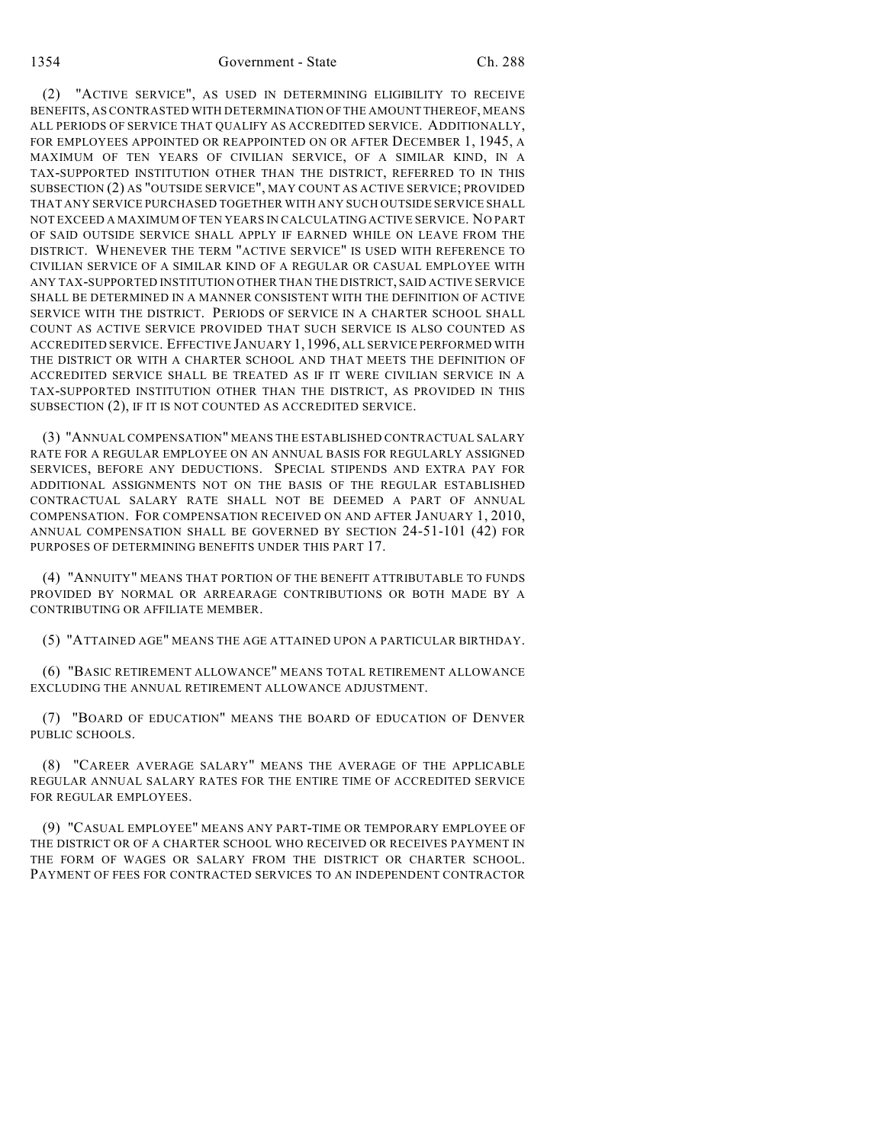(2) "ACTIVE SERVICE", AS USED IN DETERMINING ELIGIBILITY TO RECEIVE BENEFITS, AS CONTRASTED WITH DETERMINATION OF THE AMOUNT THEREOF, MEANS ALL PERIODS OF SERVICE THAT QUALIFY AS ACCREDITED SERVICE. ADDITIONALLY, FOR EMPLOYEES APPOINTED OR REAPPOINTED ON OR AFTER DECEMBER 1, 1945, A MAXIMUM OF TEN YEARS OF CIVILIAN SERVICE, OF A SIMILAR KIND, IN A TAX-SUPPORTED INSTITUTION OTHER THAN THE DISTRICT, REFERRED TO IN THIS SUBSECTION (2) AS "OUTSIDE SERVICE", MAY COUNT AS ACTIVE SERVICE; PROVIDED THAT ANY SERVICE PURCHASED TOGETHER WITH ANY SUCH OUTSIDE SERVICE SHALL NOT EXCEED A MAXIMUM OF TEN YEARS IN CALCULATING ACTIVE SERVICE. NO PART OF SAID OUTSIDE SERVICE SHALL APPLY IF EARNED WHILE ON LEAVE FROM THE DISTRICT. WHENEVER THE TERM "ACTIVE SERVICE" IS USED WITH REFERENCE TO CIVILIAN SERVICE OF A SIMILAR KIND OF A REGULAR OR CASUAL EMPLOYEE WITH ANY TAX-SUPPORTED INSTITUTION OTHER THAN THE DISTRICT, SAID ACTIVE SERVICE SHALL BE DETERMINED IN A MANNER CONSISTENT WITH THE DEFINITION OF ACTIVE SERVICE WITH THE DISTRICT. PERIODS OF SERVICE IN A CHARTER SCHOOL SHALL COUNT AS ACTIVE SERVICE PROVIDED THAT SUCH SERVICE IS ALSO COUNTED AS ACCREDITED SERVICE. EFFECTIVE JANUARY 1,1996, ALL SERVICE PERFORMED WITH THE DISTRICT OR WITH A CHARTER SCHOOL AND THAT MEETS THE DEFINITION OF ACCREDITED SERVICE SHALL BE TREATED AS IF IT WERE CIVILIAN SERVICE IN A TAX-SUPPORTED INSTITUTION OTHER THAN THE DISTRICT, AS PROVIDED IN THIS SUBSECTION (2), IF IT IS NOT COUNTED AS ACCREDITED SERVICE.

(3) "ANNUAL COMPENSATION" MEANS THE ESTABLISHED CONTRACTUAL SALARY RATE FOR A REGULAR EMPLOYEE ON AN ANNUAL BASIS FOR REGULARLY ASSIGNED SERVICES, BEFORE ANY DEDUCTIONS. SPECIAL STIPENDS AND EXTRA PAY FOR ADDITIONAL ASSIGNMENTS NOT ON THE BASIS OF THE REGULAR ESTABLISHED CONTRACTUAL SALARY RATE SHALL NOT BE DEEMED A PART OF ANNUAL COMPENSATION. FOR COMPENSATION RECEIVED ON AND AFTER JANUARY 1, 2010, ANNUAL COMPENSATION SHALL BE GOVERNED BY SECTION 24-51-101 (42) FOR PURPOSES OF DETERMINING BENEFITS UNDER THIS PART 17.

(4) "ANNUITY" MEANS THAT PORTION OF THE BENEFIT ATTRIBUTABLE TO FUNDS PROVIDED BY NORMAL OR ARREARAGE CONTRIBUTIONS OR BOTH MADE BY A CONTRIBUTING OR AFFILIATE MEMBER.

(5) "ATTAINED AGE" MEANS THE AGE ATTAINED UPON A PARTICULAR BIRTHDAY.

(6) "BASIC RETIREMENT ALLOWANCE" MEANS TOTAL RETIREMENT ALLOWANCE EXCLUDING THE ANNUAL RETIREMENT ALLOWANCE ADJUSTMENT.

(7) "BOARD OF EDUCATION" MEANS THE BOARD OF EDUCATION OF DENVER PUBLIC SCHOOLS.

(8) "CAREER AVERAGE SALARY" MEANS THE AVERAGE OF THE APPLICABLE REGULAR ANNUAL SALARY RATES FOR THE ENTIRE TIME OF ACCREDITED SERVICE FOR REGULAR EMPLOYEES.

(9) "CASUAL EMPLOYEE" MEANS ANY PART-TIME OR TEMPORARY EMPLOYEE OF THE DISTRICT OR OF A CHARTER SCHOOL WHO RECEIVED OR RECEIVES PAYMENT IN THE FORM OF WAGES OR SALARY FROM THE DISTRICT OR CHARTER SCHOOL. PAYMENT OF FEES FOR CONTRACTED SERVICES TO AN INDEPENDENT CONTRACTOR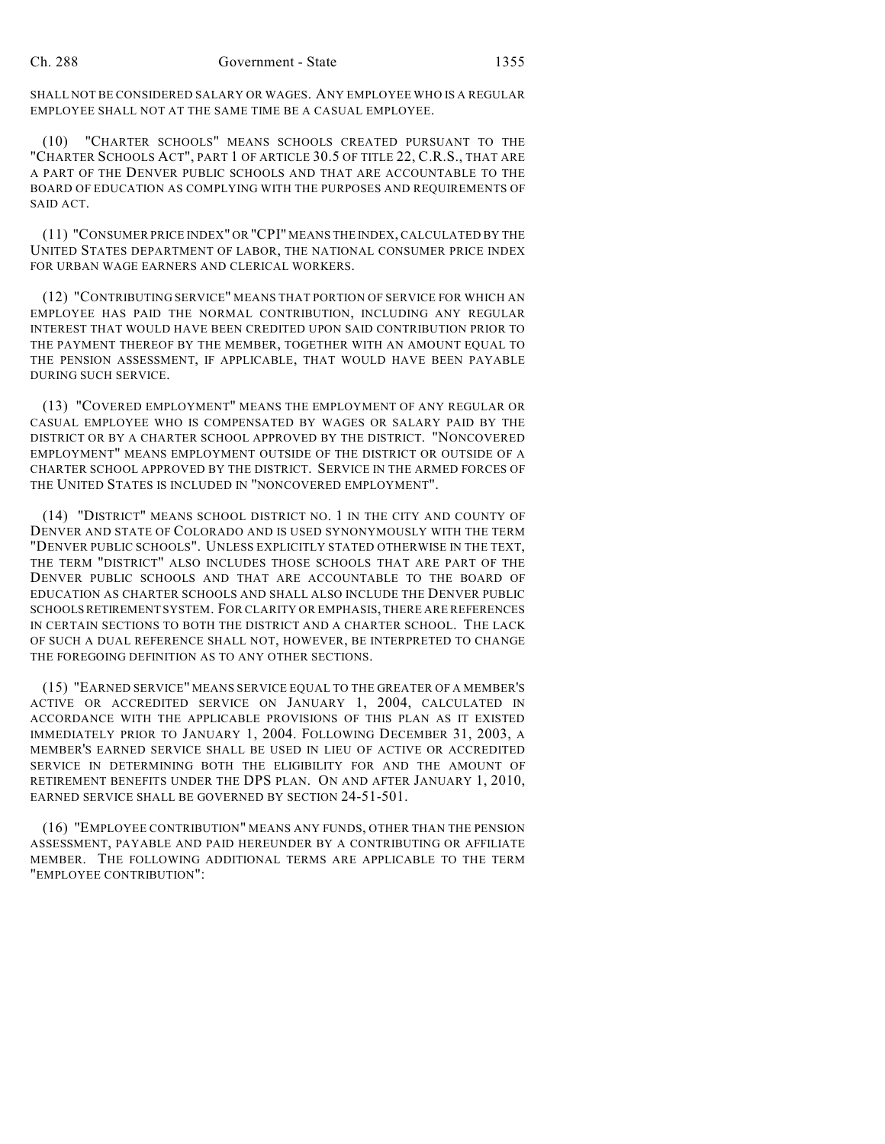SHALL NOT BE CONSIDERED SALARY OR WAGES. ANY EMPLOYEE WHO IS A REGULAR EMPLOYEE SHALL NOT AT THE SAME TIME BE A CASUAL EMPLOYEE.

(10) "CHARTER SCHOOLS" MEANS SCHOOLS CREATED PURSUANT TO THE "CHARTER SCHOOLS ACT", PART 1 OF ARTICLE 30.5 OF TITLE 22, C.R.S., THAT ARE A PART OF THE DENVER PUBLIC SCHOOLS AND THAT ARE ACCOUNTABLE TO THE BOARD OF EDUCATION AS COMPLYING WITH THE PURPOSES AND REQUIREMENTS OF SAID ACT.

(11) "CONSUMER PRICE INDEX" OR "CPI" MEANS THE INDEX, CALCULATED BY THE UNITED STATES DEPARTMENT OF LABOR, THE NATIONAL CONSUMER PRICE INDEX FOR URBAN WAGE EARNERS AND CLERICAL WORKERS.

(12) "CONTRIBUTING SERVICE" MEANS THAT PORTION OF SERVICE FOR WHICH AN EMPLOYEE HAS PAID THE NORMAL CONTRIBUTION, INCLUDING ANY REGULAR INTEREST THAT WOULD HAVE BEEN CREDITED UPON SAID CONTRIBUTION PRIOR TO THE PAYMENT THEREOF BY THE MEMBER, TOGETHER WITH AN AMOUNT EQUAL TO THE PENSION ASSESSMENT, IF APPLICABLE, THAT WOULD HAVE BEEN PAYABLE DURING SUCH SERVICE.

(13) "COVERED EMPLOYMENT" MEANS THE EMPLOYMENT OF ANY REGULAR OR CASUAL EMPLOYEE WHO IS COMPENSATED BY WAGES OR SALARY PAID BY THE DISTRICT OR BY A CHARTER SCHOOL APPROVED BY THE DISTRICT. "NONCOVERED EMPLOYMENT" MEANS EMPLOYMENT OUTSIDE OF THE DISTRICT OR OUTSIDE OF A CHARTER SCHOOL APPROVED BY THE DISTRICT. SERVICE IN THE ARMED FORCES OF THE UNITED STATES IS INCLUDED IN "NONCOVERED EMPLOYMENT".

(14) "DISTRICT" MEANS SCHOOL DISTRICT NO. 1 IN THE CITY AND COUNTY OF DENVER AND STATE OF COLORADO AND IS USED SYNONYMOUSLY WITH THE TERM "DENVER PUBLIC SCHOOLS". UNLESS EXPLICITLY STATED OTHERWISE IN THE TEXT, THE TERM "DISTRICT" ALSO INCLUDES THOSE SCHOOLS THAT ARE PART OF THE DENVER PUBLIC SCHOOLS AND THAT ARE ACCOUNTABLE TO THE BOARD OF EDUCATION AS CHARTER SCHOOLS AND SHALL ALSO INCLUDE THE DENVER PUBLIC SCHOOLS RETIREMENT SYSTEM. FOR CLARITY OR EMPHASIS, THERE ARE REFERENCES IN CERTAIN SECTIONS TO BOTH THE DISTRICT AND A CHARTER SCHOOL. THE LACK OF SUCH A DUAL REFERENCE SHALL NOT, HOWEVER, BE INTERPRETED TO CHANGE THE FOREGOING DEFINITION AS TO ANY OTHER SECTIONS.

(15) "EARNED SERVICE" MEANS SERVICE EQUAL TO THE GREATER OF A MEMBER'S ACTIVE OR ACCREDITED SERVICE ON JANUARY 1, 2004, CALCULATED IN ACCORDANCE WITH THE APPLICABLE PROVISIONS OF THIS PLAN AS IT EXISTED IMMEDIATELY PRIOR TO JANUARY 1, 2004. FOLLOWING DECEMBER 31, 2003, A MEMBER'S EARNED SERVICE SHALL BE USED IN LIEU OF ACTIVE OR ACCREDITED SERVICE IN DETERMINING BOTH THE ELIGIBILITY FOR AND THE AMOUNT OF RETIREMENT BENEFITS UNDER THE DPS PLAN. ON AND AFTER JANUARY 1, 2010, EARNED SERVICE SHALL BE GOVERNED BY SECTION 24-51-501.

(16) "EMPLOYEE CONTRIBUTION" MEANS ANY FUNDS, OTHER THAN THE PENSION ASSESSMENT, PAYABLE AND PAID HEREUNDER BY A CONTRIBUTING OR AFFILIATE MEMBER. THE FOLLOWING ADDITIONAL TERMS ARE APPLICABLE TO THE TERM "EMPLOYEE CONTRIBUTION":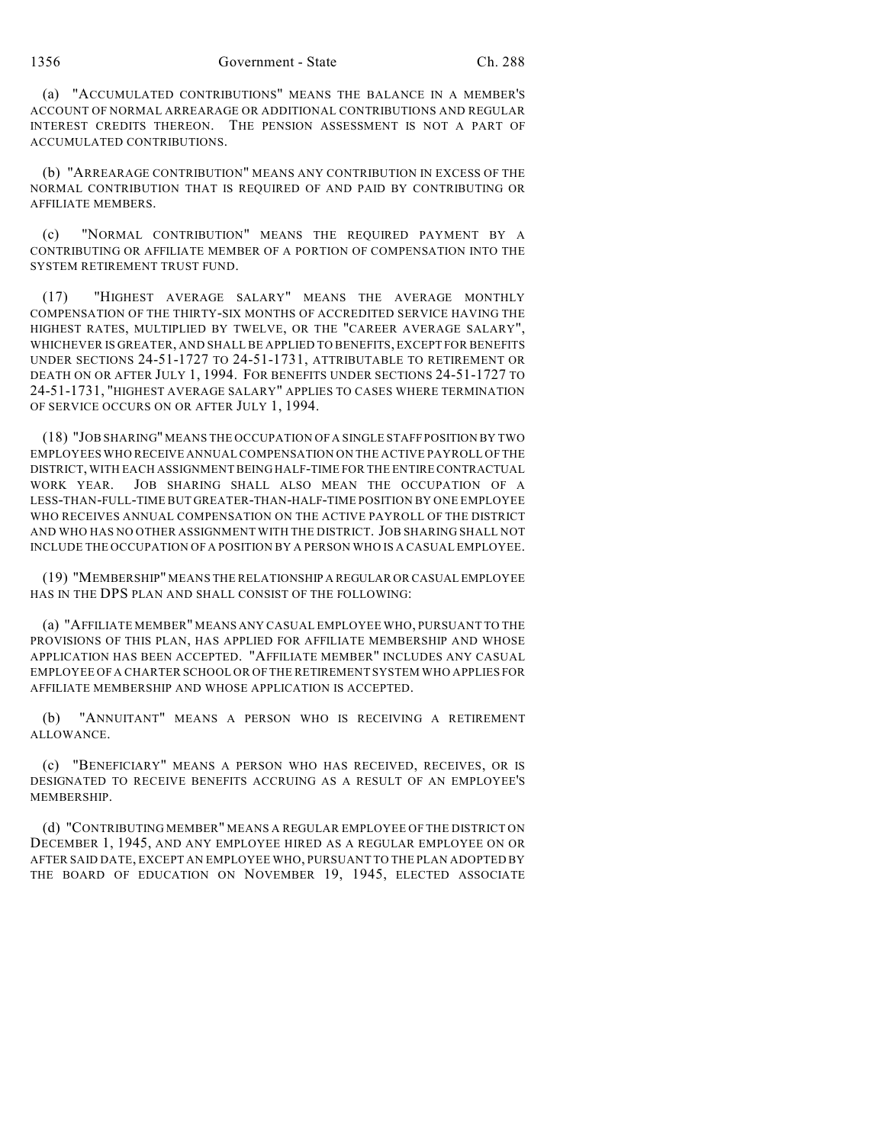(a) "ACCUMULATED CONTRIBUTIONS" MEANS THE BALANCE IN A MEMBER'S ACCOUNT OF NORMAL ARREARAGE OR ADDITIONAL CONTRIBUTIONS AND REGULAR INTEREST CREDITS THEREON. THE PENSION ASSESSMENT IS NOT A PART OF ACCUMULATED CONTRIBUTIONS.

(b) "ARREARAGE CONTRIBUTION" MEANS ANY CONTRIBUTION IN EXCESS OF THE NORMAL CONTRIBUTION THAT IS REQUIRED OF AND PAID BY CONTRIBUTING OR AFFILIATE MEMBERS.

(c) "NORMAL CONTRIBUTION" MEANS THE REQUIRED PAYMENT BY A CONTRIBUTING OR AFFILIATE MEMBER OF A PORTION OF COMPENSATION INTO THE SYSTEM RETIREMENT TRUST FUND.

(17) "HIGHEST AVERAGE SALARY" MEANS THE AVERAGE MONTHLY COMPENSATION OF THE THIRTY-SIX MONTHS OF ACCREDITED SERVICE HAVING THE HIGHEST RATES, MULTIPLIED BY TWELVE, OR THE "CAREER AVERAGE SALARY", WHICHEVER IS GREATER, AND SHALL BE APPLIED TO BENEFITS, EXCEPT FOR BENEFITS UNDER SECTIONS 24-51-1727 TO 24-51-1731, ATTRIBUTABLE TO RETIREMENT OR DEATH ON OR AFTER JULY 1, 1994. FOR BENEFITS UNDER SECTIONS 24-51-1727 TO 24-51-1731, "HIGHEST AVERAGE SALARY" APPLIES TO CASES WHERE TERMINATION OF SERVICE OCCURS ON OR AFTER JULY 1, 1994.

(18) "JOB SHARING" MEANS THE OCCUPATION OF A SINGLE STAFF POSITION BY TWO EMPLOYEES WHO RECEIVE ANNUAL COMPENSATION ON THE ACTIVE PAYROLL OF THE DISTRICT, WITH EACH ASSIGNMENT BEING HALF-TIME FOR THE ENTIRE CONTRACTUAL WORK YEAR. JOB SHARING SHALL ALSO MEAN THE OCCUPATION OF A LESS-THAN-FULL-TIME BUT GREATER-THAN-HALF-TIME POSITION BY ONE EMPLOYEE WHO RECEIVES ANNUAL COMPENSATION ON THE ACTIVE PAYROLL OF THE DISTRICT AND WHO HAS NO OTHER ASSIGNMENT WITH THE DISTRICT. JOB SHARING SHALL NOT INCLUDE THE OCCUPATION OF A POSITION BY A PERSON WHO IS A CASUAL EMPLOYEE.

(19) "MEMBERSHIP" MEANS THE RELATIONSHIP A REGULAR OR CASUAL EMPLOYEE HAS IN THE DPS PLAN AND SHALL CONSIST OF THE FOLLOWING:

(a) "AFFILIATE MEMBER" MEANS ANY CASUAL EMPLOYEE WHO, PURSUANT TO THE PROVISIONS OF THIS PLAN, HAS APPLIED FOR AFFILIATE MEMBERSHIP AND WHOSE APPLICATION HAS BEEN ACCEPTED. "AFFILIATE MEMBER" INCLUDES ANY CASUAL EMPLOYEE OF A CHARTER SCHOOL OR OF THE RETIREMENT SYSTEM WHO APPLIES FOR AFFILIATE MEMBERSHIP AND WHOSE APPLICATION IS ACCEPTED.

(b) "ANNUITANT" MEANS A PERSON WHO IS RECEIVING A RETIREMENT ALLOWANCE.

(c) "BENEFICIARY" MEANS A PERSON WHO HAS RECEIVED, RECEIVES, OR IS DESIGNATED TO RECEIVE BENEFITS ACCRUING AS A RESULT OF AN EMPLOYEE'S MEMBERSHIP.

(d) "CONTRIBUTING MEMBER" MEANS A REGULAR EMPLOYEE OF THE DISTRICT ON DECEMBER 1, 1945, AND ANY EMPLOYEE HIRED AS A REGULAR EMPLOYEE ON OR AFTER SAID DATE, EXCEPT AN EMPLOYEE WHO, PURSUANT TO THE PLAN ADOPTED BY THE BOARD OF EDUCATION ON NOVEMBER 19, 1945, ELECTED ASSOCIATE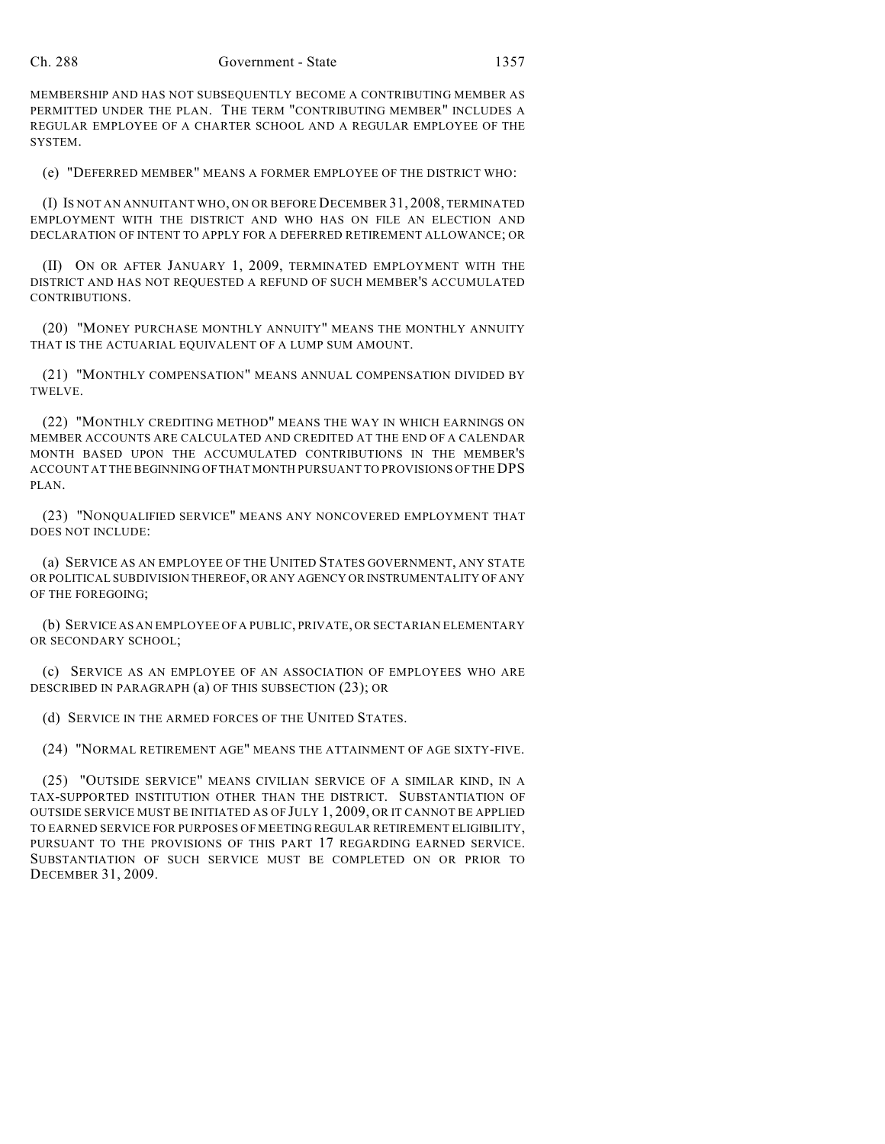MEMBERSHIP AND HAS NOT SUBSEQUENTLY BECOME A CONTRIBUTING MEMBER AS PERMITTED UNDER THE PLAN. THE TERM "CONTRIBUTING MEMBER" INCLUDES A REGULAR EMPLOYEE OF A CHARTER SCHOOL AND A REGULAR EMPLOYEE OF THE SYSTEM.

(e) "DEFERRED MEMBER" MEANS A FORMER EMPLOYEE OF THE DISTRICT WHO:

(I) IS NOT AN ANNUITANT WHO, ON OR BEFORE DECEMBER 31, 2008, TERMINATED EMPLOYMENT WITH THE DISTRICT AND WHO HAS ON FILE AN ELECTION AND DECLARATION OF INTENT TO APPLY FOR A DEFERRED RETIREMENT ALLOWANCE; OR

(II) ON OR AFTER JANUARY 1, 2009, TERMINATED EMPLOYMENT WITH THE DISTRICT AND HAS NOT REQUESTED A REFUND OF SUCH MEMBER'S ACCUMULATED CONTRIBUTIONS.

(20) "MONEY PURCHASE MONTHLY ANNUITY" MEANS THE MONTHLY ANNUITY THAT IS THE ACTUARIAL EQUIVALENT OF A LUMP SUM AMOUNT.

(21) "MONTHLY COMPENSATION" MEANS ANNUAL COMPENSATION DIVIDED BY TWELVE.

(22) "MONTHLY CREDITING METHOD" MEANS THE WAY IN WHICH EARNINGS ON MEMBER ACCOUNTS ARE CALCULATED AND CREDITED AT THE END OF A CALENDAR MONTH BASED UPON THE ACCUMULATED CONTRIBUTIONS IN THE MEMBER'S ACCOUNT AT THE BEGINNING OF THAT MONTH PURSUANT TO PROVISIONS OF THE DPS PLAN.

(23) "NONQUALIFIED SERVICE" MEANS ANY NONCOVERED EMPLOYMENT THAT DOES NOT INCLUDE:

(a) SERVICE AS AN EMPLOYEE OF THE UNITED STATES GOVERNMENT, ANY STATE OR POLITICAL SUBDIVISION THEREOF, OR ANY AGENCY OR INSTRUMENTALITY OF ANY OF THE FOREGOING;

(b) SERVICE AS AN EMPLOYEE OF A PUBLIC, PRIVATE, OR SECTARIAN ELEMENTARY OR SECONDARY SCHOOL;

(c) SERVICE AS AN EMPLOYEE OF AN ASSOCIATION OF EMPLOYEES WHO ARE DESCRIBED IN PARAGRAPH (a) OF THIS SUBSECTION (23); OR

(d) SERVICE IN THE ARMED FORCES OF THE UNITED STATES.

(24) "NORMAL RETIREMENT AGE" MEANS THE ATTAINMENT OF AGE SIXTY-FIVE.

(25) "OUTSIDE SERVICE" MEANS CIVILIAN SERVICE OF A SIMILAR KIND, IN A TAX-SUPPORTED INSTITUTION OTHER THAN THE DISTRICT. SUBSTANTIATION OF OUTSIDE SERVICE MUST BE INITIATED AS OF JULY 1, 2009, OR IT CANNOT BE APPLIED TO EARNED SERVICE FOR PURPOSES OF MEETING REGULAR RETIREMENT ELIGIBILITY, PURSUANT TO THE PROVISIONS OF THIS PART 17 REGARDING EARNED SERVICE. SUBSTANTIATION OF SUCH SERVICE MUST BE COMPLETED ON OR PRIOR TO DECEMBER 31, 2009.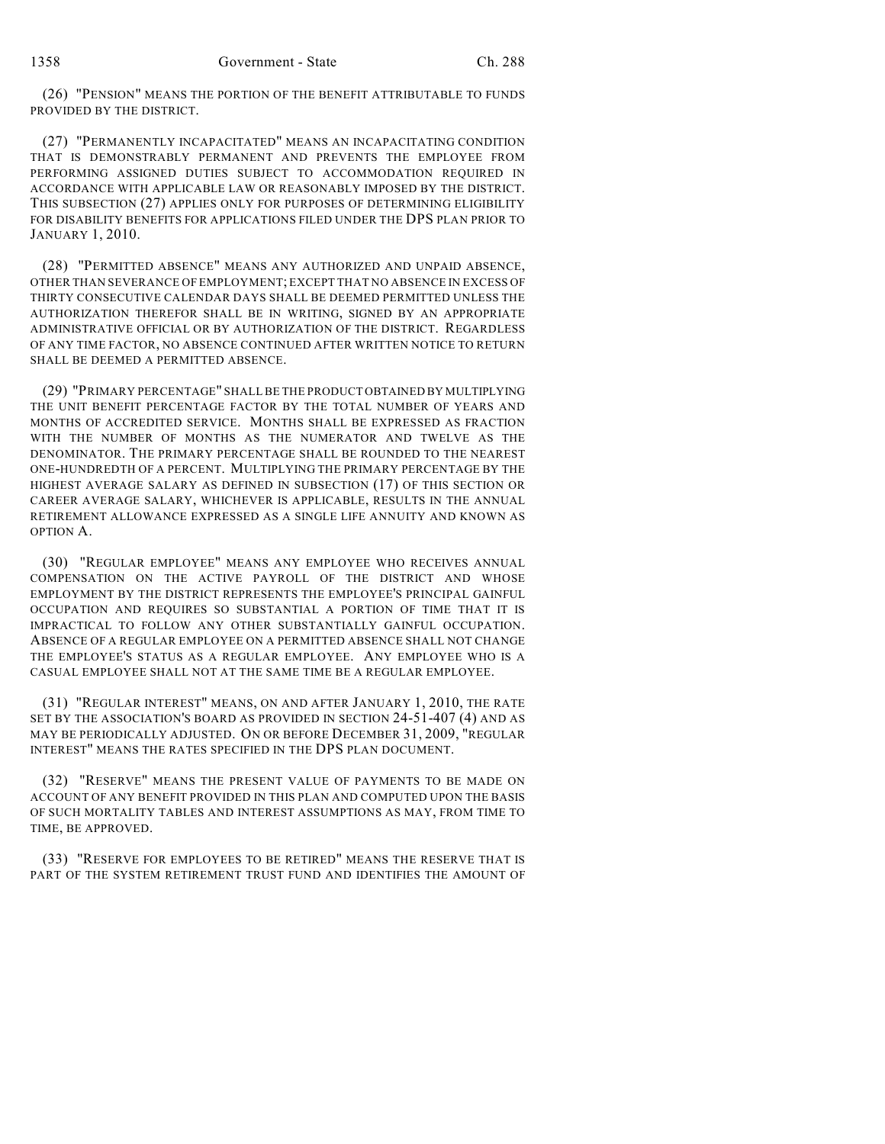(26) "PENSION" MEANS THE PORTION OF THE BENEFIT ATTRIBUTABLE TO FUNDS PROVIDED BY THE DISTRICT.

(27) "PERMANENTLY INCAPACITATED" MEANS AN INCAPACITATING CONDITION THAT IS DEMONSTRABLY PERMANENT AND PREVENTS THE EMPLOYEE FROM PERFORMING ASSIGNED DUTIES SUBJECT TO ACCOMMODATION REQUIRED IN ACCORDANCE WITH APPLICABLE LAW OR REASONABLY IMPOSED BY THE DISTRICT. THIS SUBSECTION (27) APPLIES ONLY FOR PURPOSES OF DETERMINING ELIGIBILITY FOR DISABILITY BENEFITS FOR APPLICATIONS FILED UNDER THE DPS PLAN PRIOR TO JANUARY 1, 2010.

(28) "PERMITTED ABSENCE" MEANS ANY AUTHORIZED AND UNPAID ABSENCE, OTHER THAN SEVERANCE OF EMPLOYMENT; EXCEPT THAT NO ABSENCE IN EXCESS OF THIRTY CONSECUTIVE CALENDAR DAYS SHALL BE DEEMED PERMITTED UNLESS THE AUTHORIZATION THEREFOR SHALL BE IN WRITING, SIGNED BY AN APPROPRIATE ADMINISTRATIVE OFFICIAL OR BY AUTHORIZATION OF THE DISTRICT. REGARDLESS OF ANY TIME FACTOR, NO ABSENCE CONTINUED AFTER WRITTEN NOTICE TO RETURN SHALL BE DEEMED A PERMITTED ABSENCE.

(29) "PRIMARY PERCENTAGE" SHALL BE THE PRODUCT OBTAINED BY MULTIPLYING THE UNIT BENEFIT PERCENTAGE FACTOR BY THE TOTAL NUMBER OF YEARS AND MONTHS OF ACCREDITED SERVICE. MONTHS SHALL BE EXPRESSED AS FRACTION WITH THE NUMBER OF MONTHS AS THE NUMERATOR AND TWELVE AS THE DENOMINATOR. THE PRIMARY PERCENTAGE SHALL BE ROUNDED TO THE NEAREST ONE-HUNDREDTH OF A PERCENT. MULTIPLYING THE PRIMARY PERCENTAGE BY THE HIGHEST AVERAGE SALARY AS DEFINED IN SUBSECTION (17) OF THIS SECTION OR CAREER AVERAGE SALARY, WHICHEVER IS APPLICABLE, RESULTS IN THE ANNUAL RETIREMENT ALLOWANCE EXPRESSED AS A SINGLE LIFE ANNUITY AND KNOWN AS OPTION A.

(30) "REGULAR EMPLOYEE" MEANS ANY EMPLOYEE WHO RECEIVES ANNUAL COMPENSATION ON THE ACTIVE PAYROLL OF THE DISTRICT AND WHOSE EMPLOYMENT BY THE DISTRICT REPRESENTS THE EMPLOYEE'S PRINCIPAL GAINFUL OCCUPATION AND REQUIRES SO SUBSTANTIAL A PORTION OF TIME THAT IT IS IMPRACTICAL TO FOLLOW ANY OTHER SUBSTANTIALLY GAINFUL OCCUPATION. ABSENCE OF A REGULAR EMPLOYEE ON A PERMITTED ABSENCE SHALL NOT CHANGE THE EMPLOYEE'S STATUS AS A REGULAR EMPLOYEE. ANY EMPLOYEE WHO IS A CASUAL EMPLOYEE SHALL NOT AT THE SAME TIME BE A REGULAR EMPLOYEE.

(31) "REGULAR INTEREST" MEANS, ON AND AFTER JANUARY 1, 2010, THE RATE SET BY THE ASSOCIATION'S BOARD AS PROVIDED IN SECTION 24-51-407 (4) AND AS MAY BE PERIODICALLY ADJUSTED. ON OR BEFORE DECEMBER 31, 2009, "REGULAR INTEREST" MEANS THE RATES SPECIFIED IN THE DPS PLAN DOCUMENT.

(32) "RESERVE" MEANS THE PRESENT VALUE OF PAYMENTS TO BE MADE ON ACCOUNT OF ANY BENEFIT PROVIDED IN THIS PLAN AND COMPUTED UPON THE BASIS OF SUCH MORTALITY TABLES AND INTEREST ASSUMPTIONS AS MAY, FROM TIME TO TIME, BE APPROVED.

(33) "RESERVE FOR EMPLOYEES TO BE RETIRED" MEANS THE RESERVE THAT IS PART OF THE SYSTEM RETIREMENT TRUST FUND AND IDENTIFIES THE AMOUNT OF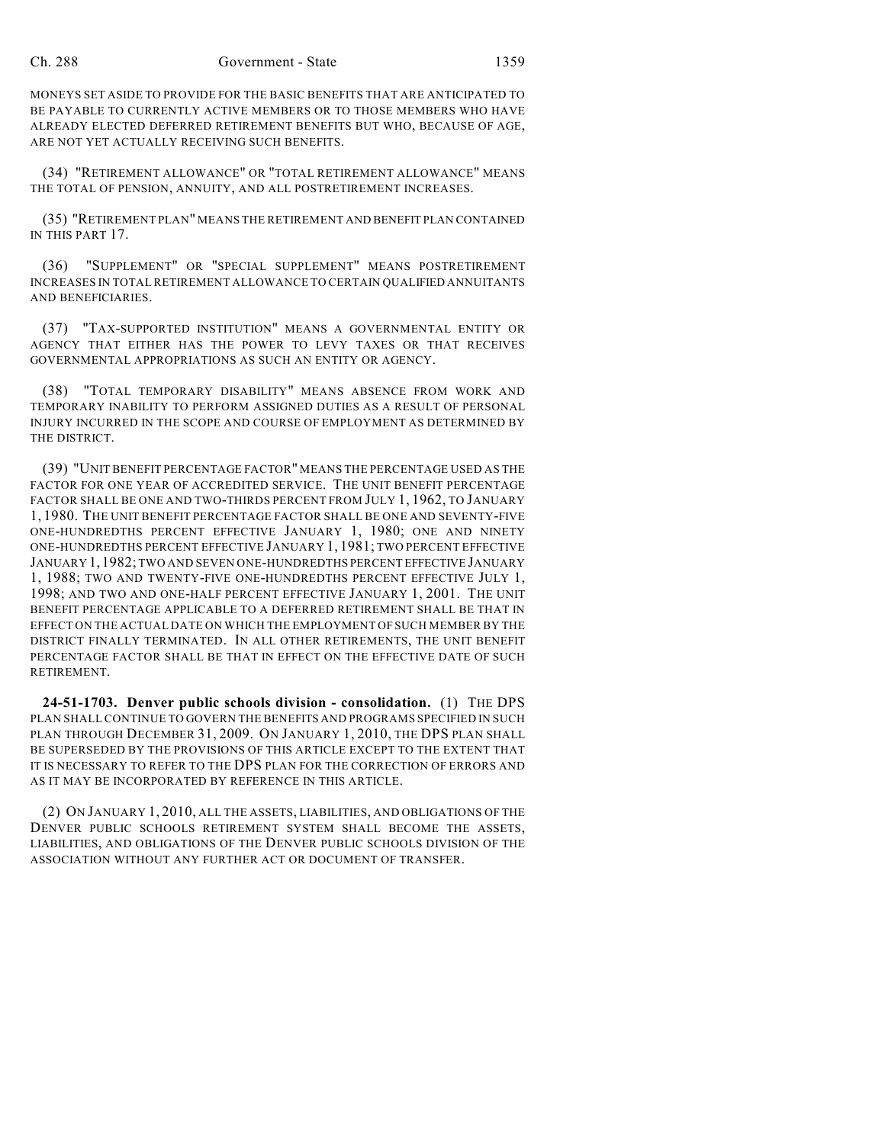MONEYS SET ASIDE TO PROVIDE FOR THE BASIC BENEFITS THAT ARE ANTICIPATED TO BE PAYABLE TO CURRENTLY ACTIVE MEMBERS OR TO THOSE MEMBERS WHO HAVE ALREADY ELECTED DEFERRED RETIREMENT BENEFITS BUT WHO, BECAUSE OF AGE, ARE NOT YET ACTUALLY RECEIVING SUCH BENEFITS.

(34) "RETIREMENT ALLOWANCE" OR "TOTAL RETIREMENT ALLOWANCE" MEANS THE TOTAL OF PENSION, ANNUITY, AND ALL POSTRETIREMENT INCREASES.

(35) "RETIREMENT PLAN" MEANS THE RETIREMENT AND BENEFIT PLAN CONTAINED IN THIS PART 17.

(36) "SUPPLEMENT" OR "SPECIAL SUPPLEMENT" MEANS POSTRETIREMENT INCREASES IN TOTAL RETIREMENT ALLOWANCE TO CERTAIN QUALIFIED ANNUITANTS AND BENEFICIARIES.

(37) "TAX-SUPPORTED INSTITUTION" MEANS A GOVERNMENTAL ENTITY OR AGENCY THAT EITHER HAS THE POWER TO LEVY TAXES OR THAT RECEIVES GOVERNMENTAL APPROPRIATIONS AS SUCH AN ENTITY OR AGENCY.

(38) "TOTAL TEMPORARY DISABILITY" MEANS ABSENCE FROM WORK AND TEMPORARY INABILITY TO PERFORM ASSIGNED DUTIES AS A RESULT OF PERSONAL INJURY INCURRED IN THE SCOPE AND COURSE OF EMPLOYMENT AS DETERMINED BY THE DISTRICT.

(39) "UNIT BENEFIT PERCENTAGE FACTOR" MEANS THE PERCENTAGE USED AS THE FACTOR FOR ONE YEAR OF ACCREDITED SERVICE. THE UNIT BENEFIT PERCENTAGE FACTOR SHALL BE ONE AND TWO-THIRDS PERCENT FROM JULY 1, 1962, TO JANUARY 1, 1980. THE UNIT BENEFIT PERCENTAGE FACTOR SHALL BE ONE AND SEVENTY-FIVE ONE-HUNDREDTHS PERCENT EFFECTIVE JANUARY 1, 1980; ONE AND NINETY ONE-HUNDREDTHS PERCENT EFFECTIVE JANUARY 1, 1981; TWO PERCENT EFFECTIVE JANUARY 1,1982; TWO AND SEVEN ONE-HUNDREDTHS PERCENT EFFECTIVE JANUARY 1, 1988; TWO AND TWENTY-FIVE ONE-HUNDREDTHS PERCENT EFFECTIVE JULY 1, 1998; AND TWO AND ONE-HALF PERCENT EFFECTIVE JANUARY 1, 2001. THE UNIT BENEFIT PERCENTAGE APPLICABLE TO A DEFERRED RETIREMENT SHALL BE THAT IN EFFECT ON THE ACTUAL DATE ON WHICH THE EMPLOYMENT OF SUCH MEMBER BY THE DISTRICT FINALLY TERMINATED. IN ALL OTHER RETIREMENTS, THE UNIT BENEFIT PERCENTAGE FACTOR SHALL BE THAT IN EFFECT ON THE EFFECTIVE DATE OF SUCH RETIREMENT.

**24-51-1703. Denver public schools division - consolidation.** (1) THE DPS PLAN SHALL CONTINUE TO GOVERN THE BENEFITS AND PROGRAMS SPECIFIED IN SUCH PLAN THROUGH DECEMBER 31, 2009. ON JANUARY 1, 2010, THE DPS PLAN SHALL BE SUPERSEDED BY THE PROVISIONS OF THIS ARTICLE EXCEPT TO THE EXTENT THAT IT IS NECESSARY TO REFER TO THE DPS PLAN FOR THE CORRECTION OF ERRORS AND AS IT MAY BE INCORPORATED BY REFERENCE IN THIS ARTICLE.

(2) ON JANUARY 1, 2010, ALL THE ASSETS, LIABILITIES, AND OBLIGATIONS OF THE DENVER PUBLIC SCHOOLS RETIREMENT SYSTEM SHALL BECOME THE ASSETS, LIABILITIES, AND OBLIGATIONS OF THE DENVER PUBLIC SCHOOLS DIVISION OF THE ASSOCIATION WITHOUT ANY FURTHER ACT OR DOCUMENT OF TRANSFER.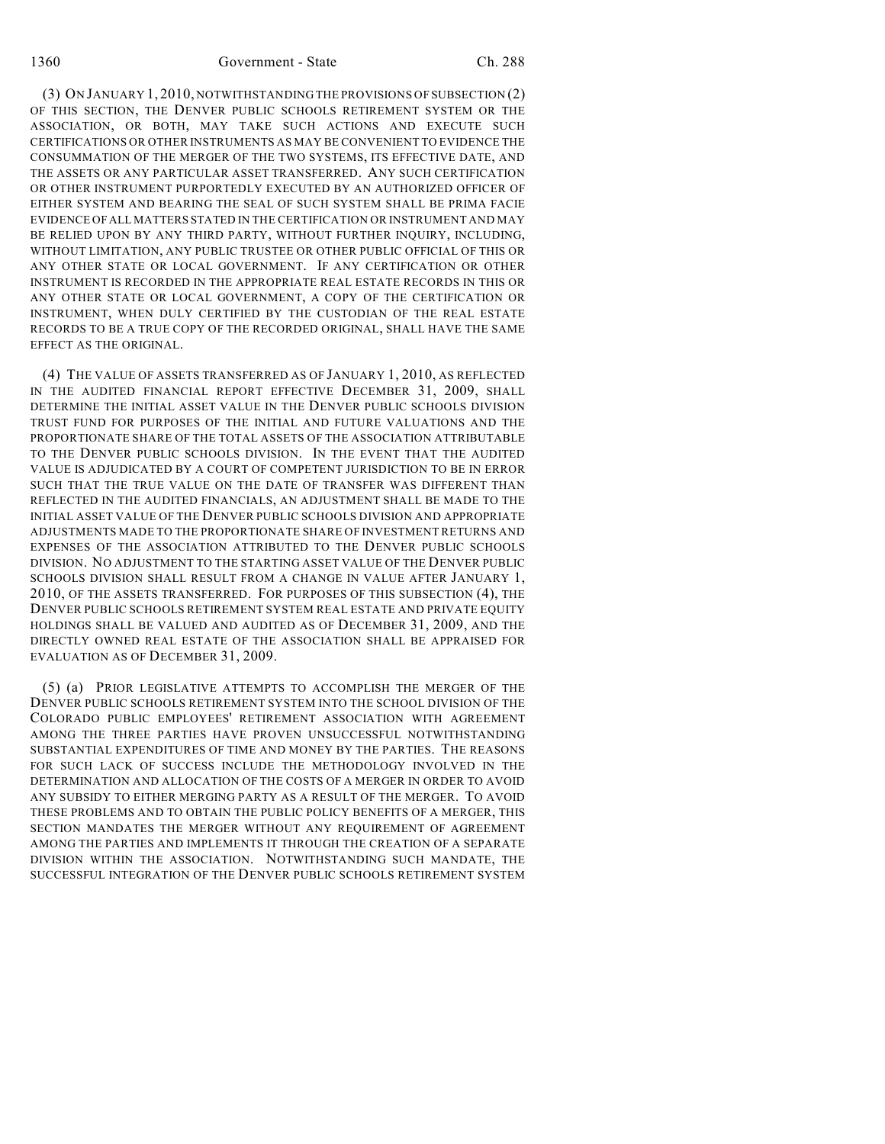(3) ON JANUARY 1, 2010, NOTWITHSTANDING THE PROVISIONS OF SUBSECTION (2) OF THIS SECTION, THE DENVER PUBLIC SCHOOLS RETIREMENT SYSTEM OR THE ASSOCIATION, OR BOTH, MAY TAKE SUCH ACTIONS AND EXECUTE SUCH CERTIFICATIONS OR OTHER INSTRUMENTS AS MAY BE CONVENIENT TO EVIDENCE THE CONSUMMATION OF THE MERGER OF THE TWO SYSTEMS, ITS EFFECTIVE DATE, AND THE ASSETS OR ANY PARTICULAR ASSET TRANSFERRED. ANY SUCH CERTIFICATION OR OTHER INSTRUMENT PURPORTEDLY EXECUTED BY AN AUTHORIZED OFFICER OF EITHER SYSTEM AND BEARING THE SEAL OF SUCH SYSTEM SHALL BE PRIMA FACIE EVIDENCE OF ALL MATTERS STATED IN THE CERTIFICATION OR INSTRUMENT AND MAY BE RELIED UPON BY ANY THIRD PARTY, WITHOUT FURTHER INQUIRY, INCLUDING, WITHOUT LIMITATION, ANY PUBLIC TRUSTEE OR OTHER PUBLIC OFFICIAL OF THIS OR ANY OTHER STATE OR LOCAL GOVERNMENT. IF ANY CERTIFICATION OR OTHER INSTRUMENT IS RECORDED IN THE APPROPRIATE REAL ESTATE RECORDS IN THIS OR ANY OTHER STATE OR LOCAL GOVERNMENT, A COPY OF THE CERTIFICATION OR INSTRUMENT, WHEN DULY CERTIFIED BY THE CUSTODIAN OF THE REAL ESTATE RECORDS TO BE A TRUE COPY OF THE RECORDED ORIGINAL, SHALL HAVE THE SAME EFFECT AS THE ORIGINAL.

(4) THE VALUE OF ASSETS TRANSFERRED AS OF JANUARY 1, 2010, AS REFLECTED IN THE AUDITED FINANCIAL REPORT EFFECTIVE DECEMBER 31, 2009, SHALL DETERMINE THE INITIAL ASSET VALUE IN THE DENVER PUBLIC SCHOOLS DIVISION TRUST FUND FOR PURPOSES OF THE INITIAL AND FUTURE VALUATIONS AND THE PROPORTIONATE SHARE OF THE TOTAL ASSETS OF THE ASSOCIATION ATTRIBUTABLE TO THE DENVER PUBLIC SCHOOLS DIVISION. IN THE EVENT THAT THE AUDITED VALUE IS ADJUDICATED BY A COURT OF COMPETENT JURISDICTION TO BE IN ERROR SUCH THAT THE TRUE VALUE ON THE DATE OF TRANSFER WAS DIFFERENT THAN REFLECTED IN THE AUDITED FINANCIALS, AN ADJUSTMENT SHALL BE MADE TO THE INITIAL ASSET VALUE OF THE DENVER PUBLIC SCHOOLS DIVISION AND APPROPRIATE ADJUSTMENTS MADE TO THE PROPORTIONATE SHARE OF INVESTMENT RETURNS AND EXPENSES OF THE ASSOCIATION ATTRIBUTED TO THE DENVER PUBLIC SCHOOLS DIVISION. NO ADJUSTMENT TO THE STARTING ASSET VALUE OF THE DENVER PUBLIC SCHOOLS DIVISION SHALL RESULT FROM A CHANGE IN VALUE AFTER JANUARY 1, 2010, OF THE ASSETS TRANSFERRED. FOR PURPOSES OF THIS SUBSECTION (4), THE DENVER PUBLIC SCHOOLS RETIREMENT SYSTEM REAL ESTATE AND PRIVATE EQUITY HOLDINGS SHALL BE VALUED AND AUDITED AS OF DECEMBER 31, 2009, AND THE DIRECTLY OWNED REAL ESTATE OF THE ASSOCIATION SHALL BE APPRAISED FOR EVALUATION AS OF DECEMBER 31, 2009.

(5) (a) PRIOR LEGISLATIVE ATTEMPTS TO ACCOMPLISH THE MERGER OF THE DENVER PUBLIC SCHOOLS RETIREMENT SYSTEM INTO THE SCHOOL DIVISION OF THE COLORADO PUBLIC EMPLOYEES' RETIREMENT ASSOCIATION WITH AGREEMENT AMONG THE THREE PARTIES HAVE PROVEN UNSUCCESSFUL NOTWITHSTANDING SUBSTANTIAL EXPENDITURES OF TIME AND MONEY BY THE PARTIES. THE REASONS FOR SUCH LACK OF SUCCESS INCLUDE THE METHODOLOGY INVOLVED IN THE DETERMINATION AND ALLOCATION OF THE COSTS OF A MERGER IN ORDER TO AVOID ANY SUBSIDY TO EITHER MERGING PARTY AS A RESULT OF THE MERGER. TO AVOID THESE PROBLEMS AND TO OBTAIN THE PUBLIC POLICY BENEFITS OF A MERGER, THIS SECTION MANDATES THE MERGER WITHOUT ANY REQUIREMENT OF AGREEMENT AMONG THE PARTIES AND IMPLEMENTS IT THROUGH THE CREATION OF A SEPARATE DIVISION WITHIN THE ASSOCIATION. NOTWITHSTANDING SUCH MANDATE, THE SUCCESSFUL INTEGRATION OF THE DENVER PUBLIC SCHOOLS RETIREMENT SYSTEM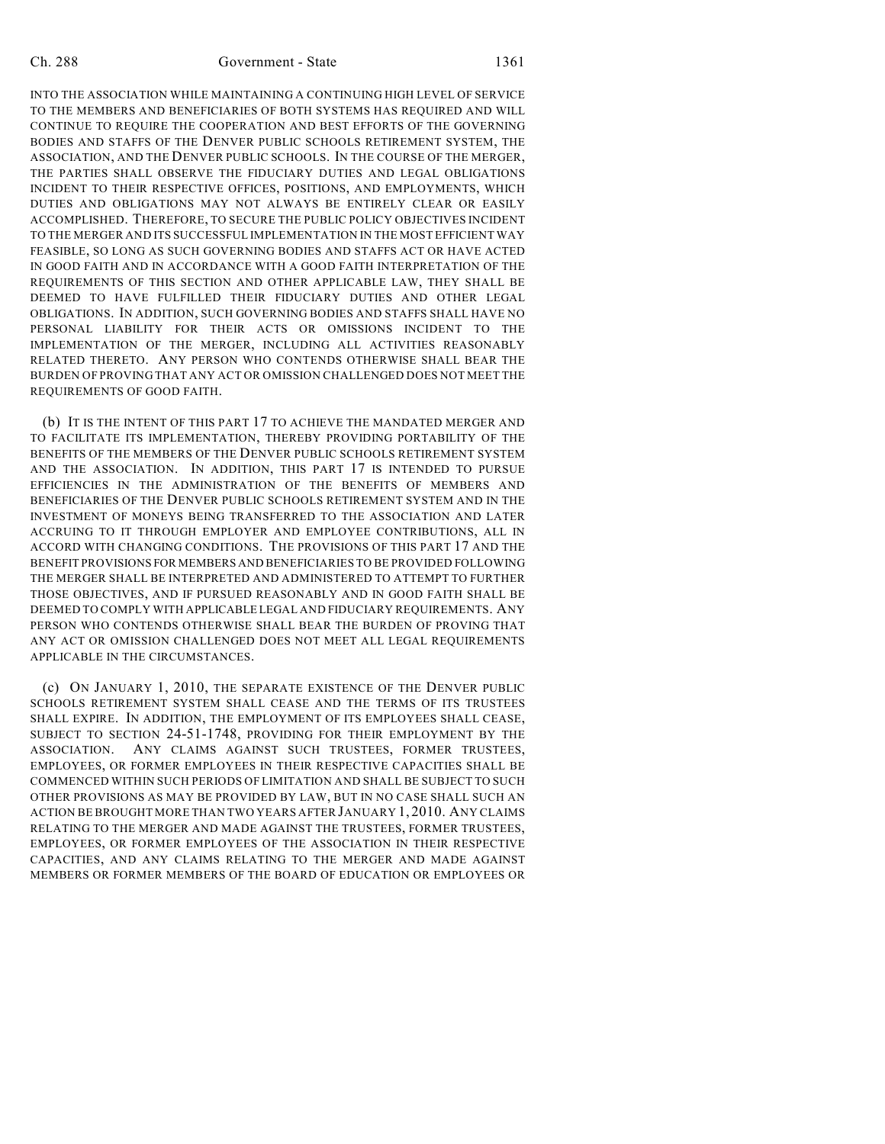INTO THE ASSOCIATION WHILE MAINTAINING A CONTINUING HIGH LEVEL OF SERVICE TO THE MEMBERS AND BENEFICIARIES OF BOTH SYSTEMS HAS REQUIRED AND WILL CONTINUE TO REQUIRE THE COOPERATION AND BEST EFFORTS OF THE GOVERNING BODIES AND STAFFS OF THE DENVER PUBLIC SCHOOLS RETIREMENT SYSTEM, THE ASSOCIATION, AND THE DENVER PUBLIC SCHOOLS. IN THE COURSE OF THE MERGER, THE PARTIES SHALL OBSERVE THE FIDUCIARY DUTIES AND LEGAL OBLIGATIONS INCIDENT TO THEIR RESPECTIVE OFFICES, POSITIONS, AND EMPLOYMENTS, WHICH DUTIES AND OBLIGATIONS MAY NOT ALWAYS BE ENTIRELY CLEAR OR EASILY ACCOMPLISHED. THEREFORE, TO SECURE THE PUBLIC POLICY OBJECTIVES INCIDENT TO THE MERGER AND ITS SUCCESSFUL IMPLEMENTATION IN THE MOST EFFICIENT WAY FEASIBLE, SO LONG AS SUCH GOVERNING BODIES AND STAFFS ACT OR HAVE ACTED IN GOOD FAITH AND IN ACCORDANCE WITH A GOOD FAITH INTERPRETATION OF THE REQUIREMENTS OF THIS SECTION AND OTHER APPLICABLE LAW, THEY SHALL BE DEEMED TO HAVE FULFILLED THEIR FIDUCIARY DUTIES AND OTHER LEGAL OBLIGATIONS. IN ADDITION, SUCH GOVERNING BODIES AND STAFFS SHALL HAVE NO PERSONAL LIABILITY FOR THEIR ACTS OR OMISSIONS INCIDENT TO THE IMPLEMENTATION OF THE MERGER, INCLUDING ALL ACTIVITIES REASONABLY RELATED THERETO. ANY PERSON WHO CONTENDS OTHERWISE SHALL BEAR THE BURDEN OF PROVING THAT ANY ACT OR OMISSION CHALLENGED DOES NOT MEET THE REQUIREMENTS OF GOOD FAITH.

(b) IT IS THE INTENT OF THIS PART 17 TO ACHIEVE THE MANDATED MERGER AND TO FACILITATE ITS IMPLEMENTATION, THEREBY PROVIDING PORTABILITY OF THE BENEFITS OF THE MEMBERS OF THE DENVER PUBLIC SCHOOLS RETIREMENT SYSTEM AND THE ASSOCIATION. IN ADDITION, THIS PART 17 IS INTENDED TO PURSUE EFFICIENCIES IN THE ADMINISTRATION OF THE BENEFITS OF MEMBERS AND BENEFICIARIES OF THE DENVER PUBLIC SCHOOLS RETIREMENT SYSTEM AND IN THE INVESTMENT OF MONEYS BEING TRANSFERRED TO THE ASSOCIATION AND LATER ACCRUING TO IT THROUGH EMPLOYER AND EMPLOYEE CONTRIBUTIONS, ALL IN ACCORD WITH CHANGING CONDITIONS. THE PROVISIONS OF THIS PART 17 AND THE BENEFIT PROVISIONS FOR MEMBERS AND BENEFICIARIES TO BE PROVIDED FOLLOWING THE MERGER SHALL BE INTERPRETED AND ADMINISTERED TO ATTEMPT TO FURTHER THOSE OBJECTIVES, AND IF PURSUED REASONABLY AND IN GOOD FAITH SHALL BE DEEMED TO COMPLY WITH APPLICABLE LEGAL AND FIDUCIARY REQUIREMENTS. ANY PERSON WHO CONTENDS OTHERWISE SHALL BEAR THE BURDEN OF PROVING THAT ANY ACT OR OMISSION CHALLENGED DOES NOT MEET ALL LEGAL REQUIREMENTS APPLICABLE IN THE CIRCUMSTANCES.

(c) ON JANUARY 1, 2010, THE SEPARATE EXISTENCE OF THE DENVER PUBLIC SCHOOLS RETIREMENT SYSTEM SHALL CEASE AND THE TERMS OF ITS TRUSTEES SHALL EXPIRE. IN ADDITION, THE EMPLOYMENT OF ITS EMPLOYEES SHALL CEASE, SUBJECT TO SECTION 24-51-1748, PROVIDING FOR THEIR EMPLOYMENT BY THE ASSOCIATION. ANY CLAIMS AGAINST SUCH TRUSTEES, FORMER TRUSTEES, EMPLOYEES, OR FORMER EMPLOYEES IN THEIR RESPECTIVE CAPACITIES SHALL BE COMMENCED WITHIN SUCH PERIODS OF LIMITATION AND SHALL BE SUBJECT TO SUCH OTHER PROVISIONS AS MAY BE PROVIDED BY LAW, BUT IN NO CASE SHALL SUCH AN ACTION BE BROUGHT MORE THAN TWO YEARS AFTER JANUARY 1, 2010. ANY CLAIMS RELATING TO THE MERGER AND MADE AGAINST THE TRUSTEES, FORMER TRUSTEES, EMPLOYEES, OR FORMER EMPLOYEES OF THE ASSOCIATION IN THEIR RESPECTIVE CAPACITIES, AND ANY CLAIMS RELATING TO THE MERGER AND MADE AGAINST MEMBERS OR FORMER MEMBERS OF THE BOARD OF EDUCATION OR EMPLOYEES OR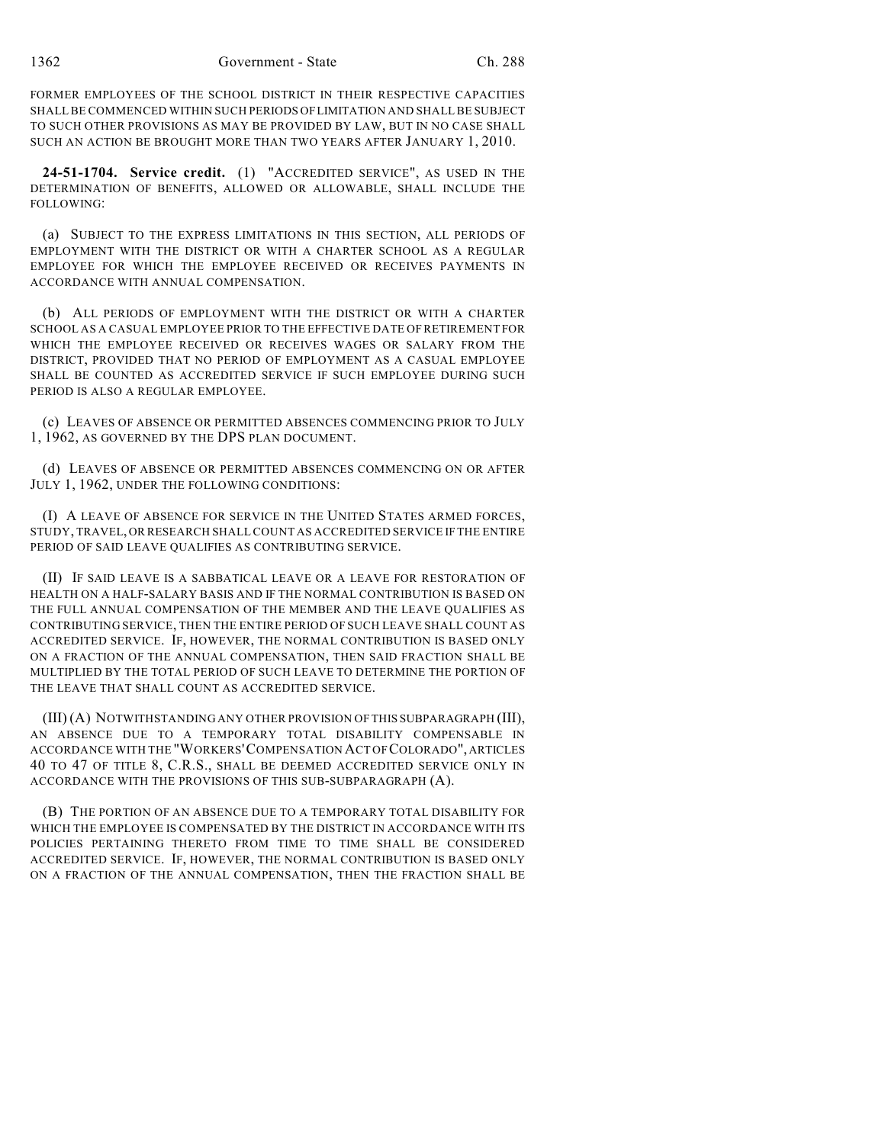FORMER EMPLOYEES OF THE SCHOOL DISTRICT IN THEIR RESPECTIVE CAPACITIES SHALL BE COMMENCED WITHIN SUCH PERIODS OF LIMITATION AND SHALL BE SUBJECT TO SUCH OTHER PROVISIONS AS MAY BE PROVIDED BY LAW, BUT IN NO CASE SHALL SUCH AN ACTION BE BROUGHT MORE THAN TWO YEARS AFTER JANUARY 1, 2010.

**24-51-1704. Service credit.** (1) "ACCREDITED SERVICE", AS USED IN THE DETERMINATION OF BENEFITS, ALLOWED OR ALLOWABLE, SHALL INCLUDE THE FOLLOWING:

(a) SUBJECT TO THE EXPRESS LIMITATIONS IN THIS SECTION, ALL PERIODS OF EMPLOYMENT WITH THE DISTRICT OR WITH A CHARTER SCHOOL AS A REGULAR EMPLOYEE FOR WHICH THE EMPLOYEE RECEIVED OR RECEIVES PAYMENTS IN ACCORDANCE WITH ANNUAL COMPENSATION.

(b) ALL PERIODS OF EMPLOYMENT WITH THE DISTRICT OR WITH A CHARTER SCHOOL AS A CASUAL EMPLOYEE PRIOR TO THE EFFECTIVE DATE OF RETIREMENT FOR WHICH THE EMPLOYEE RECEIVED OR RECEIVES WAGES OR SALARY FROM THE DISTRICT, PROVIDED THAT NO PERIOD OF EMPLOYMENT AS A CASUAL EMPLOYEE SHALL BE COUNTED AS ACCREDITED SERVICE IF SUCH EMPLOYEE DURING SUCH PERIOD IS ALSO A REGULAR EMPLOYEE.

(c) LEAVES OF ABSENCE OR PERMITTED ABSENCES COMMENCING PRIOR TO JULY 1, 1962, AS GOVERNED BY THE DPS PLAN DOCUMENT.

(d) LEAVES OF ABSENCE OR PERMITTED ABSENCES COMMENCING ON OR AFTER JULY 1, 1962, UNDER THE FOLLOWING CONDITIONS:

(I) A LEAVE OF ABSENCE FOR SERVICE IN THE UNITED STATES ARMED FORCES, STUDY, TRAVEL, OR RESEARCH SHALL COUNT AS ACCREDITED SERVICE IF THE ENTIRE PERIOD OF SAID LEAVE QUALIFIES AS CONTRIBUTING SERVICE.

(II) IF SAID LEAVE IS A SABBATICAL LEAVE OR A LEAVE FOR RESTORATION OF HEALTH ON A HALF-SALARY BASIS AND IF THE NORMAL CONTRIBUTION IS BASED ON THE FULL ANNUAL COMPENSATION OF THE MEMBER AND THE LEAVE QUALIFIES AS CONTRIBUTING SERVICE, THEN THE ENTIRE PERIOD OF SUCH LEAVE SHALL COUNT AS ACCREDITED SERVICE. IF, HOWEVER, THE NORMAL CONTRIBUTION IS BASED ONLY ON A FRACTION OF THE ANNUAL COMPENSATION, THEN SAID FRACTION SHALL BE MULTIPLIED BY THE TOTAL PERIOD OF SUCH LEAVE TO DETERMINE THE PORTION OF THE LEAVE THAT SHALL COUNT AS ACCREDITED SERVICE.

(III) (A) NOTWITHSTANDING ANY OTHER PROVISION OF THIS SUBPARAGRAPH (III), AN ABSENCE DUE TO A TEMPORARY TOTAL DISABILITY COMPENSABLE IN ACCORDANCE WITH THE "WORKERS'COMPENSATION ACT OF COLORADO", ARTICLES 40 TO 47 OF TITLE 8, C.R.S., SHALL BE DEEMED ACCREDITED SERVICE ONLY IN ACCORDANCE WITH THE PROVISIONS OF THIS SUB-SUBPARAGRAPH (A).

(B) THE PORTION OF AN ABSENCE DUE TO A TEMPORARY TOTAL DISABILITY FOR WHICH THE EMPLOYEE IS COMPENSATED BY THE DISTRICT IN ACCORDANCE WITH ITS POLICIES PERTAINING THERETO FROM TIME TO TIME SHALL BE CONSIDERED ACCREDITED SERVICE. IF, HOWEVER, THE NORMAL CONTRIBUTION IS BASED ONLY ON A FRACTION OF THE ANNUAL COMPENSATION, THEN THE FRACTION SHALL BE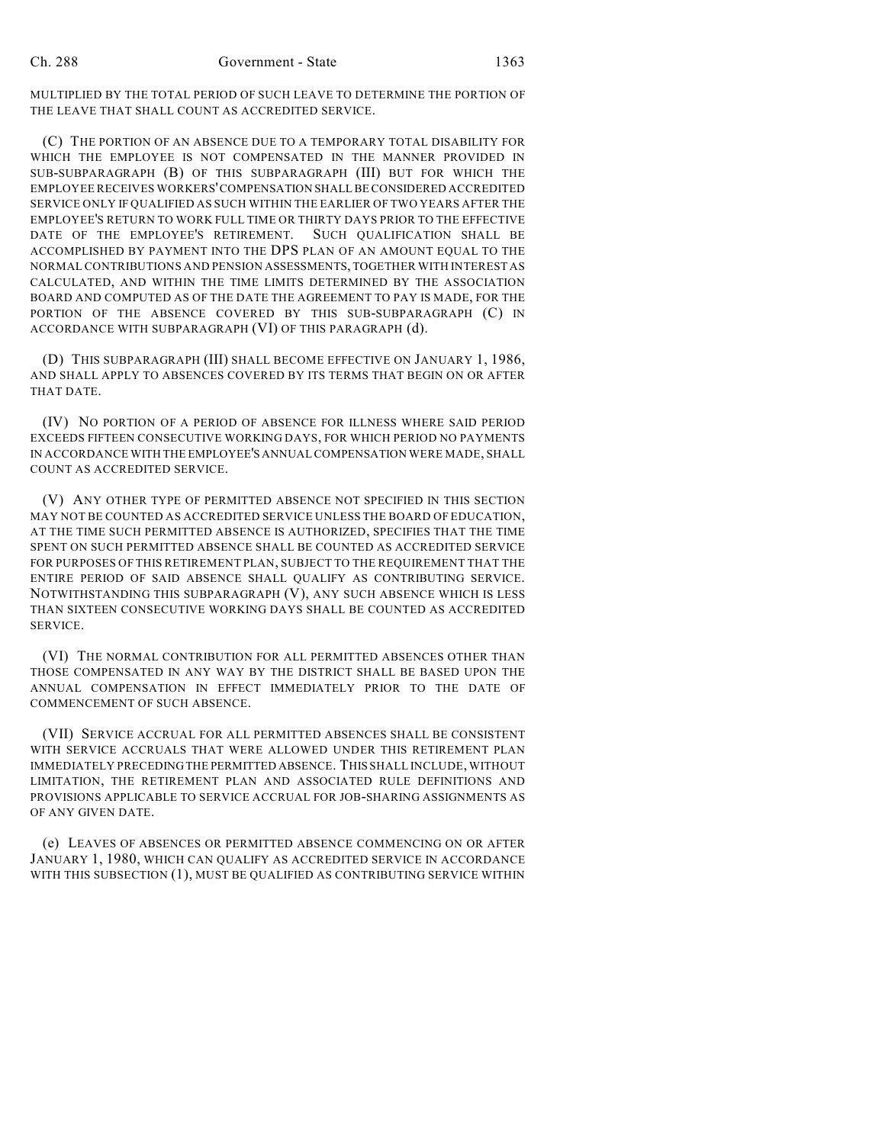MULTIPLIED BY THE TOTAL PERIOD OF SUCH LEAVE TO DETERMINE THE PORTION OF THE LEAVE THAT SHALL COUNT AS ACCREDITED SERVICE.

(C) THE PORTION OF AN ABSENCE DUE TO A TEMPORARY TOTAL DISABILITY FOR WHICH THE EMPLOYEE IS NOT COMPENSATED IN THE MANNER PROVIDED IN SUB-SUBPARAGRAPH (B) OF THIS SUBPARAGRAPH (III) BUT FOR WHICH THE EMPLOYEE RECEIVES WORKERS' COMPENSATION SHALL BE CONSIDERED ACCREDITED SERVICE ONLY IF QUALIFIED AS SUCH WITHIN THE EARLIER OF TWO YEARS AFTER THE EMPLOYEE'S RETURN TO WORK FULL TIME OR THIRTY DAYS PRIOR TO THE EFFECTIVE DATE OF THE EMPLOYEE'S RETIREMENT. SUCH QUALIFICATION SHALL BE ACCOMPLISHED BY PAYMENT INTO THE DPS PLAN OF AN AMOUNT EQUAL TO THE NORMAL CONTRIBUTIONS AND PENSION ASSESSMENTS, TOGETHER WITH INTEREST AS CALCULATED, AND WITHIN THE TIME LIMITS DETERMINED BY THE ASSOCIATION BOARD AND COMPUTED AS OF THE DATE THE AGREEMENT TO PAY IS MADE, FOR THE PORTION OF THE ABSENCE COVERED BY THIS SUB-SUBPARAGRAPH (C) IN ACCORDANCE WITH SUBPARAGRAPH (VI) OF THIS PARAGRAPH (d).

(D) THIS SUBPARAGRAPH (III) SHALL BECOME EFFECTIVE ON JANUARY 1, 1986, AND SHALL APPLY TO ABSENCES COVERED BY ITS TERMS THAT BEGIN ON OR AFTER THAT DATE.

(IV) NO PORTION OF A PERIOD OF ABSENCE FOR ILLNESS WHERE SAID PERIOD EXCEEDS FIFTEEN CONSECUTIVE WORKING DAYS, FOR WHICH PERIOD NO PAYMENTS IN ACCORDANCE WITH THE EMPLOYEE'S ANNUAL COMPENSATION WERE MADE, SHALL COUNT AS ACCREDITED SERVICE.

(V) ANY OTHER TYPE OF PERMITTED ABSENCE NOT SPECIFIED IN THIS SECTION MAY NOT BE COUNTED AS ACCREDITED SERVICE UNLESS THE BOARD OF EDUCATION, AT THE TIME SUCH PERMITTED ABSENCE IS AUTHORIZED, SPECIFIES THAT THE TIME SPENT ON SUCH PERMITTED ABSENCE SHALL BE COUNTED AS ACCREDITED SERVICE FOR PURPOSES OF THIS RETIREMENT PLAN, SUBJECT TO THE REQUIREMENT THAT THE ENTIRE PERIOD OF SAID ABSENCE SHALL QUALIFY AS CONTRIBUTING SERVICE. NOTWITHSTANDING THIS SUBPARAGRAPH (V), ANY SUCH ABSENCE WHICH IS LESS THAN SIXTEEN CONSECUTIVE WORKING DAYS SHALL BE COUNTED AS ACCREDITED SERVICE.

(VI) THE NORMAL CONTRIBUTION FOR ALL PERMITTED ABSENCES OTHER THAN THOSE COMPENSATED IN ANY WAY BY THE DISTRICT SHALL BE BASED UPON THE ANNUAL COMPENSATION IN EFFECT IMMEDIATELY PRIOR TO THE DATE OF COMMENCEMENT OF SUCH ABSENCE.

(VII) SERVICE ACCRUAL FOR ALL PERMITTED ABSENCES SHALL BE CONSISTENT WITH SERVICE ACCRUALS THAT WERE ALLOWED UNDER THIS RETIREMENT PLAN IMMEDIATELY PRECEDING THE PERMITTED ABSENCE. THIS SHALL INCLUDE, WITHOUT LIMITATION, THE RETIREMENT PLAN AND ASSOCIATED RULE DEFINITIONS AND PROVISIONS APPLICABLE TO SERVICE ACCRUAL FOR JOB-SHARING ASSIGNMENTS AS OF ANY GIVEN DATE.

(e) LEAVES OF ABSENCES OR PERMITTED ABSENCE COMMENCING ON OR AFTER JANUARY 1, 1980, WHICH CAN QUALIFY AS ACCREDITED SERVICE IN ACCORDANCE WITH THIS SUBSECTION (1), MUST BE QUALIFIED AS CONTRIBUTING SERVICE WITHIN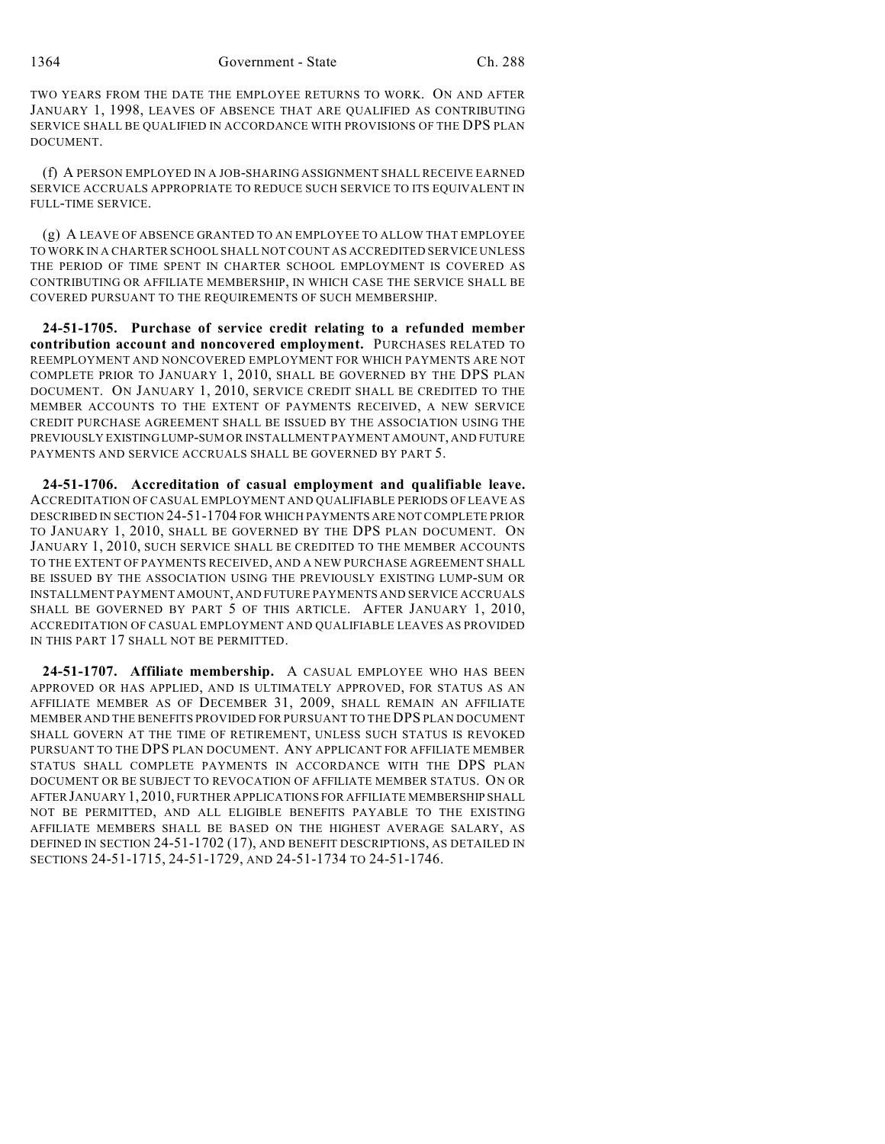TWO YEARS FROM THE DATE THE EMPLOYEE RETURNS TO WORK. ON AND AFTER JANUARY 1, 1998, LEAVES OF ABSENCE THAT ARE QUALIFIED AS CONTRIBUTING SERVICE SHALL BE QUALIFIED IN ACCORDANCE WITH PROVISIONS OF THE DPS PLAN DOCUMENT.

(f) A PERSON EMPLOYED IN A JOB-SHARING ASSIGNMENT SHALL RECEIVE EARNED SERVICE ACCRUALS APPROPRIATE TO REDUCE SUCH SERVICE TO ITS EQUIVALENT IN FULL-TIME SERVICE.

(g) A LEAVE OF ABSENCE GRANTED TO AN EMPLOYEE TO ALLOW THAT EMPLOYEE TO WORK IN A CHARTER SCHOOL SHALL NOT COUNT AS ACCREDITED SERVICE UNLESS THE PERIOD OF TIME SPENT IN CHARTER SCHOOL EMPLOYMENT IS COVERED AS CONTRIBUTING OR AFFILIATE MEMBERSHIP, IN WHICH CASE THE SERVICE SHALL BE COVERED PURSUANT TO THE REQUIREMENTS OF SUCH MEMBERSHIP.

**24-51-1705. Purchase of service credit relating to a refunded member contribution account and noncovered employment.** PURCHASES RELATED TO REEMPLOYMENT AND NONCOVERED EMPLOYMENT FOR WHICH PAYMENTS ARE NOT COMPLETE PRIOR TO JANUARY 1, 2010, SHALL BE GOVERNED BY THE DPS PLAN DOCUMENT. ON JANUARY 1, 2010, SERVICE CREDIT SHALL BE CREDITED TO THE MEMBER ACCOUNTS TO THE EXTENT OF PAYMENTS RECEIVED, A NEW SERVICE CREDIT PURCHASE AGREEMENT SHALL BE ISSUED BY THE ASSOCIATION USING THE PREVIOUSLY EXISTING LUMP-SUM OR INSTALLMENT PAYMENT AMOUNT, AND FUTURE PAYMENTS AND SERVICE ACCRUALS SHALL BE GOVERNED BY PART 5.

**24-51-1706. Accreditation of casual employment and qualifiable leave.** ACCREDITATION OF CASUAL EMPLOYMENT AND QUALIFIABLE PERIODS OF LEAVE AS DESCRIBED IN SECTION 24-51-1704 FOR WHICH PAYMENTS ARE NOT COMPLETE PRIOR TO JANUARY 1, 2010, SHALL BE GOVERNED BY THE DPS PLAN DOCUMENT. ON JANUARY 1, 2010, SUCH SERVICE SHALL BE CREDITED TO THE MEMBER ACCOUNTS TO THE EXTENT OF PAYMENTS RECEIVED, AND A NEW PURCHASE AGREEMENT SHALL BE ISSUED BY THE ASSOCIATION USING THE PREVIOUSLY EXISTING LUMP-SUM OR INSTALLMENT PAYMENT AMOUNT, AND FUTURE PAYMENTS AND SERVICE ACCRUALS SHALL BE GOVERNED BY PART 5 OF THIS ARTICLE. AFTER JANUARY 1, 2010, ACCREDITATION OF CASUAL EMPLOYMENT AND QUALIFIABLE LEAVES AS PROVIDED IN THIS PART 17 SHALL NOT BE PERMITTED.

**24-51-1707. Affiliate membership.** A CASUAL EMPLOYEE WHO HAS BEEN APPROVED OR HAS APPLIED, AND IS ULTIMATELY APPROVED, FOR STATUS AS AN AFFILIATE MEMBER AS OF DECEMBER 31, 2009, SHALL REMAIN AN AFFILIATE MEMBER AND THE BENEFITS PROVIDED FOR PURSUANT TO THE DPS PLAN DOCUMENT SHALL GOVERN AT THE TIME OF RETIREMENT, UNLESS SUCH STATUS IS REVOKED PURSUANT TO THE DPS PLAN DOCUMENT. ANY APPLICANT FOR AFFILIATE MEMBER STATUS SHALL COMPLETE PAYMENTS IN ACCORDANCE WITH THE DPS PLAN DOCUMENT OR BE SUBJECT TO REVOCATION OF AFFILIATE MEMBER STATUS. ON OR AFTERJANUARY 1,2010, FURTHER APPLICATIONS FOR AFFILIATE MEMBERSHIP SHALL NOT BE PERMITTED, AND ALL ELIGIBLE BENEFITS PAYABLE TO THE EXISTING AFFILIATE MEMBERS SHALL BE BASED ON THE HIGHEST AVERAGE SALARY, AS DEFINED IN SECTION 24-51-1702 (17), AND BENEFIT DESCRIPTIONS, AS DETAILED IN SECTIONS 24-51-1715, 24-51-1729, AND 24-51-1734 TO 24-51-1746.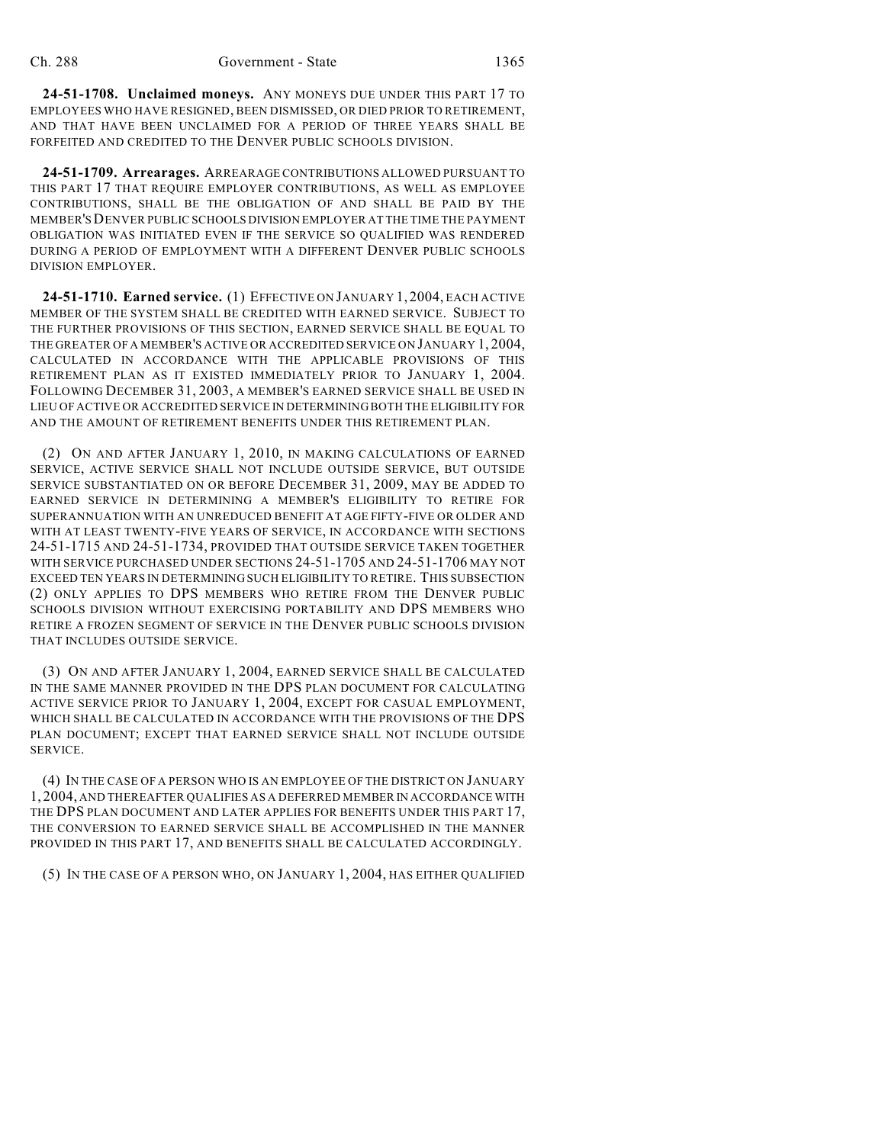**24-51-1708. Unclaimed moneys.** ANY MONEYS DUE UNDER THIS PART 17 TO EMPLOYEES WHO HAVE RESIGNED, BEEN DISMISSED, OR DIED PRIOR TO RETIREMENT, AND THAT HAVE BEEN UNCLAIMED FOR A PERIOD OF THREE YEARS SHALL BE FORFEITED AND CREDITED TO THE DENVER PUBLIC SCHOOLS DIVISION.

**24-51-1709. Arrearages.** ARREARAGE CONTRIBUTIONS ALLOWED PURSUANT TO THIS PART 17 THAT REQUIRE EMPLOYER CONTRIBUTIONS, AS WELL AS EMPLOYEE CONTRIBUTIONS, SHALL BE THE OBLIGATION OF AND SHALL BE PAID BY THE MEMBER'S DENVER PUBLIC SCHOOLS DIVISION EMPLOYER AT THE TIME THE PAYMENT OBLIGATION WAS INITIATED EVEN IF THE SERVICE SO QUALIFIED WAS RENDERED DURING A PERIOD OF EMPLOYMENT WITH A DIFFERENT DENVER PUBLIC SCHOOLS DIVISION EMPLOYER.

**24-51-1710. Earned service.** (1) EFFECTIVE ON JANUARY 1, 2004, EACH ACTIVE MEMBER OF THE SYSTEM SHALL BE CREDITED WITH EARNED SERVICE. SUBJECT TO THE FURTHER PROVISIONS OF THIS SECTION, EARNED SERVICE SHALL BE EQUAL TO THE GREATER OF A MEMBER'S ACTIVE OR ACCREDITED SERVICE ON JANUARY 1, 2004, CALCULATED IN ACCORDANCE WITH THE APPLICABLE PROVISIONS OF THIS RETIREMENT PLAN AS IT EXISTED IMMEDIATELY PRIOR TO JANUARY 1, 2004. FOLLOWING DECEMBER 31, 2003, A MEMBER'S EARNED SERVICE SHALL BE USED IN LIEU OF ACTIVE OR ACCREDITED SERVICE IN DETERMINING BOTH THE ELIGIBILITY FOR AND THE AMOUNT OF RETIREMENT BENEFITS UNDER THIS RETIREMENT PLAN.

(2) ON AND AFTER JANUARY 1, 2010, IN MAKING CALCULATIONS OF EARNED SERVICE, ACTIVE SERVICE SHALL NOT INCLUDE OUTSIDE SERVICE, BUT OUTSIDE SERVICE SUBSTANTIATED ON OR BEFORE DECEMBER 31, 2009, MAY BE ADDED TO EARNED SERVICE IN DETERMINING A MEMBER'S ELIGIBILITY TO RETIRE FOR SUPERANNUATION WITH AN UNREDUCED BENEFIT AT AGE FIFTY-FIVE OR OLDER AND WITH AT LEAST TWENTY-FIVE YEARS OF SERVICE, IN ACCORDANCE WITH SECTIONS 24-51-1715 AND 24-51-1734, PROVIDED THAT OUTSIDE SERVICE TAKEN TOGETHER WITH SERVICE PURCHASED UNDER SECTIONS 24-51-1705 AND 24-51-1706 MAY NOT EXCEED TEN YEARS IN DETERMINING SUCH ELIGIBILITY TO RETIRE. THIS SUBSECTION (2) ONLY APPLIES TO DPS MEMBERS WHO RETIRE FROM THE DENVER PUBLIC SCHOOLS DIVISION WITHOUT EXERCISING PORTABILITY AND DPS MEMBERS WHO RETIRE A FROZEN SEGMENT OF SERVICE IN THE DENVER PUBLIC SCHOOLS DIVISION THAT INCLUDES OUTSIDE SERVICE.

(3) ON AND AFTER JANUARY 1, 2004, EARNED SERVICE SHALL BE CALCULATED IN THE SAME MANNER PROVIDED IN THE DPS PLAN DOCUMENT FOR CALCULATING ACTIVE SERVICE PRIOR TO JANUARY 1, 2004, EXCEPT FOR CASUAL EMPLOYMENT, WHICH SHALL BE CALCULATED IN ACCORDANCE WITH THE PROVISIONS OF THE DPS PLAN DOCUMENT; EXCEPT THAT EARNED SERVICE SHALL NOT INCLUDE OUTSIDE SERVICE.

(4) IN THE CASE OF A PERSON WHO IS AN EMPLOYEE OF THE DISTRICT ON JANUARY 1, 2004, AND THEREAFTER QUALIFIES AS A DEFERRED MEMBER IN ACCORDANCE WITH THE DPS PLAN DOCUMENT AND LATER APPLIES FOR BENEFITS UNDER THIS PART 17, THE CONVERSION TO EARNED SERVICE SHALL BE ACCOMPLISHED IN THE MANNER PROVIDED IN THIS PART 17, AND BENEFITS SHALL BE CALCULATED ACCORDINGLY.

(5) IN THE CASE OF A PERSON WHO, ON JANUARY 1, 2004, HAS EITHER QUALIFIED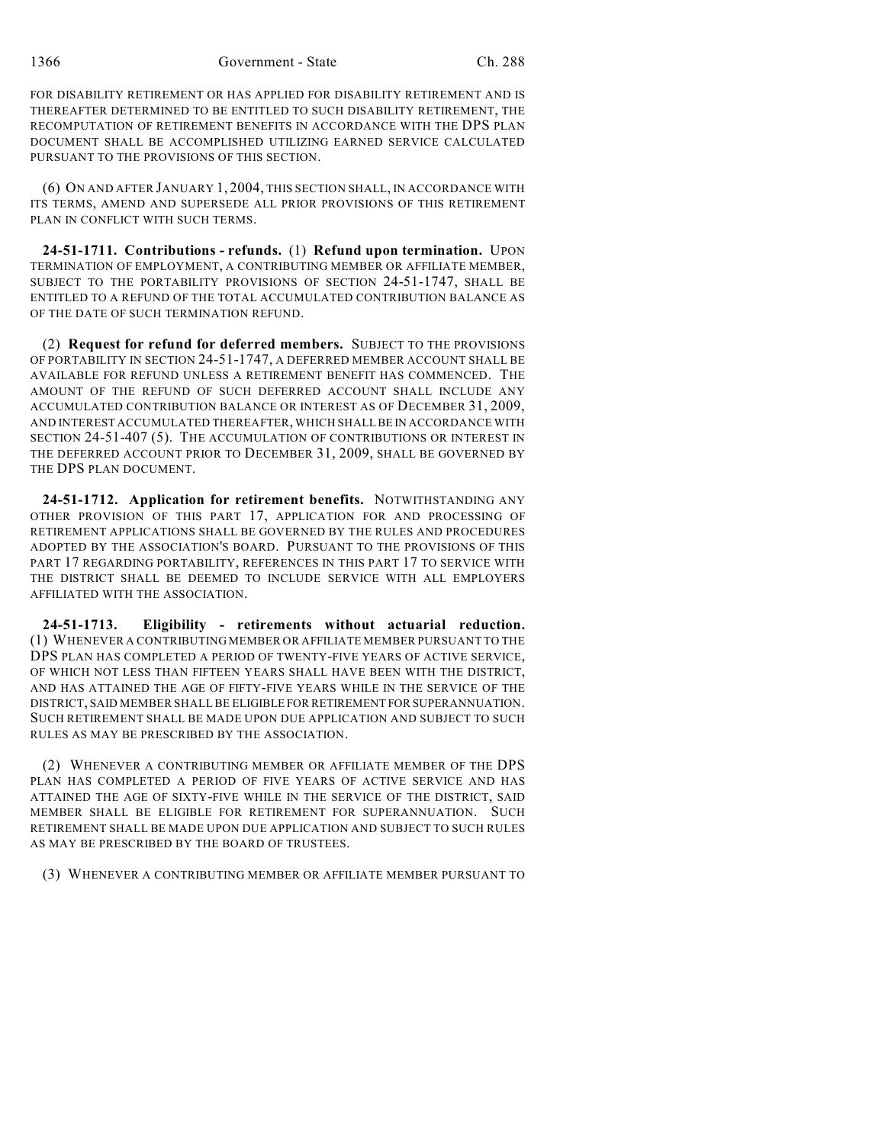FOR DISABILITY RETIREMENT OR HAS APPLIED FOR DISABILITY RETIREMENT AND IS THEREAFTER DETERMINED TO BE ENTITLED TO SUCH DISABILITY RETIREMENT, THE RECOMPUTATION OF RETIREMENT BENEFITS IN ACCORDANCE WITH THE DPS PLAN DOCUMENT SHALL BE ACCOMPLISHED UTILIZING EARNED SERVICE CALCULATED PURSUANT TO THE PROVISIONS OF THIS SECTION.

(6) ON AND AFTER JANUARY 1, 2004, THIS SECTION SHALL, IN ACCORDANCE WITH ITS TERMS, AMEND AND SUPERSEDE ALL PRIOR PROVISIONS OF THIS RETIREMENT PLAN IN CONFLICT WITH SUCH TERMS.

**24-51-1711. Contributions - refunds.** (1) **Refund upon termination.** UPON TERMINATION OF EMPLOYMENT, A CONTRIBUTING MEMBER OR AFFILIATE MEMBER, SUBJECT TO THE PORTABILITY PROVISIONS OF SECTION 24-51-1747, SHALL BE ENTITLED TO A REFUND OF THE TOTAL ACCUMULATED CONTRIBUTION BALANCE AS OF THE DATE OF SUCH TERMINATION REFUND.

(2) **Request for refund for deferred members.** SUBJECT TO THE PROVISIONS OF PORTABILITY IN SECTION 24-51-1747, A DEFERRED MEMBER ACCOUNT SHALL BE AVAILABLE FOR REFUND UNLESS A RETIREMENT BENEFIT HAS COMMENCED. THE AMOUNT OF THE REFUND OF SUCH DEFERRED ACCOUNT SHALL INCLUDE ANY ACCUMULATED CONTRIBUTION BALANCE OR INTEREST AS OF DECEMBER 31, 2009, AND INTEREST ACCUMULATED THEREAFTER, WHICH SHALL BE IN ACCORDANCE WITH SECTION 24-51-407 (5). THE ACCUMULATION OF CONTRIBUTIONS OR INTEREST IN THE DEFERRED ACCOUNT PRIOR TO DECEMBER 31, 2009, SHALL BE GOVERNED BY THE DPS PLAN DOCUMENT.

**24-51-1712. Application for retirement benefits.** NOTWITHSTANDING ANY OTHER PROVISION OF THIS PART 17, APPLICATION FOR AND PROCESSING OF RETIREMENT APPLICATIONS SHALL BE GOVERNED BY THE RULES AND PROCEDURES ADOPTED BY THE ASSOCIATION'S BOARD. PURSUANT TO THE PROVISIONS OF THIS PART 17 REGARDING PORTABILITY, REFERENCES IN THIS PART 17 TO SERVICE WITH THE DISTRICT SHALL BE DEEMED TO INCLUDE SERVICE WITH ALL EMPLOYERS AFFILIATED WITH THE ASSOCIATION.

**24-51-1713. Eligibility - retirements without actuarial reduction.** (1) WHENEVER A CONTRIBUTING MEMBER OR AFFILIATE MEMBER PURSUANT TO THE DPS PLAN HAS COMPLETED A PERIOD OF TWENTY-FIVE YEARS OF ACTIVE SERVICE, OF WHICH NOT LESS THAN FIFTEEN YEARS SHALL HAVE BEEN WITH THE DISTRICT, AND HAS ATTAINED THE AGE OF FIFTY-FIVE YEARS WHILE IN THE SERVICE OF THE DISTRICT, SAID MEMBER SHALL BE ELIGIBLE FOR RETIREMENT FOR SUPERANNUATION. SUCH RETIREMENT SHALL BE MADE UPON DUE APPLICATION AND SUBJECT TO SUCH RULES AS MAY BE PRESCRIBED BY THE ASSOCIATION.

(2) WHENEVER A CONTRIBUTING MEMBER OR AFFILIATE MEMBER OF THE DPS PLAN HAS COMPLETED A PERIOD OF FIVE YEARS OF ACTIVE SERVICE AND HAS ATTAINED THE AGE OF SIXTY-FIVE WHILE IN THE SERVICE OF THE DISTRICT, SAID MEMBER SHALL BE ELIGIBLE FOR RETIREMENT FOR SUPERANNUATION. SUCH RETIREMENT SHALL BE MADE UPON DUE APPLICATION AND SUBJECT TO SUCH RULES AS MAY BE PRESCRIBED BY THE BOARD OF TRUSTEES.

(3) WHENEVER A CONTRIBUTING MEMBER OR AFFILIATE MEMBER PURSUANT TO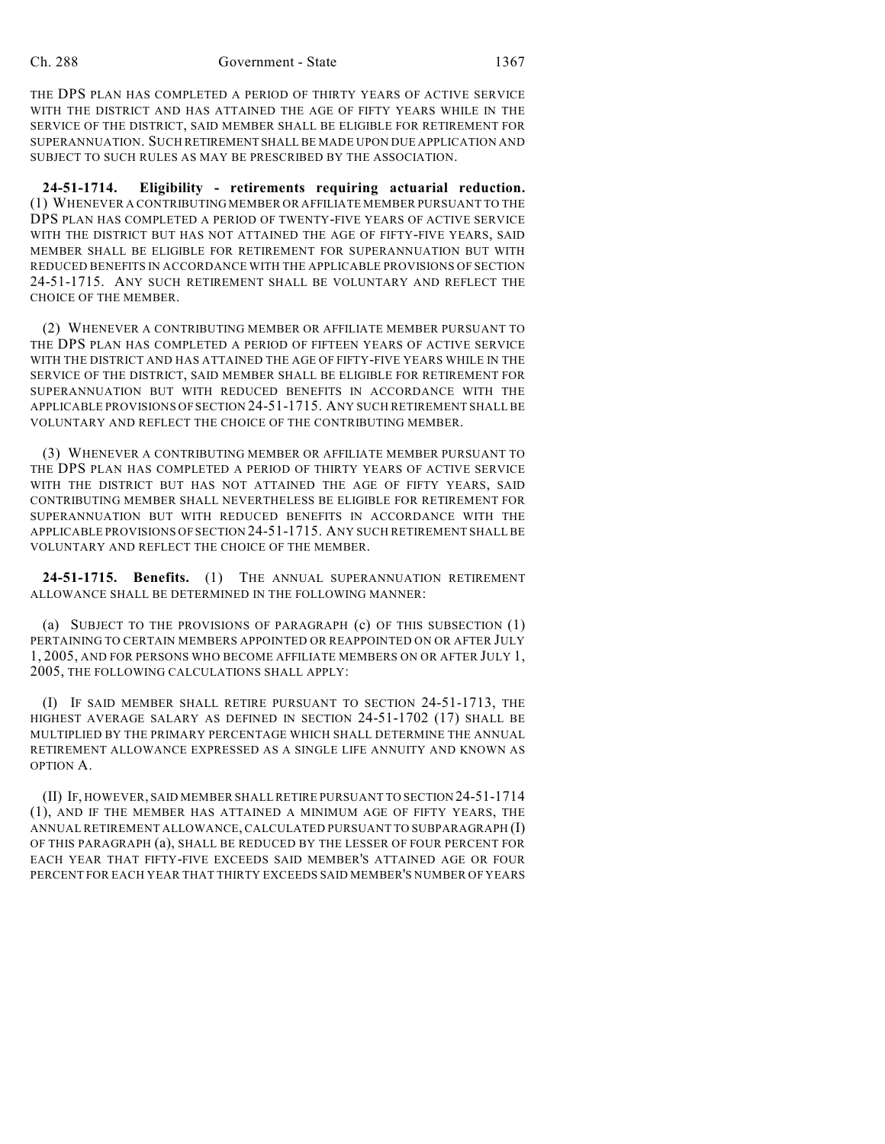THE DPS PLAN HAS COMPLETED A PERIOD OF THIRTY YEARS OF ACTIVE SERVICE WITH THE DISTRICT AND HAS ATTAINED THE AGE OF FIFTY YEARS WHILE IN THE SERVICE OF THE DISTRICT, SAID MEMBER SHALL BE ELIGIBLE FOR RETIREMENT FOR SUPERANNUATION. SUCH RETIREMENT SHALL BE MADE UPON DUE APPLICATION AND SUBJECT TO SUCH RULES AS MAY BE PRESCRIBED BY THE ASSOCIATION.

**24-51-1714. Eligibility - retirements requiring actuarial reduction.** (1) WHENEVER A CONTRIBUTING MEMBER OR AFFILIATE MEMBER PURSUANT TO THE DPS PLAN HAS COMPLETED A PERIOD OF TWENTY-FIVE YEARS OF ACTIVE SERVICE WITH THE DISTRICT BUT HAS NOT ATTAINED THE AGE OF FIFTY-FIVE YEARS, SAID MEMBER SHALL BE ELIGIBLE FOR RETIREMENT FOR SUPERANNUATION BUT WITH REDUCED BENEFITS IN ACCORDANCE WITH THE APPLICABLE PROVISIONS OF SECTION 24-51-1715. ANY SUCH RETIREMENT SHALL BE VOLUNTARY AND REFLECT THE CHOICE OF THE MEMBER.

(2) WHENEVER A CONTRIBUTING MEMBER OR AFFILIATE MEMBER PURSUANT TO THE DPS PLAN HAS COMPLETED A PERIOD OF FIFTEEN YEARS OF ACTIVE SERVICE WITH THE DISTRICT AND HAS ATTAINED THE AGE OF FIFTY-FIVE YEARS WHILE IN THE SERVICE OF THE DISTRICT, SAID MEMBER SHALL BE ELIGIBLE FOR RETIREMENT FOR SUPERANNUATION BUT WITH REDUCED BENEFITS IN ACCORDANCE WITH THE APPLICABLE PROVISIONS OF SECTION 24-51-1715. ANY SUCH RETIREMENT SHALL BE VOLUNTARY AND REFLECT THE CHOICE OF THE CONTRIBUTING MEMBER.

(3) WHENEVER A CONTRIBUTING MEMBER OR AFFILIATE MEMBER PURSUANT TO THE DPS PLAN HAS COMPLETED A PERIOD OF THIRTY YEARS OF ACTIVE SERVICE WITH THE DISTRICT BUT HAS NOT ATTAINED THE AGE OF FIFTY YEARS, SAID CONTRIBUTING MEMBER SHALL NEVERTHELESS BE ELIGIBLE FOR RETIREMENT FOR SUPERANNUATION BUT WITH REDUCED BENEFITS IN ACCORDANCE WITH THE APPLICABLE PROVISIONS OF SECTION 24-51-1715. ANY SUCH RETIREMENT SHALL BE VOLUNTARY AND REFLECT THE CHOICE OF THE MEMBER.

**24-51-1715. Benefits.** (1) THE ANNUAL SUPERANNUATION RETIREMENT ALLOWANCE SHALL BE DETERMINED IN THE FOLLOWING MANNER:

(a) SUBJECT TO THE PROVISIONS OF PARAGRAPH (c) OF THIS SUBSECTION (1) PERTAINING TO CERTAIN MEMBERS APPOINTED OR REAPPOINTED ON OR AFTER JULY 1, 2005, AND FOR PERSONS WHO BECOME AFFILIATE MEMBERS ON OR AFTER JULY 1, 2005, THE FOLLOWING CALCULATIONS SHALL APPLY:

(I) IF SAID MEMBER SHALL RETIRE PURSUANT TO SECTION 24-51-1713, THE HIGHEST AVERAGE SALARY AS DEFINED IN SECTION 24-51-1702 (17) SHALL BE MULTIPLIED BY THE PRIMARY PERCENTAGE WHICH SHALL DETERMINE THE ANNUAL RETIREMENT ALLOWANCE EXPRESSED AS A SINGLE LIFE ANNUITY AND KNOWN AS OPTION A.

(II) IF, HOWEVER, SAID MEMBER SHALL RETIRE PURSUANT TO SECTION 24-51-1714 (1), AND IF THE MEMBER HAS ATTAINED A MINIMUM AGE OF FIFTY YEARS, THE ANNUAL RETIREMENT ALLOWANCE, CALCULATED PURSUANT TO SUBPARAGRAPH (I) OF THIS PARAGRAPH (a), SHALL BE REDUCED BY THE LESSER OF FOUR PERCENT FOR EACH YEAR THAT FIFTY-FIVE EXCEEDS SAID MEMBER'S ATTAINED AGE OR FOUR PERCENT FOR EACH YEAR THAT THIRTY EXCEEDS SAID MEMBER'S NUMBER OF YEARS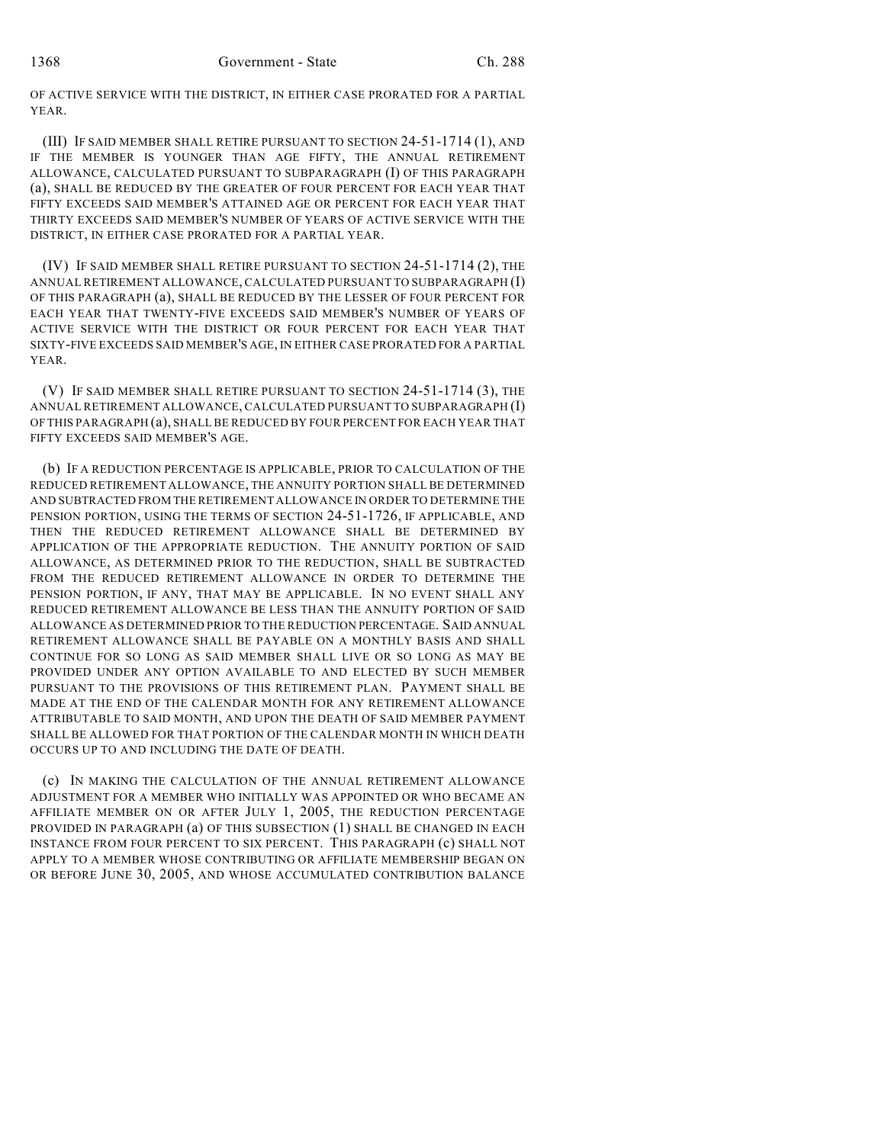OF ACTIVE SERVICE WITH THE DISTRICT, IN EITHER CASE PRORATED FOR A PARTIAL YEAR.

(III) IF SAID MEMBER SHALL RETIRE PURSUANT TO SECTION 24-51-1714 (1), AND IF THE MEMBER IS YOUNGER THAN AGE FIFTY, THE ANNUAL RETIREMENT ALLOWANCE, CALCULATED PURSUANT TO SUBPARAGRAPH (I) OF THIS PARAGRAPH (a), SHALL BE REDUCED BY THE GREATER OF FOUR PERCENT FOR EACH YEAR THAT FIFTY EXCEEDS SAID MEMBER'S ATTAINED AGE OR PERCENT FOR EACH YEAR THAT THIRTY EXCEEDS SAID MEMBER'S NUMBER OF YEARS OF ACTIVE SERVICE WITH THE DISTRICT, IN EITHER CASE PRORATED FOR A PARTIAL YEAR.

(IV) IF SAID MEMBER SHALL RETIRE PURSUANT TO SECTION 24-51-1714 (2), THE ANNUAL RETIREMENT ALLOWANCE, CALCULATED PURSUANT TO SUBPARAGRAPH (I) OF THIS PARAGRAPH (a), SHALL BE REDUCED BY THE LESSER OF FOUR PERCENT FOR EACH YEAR THAT TWENTY-FIVE EXCEEDS SAID MEMBER'S NUMBER OF YEARS OF ACTIVE SERVICE WITH THE DISTRICT OR FOUR PERCENT FOR EACH YEAR THAT SIXTY-FIVE EXCEEDS SAID MEMBER'S AGE, IN EITHER CASE PRORATED FOR A PARTIAL YEAR.

(V) IF SAID MEMBER SHALL RETIRE PURSUANT TO SECTION 24-51-1714 (3), THE ANNUAL RETIREMENT ALLOWANCE, CALCULATED PURSUANT TO SUBPARAGRAPH (I) OF THIS PARAGRAPH (a), SHALL BE REDUCED BY FOUR PERCENT FOR EACH YEAR THAT FIFTY EXCEEDS SAID MEMBER'S AGE.

(b) IF A REDUCTION PERCENTAGE IS APPLICABLE, PRIOR TO CALCULATION OF THE REDUCED RETIREMENT ALLOWANCE, THE ANNUITY PORTION SHALL BE DETERMINED AND SUBTRACTED FROM THE RETIREMENT ALLOWANCE IN ORDER TO DETERMINE THE PENSION PORTION, USING THE TERMS OF SECTION 24-51-1726, IF APPLICABLE, AND THEN THE REDUCED RETIREMENT ALLOWANCE SHALL BE DETERMINED BY APPLICATION OF THE APPROPRIATE REDUCTION. THE ANNUITY PORTION OF SAID ALLOWANCE, AS DETERMINED PRIOR TO THE REDUCTION, SHALL BE SUBTRACTED FROM THE REDUCED RETIREMENT ALLOWANCE IN ORDER TO DETERMINE THE PENSION PORTION, IF ANY, THAT MAY BE APPLICABLE. IN NO EVENT SHALL ANY REDUCED RETIREMENT ALLOWANCE BE LESS THAN THE ANNUITY PORTION OF SAID ALLOWANCE AS DETERMINED PRIOR TO THE REDUCTION PERCENTAGE. SAID ANNUAL RETIREMENT ALLOWANCE SHALL BE PAYABLE ON A MONTHLY BASIS AND SHALL CONTINUE FOR SO LONG AS SAID MEMBER SHALL LIVE OR SO LONG AS MAY BE PROVIDED UNDER ANY OPTION AVAILABLE TO AND ELECTED BY SUCH MEMBER PURSUANT TO THE PROVISIONS OF THIS RETIREMENT PLAN. PAYMENT SHALL BE MADE AT THE END OF THE CALENDAR MONTH FOR ANY RETIREMENT ALLOWANCE ATTRIBUTABLE TO SAID MONTH, AND UPON THE DEATH OF SAID MEMBER PAYMENT SHALL BE ALLOWED FOR THAT PORTION OF THE CALENDAR MONTH IN WHICH DEATH OCCURS UP TO AND INCLUDING THE DATE OF DEATH.

(c) IN MAKING THE CALCULATION OF THE ANNUAL RETIREMENT ALLOWANCE ADJUSTMENT FOR A MEMBER WHO INITIALLY WAS APPOINTED OR WHO BECAME AN AFFILIATE MEMBER ON OR AFTER JULY 1, 2005, THE REDUCTION PERCENTAGE PROVIDED IN PARAGRAPH (a) OF THIS SUBSECTION (1) SHALL BE CHANGED IN EACH INSTANCE FROM FOUR PERCENT TO SIX PERCENT. THIS PARAGRAPH (c) SHALL NOT APPLY TO A MEMBER WHOSE CONTRIBUTING OR AFFILIATE MEMBERSHIP BEGAN ON OR BEFORE JUNE 30, 2005, AND WHOSE ACCUMULATED CONTRIBUTION BALANCE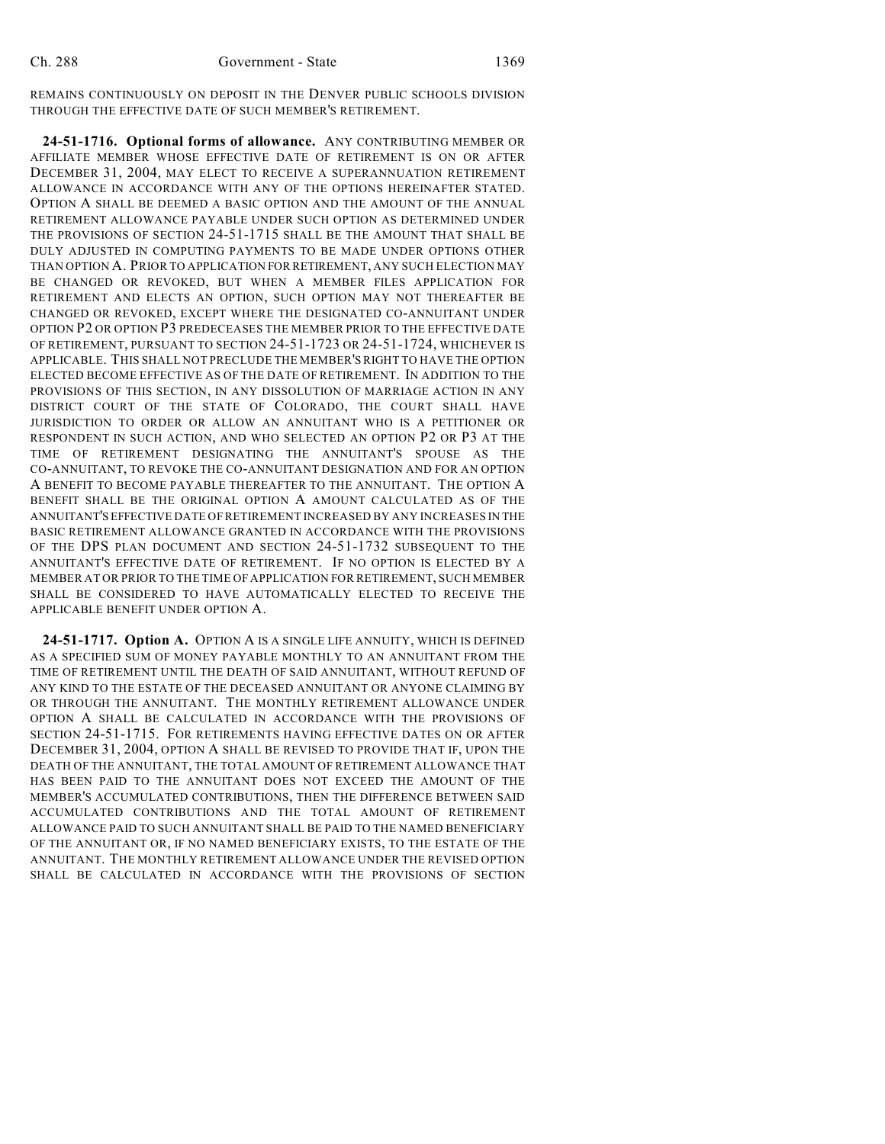REMAINS CONTINUOUSLY ON DEPOSIT IN THE DENVER PUBLIC SCHOOLS DIVISION THROUGH THE EFFECTIVE DATE OF SUCH MEMBER'S RETIREMENT.

**24-51-1716. Optional forms of allowance.** ANY CONTRIBUTING MEMBER OR AFFILIATE MEMBER WHOSE EFFECTIVE DATE OF RETIREMENT IS ON OR AFTER DECEMBER 31, 2004, MAY ELECT TO RECEIVE A SUPERANNUATION RETIREMENT ALLOWANCE IN ACCORDANCE WITH ANY OF THE OPTIONS HEREINAFTER STATED. OPTION A SHALL BE DEEMED A BASIC OPTION AND THE AMOUNT OF THE ANNUAL RETIREMENT ALLOWANCE PAYABLE UNDER SUCH OPTION AS DETERMINED UNDER THE PROVISIONS OF SECTION 24-51-1715 SHALL BE THE AMOUNT THAT SHALL BE DULY ADJUSTED IN COMPUTING PAYMENTS TO BE MADE UNDER OPTIONS OTHER THAN OPTION A. PRIOR TO APPLICATION FOR RETIREMENT, ANY SUCH ELECTION MAY BE CHANGED OR REVOKED, BUT WHEN A MEMBER FILES APPLICATION FOR RETIREMENT AND ELECTS AN OPTION, SUCH OPTION MAY NOT THEREAFTER BE CHANGED OR REVOKED, EXCEPT WHERE THE DESIGNATED CO-ANNUITANT UNDER OPTION P2 OR OPTION P3 PREDECEASES THE MEMBER PRIOR TO THE EFFECTIVE DATE OF RETIREMENT, PURSUANT TO SECTION 24-51-1723 OR 24-51-1724, WHICHEVER IS APPLICABLE. THIS SHALL NOT PRECLUDE THE MEMBER'S RIGHT TO HAVE THE OPTION ELECTED BECOME EFFECTIVE AS OF THE DATE OF RETIREMENT. IN ADDITION TO THE PROVISIONS OF THIS SECTION, IN ANY DISSOLUTION OF MARRIAGE ACTION IN ANY DISTRICT COURT OF THE STATE OF COLORADO, THE COURT SHALL HAVE JURISDICTION TO ORDER OR ALLOW AN ANNUITANT WHO IS A PETITIONER OR RESPONDENT IN SUCH ACTION, AND WHO SELECTED AN OPTION P2 OR P3 AT THE TIME OF RETIREMENT DESIGNATING THE ANNUITANT'S SPOUSE AS THE CO-ANNUITANT, TO REVOKE THE CO-ANNUITANT DESIGNATION AND FOR AN OPTION A BENEFIT TO BECOME PAYABLE THEREAFTER TO THE ANNUITANT. THE OPTION A BENEFIT SHALL BE THE ORIGINAL OPTION A AMOUNT CALCULATED AS OF THE ANNUITANT'S EFFECTIVE DATE OF RETIREMENT INCREASED BY ANY INCREASES IN THE BASIC RETIREMENT ALLOWANCE GRANTED IN ACCORDANCE WITH THE PROVISIONS OF THE DPS PLAN DOCUMENT AND SECTION 24-51-1732 SUBSEQUENT TO THE ANNUITANT'S EFFECTIVE DATE OF RETIREMENT. IF NO OPTION IS ELECTED BY A MEMBER AT OR PRIOR TO THE TIME OF APPLICATION FOR RETIREMENT, SUCH MEMBER SHALL BE CONSIDERED TO HAVE AUTOMATICALLY ELECTED TO RECEIVE THE APPLICABLE BENEFIT UNDER OPTION A.

**24-51-1717. Option A.** OPTION A IS A SINGLE LIFE ANNUITY, WHICH IS DEFINED AS A SPECIFIED SUM OF MONEY PAYABLE MONTHLY TO AN ANNUITANT FROM THE TIME OF RETIREMENT UNTIL THE DEATH OF SAID ANNUITANT, WITHOUT REFUND OF ANY KIND TO THE ESTATE OF THE DECEASED ANNUITANT OR ANYONE CLAIMING BY OR THROUGH THE ANNUITANT. THE MONTHLY RETIREMENT ALLOWANCE UNDER OPTION A SHALL BE CALCULATED IN ACCORDANCE WITH THE PROVISIONS OF SECTION 24-51-1715. FOR RETIREMENTS HAVING EFFECTIVE DATES ON OR AFTER DECEMBER 31, 2004, OPTION A SHALL BE REVISED TO PROVIDE THAT IF, UPON THE DEATH OF THE ANNUITANT, THE TOTAL AMOUNT OF RETIREMENT ALLOWANCE THAT HAS BEEN PAID TO THE ANNUITANT DOES NOT EXCEED THE AMOUNT OF THE MEMBER'S ACCUMULATED CONTRIBUTIONS, THEN THE DIFFERENCE BETWEEN SAID ACCUMULATED CONTRIBUTIONS AND THE TOTAL AMOUNT OF RETIREMENT ALLOWANCE PAID TO SUCH ANNUITANT SHALL BE PAID TO THE NAMED BENEFICIARY OF THE ANNUITANT OR, IF NO NAMED BENEFICIARY EXISTS, TO THE ESTATE OF THE ANNUITANT. THE MONTHLY RETIREMENT ALLOWANCE UNDER THE REVISED OPTION SHALL BE CALCULATED IN ACCORDANCE WITH THE PROVISIONS OF SECTION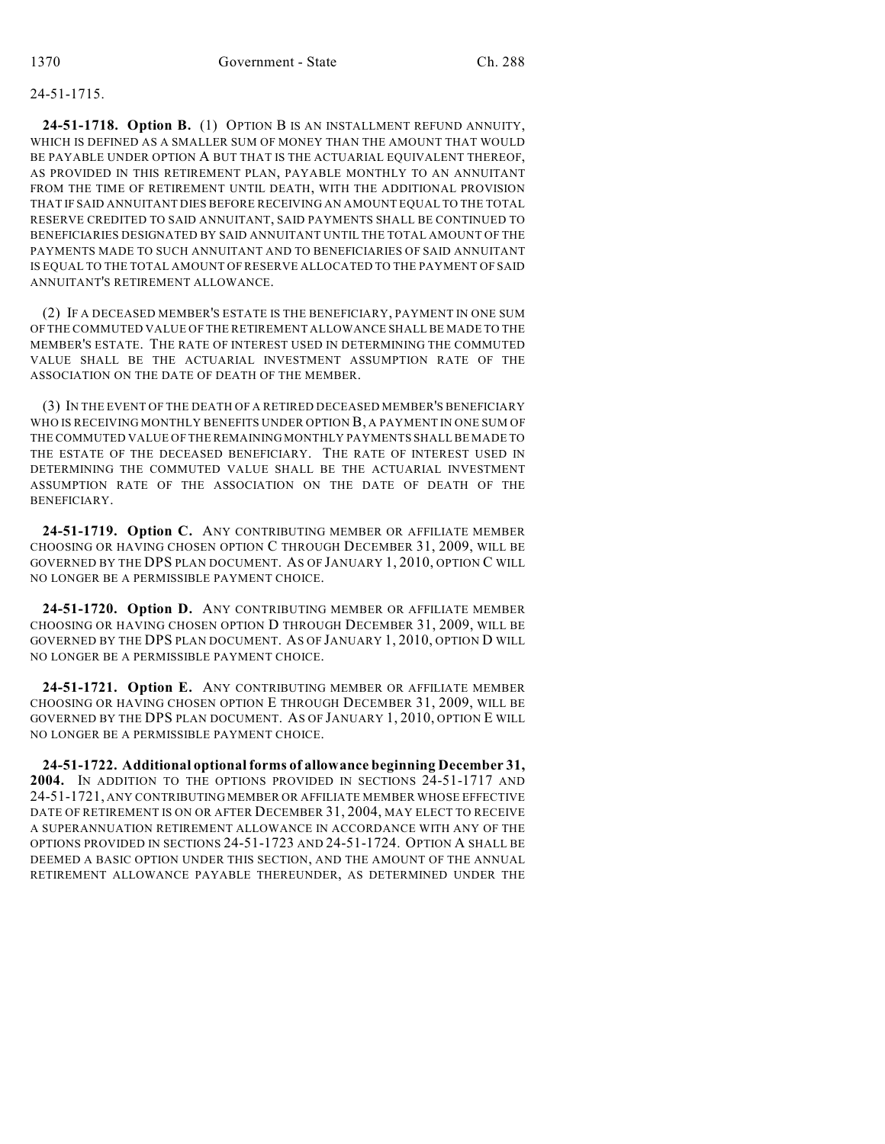### 24-51-1715.

**24-51-1718. Option B.** (1) OPTION B IS AN INSTALLMENT REFUND ANNUITY, WHICH IS DEFINED AS A SMALLER SUM OF MONEY THAN THE AMOUNT THAT WOULD BE PAYABLE UNDER OPTION A BUT THAT IS THE ACTUARIAL EQUIVALENT THEREOF. AS PROVIDED IN THIS RETIREMENT PLAN, PAYABLE MONTHLY TO AN ANNUITANT FROM THE TIME OF RETIREMENT UNTIL DEATH, WITH THE ADDITIONAL PROVISION THAT IF SAID ANNUITANT DIES BEFORE RECEIVING AN AMOUNT EQUAL TO THE TOTAL RESERVE CREDITED TO SAID ANNUITANT, SAID PAYMENTS SHALL BE CONTINUED TO BENEFICIARIES DESIGNATED BY SAID ANNUITANT UNTIL THE TOTAL AMOUNT OF THE PAYMENTS MADE TO SUCH ANNUITANT AND TO BENEFICIARIES OF SAID ANNUITANT IS EQUAL TO THE TOTAL AMOUNT OF RESERVE ALLOCATED TO THE PAYMENT OF SAID ANNUITANT'S RETIREMENT ALLOWANCE.

(2) IF A DECEASED MEMBER'S ESTATE IS THE BENEFICIARY, PAYMENT IN ONE SUM OF THE COMMUTED VALUE OF THE RETIREMENT ALLOWANCE SHALL BE MADE TO THE MEMBER'S ESTATE. THE RATE OF INTEREST USED IN DETERMINING THE COMMUTED VALUE SHALL BE THE ACTUARIAL INVESTMENT ASSUMPTION RATE OF THE ASSOCIATION ON THE DATE OF DEATH OF THE MEMBER.

(3) IN THE EVENT OF THE DEATH OF A RETIRED DECEASED MEMBER'S BENEFICIARY WHO IS RECEIVING MONTHLY BENEFITS UNDER OPTION B, A PAYMENT IN ONE SUM OF THE COMMUTED VALUE OF THE REMAINING MONTHLY PAYMENTS SHALL BE MADE TO THE ESTATE OF THE DECEASED BENEFICIARY. THE RATE OF INTEREST USED IN DETERMINING THE COMMUTED VALUE SHALL BE THE ACTUARIAL INVESTMENT ASSUMPTION RATE OF THE ASSOCIATION ON THE DATE OF DEATH OF THE BENEFICIARY.

**24-51-1719. Option C.** ANY CONTRIBUTING MEMBER OR AFFILIATE MEMBER CHOOSING OR HAVING CHOSEN OPTION C THROUGH DECEMBER 31, 2009, WILL BE GOVERNED BY THE DPS PLAN DOCUMENT. AS OF JANUARY 1, 2010, OPTION C WILL NO LONGER BE A PERMISSIBLE PAYMENT CHOICE.

**24-51-1720. Option D.** ANY CONTRIBUTING MEMBER OR AFFILIATE MEMBER CHOOSING OR HAVING CHOSEN OPTION D THROUGH DECEMBER 31, 2009, WILL BE GOVERNED BY THE DPS PLAN DOCUMENT. AS OF JANUARY 1, 2010, OPTION D WILL NO LONGER BE A PERMISSIBLE PAYMENT CHOICE.

**24-51-1721. Option E.** ANY CONTRIBUTING MEMBER OR AFFILIATE MEMBER CHOOSING OR HAVING CHOSEN OPTION E THROUGH DECEMBER 31, 2009, WILL BE GOVERNED BY THE DPS PLAN DOCUMENT. AS OF JANUARY 1, 2010, OPTION E WILL NO LONGER BE A PERMISSIBLE PAYMENT CHOICE.

**24-51-1722. Additional optional forms of allowance beginning December 31, 2004.** IN ADDITION TO THE OPTIONS PROVIDED IN SECTIONS 24-51-1717 AND 24-51-1721, ANY CONTRIBUTING MEMBER OR AFFILIATE MEMBER WHOSE EFFECTIVE DATE OF RETIREMENT IS ON OR AFTER DECEMBER 31, 2004, MAY ELECT TO RECEIVE A SUPERANNUATION RETIREMENT ALLOWANCE IN ACCORDANCE WITH ANY OF THE OPTIONS PROVIDED IN SECTIONS 24-51-1723 AND 24-51-1724. OPTION A SHALL BE DEEMED A BASIC OPTION UNDER THIS SECTION, AND THE AMOUNT OF THE ANNUAL RETIREMENT ALLOWANCE PAYABLE THEREUNDER, AS DETERMINED UNDER THE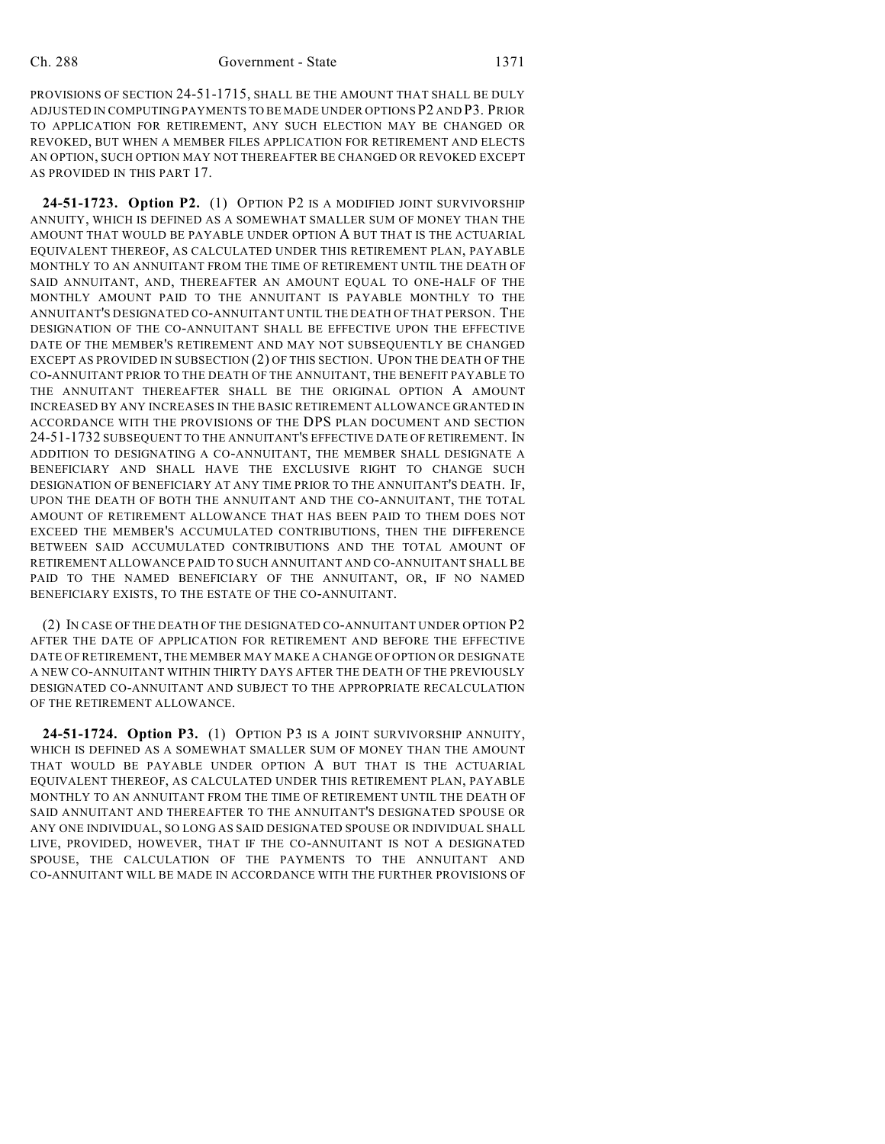PROVISIONS OF SECTION 24-51-1715, SHALL BE THE AMOUNT THAT SHALL BE DULY ADJUSTED IN COMPUTING PAYMENTS TO BE MADE UNDER OPTIONS P2 AND P3. PRIOR TO APPLICATION FOR RETIREMENT, ANY SUCH ELECTION MAY BE CHANGED OR REVOKED, BUT WHEN A MEMBER FILES APPLICATION FOR RETIREMENT AND ELECTS AN OPTION, SUCH OPTION MAY NOT THEREAFTER BE CHANGED OR REVOKED EXCEPT AS PROVIDED IN THIS PART 17.

**24-51-1723. Option P2.** (1) OPTION P2 IS A MODIFIED JOINT SURVIVORSHIP ANNUITY, WHICH IS DEFINED AS A SOMEWHAT SMALLER SUM OF MONEY THAN THE AMOUNT THAT WOULD BE PAYABLE UNDER OPTION A BUT THAT IS THE ACTUARIAL EQUIVALENT THEREOF, AS CALCULATED UNDER THIS RETIREMENT PLAN, PAYABLE MONTHLY TO AN ANNUITANT FROM THE TIME OF RETIREMENT UNTIL THE DEATH OF SAID ANNUITANT, AND, THEREAFTER AN AMOUNT EQUAL TO ONE-HALF OF THE MONTHLY AMOUNT PAID TO THE ANNUITANT IS PAYABLE MONTHLY TO THE ANNUITANT'S DESIGNATED CO-ANNUITANT UNTIL THE DEATH OF THAT PERSON. THE DESIGNATION OF THE CO-ANNUITANT SHALL BE EFFECTIVE UPON THE EFFECTIVE DATE OF THE MEMBER'S RETIREMENT AND MAY NOT SUBSEQUENTLY BE CHANGED EXCEPT AS PROVIDED IN SUBSECTION (2) OF THIS SECTION. UPON THE DEATH OF THE CO-ANNUITANT PRIOR TO THE DEATH OF THE ANNUITANT, THE BENEFIT PAYABLE TO THE ANNUITANT THEREAFTER SHALL BE THE ORIGINAL OPTION A AMOUNT INCREASED BY ANY INCREASES IN THE BASIC RETIREMENT ALLOWANCE GRANTED IN ACCORDANCE WITH THE PROVISIONS OF THE DPS PLAN DOCUMENT AND SECTION 24-51-1732 SUBSEQUENT TO THE ANNUITANT'S EFFECTIVE DATE OF RETIREMENT. IN ADDITION TO DESIGNATING A CO-ANNUITANT, THE MEMBER SHALL DESIGNATE A BENEFICIARY AND SHALL HAVE THE EXCLUSIVE RIGHT TO CHANGE SUCH DESIGNATION OF BENEFICIARY AT ANY TIME PRIOR TO THE ANNUITANT'S DEATH. IF, UPON THE DEATH OF BOTH THE ANNUITANT AND THE CO-ANNUITANT, THE TOTAL AMOUNT OF RETIREMENT ALLOWANCE THAT HAS BEEN PAID TO THEM DOES NOT EXCEED THE MEMBER'S ACCUMULATED CONTRIBUTIONS, THEN THE DIFFERENCE BETWEEN SAID ACCUMULATED CONTRIBUTIONS AND THE TOTAL AMOUNT OF RETIREMENT ALLOWANCE PAID TO SUCH ANNUITANT AND CO-ANNUITANT SHALL BE PAID TO THE NAMED BENEFICIARY OF THE ANNUITANT, OR, IF NO NAMED BENEFICIARY EXISTS, TO THE ESTATE OF THE CO-ANNUITANT.

(2) IN CASE OF THE DEATH OF THE DESIGNATED CO-ANNUITANT UNDER OPTION P2 AFTER THE DATE OF APPLICATION FOR RETIREMENT AND BEFORE THE EFFECTIVE DATE OF RETIREMENT, THE MEMBER MAY MAKE A CHANGE OF OPTION OR DESIGNATE A NEW CO-ANNUITANT WITHIN THIRTY DAYS AFTER THE DEATH OF THE PREVIOUSLY DESIGNATED CO-ANNUITANT AND SUBJECT TO THE APPROPRIATE RECALCULATION OF THE RETIREMENT ALLOWANCE.

**24-51-1724. Option P3.** (1) OPTION P3 IS A JOINT SURVIVORSHIP ANNUITY, WHICH IS DEFINED AS A SOMEWHAT SMALLER SUM OF MONEY THAN THE AMOUNT THAT WOULD BE PAYABLE UNDER OPTION A BUT THAT IS THE ACTUARIAL EQUIVALENT THEREOF, AS CALCULATED UNDER THIS RETIREMENT PLAN, PAYABLE MONTHLY TO AN ANNUITANT FROM THE TIME OF RETIREMENT UNTIL THE DEATH OF SAID ANNUITANT AND THEREAFTER TO THE ANNUITANT'S DESIGNATED SPOUSE OR ANY ONE INDIVIDUAL, SO LONG AS SAID DESIGNATED SPOUSE OR INDIVIDUAL SHALL LIVE, PROVIDED, HOWEVER, THAT IF THE CO-ANNUITANT IS NOT A DESIGNATED SPOUSE, THE CALCULATION OF THE PAYMENTS TO THE ANNUITANT AND CO-ANNUITANT WILL BE MADE IN ACCORDANCE WITH THE FURTHER PROVISIONS OF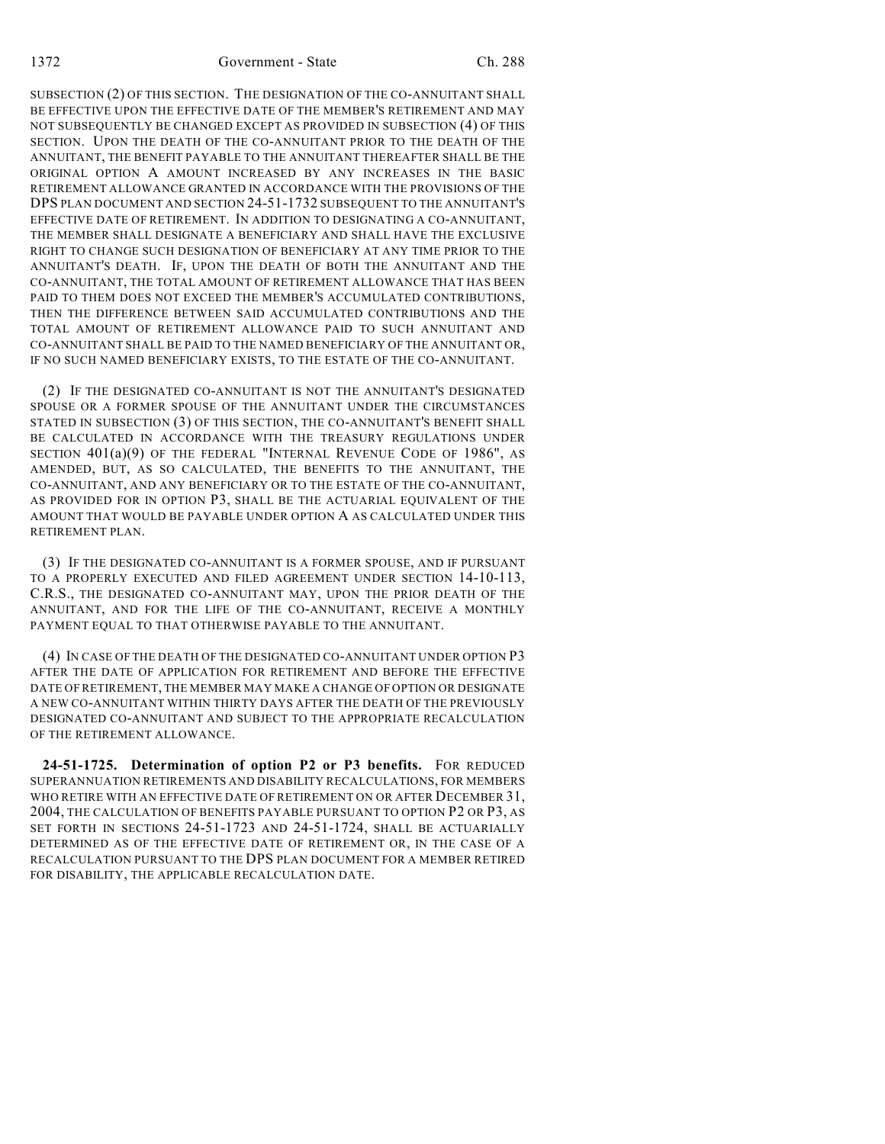SUBSECTION (2) OF THIS SECTION. THE DESIGNATION OF THE CO-ANNUITANT SHALL BE EFFECTIVE UPON THE EFFECTIVE DATE OF THE MEMBER'S RETIREMENT AND MAY NOT SUBSEQUENTLY BE CHANGED EXCEPT AS PROVIDED IN SUBSECTION (4) OF THIS SECTION. UPON THE DEATH OF THE CO-ANNUITANT PRIOR TO THE DEATH OF THE ANNUITANT, THE BENEFIT PAYABLE TO THE ANNUITANT THEREAFTER SHALL BE THE ORIGINAL OPTION A AMOUNT INCREASED BY ANY INCREASES IN THE BASIC RETIREMENT ALLOWANCE GRANTED IN ACCORDANCE WITH THE PROVISIONS OF THE DPS PLAN DOCUMENT AND SECTION 24-51-1732 SUBSEQUENT TO THE ANNUITANT'S EFFECTIVE DATE OF RETIREMENT. IN ADDITION TO DESIGNATING A CO-ANNUITANT, THE MEMBER SHALL DESIGNATE A BENEFICIARY AND SHALL HAVE THE EXCLUSIVE RIGHT TO CHANGE SUCH DESIGNATION OF BENEFICIARY AT ANY TIME PRIOR TO THE ANNUITANT'S DEATH. IF, UPON THE DEATH OF BOTH THE ANNUITANT AND THE CO-ANNUITANT, THE TOTAL AMOUNT OF RETIREMENT ALLOWANCE THAT HAS BEEN PAID TO THEM DOES NOT EXCEED THE MEMBER'S ACCUMULATED CONTRIBUTIONS, THEN THE DIFFERENCE BETWEEN SAID ACCUMULATED CONTRIBUTIONS AND THE TOTAL AMOUNT OF RETIREMENT ALLOWANCE PAID TO SUCH ANNUITANT AND CO-ANNUITANT SHALL BE PAID TO THE NAMED BENEFICIARY OF THE ANNUITANT OR, IF NO SUCH NAMED BENEFICIARY EXISTS, TO THE ESTATE OF THE CO-ANNUITANT.

(2) IF THE DESIGNATED CO-ANNUITANT IS NOT THE ANNUITANT'S DESIGNATED SPOUSE OR A FORMER SPOUSE OF THE ANNUITANT UNDER THE CIRCUMSTANCES STATED IN SUBSECTION (3) OF THIS SECTION, THE CO-ANNUITANT'S BENEFIT SHALL BE CALCULATED IN ACCORDANCE WITH THE TREASURY REGULATIONS UNDER SECTION  $401(a)(9)$  OF THE FEDERAL "INTERNAL REVENUE CODE OF 1986", AS AMENDED, BUT, AS SO CALCULATED, THE BENEFITS TO THE ANNUITANT, THE CO-ANNUITANT, AND ANY BENEFICIARY OR TO THE ESTATE OF THE CO-ANNUITANT, AS PROVIDED FOR IN OPTION P3, SHALL BE THE ACTUARIAL EQUIVALENT OF THE AMOUNT THAT WOULD BE PAYABLE UNDER OPTION A AS CALCULATED UNDER THIS RETIREMENT PLAN.

(3) IF THE DESIGNATED CO-ANNUITANT IS A FORMER SPOUSE, AND IF PURSUANT TO A PROPERLY EXECUTED AND FILED AGREEMENT UNDER SECTION 14-10-113, C.R.S., THE DESIGNATED CO-ANNUITANT MAY, UPON THE PRIOR DEATH OF THE ANNUITANT, AND FOR THE LIFE OF THE CO-ANNUITANT, RECEIVE A MONTHLY PAYMENT EQUAL TO THAT OTHERWISE PAYABLE TO THE ANNUITANT.

(4) IN CASE OF THE DEATH OF THE DESIGNATED CO-ANNUITANT UNDER OPTION P3 AFTER THE DATE OF APPLICATION FOR RETIREMENT AND BEFORE THE EFFECTIVE DATE OF RETIREMENT, THE MEMBER MAY MAKE A CHANGE OF OPTION OR DESIGNATE A NEW CO-ANNUITANT WITHIN THIRTY DAYS AFTER THE DEATH OF THE PREVIOUSLY DESIGNATED CO-ANNUITANT AND SUBJECT TO THE APPROPRIATE RECALCULATION OF THE RETIREMENT ALLOWANCE.

**24-51-1725. Determination of option P2 or P3 benefits.** FOR REDUCED SUPERANNUATION RETIREMENTS AND DISABILITY RECALCULATIONS, FOR MEMBERS WHO RETIRE WITH AN EFFECTIVE DATE OF RETIREMENT ON OR AFTER DECEMBER 31, 2004, THE CALCULATION OF BENEFITS PAYABLE PURSUANT TO OPTION P2 OR P3, AS SET FORTH IN SECTIONS 24-51-1723 AND 24-51-1724, SHALL BE ACTUARIALLY DETERMINED AS OF THE EFFECTIVE DATE OF RETIREMENT OR, IN THE CASE OF A RECALCULATION PURSUANT TO THE DPS PLAN DOCUMENT FOR A MEMBER RETIRED FOR DISABILITY, THE APPLICABLE RECALCULATION DATE.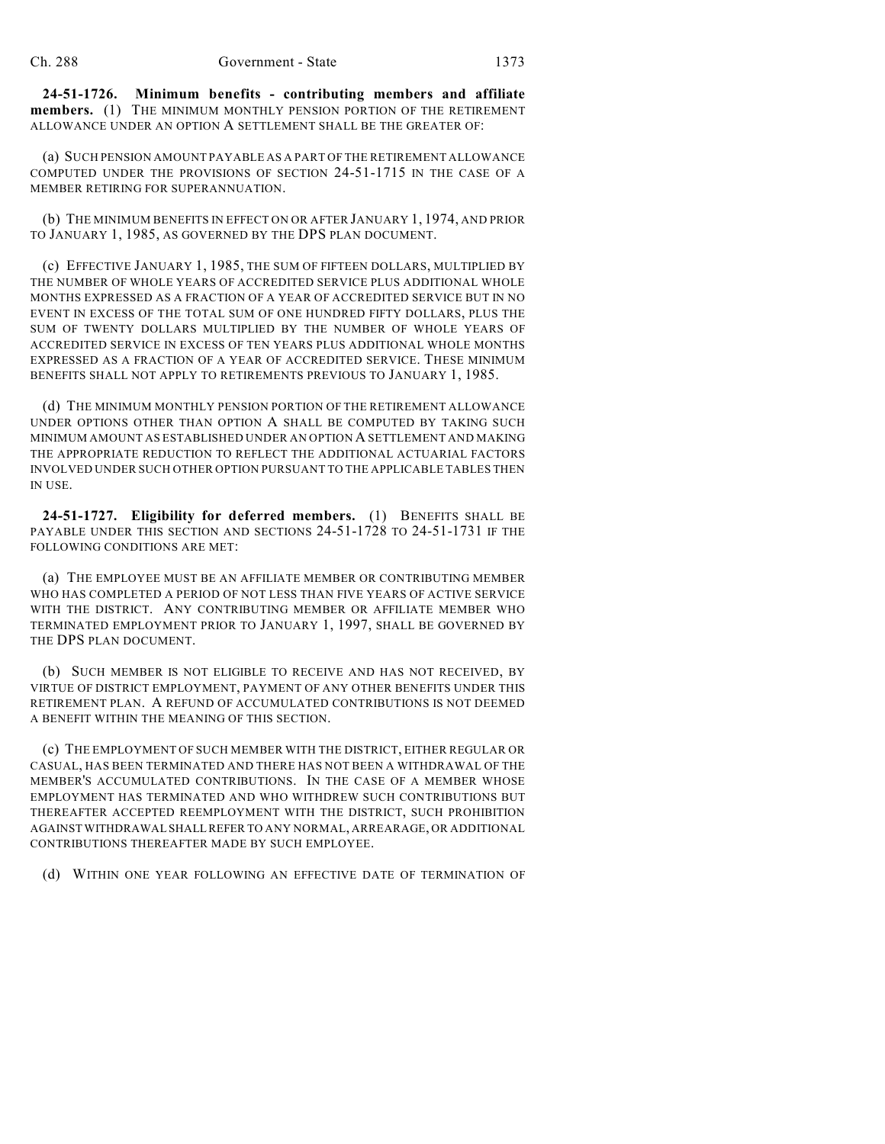**24-51-1726. Minimum benefits - contributing members and affiliate members.** (1) THE MINIMUM MONTHLY PENSION PORTION OF THE RETIREMENT ALLOWANCE UNDER AN OPTION A SETTLEMENT SHALL BE THE GREATER OF:

(a) SUCH PENSION AMOUNT PAYABLE AS A PART OF THE RETIREMENT ALLOWANCE COMPUTED UNDER THE PROVISIONS OF SECTION 24-51-1715 IN THE CASE OF A MEMBER RETIRING FOR SUPERANNUATION.

(b) THE MINIMUM BENEFITS IN EFFECT ON OR AFTER JANUARY 1, 1974, AND PRIOR TO JANUARY 1, 1985, AS GOVERNED BY THE DPS PLAN DOCUMENT.

(c) EFFECTIVE JANUARY 1, 1985, THE SUM OF FIFTEEN DOLLARS, MULTIPLIED BY THE NUMBER OF WHOLE YEARS OF ACCREDITED SERVICE PLUS ADDITIONAL WHOLE MONTHS EXPRESSED AS A FRACTION OF A YEAR OF ACCREDITED SERVICE BUT IN NO EVENT IN EXCESS OF THE TOTAL SUM OF ONE HUNDRED FIFTY DOLLARS, PLUS THE SUM OF TWENTY DOLLARS MULTIPLIED BY THE NUMBER OF WHOLE YEARS OF ACCREDITED SERVICE IN EXCESS OF TEN YEARS PLUS ADDITIONAL WHOLE MONTHS EXPRESSED AS A FRACTION OF A YEAR OF ACCREDITED SERVICE. THESE MINIMUM BENEFITS SHALL NOT APPLY TO RETIREMENTS PREVIOUS TO JANUARY 1, 1985.

(d) THE MINIMUM MONTHLY PENSION PORTION OF THE RETIREMENT ALLOWANCE UNDER OPTIONS OTHER THAN OPTION A SHALL BE COMPUTED BY TAKING SUCH MINIMUM AMOUNT AS ESTABLISHED UNDER AN OPTION A SETTLEMENT AND MAKING THE APPROPRIATE REDUCTION TO REFLECT THE ADDITIONAL ACTUARIAL FACTORS INVOLVED UNDER SUCH OTHER OPTION PURSUANT TO THE APPLICABLE TABLES THEN IN USE.

**24-51-1727. Eligibility for deferred members.** (1) BENEFITS SHALL BE PAYABLE UNDER THIS SECTION AND SECTIONS 24-51-1728 TO 24-51-1731 IF THE FOLLOWING CONDITIONS ARE MET:

(a) THE EMPLOYEE MUST BE AN AFFILIATE MEMBER OR CONTRIBUTING MEMBER WHO HAS COMPLETED A PERIOD OF NOT LESS THAN FIVE YEARS OF ACTIVE SERVICE WITH THE DISTRICT. ANY CONTRIBUTING MEMBER OR AFFILIATE MEMBER WHO TERMINATED EMPLOYMENT PRIOR TO JANUARY 1, 1997, SHALL BE GOVERNED BY THE DPS PLAN DOCUMENT.

(b) SUCH MEMBER IS NOT ELIGIBLE TO RECEIVE AND HAS NOT RECEIVED, BY VIRTUE OF DISTRICT EMPLOYMENT, PAYMENT OF ANY OTHER BENEFITS UNDER THIS RETIREMENT PLAN. A REFUND OF ACCUMULATED CONTRIBUTIONS IS NOT DEEMED A BENEFIT WITHIN THE MEANING OF THIS SECTION.

(c) THE EMPLOYMENT OF SUCH MEMBER WITH THE DISTRICT, EITHER REGULAR OR CASUAL, HAS BEEN TERMINATED AND THERE HAS NOT BEEN A WITHDRAWAL OF THE MEMBER'S ACCUMULATED CONTRIBUTIONS. IN THE CASE OF A MEMBER WHOSE EMPLOYMENT HAS TERMINATED AND WHO WITHDREW SUCH CONTRIBUTIONS BUT THEREAFTER ACCEPTED REEMPLOYMENT WITH THE DISTRICT, SUCH PROHIBITION AGAINST WITHDRAWAL SHALL REFER TO ANY NORMAL, ARREARAGE, OR ADDITIONAL CONTRIBUTIONS THEREAFTER MADE BY SUCH EMPLOYEE.

(d) WITHIN ONE YEAR FOLLOWING AN EFFECTIVE DATE OF TERMINATION OF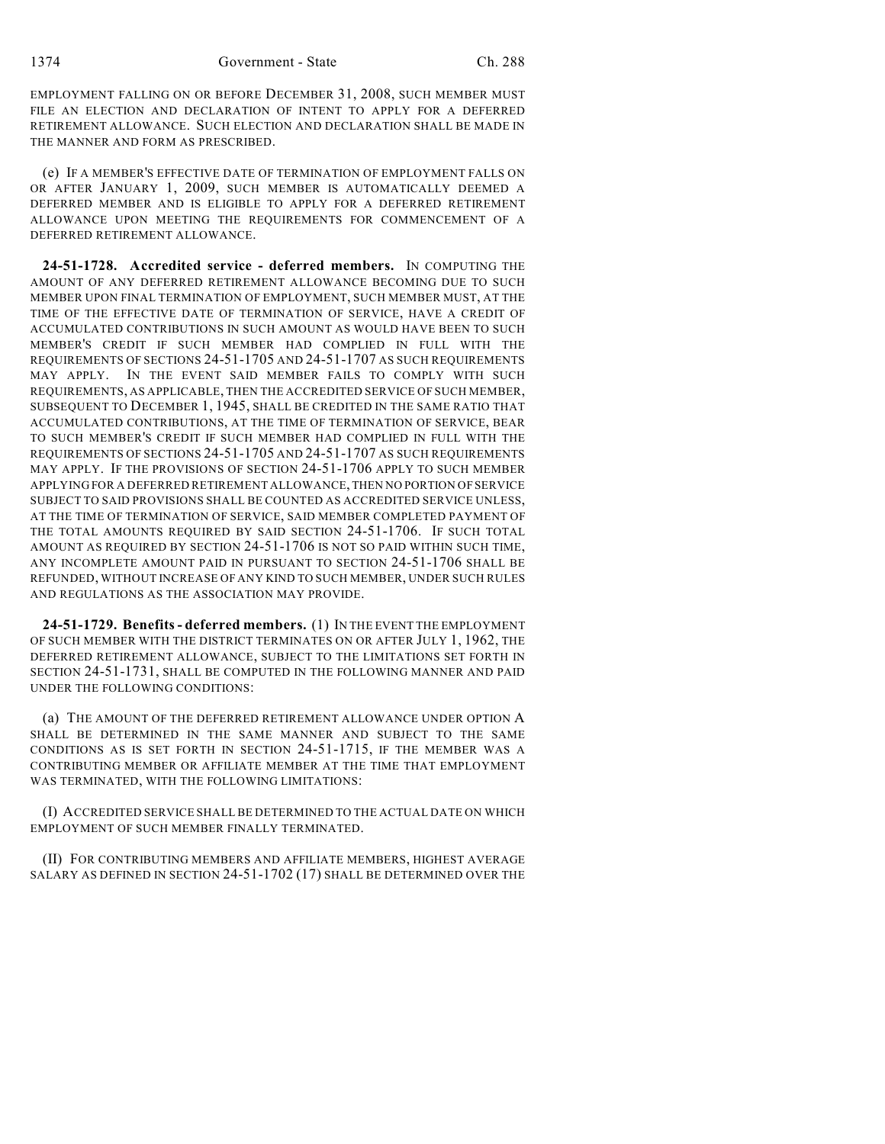EMPLOYMENT FALLING ON OR BEFORE DECEMBER 31, 2008, SUCH MEMBER MUST FILE AN ELECTION AND DECLARATION OF INTENT TO APPLY FOR A DEFERRED RETIREMENT ALLOWANCE. SUCH ELECTION AND DECLARATION SHALL BE MADE IN THE MANNER AND FORM AS PRESCRIBED.

(e) IF A MEMBER'S EFFECTIVE DATE OF TERMINATION OF EMPLOYMENT FALLS ON OR AFTER JANUARY 1, 2009, SUCH MEMBER IS AUTOMATICALLY DEEMED A DEFERRED MEMBER AND IS ELIGIBLE TO APPLY FOR A DEFERRED RETIREMENT ALLOWANCE UPON MEETING THE REQUIREMENTS FOR COMMENCEMENT OF A DEFERRED RETIREMENT ALLOWANCE.

**24-51-1728. Accredited service - deferred members.** IN COMPUTING THE AMOUNT OF ANY DEFERRED RETIREMENT ALLOWANCE BECOMING DUE TO SUCH MEMBER UPON FINAL TERMINATION OF EMPLOYMENT, SUCH MEMBER MUST, AT THE TIME OF THE EFFECTIVE DATE OF TERMINATION OF SERVICE, HAVE A CREDIT OF ACCUMULATED CONTRIBUTIONS IN SUCH AMOUNT AS WOULD HAVE BEEN TO SUCH MEMBER'S CREDIT IF SUCH MEMBER HAD COMPLIED IN FULL WITH THE REQUIREMENTS OF SECTIONS 24-51-1705 AND 24-51-1707 AS SUCH REQUIREMENTS MAY APPLY. IN THE EVENT SAID MEMBER FAILS TO COMPLY WITH SUCH REQUIREMENTS, AS APPLICABLE, THEN THE ACCREDITED SERVICE OF SUCH MEMBER, SUBSEQUENT TO DECEMBER 1, 1945, SHALL BE CREDITED IN THE SAME RATIO THAT ACCUMULATED CONTRIBUTIONS, AT THE TIME OF TERMINATION OF SERVICE, BEAR TO SUCH MEMBER'S CREDIT IF SUCH MEMBER HAD COMPLIED IN FULL WITH THE REQUIREMENTS OF SECTIONS 24-51-1705 AND 24-51-1707 AS SUCH REQUIREMENTS MAY APPLY. IF THE PROVISIONS OF SECTION 24-51-1706 APPLY TO SUCH MEMBER APPLYING FOR A DEFERRED RETIREMENT ALLOWANCE, THEN NO PORTION OF SERVICE SUBJECT TO SAID PROVISIONS SHALL BE COUNTED AS ACCREDITED SERVICE UNLESS, AT THE TIME OF TERMINATION OF SERVICE, SAID MEMBER COMPLETED PAYMENT OF THE TOTAL AMOUNTS REQUIRED BY SAID SECTION 24-51-1706. IF SUCH TOTAL AMOUNT AS REQUIRED BY SECTION 24-51-1706 IS NOT SO PAID WITHIN SUCH TIME, ANY INCOMPLETE AMOUNT PAID IN PURSUANT TO SECTION 24-51-1706 SHALL BE REFUNDED, WITHOUT INCREASE OF ANY KIND TO SUCH MEMBER, UNDER SUCH RULES AND REGULATIONS AS THE ASSOCIATION MAY PROVIDE.

**24-51-1729. Benefits - deferred members.** (1) IN THE EVENT THE EMPLOYMENT OF SUCH MEMBER WITH THE DISTRICT TERMINATES ON OR AFTER JULY 1, 1962, THE DEFERRED RETIREMENT ALLOWANCE, SUBJECT TO THE LIMITATIONS SET FORTH IN SECTION 24-51-1731, SHALL BE COMPUTED IN THE FOLLOWING MANNER AND PAID UNDER THE FOLLOWING CONDITIONS:

(a) THE AMOUNT OF THE DEFERRED RETIREMENT ALLOWANCE UNDER OPTION A SHALL BE DETERMINED IN THE SAME MANNER AND SUBJECT TO THE SAME CONDITIONS AS IS SET FORTH IN SECTION 24-51-1715, IF THE MEMBER WAS A CONTRIBUTING MEMBER OR AFFILIATE MEMBER AT THE TIME THAT EMPLOYMENT WAS TERMINATED, WITH THE FOLLOWING LIMITATIONS:

(I) ACCREDITED SERVICE SHALL BE DETERMINED TO THE ACTUAL DATE ON WHICH EMPLOYMENT OF SUCH MEMBER FINALLY TERMINATED.

(II) FOR CONTRIBUTING MEMBERS AND AFFILIATE MEMBERS, HIGHEST AVERAGE SALARY AS DEFINED IN SECTION 24-51-1702 (17) SHALL BE DETERMINED OVER THE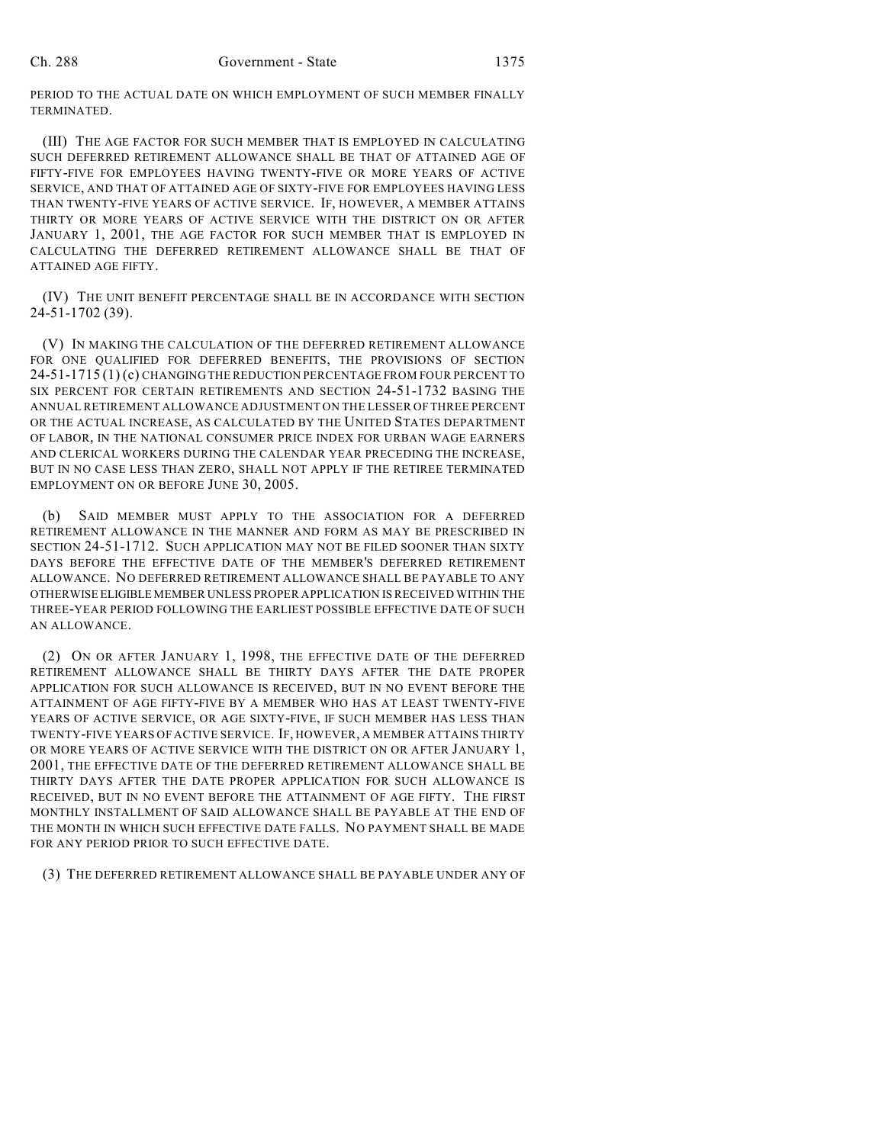PERIOD TO THE ACTUAL DATE ON WHICH EMPLOYMENT OF SUCH MEMBER FINALLY TERMINATED.

(III) THE AGE FACTOR FOR SUCH MEMBER THAT IS EMPLOYED IN CALCULATING SUCH DEFERRED RETIREMENT ALLOWANCE SHALL BE THAT OF ATTAINED AGE OF FIFTY-FIVE FOR EMPLOYEES HAVING TWENTY-FIVE OR MORE YEARS OF ACTIVE SERVICE, AND THAT OF ATTAINED AGE OF SIXTY-FIVE FOR EMPLOYEES HAVING LESS THAN TWENTY-FIVE YEARS OF ACTIVE SERVICE. IF, HOWEVER, A MEMBER ATTAINS THIRTY OR MORE YEARS OF ACTIVE SERVICE WITH THE DISTRICT ON OR AFTER JANUARY 1, 2001, THE AGE FACTOR FOR SUCH MEMBER THAT IS EMPLOYED IN CALCULATING THE DEFERRED RETIREMENT ALLOWANCE SHALL BE THAT OF ATTAINED AGE FIFTY.

(IV) THE UNIT BENEFIT PERCENTAGE SHALL BE IN ACCORDANCE WITH SECTION 24-51-1702 (39).

(V) IN MAKING THE CALCULATION OF THE DEFERRED RETIREMENT ALLOWANCE FOR ONE QUALIFIED FOR DEFERRED BENEFITS, THE PROVISIONS OF SECTION 24-51-1715 (1) (c) CHANGING THE REDUCTION PERCENTAGE FROM FOUR PERCENT TO SIX PERCENT FOR CERTAIN RETIREMENTS AND SECTION 24-51-1732 BASING THE ANNUAL RETIREMENT ALLOWANCE ADJUSTMENT ON THE LESSER OF THREE PERCENT OR THE ACTUAL INCREASE, AS CALCULATED BY THE UNITED STATES DEPARTMENT OF LABOR, IN THE NATIONAL CONSUMER PRICE INDEX FOR URBAN WAGE EARNERS AND CLERICAL WORKERS DURING THE CALENDAR YEAR PRECEDING THE INCREASE, BUT IN NO CASE LESS THAN ZERO, SHALL NOT APPLY IF THE RETIREE TERMINATED EMPLOYMENT ON OR BEFORE JUNE 30, 2005.

(b) SAID MEMBER MUST APPLY TO THE ASSOCIATION FOR A DEFERRED RETIREMENT ALLOWANCE IN THE MANNER AND FORM AS MAY BE PRESCRIBED IN SECTION 24-51-1712. SUCH APPLICATION MAY NOT BE FILED SOONER THAN SIXTY DAYS BEFORE THE EFFECTIVE DATE OF THE MEMBER'S DEFERRED RETIREMENT ALLOWANCE. NO DEFERRED RETIREMENT ALLOWANCE SHALL BE PAYABLE TO ANY OTHERWISE ELIGIBLE MEMBER UNLESS PROPER APPLICATION IS RECEIVED WITHIN THE THREE-YEAR PERIOD FOLLOWING THE EARLIEST POSSIBLE EFFECTIVE DATE OF SUCH AN ALLOWANCE.

(2) ON OR AFTER JANUARY 1, 1998, THE EFFECTIVE DATE OF THE DEFERRED RETIREMENT ALLOWANCE SHALL BE THIRTY DAYS AFTER THE DATE PROPER APPLICATION FOR SUCH ALLOWANCE IS RECEIVED, BUT IN NO EVENT BEFORE THE ATTAINMENT OF AGE FIFTY-FIVE BY A MEMBER WHO HAS AT LEAST TWENTY-FIVE YEARS OF ACTIVE SERVICE, OR AGE SIXTY-FIVE, IF SUCH MEMBER HAS LESS THAN TWENTY-FIVE YEARS OF ACTIVE SERVICE. IF, HOWEVER, A MEMBER ATTAINS THIRTY OR MORE YEARS OF ACTIVE SERVICE WITH THE DISTRICT ON OR AFTER JANUARY 1, 2001, THE EFFECTIVE DATE OF THE DEFERRED RETIREMENT ALLOWANCE SHALL BE THIRTY DAYS AFTER THE DATE PROPER APPLICATION FOR SUCH ALLOWANCE IS RECEIVED, BUT IN NO EVENT BEFORE THE ATTAINMENT OF AGE FIFTY. THE FIRST MONTHLY INSTALLMENT OF SAID ALLOWANCE SHALL BE PAYABLE AT THE END OF THE MONTH IN WHICH SUCH EFFECTIVE DATE FALLS. NO PAYMENT SHALL BE MADE FOR ANY PERIOD PRIOR TO SUCH EFFECTIVE DATE.

(3) THE DEFERRED RETIREMENT ALLOWANCE SHALL BE PAYABLE UNDER ANY OF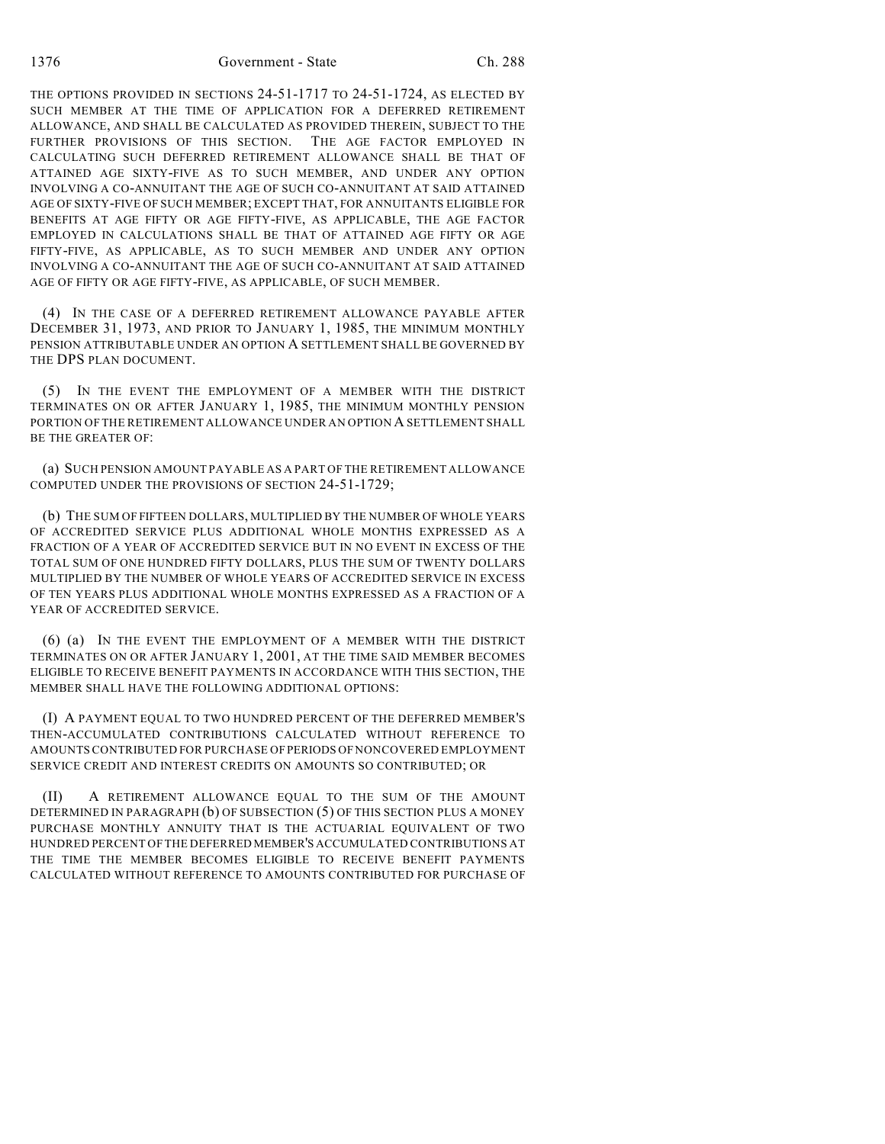THE OPTIONS PROVIDED IN SECTIONS 24-51-1717 TO 24-51-1724, AS ELECTED BY SUCH MEMBER AT THE TIME OF APPLICATION FOR A DEFERRED RETIREMENT ALLOWANCE, AND SHALL BE CALCULATED AS PROVIDED THEREIN, SUBJECT TO THE FURTHER PROVISIONS OF THIS SECTION. THE AGE FACTOR EMPLOYED IN CALCULATING SUCH DEFERRED RETIREMENT ALLOWANCE SHALL BE THAT OF ATTAINED AGE SIXTY-FIVE AS TO SUCH MEMBER, AND UNDER ANY OPTION INVOLVING A CO-ANNUITANT THE AGE OF SUCH CO-ANNUITANT AT SAID ATTAINED AGE OF SIXTY-FIVE OF SUCH MEMBER; EXCEPT THAT, FOR ANNUITANTS ELIGIBLE FOR BENEFITS AT AGE FIFTY OR AGE FIFTY-FIVE, AS APPLICABLE, THE AGE FACTOR EMPLOYED IN CALCULATIONS SHALL BE THAT OF ATTAINED AGE FIFTY OR AGE FIFTY-FIVE, AS APPLICABLE, AS TO SUCH MEMBER AND UNDER ANY OPTION INVOLVING A CO-ANNUITANT THE AGE OF SUCH CO-ANNUITANT AT SAID ATTAINED AGE OF FIFTY OR AGE FIFTY-FIVE, AS APPLICABLE, OF SUCH MEMBER.

(4) IN THE CASE OF A DEFERRED RETIREMENT ALLOWANCE PAYABLE AFTER DECEMBER 31, 1973, AND PRIOR TO JANUARY 1, 1985, THE MINIMUM MONTHLY PENSION ATTRIBUTABLE UNDER AN OPTION A SETTLEMENT SHALL BE GOVERNED BY THE DPS PLAN DOCUMENT.

(5) IN THE EVENT THE EMPLOYMENT OF A MEMBER WITH THE DISTRICT TERMINATES ON OR AFTER JANUARY 1, 1985, THE MINIMUM MONTHLY PENSION PORTION OF THE RETIREMENT ALLOWANCE UNDER AN OPTION A SETTLEMENT SHALL BE THE GREATER OF:

(a) SUCH PENSION AMOUNT PAYABLE AS A PART OF THE RETIREMENT ALLOWANCE COMPUTED UNDER THE PROVISIONS OF SECTION 24-51-1729;

(b) THE SUM OF FIFTEEN DOLLARS, MULTIPLIED BY THE NUMBER OF WHOLE YEARS OF ACCREDITED SERVICE PLUS ADDITIONAL WHOLE MONTHS EXPRESSED AS A FRACTION OF A YEAR OF ACCREDITED SERVICE BUT IN NO EVENT IN EXCESS OF THE TOTAL SUM OF ONE HUNDRED FIFTY DOLLARS, PLUS THE SUM OF TWENTY DOLLARS MULTIPLIED BY THE NUMBER OF WHOLE YEARS OF ACCREDITED SERVICE IN EXCESS OF TEN YEARS PLUS ADDITIONAL WHOLE MONTHS EXPRESSED AS A FRACTION OF A YEAR OF ACCREDITED SERVICE.

(6) (a) IN THE EVENT THE EMPLOYMENT OF A MEMBER WITH THE DISTRICT TERMINATES ON OR AFTER JANUARY 1, 2001, AT THE TIME SAID MEMBER BECOMES ELIGIBLE TO RECEIVE BENEFIT PAYMENTS IN ACCORDANCE WITH THIS SECTION, THE MEMBER SHALL HAVE THE FOLLOWING ADDITIONAL OPTIONS:

(I) A PAYMENT EQUAL TO TWO HUNDRED PERCENT OF THE DEFERRED MEMBER'S THEN-ACCUMULATED CONTRIBUTIONS CALCULATED WITHOUT REFERENCE TO AMOUNTS CONTRIBUTED FOR PURCHASE OF PERIODS OF NONCOVERED EMPLOYMENT SERVICE CREDIT AND INTEREST CREDITS ON AMOUNTS SO CONTRIBUTED; OR

(II) A RETIREMENT ALLOWANCE EQUAL TO THE SUM OF THE AMOUNT DETERMINED IN PARAGRAPH (b) OF SUBSECTION (5) OF THIS SECTION PLUS A MONEY PURCHASE MONTHLY ANNUITY THAT IS THE ACTUARIAL EQUIVALENT OF TWO HUNDRED PERCENT OF THE DEFERRED MEMBER'S ACCUMULATED CONTRIBUTIONS AT THE TIME THE MEMBER BECOMES ELIGIBLE TO RECEIVE BENEFIT PAYMENTS CALCULATED WITHOUT REFERENCE TO AMOUNTS CONTRIBUTED FOR PURCHASE OF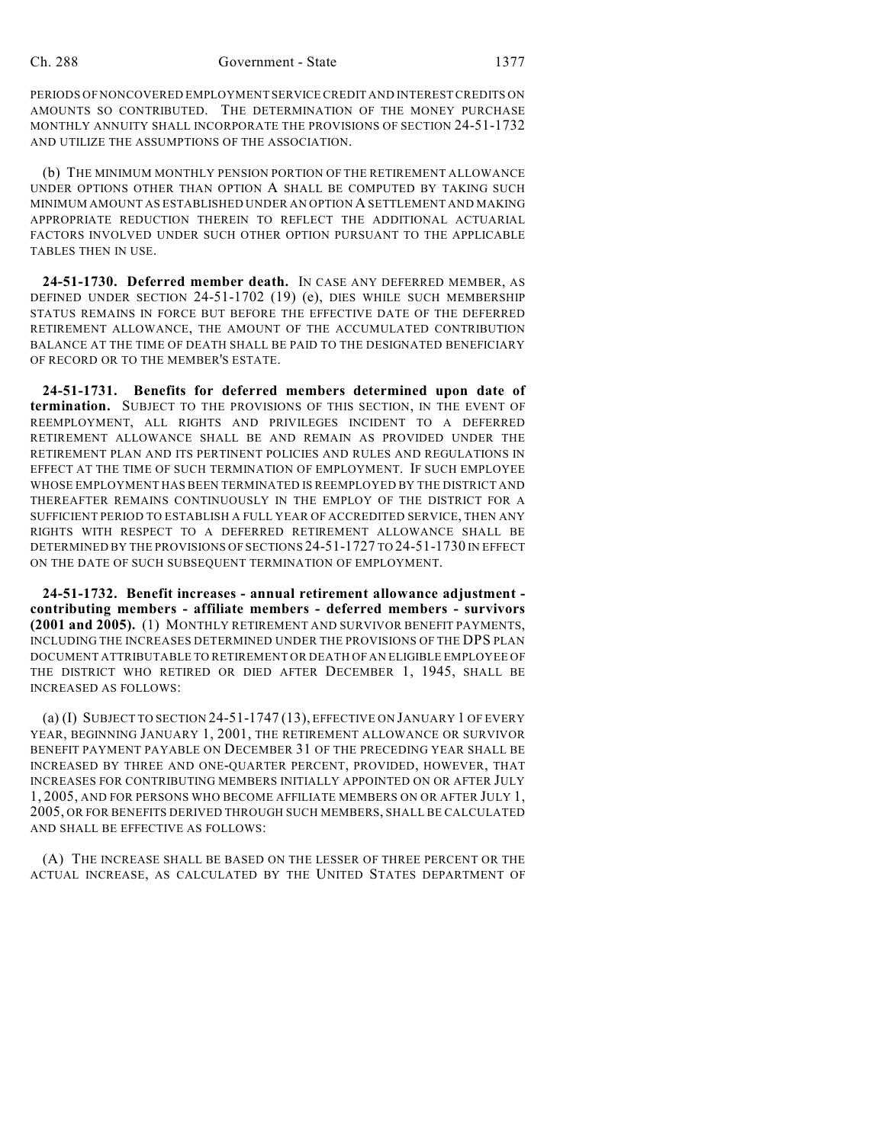PERIODS OF NONCOVERED EMPLOYMENT SERVICE CREDIT AND INTEREST CREDITS ON AMOUNTS SO CONTRIBUTED. THE DETERMINATION OF THE MONEY PURCHASE MONTHLY ANNUITY SHALL INCORPORATE THE PROVISIONS OF SECTION 24-51-1732 AND UTILIZE THE ASSUMPTIONS OF THE ASSOCIATION.

(b) THE MINIMUM MONTHLY PENSION PORTION OF THE RETIREMENT ALLOWANCE UNDER OPTIONS OTHER THAN OPTION A SHALL BE COMPUTED BY TAKING SUCH MINIMUM AMOUNT AS ESTABLISHED UNDER AN OPTION A SETTLEMENT AND MAKING APPROPRIATE REDUCTION THEREIN TO REFLECT THE ADDITIONAL ACTUARIAL FACTORS INVOLVED UNDER SUCH OTHER OPTION PURSUANT TO THE APPLICABLE TABLES THEN IN USE.

**24-51-1730. Deferred member death.** IN CASE ANY DEFERRED MEMBER, AS DEFINED UNDER SECTION 24-51-1702 (19) (e), DIES WHILE SUCH MEMBERSHIP STATUS REMAINS IN FORCE BUT BEFORE THE EFFECTIVE DATE OF THE DEFERRED RETIREMENT ALLOWANCE, THE AMOUNT OF THE ACCUMULATED CONTRIBUTION BALANCE AT THE TIME OF DEATH SHALL BE PAID TO THE DESIGNATED BENEFICIARY OF RECORD OR TO THE MEMBER'S ESTATE.

**24-51-1731. Benefits for deferred members determined upon date of termination.** SUBJECT TO THE PROVISIONS OF THIS SECTION, IN THE EVENT OF REEMPLOYMENT, ALL RIGHTS AND PRIVILEGES INCIDENT TO A DEFERRED RETIREMENT ALLOWANCE SHALL BE AND REMAIN AS PROVIDED UNDER THE RETIREMENT PLAN AND ITS PERTINENT POLICIES AND RULES AND REGULATIONS IN EFFECT AT THE TIME OF SUCH TERMINATION OF EMPLOYMENT. IF SUCH EMPLOYEE WHOSE EMPLOYMENT HAS BEEN TERMINATED IS REEMPLOYED BY THE DISTRICT AND THEREAFTER REMAINS CONTINUOUSLY IN THE EMPLOY OF THE DISTRICT FOR A SUFFICIENT PERIOD TO ESTABLISH A FULL YEAR OF ACCREDITED SERVICE, THEN ANY RIGHTS WITH RESPECT TO A DEFERRED RETIREMENT ALLOWANCE SHALL BE DETERMINED BY THE PROVISIONS OF SECTIONS 24-51-1727 TO 24-51-1730 IN EFFECT ON THE DATE OF SUCH SUBSEQUENT TERMINATION OF EMPLOYMENT.

**24-51-1732. Benefit increases - annual retirement allowance adjustment contributing members - affiliate members - deferred members - survivors (2001 and 2005).** (1) MONTHLY RETIREMENT AND SURVIVOR BENEFIT PAYMENTS, INCLUDING THE INCREASES DETERMINED UNDER THE PROVISIONS OF THE DPS PLAN DOCUMENT ATTRIBUTABLE TO RETIREMENT OR DEATH OF AN ELIGIBLE EMPLOYEE OF THE DISTRICT WHO RETIRED OR DIED AFTER DECEMBER 1, 1945, SHALL BE INCREASED AS FOLLOWS:

(a) (I) SUBJECT TO SECTION 24-51-1747 (13), EFFECTIVE ON JANUARY 1 OF EVERY YEAR, BEGINNING JANUARY 1, 2001, THE RETIREMENT ALLOWANCE OR SURVIVOR BENEFIT PAYMENT PAYABLE ON DECEMBER 31 OF THE PRECEDING YEAR SHALL BE INCREASED BY THREE AND ONE-QUARTER PERCENT, PROVIDED, HOWEVER, THAT INCREASES FOR CONTRIBUTING MEMBERS INITIALLY APPOINTED ON OR AFTER JULY 1, 2005, AND FOR PERSONS WHO BECOME AFFILIATE MEMBERS ON OR AFTER JULY 1, 2005, OR FOR BENEFITS DERIVED THROUGH SUCH MEMBERS, SHALL BE CALCULATED AND SHALL BE EFFECTIVE AS FOLLOWS:

(A) THE INCREASE SHALL BE BASED ON THE LESSER OF THREE PERCENT OR THE ACTUAL INCREASE, AS CALCULATED BY THE UNITED STATES DEPARTMENT OF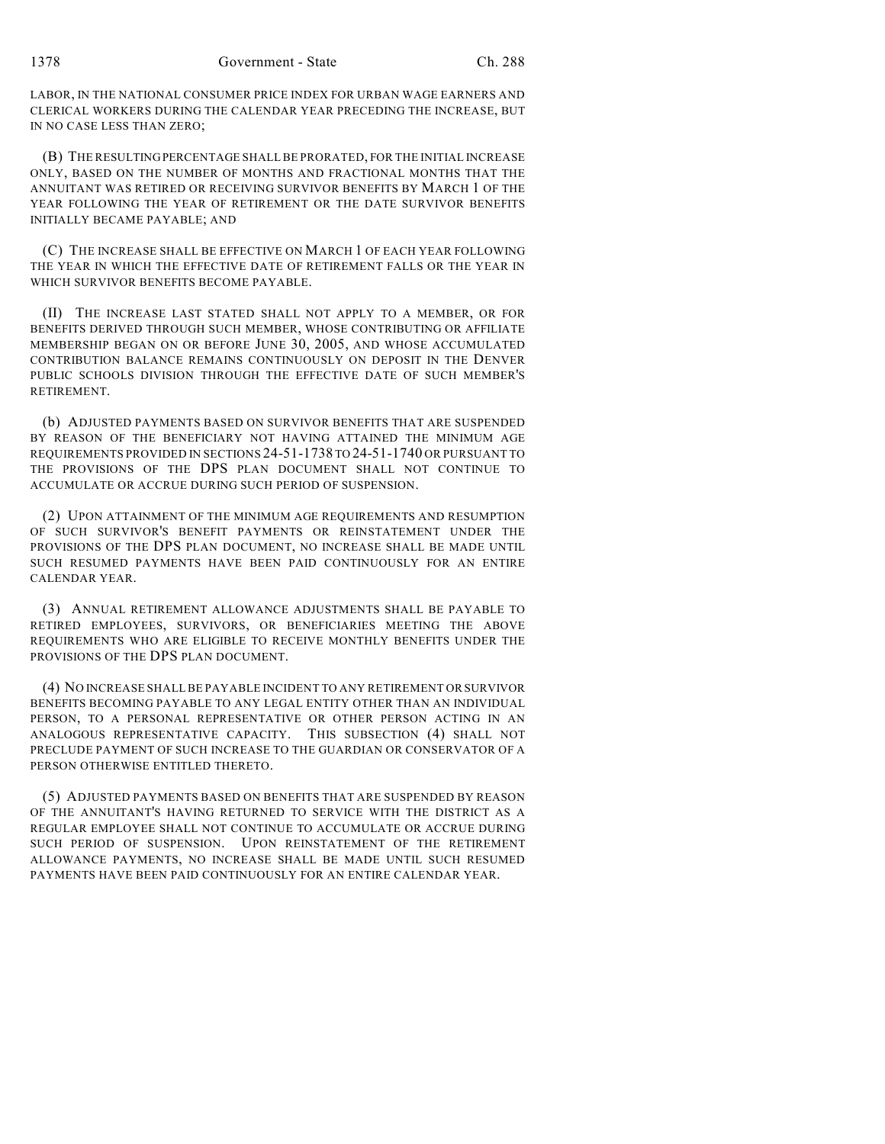LABOR, IN THE NATIONAL CONSUMER PRICE INDEX FOR URBAN WAGE EARNERS AND CLERICAL WORKERS DURING THE CALENDAR YEAR PRECEDING THE INCREASE, BUT IN NO CASE LESS THAN ZERO;

(B) THE RESULTING PERCENTAGE SHALL BE PRORATED, FOR THE INITIAL INCREASE ONLY, BASED ON THE NUMBER OF MONTHS AND FRACTIONAL MONTHS THAT THE ANNUITANT WAS RETIRED OR RECEIVING SURVIVOR BENEFITS BY MARCH 1 OF THE YEAR FOLLOWING THE YEAR OF RETIREMENT OR THE DATE SURVIVOR BENEFITS INITIALLY BECAME PAYABLE; AND

(C) THE INCREASE SHALL BE EFFECTIVE ON MARCH 1 OF EACH YEAR FOLLOWING THE YEAR IN WHICH THE EFFECTIVE DATE OF RETIREMENT FALLS OR THE YEAR IN WHICH SURVIVOR BENEFITS BECOME PAYABLE.

(II) THE INCREASE LAST STATED SHALL NOT APPLY TO A MEMBER, OR FOR BENEFITS DERIVED THROUGH SUCH MEMBER, WHOSE CONTRIBUTING OR AFFILIATE MEMBERSHIP BEGAN ON OR BEFORE JUNE 30, 2005, AND WHOSE ACCUMULATED CONTRIBUTION BALANCE REMAINS CONTINUOUSLY ON DEPOSIT IN THE DENVER PUBLIC SCHOOLS DIVISION THROUGH THE EFFECTIVE DATE OF SUCH MEMBER'S RETIREMENT.

(b) ADJUSTED PAYMENTS BASED ON SURVIVOR BENEFITS THAT ARE SUSPENDED BY REASON OF THE BENEFICIARY NOT HAVING ATTAINED THE MINIMUM AGE REQUIREMENTS PROVIDED IN SECTIONS 24-51-1738 TO 24-51-1740 OR PURSUANT TO THE PROVISIONS OF THE DPS PLAN DOCUMENT SHALL NOT CONTINUE TO ACCUMULATE OR ACCRUE DURING SUCH PERIOD OF SUSPENSION.

(2) UPON ATTAINMENT OF THE MINIMUM AGE REQUIREMENTS AND RESUMPTION OF SUCH SURVIVOR'S BENEFIT PAYMENTS OR REINSTATEMENT UNDER THE PROVISIONS OF THE DPS PLAN DOCUMENT, NO INCREASE SHALL BE MADE UNTIL SUCH RESUMED PAYMENTS HAVE BEEN PAID CONTINUOUSLY FOR AN ENTIRE CALENDAR YEAR.

(3) ANNUAL RETIREMENT ALLOWANCE ADJUSTMENTS SHALL BE PAYABLE TO RETIRED EMPLOYEES, SURVIVORS, OR BENEFICIARIES MEETING THE ABOVE REQUIREMENTS WHO ARE ELIGIBLE TO RECEIVE MONTHLY BENEFITS UNDER THE PROVISIONS OF THE DPS PLAN DOCUMENT.

(4) NO INCREASE SHALL BE PAYABLE INCIDENT TO ANY RETIREMENT OR SURVIVOR BENEFITS BECOMING PAYABLE TO ANY LEGAL ENTITY OTHER THAN AN INDIVIDUAL PERSON, TO A PERSONAL REPRESENTATIVE OR OTHER PERSON ACTING IN AN ANALOGOUS REPRESENTATIVE CAPACITY. THIS SUBSECTION (4) SHALL NOT PRECLUDE PAYMENT OF SUCH INCREASE TO THE GUARDIAN OR CONSERVATOR OF A PERSON OTHERWISE ENTITLED THERETO.

(5) ADJUSTED PAYMENTS BASED ON BENEFITS THAT ARE SUSPENDED BY REASON OF THE ANNUITANT'S HAVING RETURNED TO SERVICE WITH THE DISTRICT AS A REGULAR EMPLOYEE SHALL NOT CONTINUE TO ACCUMULATE OR ACCRUE DURING SUCH PERIOD OF SUSPENSION. UPON REINSTATEMENT OF THE RETIREMENT ALLOWANCE PAYMENTS, NO INCREASE SHALL BE MADE UNTIL SUCH RESUMED PAYMENTS HAVE BEEN PAID CONTINUOUSLY FOR AN ENTIRE CALENDAR YEAR.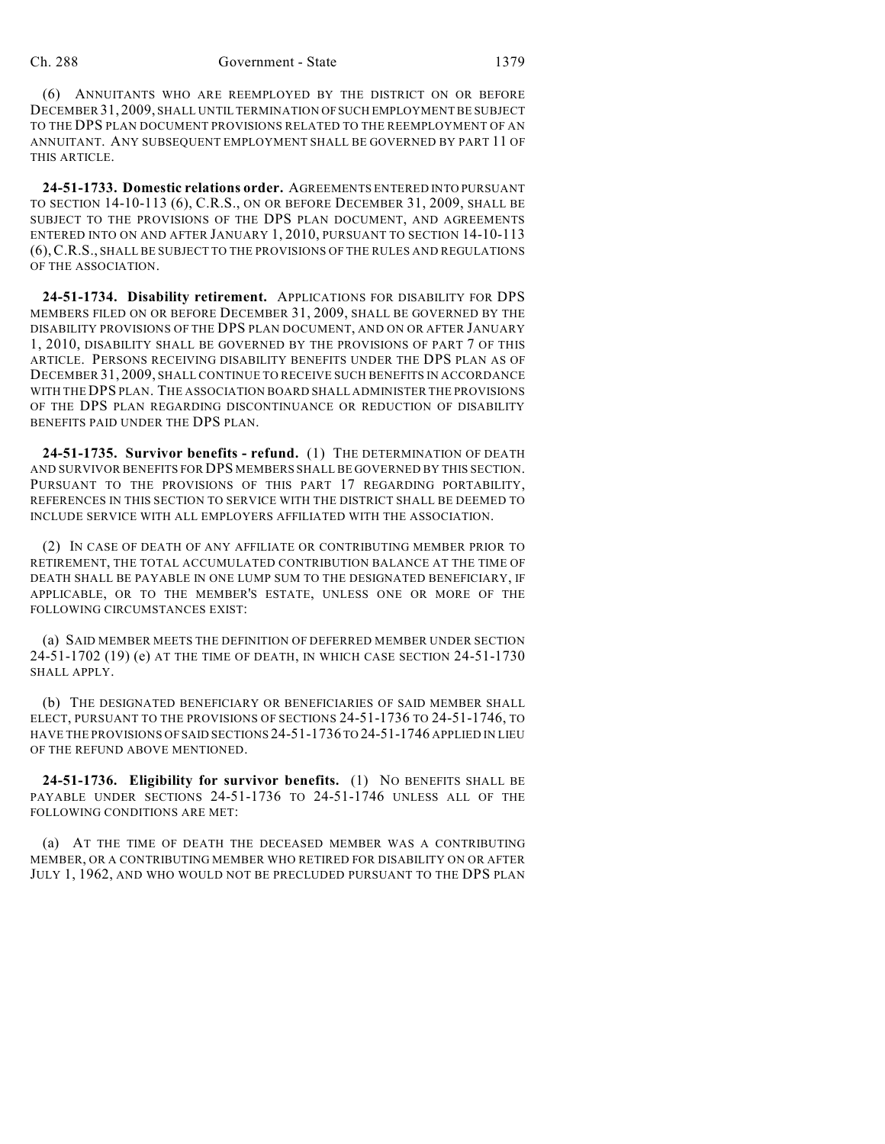(6) ANNUITANTS WHO ARE REEMPLOYED BY THE DISTRICT ON OR BEFORE DECEMBER 31, 2009, SHALL UNTIL TERMINATION OF SUCH EMPLOYMENT BE SUBJECT TO THE DPS PLAN DOCUMENT PROVISIONS RELATED TO THE REEMPLOYMENT OF AN ANNUITANT. ANY SUBSEQUENT EMPLOYMENT SHALL BE GOVERNED BY PART 11 OF THIS ARTICLE.

**24-51-1733. Domestic relations order.** AGREEMENTS ENTERED INTO PURSUANT TO SECTION 14-10-113 (6), C.R.S., ON OR BEFORE DECEMBER 31, 2009, SHALL BE SUBJECT TO THE PROVISIONS OF THE DPS PLAN DOCUMENT, AND AGREEMENTS ENTERED INTO ON AND AFTER JANUARY 1, 2010, PURSUANT TO SECTION 14-10-113 (6),C.R.S., SHALL BE SUBJECT TO THE PROVISIONS OF THE RULES AND REGULATIONS OF THE ASSOCIATION.

**24-51-1734. Disability retirement.** APPLICATIONS FOR DISABILITY FOR DPS MEMBERS FILED ON OR BEFORE DECEMBER 31, 2009, SHALL BE GOVERNED BY THE DISABILITY PROVISIONS OF THE DPS PLAN DOCUMENT, AND ON OR AFTER JANUARY 1, 2010, DISABILITY SHALL BE GOVERNED BY THE PROVISIONS OF PART 7 OF THIS ARTICLE. PERSONS RECEIVING DISABILITY BENEFITS UNDER THE DPS PLAN AS OF DECEMBER 31, 2009, SHALL CONTINUE TO RECEIVE SUCH BENEFITS IN ACCORDANCE WITH THE DPS PLAN. THE ASSOCIATION BOARD SHALL ADMINISTER THE PROVISIONS OF THE DPS PLAN REGARDING DISCONTINUANCE OR REDUCTION OF DISABILITY BENEFITS PAID UNDER THE DPS PLAN.

**24-51-1735. Survivor benefits - refund.** (1) THE DETERMINATION OF DEATH AND SURVIVOR BENEFITS FOR DPS MEMBERS SHALL BE GOVERNED BY THIS SECTION. PURSUANT TO THE PROVISIONS OF THIS PART 17 REGARDING PORTABILITY, REFERENCES IN THIS SECTION TO SERVICE WITH THE DISTRICT SHALL BE DEEMED TO INCLUDE SERVICE WITH ALL EMPLOYERS AFFILIATED WITH THE ASSOCIATION.

(2) IN CASE OF DEATH OF ANY AFFILIATE OR CONTRIBUTING MEMBER PRIOR TO RETIREMENT, THE TOTAL ACCUMULATED CONTRIBUTION BALANCE AT THE TIME OF DEATH SHALL BE PAYABLE IN ONE LUMP SUM TO THE DESIGNATED BENEFICIARY, IF APPLICABLE, OR TO THE MEMBER'S ESTATE, UNLESS ONE OR MORE OF THE FOLLOWING CIRCUMSTANCES EXIST:

(a) SAID MEMBER MEETS THE DEFINITION OF DEFERRED MEMBER UNDER SECTION 24-51-1702 (19) (e) AT THE TIME OF DEATH, IN WHICH CASE SECTION 24-51-1730 SHALL APPLY.

(b) THE DESIGNATED BENEFICIARY OR BENEFICIARIES OF SAID MEMBER SHALL ELECT, PURSUANT TO THE PROVISIONS OF SECTIONS 24-51-1736 TO 24-51-1746, TO HAVE THE PROVISIONS OF SAID SECTIONS 24-51-1736 TO 24-51-1746 APPLIED IN LIEU OF THE REFUND ABOVE MENTIONED.

**24-51-1736. Eligibility for survivor benefits.** (1) NO BENEFITS SHALL BE PAYABLE UNDER SECTIONS 24-51-1736 TO 24-51-1746 UNLESS ALL OF THE FOLLOWING CONDITIONS ARE MET:

(a) AT THE TIME OF DEATH THE DECEASED MEMBER WAS A CONTRIBUTING MEMBER, OR A CONTRIBUTING MEMBER WHO RETIRED FOR DISABILITY ON OR AFTER JULY 1, 1962, AND WHO WOULD NOT BE PRECLUDED PURSUANT TO THE DPS PLAN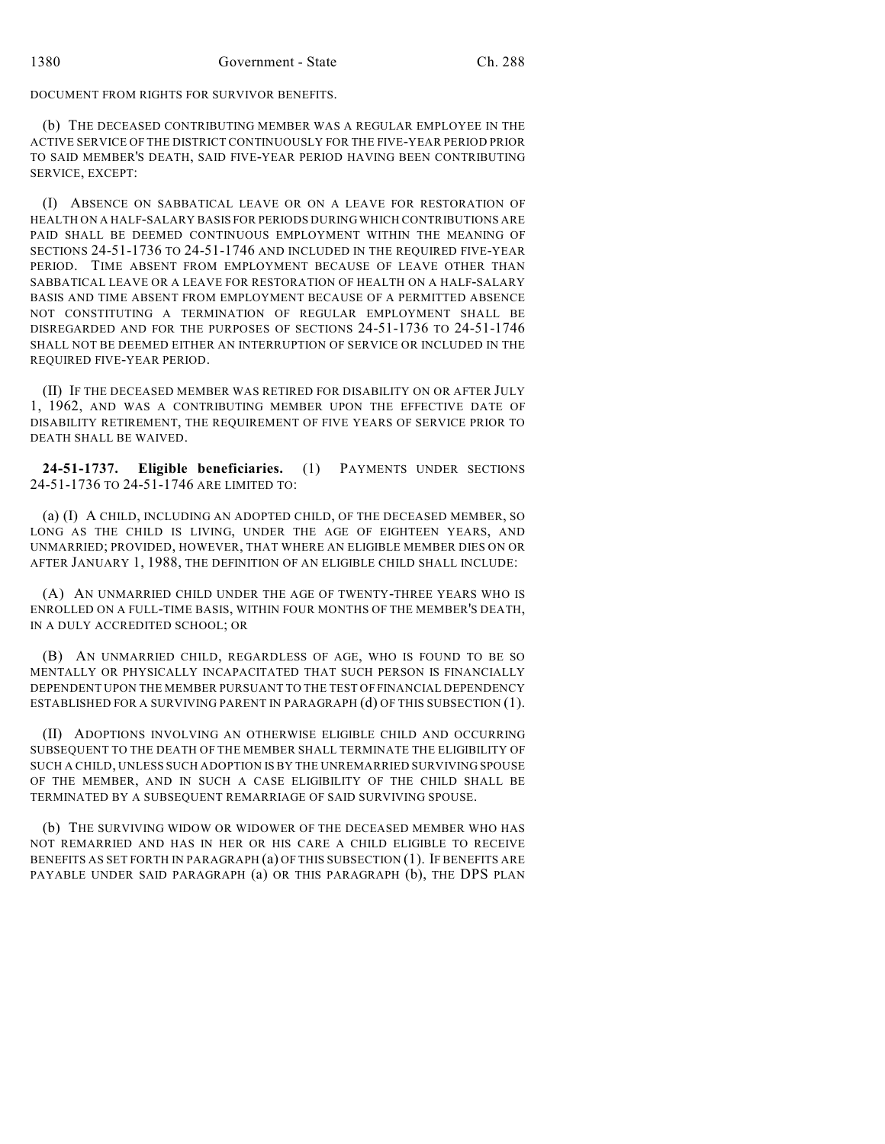DOCUMENT FROM RIGHTS FOR SURVIVOR BENEFITS.

(b) THE DECEASED CONTRIBUTING MEMBER WAS A REGULAR EMPLOYEE IN THE ACTIVE SERVICE OF THE DISTRICT CONTINUOUSLY FOR THE FIVE-YEAR PERIOD PRIOR TO SAID MEMBER'S DEATH, SAID FIVE-YEAR PERIOD HAVING BEEN CONTRIBUTING SERVICE, EXCEPT:

(I) ABSENCE ON SABBATICAL LEAVE OR ON A LEAVE FOR RESTORATION OF HEALTH ON A HALF-SALARY BASIS FOR PERIODS DURING WHICH CONTRIBUTIONS ARE PAID SHALL BE DEEMED CONTINUOUS EMPLOYMENT WITHIN THE MEANING OF SECTIONS 24-51-1736 TO 24-51-1746 AND INCLUDED IN THE REQUIRED FIVE-YEAR PERIOD. TIME ABSENT FROM EMPLOYMENT BECAUSE OF LEAVE OTHER THAN SABBATICAL LEAVE OR A LEAVE FOR RESTORATION OF HEALTH ON A HALF-SALARY BASIS AND TIME ABSENT FROM EMPLOYMENT BECAUSE OF A PERMITTED ABSENCE NOT CONSTITUTING A TERMINATION OF REGULAR EMPLOYMENT SHALL BE DISREGARDED AND FOR THE PURPOSES OF SECTIONS 24-51-1736 TO 24-51-1746 SHALL NOT BE DEEMED EITHER AN INTERRUPTION OF SERVICE OR INCLUDED IN THE REQUIRED FIVE-YEAR PERIOD.

(II) IF THE DECEASED MEMBER WAS RETIRED FOR DISABILITY ON OR AFTER JULY 1, 1962, AND WAS A CONTRIBUTING MEMBER UPON THE EFFECTIVE DATE OF DISABILITY RETIREMENT, THE REQUIREMENT OF FIVE YEARS OF SERVICE PRIOR TO DEATH SHALL BE WAIVED.

**24-51-1737. Eligible beneficiaries.** (1) PAYMENTS UNDER SECTIONS 24-51-1736 TO 24-51-1746 ARE LIMITED TO:

(a) (I) A CHILD, INCLUDING AN ADOPTED CHILD, OF THE DECEASED MEMBER, SO LONG AS THE CHILD IS LIVING, UNDER THE AGE OF EIGHTEEN YEARS, AND UNMARRIED; PROVIDED, HOWEVER, THAT WHERE AN ELIGIBLE MEMBER DIES ON OR AFTER JANUARY 1, 1988, THE DEFINITION OF AN ELIGIBLE CHILD SHALL INCLUDE:

(A) AN UNMARRIED CHILD UNDER THE AGE OF TWENTY-THREE YEARS WHO IS ENROLLED ON A FULL-TIME BASIS, WITHIN FOUR MONTHS OF THE MEMBER'S DEATH, IN A DULY ACCREDITED SCHOOL; OR

(B) AN UNMARRIED CHILD, REGARDLESS OF AGE, WHO IS FOUND TO BE SO MENTALLY OR PHYSICALLY INCAPACITATED THAT SUCH PERSON IS FINANCIALLY DEPENDENT UPON THE MEMBER PURSUANT TO THE TEST OF FINANCIAL DEPENDENCY ESTABLISHED FOR A SURVIVING PARENT IN PARAGRAPH (d) OF THIS SUBSECTION (1).

(II) ADOPTIONS INVOLVING AN OTHERWISE ELIGIBLE CHILD AND OCCURRING SUBSEQUENT TO THE DEATH OF THE MEMBER SHALL TERMINATE THE ELIGIBILITY OF SUCH A CHILD, UNLESS SUCH ADOPTION IS BY THE UNREMARRIED SURVIVING SPOUSE OF THE MEMBER, AND IN SUCH A CASE ELIGIBILITY OF THE CHILD SHALL BE TERMINATED BY A SUBSEQUENT REMARRIAGE OF SAID SURVIVING SPOUSE.

(b) THE SURVIVING WIDOW OR WIDOWER OF THE DECEASED MEMBER WHO HAS NOT REMARRIED AND HAS IN HER OR HIS CARE A CHILD ELIGIBLE TO RECEIVE BENEFITS AS SET FORTH IN PARAGRAPH (a) OF THIS SUBSECTION (1). IF BENEFITS ARE PAYABLE UNDER SAID PARAGRAPH (a) OR THIS PARAGRAPH (b), THE DPS PLAN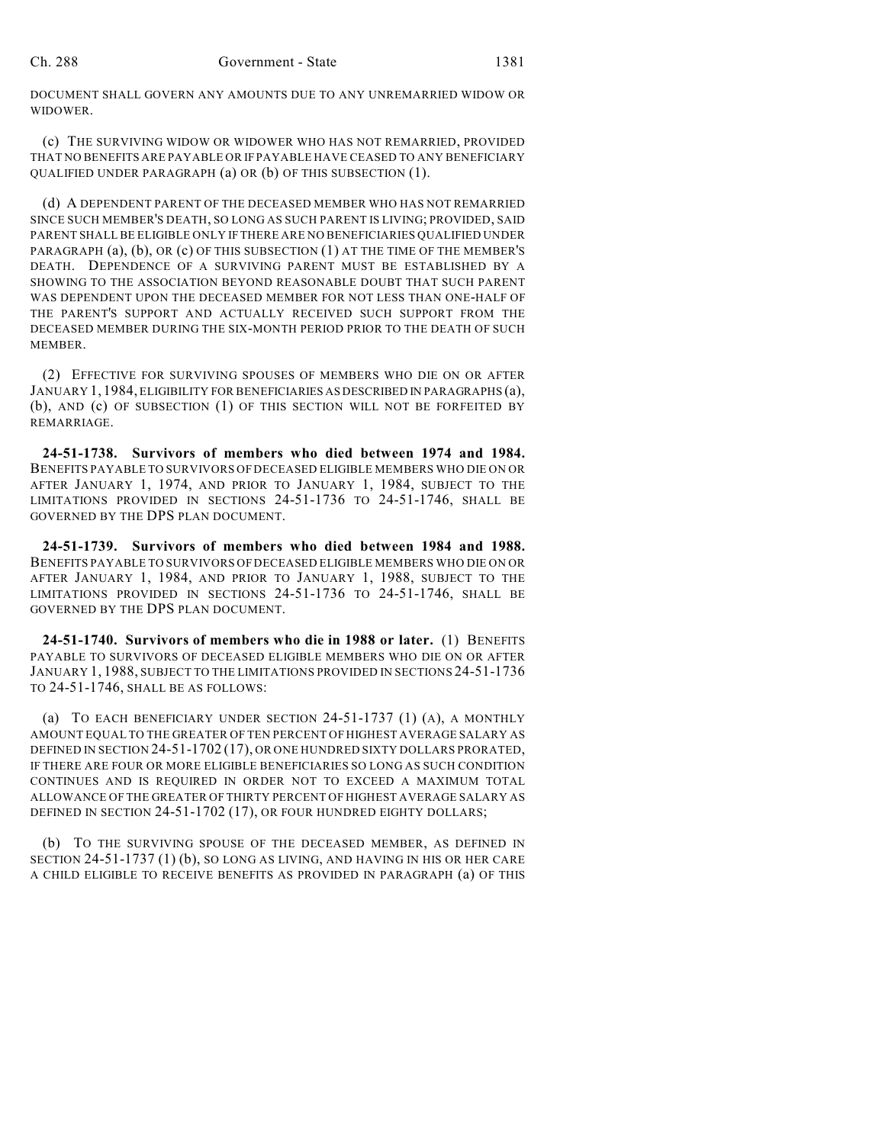DOCUMENT SHALL GOVERN ANY AMOUNTS DUE TO ANY UNREMARRIED WIDOW OR WIDOWER.

(c) THE SURVIVING WIDOW OR WIDOWER WHO HAS NOT REMARRIED, PROVIDED THAT NO BENEFITS ARE PAYABLE OR IF PAYABLE HAVE CEASED TO ANY BENEFICIARY QUALIFIED UNDER PARAGRAPH (a) OR (b) OF THIS SUBSECTION (1).

(d) A DEPENDENT PARENT OF THE DECEASED MEMBER WHO HAS NOT REMARRIED SINCE SUCH MEMBER'S DEATH, SO LONG AS SUCH PARENT IS LIVING; PROVIDED, SAID PARENT SHALL BE ELIGIBLE ONLY IF THERE ARE NO BENEFICIARIES QUALIFIED UNDER PARAGRAPH (a), (b), OR (c) OF THIS SUBSECTION (1) AT THE TIME OF THE MEMBER'S DEATH. DEPENDENCE OF A SURVIVING PARENT MUST BE ESTABLISHED BY A SHOWING TO THE ASSOCIATION BEYOND REASONABLE DOUBT THAT SUCH PARENT WAS DEPENDENT UPON THE DECEASED MEMBER FOR NOT LESS THAN ONE-HALF OF THE PARENT'S SUPPORT AND ACTUALLY RECEIVED SUCH SUPPORT FROM THE DECEASED MEMBER DURING THE SIX-MONTH PERIOD PRIOR TO THE DEATH OF SUCH MEMBER.

(2) EFFECTIVE FOR SURVIVING SPOUSES OF MEMBERS WHO DIE ON OR AFTER JANUARY 1, 1984, ELIGIBILITY FOR BENEFICIARIES AS DESCRIBED IN PARAGRAPHS (a), (b), AND (c) OF SUBSECTION (1) OF THIS SECTION WILL NOT BE FORFEITED BY REMARRIAGE.

**24-51-1738. Survivors of members who died between 1974 and 1984.** BENEFITS PAYABLE TO SURVIVORS OF DECEASED ELIGIBLE MEMBERS WHO DIE ON OR AFTER JANUARY 1, 1974, AND PRIOR TO JANUARY 1, 1984, SUBJECT TO THE LIMITATIONS PROVIDED IN SECTIONS 24-51-1736 TO 24-51-1746, SHALL BE GOVERNED BY THE DPS PLAN DOCUMENT.

**24-51-1739. Survivors of members who died between 1984 and 1988.** BENEFITS PAYABLE TO SURVIVORS OF DECEASED ELIGIBLE MEMBERS WHO DIE ON OR AFTER JANUARY 1, 1984, AND PRIOR TO JANUARY 1, 1988, SUBJECT TO THE LIMITATIONS PROVIDED IN SECTIONS 24-51-1736 TO 24-51-1746, SHALL BE GOVERNED BY THE DPS PLAN DOCUMENT.

**24-51-1740. Survivors of members who die in 1988 or later.** (1) BENEFITS PAYABLE TO SURVIVORS OF DECEASED ELIGIBLE MEMBERS WHO DIE ON OR AFTER JANUARY 1, 1988, SUBJECT TO THE LIMITATIONS PROVIDED IN SECTIONS 24-51-1736 TO 24-51-1746, SHALL BE AS FOLLOWS:

(a) TO EACH BENEFICIARY UNDER SECTION 24-51-1737 (1) (A), A MONTHLY AMOUNT EQUAL TO THE GREATER OF TEN PERCENT OF HIGHEST AVERAGE SALARY AS DEFINED IN SECTION 24-51-1702 (17), OR ONE HUNDRED SIXTY DOLLARS PRORATED, IF THERE ARE FOUR OR MORE ELIGIBLE BENEFICIARIES SO LONG AS SUCH CONDITION CONTINUES AND IS REQUIRED IN ORDER NOT TO EXCEED A MAXIMUM TOTAL ALLOWANCE OF THE GREATER OF THIRTY PERCENT OF HIGHEST AVERAGE SALARY AS DEFINED IN SECTION 24-51-1702 (17), OR FOUR HUNDRED EIGHTY DOLLARS;

(b) TO THE SURVIVING SPOUSE OF THE DECEASED MEMBER, AS DEFINED IN SECTION 24-51-1737 (1) (b), SO LONG AS LIVING, AND HAVING IN HIS OR HER CARE A CHILD ELIGIBLE TO RECEIVE BENEFITS AS PROVIDED IN PARAGRAPH (a) OF THIS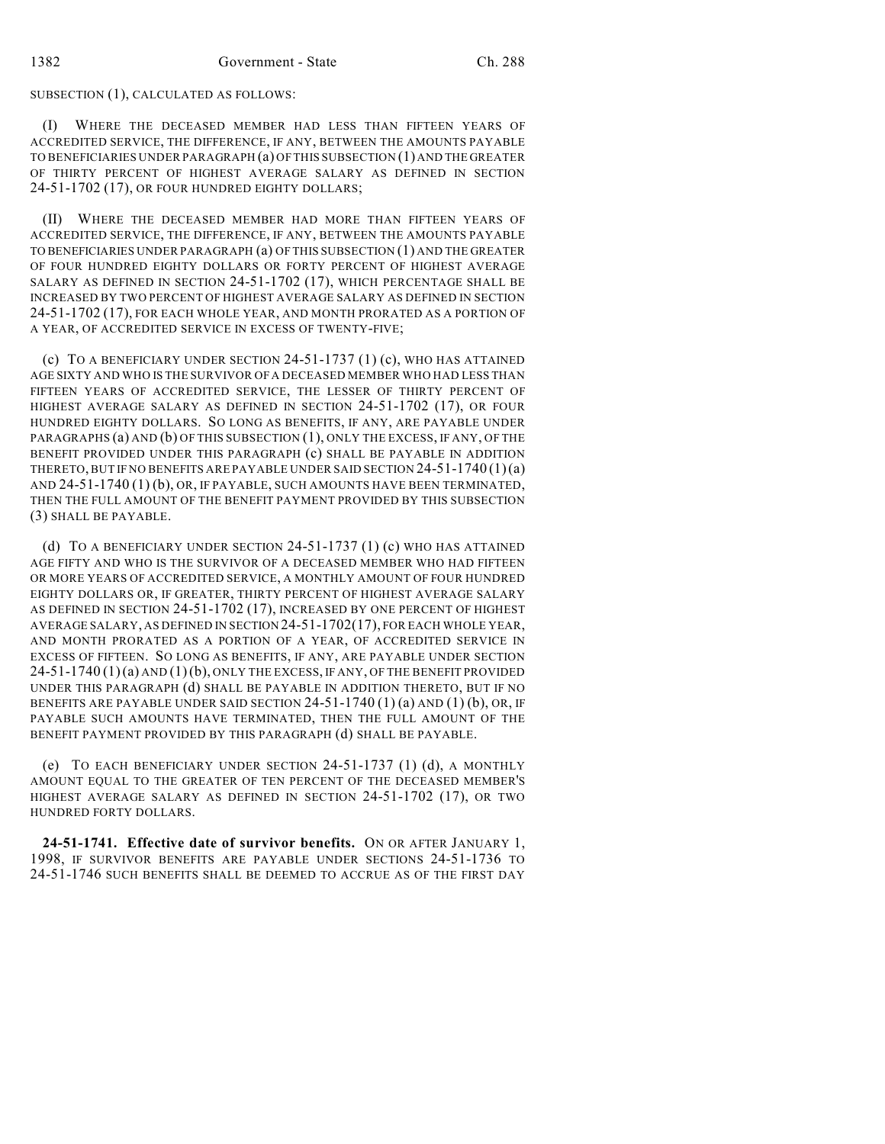#### SUBSECTION (1), CALCULATED AS FOLLOWS:

(I) WHERE THE DECEASED MEMBER HAD LESS THAN FIFTEEN YEARS OF ACCREDITED SERVICE, THE DIFFERENCE, IF ANY, BETWEEN THE AMOUNTS PAYABLE TO BENEFICIARIES UNDER PARAGRAPH (a) OF THIS SUBSECTION (1) AND THE GREATER OF THIRTY PERCENT OF HIGHEST AVERAGE SALARY AS DEFINED IN SECTION 24-51-1702 (17), OR FOUR HUNDRED EIGHTY DOLLARS;

(II) WHERE THE DECEASED MEMBER HAD MORE THAN FIFTEEN YEARS OF ACCREDITED SERVICE, THE DIFFERENCE, IF ANY, BETWEEN THE AMOUNTS PAYABLE TO BENEFICIARIES UNDER PARAGRAPH (a) OF THIS SUBSECTION (1) AND THE GREATER OF FOUR HUNDRED EIGHTY DOLLARS OR FORTY PERCENT OF HIGHEST AVERAGE SALARY AS DEFINED IN SECTION 24-51-1702 (17), WHICH PERCENTAGE SHALL BE INCREASED BY TWO PERCENT OF HIGHEST AVERAGE SALARY AS DEFINED IN SECTION 24-51-1702 (17), FOR EACH WHOLE YEAR, AND MONTH PRORATED AS A PORTION OF A YEAR, OF ACCREDITED SERVICE IN EXCESS OF TWENTY-FIVE;

(c) TO A BENEFICIARY UNDER SECTION 24-51-1737 (1) (c), WHO HAS ATTAINED AGE SIXTY AND WHO IS THE SURVIVOR OF A DECEASED MEMBER WHO HAD LESS THAN FIFTEEN YEARS OF ACCREDITED SERVICE, THE LESSER OF THIRTY PERCENT OF HIGHEST AVERAGE SALARY AS DEFINED IN SECTION 24-51-1702 (17), OR FOUR HUNDRED EIGHTY DOLLARS. SO LONG AS BENEFITS, IF ANY, ARE PAYABLE UNDER PARAGRAPHS (a) AND (b) OF THIS SUBSECTION (1), ONLY THE EXCESS, IF ANY, OF THE BENEFIT PROVIDED UNDER THIS PARAGRAPH (c) SHALL BE PAYABLE IN ADDITION THERETO, BUT IF NO BENEFITS ARE PAYABLE UNDER SAID SECTION 24-51-1740 (1)(a) AND 24-51-1740 (1) (b), OR, IF PAYABLE, SUCH AMOUNTS HAVE BEEN TERMINATED, THEN THE FULL AMOUNT OF THE BENEFIT PAYMENT PROVIDED BY THIS SUBSECTION (3) SHALL BE PAYABLE.

(d) TO A BENEFICIARY UNDER SECTION 24-51-1737 (1) (c) WHO HAS ATTAINED AGE FIFTY AND WHO IS THE SURVIVOR OF A DECEASED MEMBER WHO HAD FIFTEEN OR MORE YEARS OF ACCREDITED SERVICE, A MONTHLY AMOUNT OF FOUR HUNDRED EIGHTY DOLLARS OR, IF GREATER, THIRTY PERCENT OF HIGHEST AVERAGE SALARY AS DEFINED IN SECTION 24-51-1702 (17), INCREASED BY ONE PERCENT OF HIGHEST AVERAGE SALARY, AS DEFINED IN SECTION 24-51-1702(17), FOR EACH WHOLE YEAR, AND MONTH PRORATED AS A PORTION OF A YEAR, OF ACCREDITED SERVICE IN EXCESS OF FIFTEEN. SO LONG AS BENEFITS, IF ANY, ARE PAYABLE UNDER SECTION  $24-51-1740(1)(a)$  AND  $(1)(b)$ , ONLY THE EXCESS, IF ANY, OF THE BENEFIT PROVIDED UNDER THIS PARAGRAPH (d) SHALL BE PAYABLE IN ADDITION THERETO, BUT IF NO BENEFITS ARE PAYABLE UNDER SAID SECTION 24-51-1740 (1) (a) AND (1) (b), OR, IF PAYABLE SUCH AMOUNTS HAVE TERMINATED, THEN THE FULL AMOUNT OF THE BENEFIT PAYMENT PROVIDED BY THIS PARAGRAPH (d) SHALL BE PAYABLE.

(e) TO EACH BENEFICIARY UNDER SECTION  $24-51-1737$  (1) (d), A MONTHLY AMOUNT EQUAL TO THE GREATER OF TEN PERCENT OF THE DECEASED MEMBER'S HIGHEST AVERAGE SALARY AS DEFINED IN SECTION 24-51-1702 (17), OR TWO HUNDRED FORTY DOLLARS.

**24-51-1741. Effective date of survivor benefits.** ON OR AFTER JANUARY 1, 1998, IF SURVIVOR BENEFITS ARE PAYABLE UNDER SECTIONS 24-51-1736 TO 24-51-1746 SUCH BENEFITS SHALL BE DEEMED TO ACCRUE AS OF THE FIRST DAY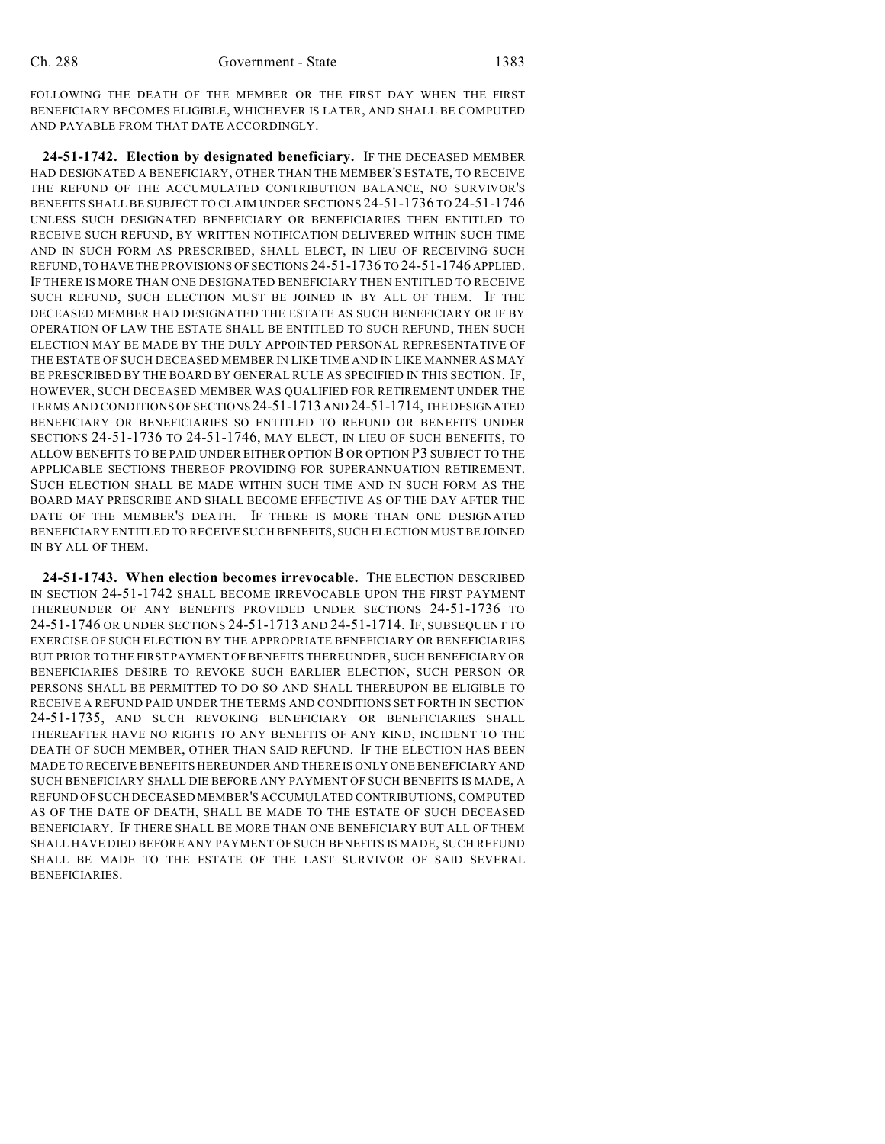FOLLOWING THE DEATH OF THE MEMBER OR THE FIRST DAY WHEN THE FIRST BENEFICIARY BECOMES ELIGIBLE, WHICHEVER IS LATER, AND SHALL BE COMPUTED AND PAYABLE FROM THAT DATE ACCORDINGLY.

**24-51-1742. Election by designated beneficiary.** IF THE DECEASED MEMBER HAD DESIGNATED A BENEFICIARY, OTHER THAN THE MEMBER'S ESTATE, TO RECEIVE THE REFUND OF THE ACCUMULATED CONTRIBUTION BALANCE, NO SURVIVOR'S BENEFITS SHALL BE SUBJECT TO CLAIM UNDER SECTIONS 24-51-1736 TO 24-51-1746 UNLESS SUCH DESIGNATED BENEFICIARY OR BENEFICIARIES THEN ENTITLED TO RECEIVE SUCH REFUND, BY WRITTEN NOTIFICATION DELIVERED WITHIN SUCH TIME AND IN SUCH FORM AS PRESCRIBED, SHALL ELECT, IN LIEU OF RECEIVING SUCH REFUND, TO HAVE THE PROVISIONS OF SECTIONS 24-51-1736 TO 24-51-1746 APPLIED. IF THERE IS MORE THAN ONE DESIGNATED BENEFICIARY THEN ENTITLED TO RECEIVE SUCH REFUND, SUCH ELECTION MUST BE JOINED IN BY ALL OF THEM. IF THE DECEASED MEMBER HAD DESIGNATED THE ESTATE AS SUCH BENEFICIARY OR IF BY OPERATION OF LAW THE ESTATE SHALL BE ENTITLED TO SUCH REFUND, THEN SUCH ELECTION MAY BE MADE BY THE DULY APPOINTED PERSONAL REPRESENTATIVE OF THE ESTATE OF SUCH DECEASED MEMBER IN LIKE TIME AND IN LIKE MANNER AS MAY BE PRESCRIBED BY THE BOARD BY GENERAL RULE AS SPECIFIED IN THIS SECTION. IF, HOWEVER, SUCH DECEASED MEMBER WAS QUALIFIED FOR RETIREMENT UNDER THE TERMS AND CONDITIONS OF SECTIONS 24-51-1713 AND 24-51-1714, THE DESIGNATED BENEFICIARY OR BENEFICIARIES SO ENTITLED TO REFUND OR BENEFITS UNDER SECTIONS 24-51-1736 TO 24-51-1746, MAY ELECT, IN LIEU OF SUCH BENEFITS, TO ALLOW BENEFITS TO BE PAID UNDER EITHER OPTION B OR OPTION P3 SUBJECT TO THE APPLICABLE SECTIONS THEREOF PROVIDING FOR SUPERANNUATION RETIREMENT. SUCH ELECTION SHALL BE MADE WITHIN SUCH TIME AND IN SUCH FORM AS THE BOARD MAY PRESCRIBE AND SHALL BECOME EFFECTIVE AS OF THE DAY AFTER THE DATE OF THE MEMBER'S DEATH. IF THERE IS MORE THAN ONE DESIGNATED BENEFICIARY ENTITLED TO RECEIVE SUCH BENEFITS, SUCH ELECTION MUST BE JOINED IN BY ALL OF THEM.

**24-51-1743. When election becomes irrevocable.** THE ELECTION DESCRIBED IN SECTION 24-51-1742 SHALL BECOME IRREVOCABLE UPON THE FIRST PAYMENT THEREUNDER OF ANY BENEFITS PROVIDED UNDER SECTIONS 24-51-1736 TO 24-51-1746 OR UNDER SECTIONS 24-51-1713 AND 24-51-1714. IF, SUBSEQUENT TO EXERCISE OF SUCH ELECTION BY THE APPROPRIATE BENEFICIARY OR BENEFICIARIES BUT PRIOR TO THE FIRST PAYMENT OF BENEFITS THEREUNDER, SUCH BENEFICIARY OR BENEFICIARIES DESIRE TO REVOKE SUCH EARLIER ELECTION, SUCH PERSON OR PERSONS SHALL BE PERMITTED TO DO SO AND SHALL THEREUPON BE ELIGIBLE TO RECEIVE A REFUND PAID UNDER THE TERMS AND CONDITIONS SET FORTH IN SECTION 24-51-1735, AND SUCH REVOKING BENEFICIARY OR BENEFICIARIES SHALL THEREAFTER HAVE NO RIGHTS TO ANY BENEFITS OF ANY KIND, INCIDENT TO THE DEATH OF SUCH MEMBER, OTHER THAN SAID REFUND. IF THE ELECTION HAS BEEN MADE TO RECEIVE BENEFITS HEREUNDER AND THERE IS ONLY ONE BENEFICIARY AND SUCH BENEFICIARY SHALL DIE BEFORE ANY PAYMENT OF SUCH BENEFITS IS MADE, A REFUND OF SUCH DECEASED MEMBER'S ACCUMULATED CONTRIBUTIONS, COMPUTED AS OF THE DATE OF DEATH, SHALL BE MADE TO THE ESTATE OF SUCH DECEASED BENEFICIARY. IF THERE SHALL BE MORE THAN ONE BENEFICIARY BUT ALL OF THEM SHALL HAVE DIED BEFORE ANY PAYMENT OF SUCH BENEFITS IS MADE, SUCH REFUND SHALL BE MADE TO THE ESTATE OF THE LAST SURVIVOR OF SAID SEVERAL BENEFICIARIES.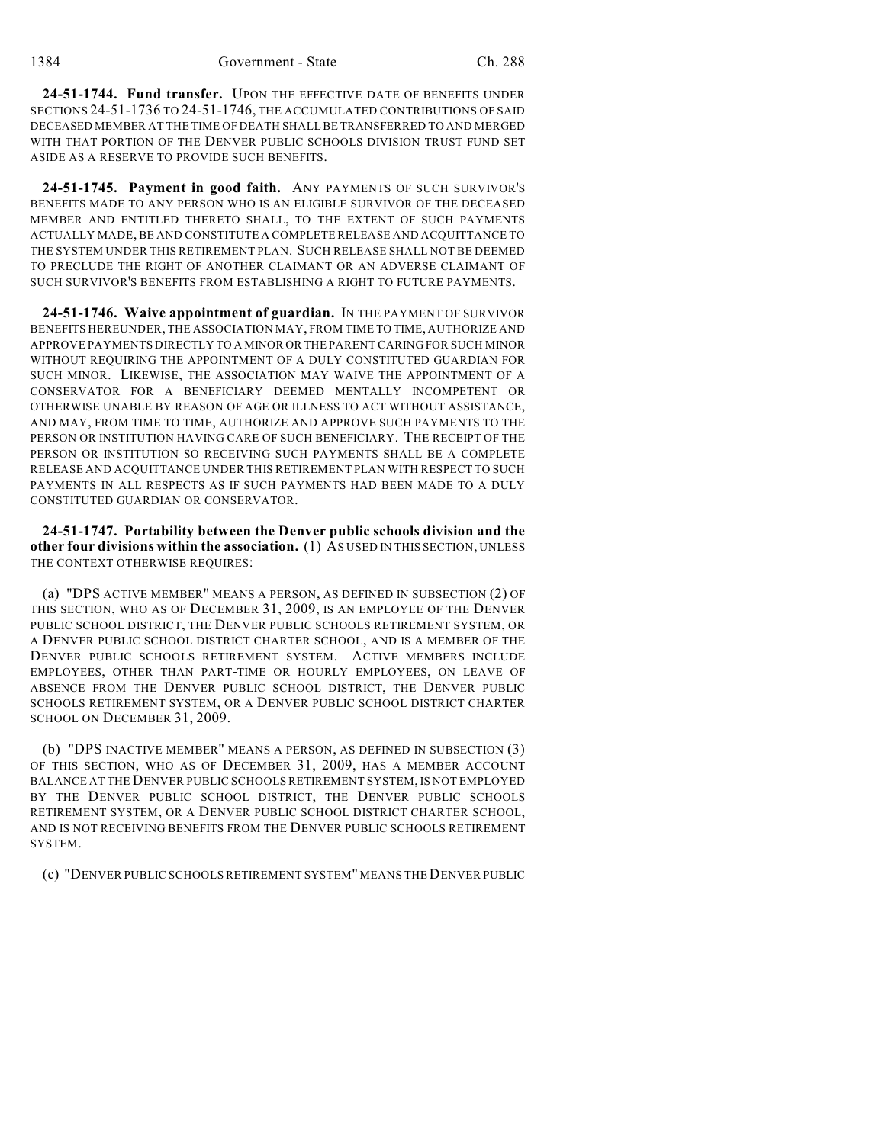**24-51-1744. Fund transfer.** UPON THE EFFECTIVE DATE OF BENEFITS UNDER SECTIONS 24-51-1736 TO 24-51-1746, THE ACCUMULATED CONTRIBUTIONS OF SAID DECEASED MEMBER AT THE TIME OF DEATH SHALL BE TRANSFERRED TO AND MERGED WITH THAT PORTION OF THE DENVER PUBLIC SCHOOLS DIVISION TRUST FUND SET ASIDE AS A RESERVE TO PROVIDE SUCH BENEFITS.

**24-51-1745. Payment in good faith.** ANY PAYMENTS OF SUCH SURVIVOR'S BENEFITS MADE TO ANY PERSON WHO IS AN ELIGIBLE SURVIVOR OF THE DECEASED MEMBER AND ENTITLED THERETO SHALL, TO THE EXTENT OF SUCH PAYMENTS ACTUALLY MADE, BE AND CONSTITUTE A COMPLETE RELEASE AND ACQUITTANCE TO THE SYSTEM UNDER THIS RETIREMENT PLAN. SUCH RELEASE SHALL NOT BE DEEMED TO PRECLUDE THE RIGHT OF ANOTHER CLAIMANT OR AN ADVERSE CLAIMANT OF SUCH SURVIVOR'S BENEFITS FROM ESTABLISHING A RIGHT TO FUTURE PAYMENTS.

**24-51-1746. Waive appointment of guardian.** IN THE PAYMENT OF SURVIVOR BENEFITS HEREUNDER, THE ASSOCIATION MAY, FROM TIME TO TIME, AUTHORIZE AND APPROVE PAYMENTS DIRECTLY TO A MINOR OR THE PARENT CARING FOR SUCH MINOR WITHOUT REQUIRING THE APPOINTMENT OF A DULY CONSTITUTED GUARDIAN FOR SUCH MINOR. LIKEWISE, THE ASSOCIATION MAY WAIVE THE APPOINTMENT OF A CONSERVATOR FOR A BENEFICIARY DEEMED MENTALLY INCOMPETENT OR OTHERWISE UNABLE BY REASON OF AGE OR ILLNESS TO ACT WITHOUT ASSISTANCE, AND MAY, FROM TIME TO TIME, AUTHORIZE AND APPROVE SUCH PAYMENTS TO THE PERSON OR INSTITUTION HAVING CARE OF SUCH BENEFICIARY. THE RECEIPT OF THE PERSON OR INSTITUTION SO RECEIVING SUCH PAYMENTS SHALL BE A COMPLETE RELEASE AND ACQUITTANCE UNDER THIS RETIREMENT PLAN WITH RESPECT TO SUCH PAYMENTS IN ALL RESPECTS AS IF SUCH PAYMENTS HAD BEEN MADE TO A DULY CONSTITUTED GUARDIAN OR CONSERVATOR.

**24-51-1747. Portability between the Denver public schools division and the other four divisions within the association.** (1) AS USED IN THIS SECTION, UNLESS THE CONTEXT OTHERWISE REQUIRES:

(a) "DPS ACTIVE MEMBER" MEANS A PERSON, AS DEFINED IN SUBSECTION (2) OF THIS SECTION, WHO AS OF DECEMBER 31, 2009, IS AN EMPLOYEE OF THE DENVER PUBLIC SCHOOL DISTRICT, THE DENVER PUBLIC SCHOOLS RETIREMENT SYSTEM, OR A DENVER PUBLIC SCHOOL DISTRICT CHARTER SCHOOL, AND IS A MEMBER OF THE DENVER PUBLIC SCHOOLS RETIREMENT SYSTEM. ACTIVE MEMBERS INCLUDE EMPLOYEES, OTHER THAN PART-TIME OR HOURLY EMPLOYEES, ON LEAVE OF ABSENCE FROM THE DENVER PUBLIC SCHOOL DISTRICT, THE DENVER PUBLIC SCHOOLS RETIREMENT SYSTEM, OR A DENVER PUBLIC SCHOOL DISTRICT CHARTER SCHOOL ON DECEMBER 31, 2009.

(b) "DPS INACTIVE MEMBER" MEANS A PERSON, AS DEFINED IN SUBSECTION (3) OF THIS SECTION, WHO AS OF DECEMBER 31, 2009, HAS A MEMBER ACCOUNT BALANCE AT THE DENVER PUBLIC SCHOOLS RETIREMENT SYSTEM, IS NOT EMPLOYED BY THE DENVER PUBLIC SCHOOL DISTRICT, THE DENVER PUBLIC SCHOOLS RETIREMENT SYSTEM, OR A DENVER PUBLIC SCHOOL DISTRICT CHARTER SCHOOL, AND IS NOT RECEIVING BENEFITS FROM THE DENVER PUBLIC SCHOOLS RETIREMENT SYSTEM.

(c) "DENVER PUBLIC SCHOOLS RETIREMENT SYSTEM" MEANS THE DENVER PUBLIC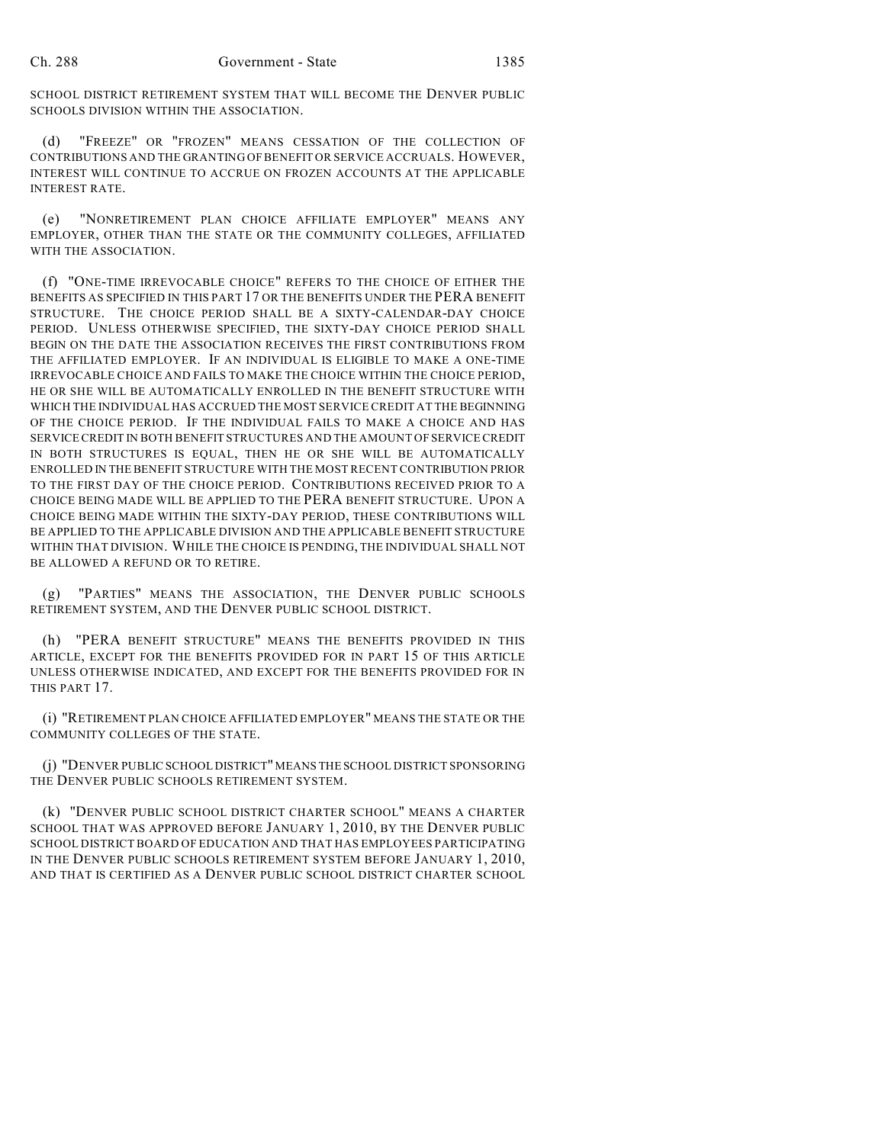SCHOOL DISTRICT RETIREMENT SYSTEM THAT WILL BECOME THE DENVER PUBLIC SCHOOLS DIVISION WITHIN THE ASSOCIATION.

(d) "FREEZE" OR "FROZEN" MEANS CESSATION OF THE COLLECTION OF CONTRIBUTIONS AND THE GRANTING OF BENEFIT OR SERVICE ACCRUALS. HOWEVER, INTEREST WILL CONTINUE TO ACCRUE ON FROZEN ACCOUNTS AT THE APPLICABLE INTEREST RATE.

(e) "NONRETIREMENT PLAN CHOICE AFFILIATE EMPLOYER" MEANS ANY EMPLOYER, OTHER THAN THE STATE OR THE COMMUNITY COLLEGES, AFFILIATED WITH THE ASSOCIATION.

(f) "ONE-TIME IRREVOCABLE CHOICE" REFERS TO THE CHOICE OF EITHER THE BENEFITS AS SPECIFIED IN THIS PART 17 OR THE BENEFITS UNDER THE PERA BENEFIT STRUCTURE. THE CHOICE PERIOD SHALL BE A SIXTY-CALENDAR-DAY CHOICE PERIOD. UNLESS OTHERWISE SPECIFIED, THE SIXTY-DAY CHOICE PERIOD SHALL BEGIN ON THE DATE THE ASSOCIATION RECEIVES THE FIRST CONTRIBUTIONS FROM THE AFFILIATED EMPLOYER. IF AN INDIVIDUAL IS ELIGIBLE TO MAKE A ONE-TIME IRREVOCABLE CHOICE AND FAILS TO MAKE THE CHOICE WITHIN THE CHOICE PERIOD, HE OR SHE WILL BE AUTOMATICALLY ENROLLED IN THE BENEFIT STRUCTURE WITH WHICH THE INDIVIDUAL HAS ACCRUED THE MOST SERVICE CREDIT AT THE BEGINNING OF THE CHOICE PERIOD. IF THE INDIVIDUAL FAILS TO MAKE A CHOICE AND HAS SERVICE CREDIT IN BOTH BENEFIT STRUCTURES AND THE AMOUNT OF SERVICE CREDIT IN BOTH STRUCTURES IS EQUAL, THEN HE OR SHE WILL BE AUTOMATICALLY ENROLLED IN THE BENEFIT STRUCTURE WITH THE MOST RECENT CONTRIBUTION PRIOR TO THE FIRST DAY OF THE CHOICE PERIOD. CONTRIBUTIONS RECEIVED PRIOR TO A CHOICE BEING MADE WILL BE APPLIED TO THE PERA BENEFIT STRUCTURE. UPON A CHOICE BEING MADE WITHIN THE SIXTY-DAY PERIOD, THESE CONTRIBUTIONS WILL BE APPLIED TO THE APPLICABLE DIVISION AND THE APPLICABLE BENEFIT STRUCTURE WITHIN THAT DIVISION. WHILE THE CHOICE IS PENDING, THE INDIVIDUAL SHALL NOT BE ALLOWED A REFUND OR TO RETIRE.

(g) "PARTIES" MEANS THE ASSOCIATION, THE DENVER PUBLIC SCHOOLS RETIREMENT SYSTEM, AND THE DENVER PUBLIC SCHOOL DISTRICT.

(h) "PERA BENEFIT STRUCTURE" MEANS THE BENEFITS PROVIDED IN THIS ARTICLE, EXCEPT FOR THE BENEFITS PROVIDED FOR IN PART 15 OF THIS ARTICLE UNLESS OTHERWISE INDICATED, AND EXCEPT FOR THE BENEFITS PROVIDED FOR IN THIS PART 17.

(i) "RETIREMENT PLAN CHOICE AFFILIATED EMPLOYER" MEANS THE STATE OR THE COMMUNITY COLLEGES OF THE STATE.

(j) "DENVER PUBLIC SCHOOL DISTRICT" MEANS THE SCHOOL DISTRICT SPONSORING THE DENVER PUBLIC SCHOOLS RETIREMENT SYSTEM.

(k) "DENVER PUBLIC SCHOOL DISTRICT CHARTER SCHOOL" MEANS A CHARTER SCHOOL THAT WAS APPROVED BEFORE JANUARY 1, 2010, BY THE DENVER PUBLIC SCHOOL DISTRICT BOARD OF EDUCATION AND THAT HAS EMPLOYEES PARTICIPATING IN THE DENVER PUBLIC SCHOOLS RETIREMENT SYSTEM BEFORE JANUARY 1, 2010, AND THAT IS CERTIFIED AS A DENVER PUBLIC SCHOOL DISTRICT CHARTER SCHOOL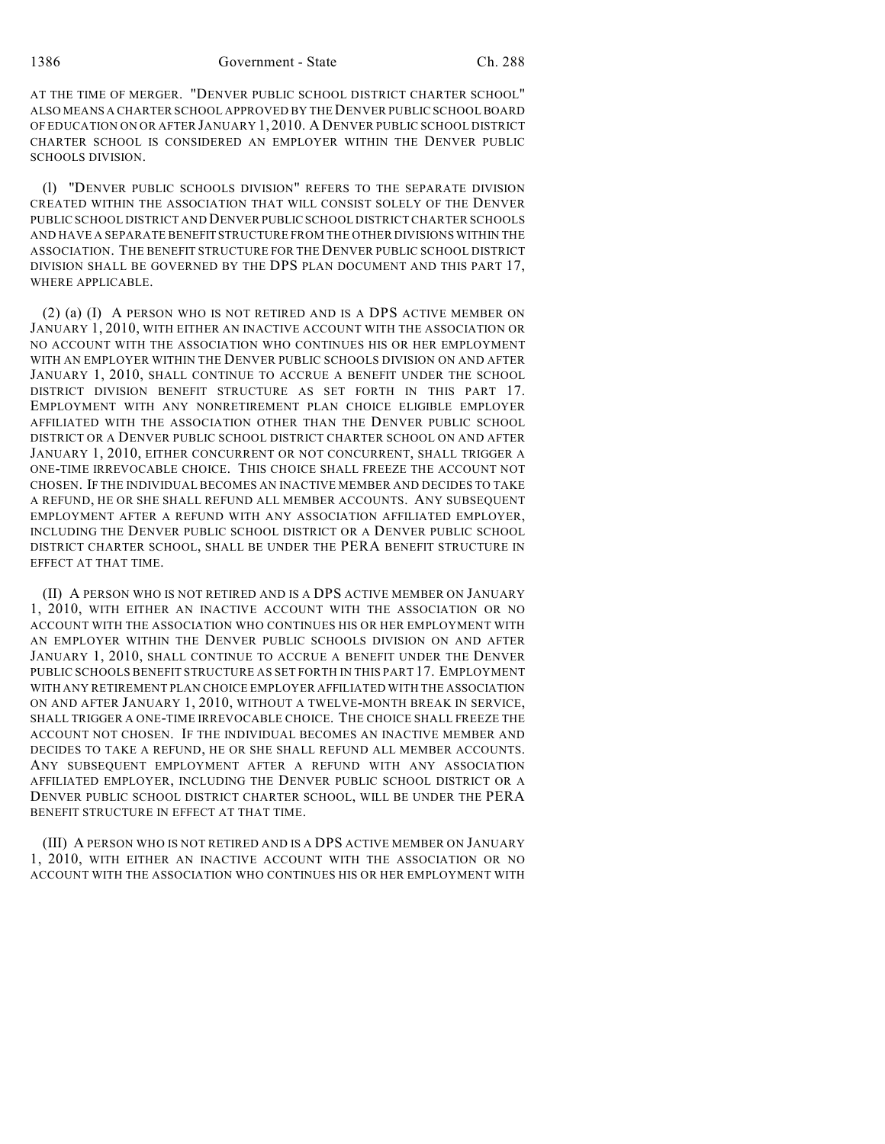AT THE TIME OF MERGER. "DENVER PUBLIC SCHOOL DISTRICT CHARTER SCHOOL" ALSO MEANS A CHARTER SCHOOL APPROVED BY THE DENVER PUBLIC SCHOOL BOARD OF EDUCATION ON OR AFTER JANUARY 1, 2010. A DENVER PUBLIC SCHOOL DISTRICT CHARTER SCHOOL IS CONSIDERED AN EMPLOYER WITHIN THE DENVER PUBLIC SCHOOLS DIVISION.

(l) "DENVER PUBLIC SCHOOLS DIVISION" REFERS TO THE SEPARATE DIVISION CREATED WITHIN THE ASSOCIATION THAT WILL CONSIST SOLELY OF THE DENVER PUBLIC SCHOOL DISTRICT AND DENVER PUBLIC SCHOOL DISTRICT CHARTER SCHOOLS AND HAVE A SEPARATE BENEFIT STRUCTURE FROM THE OTHER DIVISIONS WITHIN THE ASSOCIATION. THE BENEFIT STRUCTURE FOR THE DENVER PUBLIC SCHOOL DISTRICT DIVISION SHALL BE GOVERNED BY THE DPS PLAN DOCUMENT AND THIS PART 17, WHERE APPLICABLE.

(2) (a) (I) A PERSON WHO IS NOT RETIRED AND IS A DPS ACTIVE MEMBER ON JANUARY 1, 2010, WITH EITHER AN INACTIVE ACCOUNT WITH THE ASSOCIATION OR NO ACCOUNT WITH THE ASSOCIATION WHO CONTINUES HIS OR HER EMPLOYMENT WITH AN EMPLOYER WITHIN THE DENVER PUBLIC SCHOOLS DIVISION ON AND AFTER JANUARY 1, 2010, SHALL CONTINUE TO ACCRUE A BENEFIT UNDER THE SCHOOL DISTRICT DIVISION BENEFIT STRUCTURE AS SET FORTH IN THIS PART 17. EMPLOYMENT WITH ANY NONRETIREMENT PLAN CHOICE ELIGIBLE EMPLOYER AFFILIATED WITH THE ASSOCIATION OTHER THAN THE DENVER PUBLIC SCHOOL DISTRICT OR A DENVER PUBLIC SCHOOL DISTRICT CHARTER SCHOOL ON AND AFTER JANUARY 1, 2010, EITHER CONCURRENT OR NOT CONCURRENT, SHALL TRIGGER A ONE-TIME IRREVOCABLE CHOICE. THIS CHOICE SHALL FREEZE THE ACCOUNT NOT CHOSEN. IF THE INDIVIDUAL BECOMES AN INACTIVE MEMBER AND DECIDES TO TAKE A REFUND, HE OR SHE SHALL REFUND ALL MEMBER ACCOUNTS. ANY SUBSEQUENT EMPLOYMENT AFTER A REFUND WITH ANY ASSOCIATION AFFILIATED EMPLOYER, INCLUDING THE DENVER PUBLIC SCHOOL DISTRICT OR A DENVER PUBLIC SCHOOL DISTRICT CHARTER SCHOOL, SHALL BE UNDER THE PERA BENEFIT STRUCTURE IN EFFECT AT THAT TIME.

(II) A PERSON WHO IS NOT RETIRED AND IS A DPS ACTIVE MEMBER ON JANUARY 1, 2010, WITH EITHER AN INACTIVE ACCOUNT WITH THE ASSOCIATION OR NO ACCOUNT WITH THE ASSOCIATION WHO CONTINUES HIS OR HER EMPLOYMENT WITH AN EMPLOYER WITHIN THE DENVER PUBLIC SCHOOLS DIVISION ON AND AFTER JANUARY 1, 2010, SHALL CONTINUE TO ACCRUE A BENEFIT UNDER THE DENVER PUBLIC SCHOOLS BENEFIT STRUCTURE AS SET FORTH IN THIS PART 17. EMPLOYMENT WITH ANY RETIREMENT PLAN CHOICE EMPLOYER AFFILIATED WITH THE ASSOCIATION ON AND AFTER JANUARY 1, 2010, WITHOUT A TWELVE-MONTH BREAK IN SERVICE, SHALL TRIGGER A ONE-TIME IRREVOCABLE CHOICE. THE CHOICE SHALL FREEZE THE ACCOUNT NOT CHOSEN. IF THE INDIVIDUAL BECOMES AN INACTIVE MEMBER AND DECIDES TO TAKE A REFUND, HE OR SHE SHALL REFUND ALL MEMBER ACCOUNTS. ANY SUBSEQUENT EMPLOYMENT AFTER A REFUND WITH ANY ASSOCIATION AFFILIATED EMPLOYER, INCLUDING THE DENVER PUBLIC SCHOOL DISTRICT OR A DENVER PUBLIC SCHOOL DISTRICT CHARTER SCHOOL, WILL BE UNDER THE PERA BENEFIT STRUCTURE IN EFFECT AT THAT TIME.

(III) A PERSON WHO IS NOT RETIRED AND IS A DPS ACTIVE MEMBER ON JANUARY 1, 2010, WITH EITHER AN INACTIVE ACCOUNT WITH THE ASSOCIATION OR NO ACCOUNT WITH THE ASSOCIATION WHO CONTINUES HIS OR HER EMPLOYMENT WITH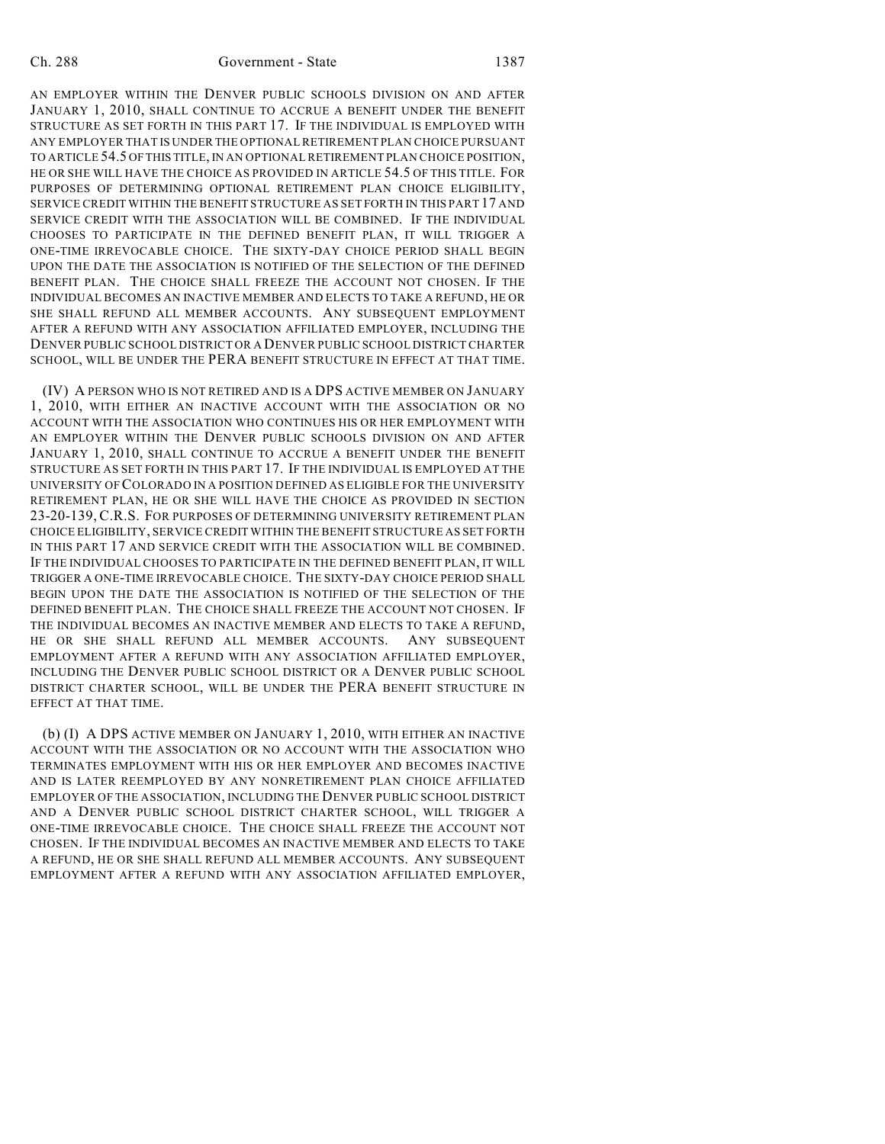AN EMPLOYER WITHIN THE DENVER PUBLIC SCHOOLS DIVISION ON AND AFTER JANUARY 1, 2010, SHALL CONTINUE TO ACCRUE A BENEFIT UNDER THE BENEFIT STRUCTURE AS SET FORTH IN THIS PART 17. IF THE INDIVIDUAL IS EMPLOYED WITH ANY EMPLOYER THAT IS UNDER THE OPTIONAL RETIREMENT PLAN CHOICE PURSUANT TO ARTICLE 54.5 OF THIS TITLE, IN AN OPTIONAL RETIREMENT PLAN CHOICE POSITION, HE OR SHE WILL HAVE THE CHOICE AS PROVIDED IN ARTICLE 54.5 OF THIS TITLE. FOR PURPOSES OF DETERMINING OPTIONAL RETIREMENT PLAN CHOICE ELIGIBILITY, SERVICE CREDIT WITHIN THE BENEFIT STRUCTURE AS SET FORTH IN THIS PART 17 AND SERVICE CREDIT WITH THE ASSOCIATION WILL BE COMBINED. IF THE INDIVIDUAL CHOOSES TO PARTICIPATE IN THE DEFINED BENEFIT PLAN, IT WILL TRIGGER A ONE-TIME IRREVOCABLE CHOICE. THE SIXTY-DAY CHOICE PERIOD SHALL BEGIN UPON THE DATE THE ASSOCIATION IS NOTIFIED OF THE SELECTION OF THE DEFINED BENEFIT PLAN. THE CHOICE SHALL FREEZE THE ACCOUNT NOT CHOSEN. IF THE INDIVIDUAL BECOMES AN INACTIVE MEMBER AND ELECTS TO TAKE A REFUND, HE OR SHE SHALL REFUND ALL MEMBER ACCOUNTS. ANY SUBSEQUENT EMPLOYMENT AFTER A REFUND WITH ANY ASSOCIATION AFFILIATED EMPLOYER, INCLUDING THE DENVER PUBLIC SCHOOL DISTRICT OR A DENVER PUBLIC SCHOOL DISTRICT CHARTER SCHOOL, WILL BE UNDER THE PERA BENEFIT STRUCTURE IN EFFECT AT THAT TIME.

(IV) A PERSON WHO IS NOT RETIRED AND IS A DPS ACTIVE MEMBER ON JANUARY 1, 2010, WITH EITHER AN INACTIVE ACCOUNT WITH THE ASSOCIATION OR NO ACCOUNT WITH THE ASSOCIATION WHO CONTINUES HIS OR HER EMPLOYMENT WITH AN EMPLOYER WITHIN THE DENVER PUBLIC SCHOOLS DIVISION ON AND AFTER JANUARY 1, 2010, SHALL CONTINUE TO ACCRUE A BENEFIT UNDER THE BENEFIT STRUCTURE AS SET FORTH IN THIS PART 17. IF THE INDIVIDUAL IS EMPLOYED AT THE UNIVERSITY OF COLORADO IN A POSITION DEFINED AS ELIGIBLE FOR THE UNIVERSITY RETIREMENT PLAN, HE OR SHE WILL HAVE THE CHOICE AS PROVIDED IN SECTION 23-20-139, C.R.S. FOR PURPOSES OF DETERMINING UNIVERSITY RETIREMENT PLAN CHOICE ELIGIBILITY, SERVICE CREDIT WITHIN THE BENEFIT STRUCTURE AS SET FORTH IN THIS PART 17 AND SERVICE CREDIT WITH THE ASSOCIATION WILL BE COMBINED. IF THE INDIVIDUAL CHOOSES TO PARTICIPATE IN THE DEFINED BENEFIT PLAN, IT WILL TRIGGER A ONE-TIME IRREVOCABLE CHOICE. THE SIXTY-DAY CHOICE PERIOD SHALL BEGIN UPON THE DATE THE ASSOCIATION IS NOTIFIED OF THE SELECTION OF THE DEFINED BENEFIT PLAN. THE CHOICE SHALL FREEZE THE ACCOUNT NOT CHOSEN. IF THE INDIVIDUAL BECOMES AN INACTIVE MEMBER AND ELECTS TO TAKE A REFUND, HE OR SHE SHALL REFUND ALL MEMBER ACCOUNTS. ANY SUBSEQUENT EMPLOYMENT AFTER A REFUND WITH ANY ASSOCIATION AFFILIATED EMPLOYER, INCLUDING THE DENVER PUBLIC SCHOOL DISTRICT OR A DENVER PUBLIC SCHOOL DISTRICT CHARTER SCHOOL, WILL BE UNDER THE PERA BENEFIT STRUCTURE IN EFFECT AT THAT TIME.

(b) (I) A DPS ACTIVE MEMBER ON JANUARY 1, 2010, WITH EITHER AN INACTIVE ACCOUNT WITH THE ASSOCIATION OR NO ACCOUNT WITH THE ASSOCIATION WHO TERMINATES EMPLOYMENT WITH HIS OR HER EMPLOYER AND BECOMES INACTIVE AND IS LATER REEMPLOYED BY ANY NONRETIREMENT PLAN CHOICE AFFILIATED EMPLOYER OF THE ASSOCIATION, INCLUDING THE DENVER PUBLIC SCHOOL DISTRICT AND A DENVER PUBLIC SCHOOL DISTRICT CHARTER SCHOOL, WILL TRIGGER A ONE-TIME IRREVOCABLE CHOICE. THE CHOICE SHALL FREEZE THE ACCOUNT NOT CHOSEN. IF THE INDIVIDUAL BECOMES AN INACTIVE MEMBER AND ELECTS TO TAKE A REFUND, HE OR SHE SHALL REFUND ALL MEMBER ACCOUNTS. ANY SUBSEQUENT EMPLOYMENT AFTER A REFUND WITH ANY ASSOCIATION AFFILIATED EMPLOYER,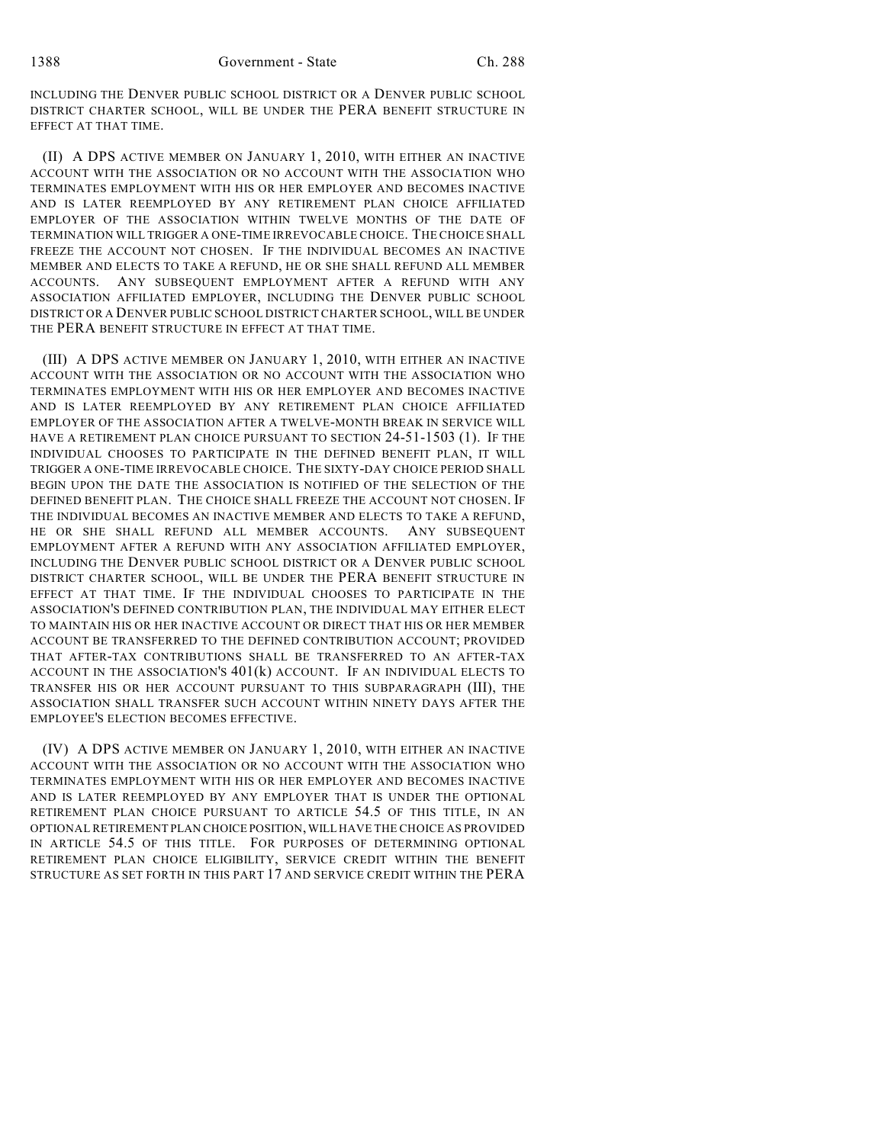INCLUDING THE DENVER PUBLIC SCHOOL DISTRICT OR A DENVER PUBLIC SCHOOL DISTRICT CHARTER SCHOOL, WILL BE UNDER THE PERA BENEFIT STRUCTURE IN EFFECT AT THAT TIME.

(II) A DPS ACTIVE MEMBER ON JANUARY 1, 2010, WITH EITHER AN INACTIVE ACCOUNT WITH THE ASSOCIATION OR NO ACCOUNT WITH THE ASSOCIATION WHO TERMINATES EMPLOYMENT WITH HIS OR HER EMPLOYER AND BECOMES INACTIVE AND IS LATER REEMPLOYED BY ANY RETIREMENT PLAN CHOICE AFFILIATED EMPLOYER OF THE ASSOCIATION WITHIN TWELVE MONTHS OF THE DATE OF TERMINATION WILL TRIGGER A ONE-TIME IRREVOCABLE CHOICE. THE CHOICE SHALL FREEZE THE ACCOUNT NOT CHOSEN. IF THE INDIVIDUAL BECOMES AN INACTIVE MEMBER AND ELECTS TO TAKE A REFUND, HE OR SHE SHALL REFUND ALL MEMBER ACCOUNTS. ANY SUBSEQUENT EMPLOYMENT AFTER A REFUND WITH ANY ASSOCIATION AFFILIATED EMPLOYER, INCLUDING THE DENVER PUBLIC SCHOOL DISTRICT OR A DENVER PUBLIC SCHOOL DISTRICT CHARTER SCHOOL, WILL BE UNDER THE PERA BENEFIT STRUCTURE IN EFFECT AT THAT TIME.

(III) A DPS ACTIVE MEMBER ON JANUARY 1, 2010, WITH EITHER AN INACTIVE ACCOUNT WITH THE ASSOCIATION OR NO ACCOUNT WITH THE ASSOCIATION WHO TERMINATES EMPLOYMENT WITH HIS OR HER EMPLOYER AND BECOMES INACTIVE AND IS LATER REEMPLOYED BY ANY RETIREMENT PLAN CHOICE AFFILIATED EMPLOYER OF THE ASSOCIATION AFTER A TWELVE-MONTH BREAK IN SERVICE WILL HAVE A RETIREMENT PLAN CHOICE PURSUANT TO SECTION 24-51-1503 (1). IF THE INDIVIDUAL CHOOSES TO PARTICIPATE IN THE DEFINED BENEFIT PLAN, IT WILL TRIGGER A ONE-TIME IRREVOCABLE CHOICE. THE SIXTY-DAY CHOICE PERIOD SHALL BEGIN UPON THE DATE THE ASSOCIATION IS NOTIFIED OF THE SELECTION OF THE DEFINED BENEFIT PLAN. THE CHOICE SHALL FREEZE THE ACCOUNT NOT CHOSEN. IF THE INDIVIDUAL BECOMES AN INACTIVE MEMBER AND ELECTS TO TAKE A REFUND, HE OR SHE SHALL REFUND ALL MEMBER ACCOUNTS. ANY SUBSEQUENT EMPLOYMENT AFTER A REFUND WITH ANY ASSOCIATION AFFILIATED EMPLOYER, INCLUDING THE DENVER PUBLIC SCHOOL DISTRICT OR A DENVER PUBLIC SCHOOL DISTRICT CHARTER SCHOOL, WILL BE UNDER THE PERA BENEFIT STRUCTURE IN EFFECT AT THAT TIME. IF THE INDIVIDUAL CHOOSES TO PARTICIPATE IN THE ASSOCIATION'S DEFINED CONTRIBUTION PLAN, THE INDIVIDUAL MAY EITHER ELECT TO MAINTAIN HIS OR HER INACTIVE ACCOUNT OR DIRECT THAT HIS OR HER MEMBER ACCOUNT BE TRANSFERRED TO THE DEFINED CONTRIBUTION ACCOUNT; PROVIDED THAT AFTER-TAX CONTRIBUTIONS SHALL BE TRANSFERRED TO AN AFTER-TAX ACCOUNT IN THE ASSOCIATION'S 401(k) ACCOUNT. IF AN INDIVIDUAL ELECTS TO TRANSFER HIS OR HER ACCOUNT PURSUANT TO THIS SUBPARAGRAPH (III), THE ASSOCIATION SHALL TRANSFER SUCH ACCOUNT WITHIN NINETY DAYS AFTER THE EMPLOYEE'S ELECTION BECOMES EFFECTIVE.

(IV) A DPS ACTIVE MEMBER ON JANUARY 1, 2010, WITH EITHER AN INACTIVE ACCOUNT WITH THE ASSOCIATION OR NO ACCOUNT WITH THE ASSOCIATION WHO TERMINATES EMPLOYMENT WITH HIS OR HER EMPLOYER AND BECOMES INACTIVE AND IS LATER REEMPLOYED BY ANY EMPLOYER THAT IS UNDER THE OPTIONAL RETIREMENT PLAN CHOICE PURSUANT TO ARTICLE 54.5 OF THIS TITLE, IN AN OPTIONAL RETIREMENT PLAN CHOICE POSITION, WILL HAVE THE CHOICE AS PROVIDED IN ARTICLE 54.5 OF THIS TITLE. FOR PURPOSES OF DETERMINING OPTIONAL RETIREMENT PLAN CHOICE ELIGIBILITY, SERVICE CREDIT WITHIN THE BENEFIT STRUCTURE AS SET FORTH IN THIS PART 17 AND SERVICE CREDIT WITHIN THE PERA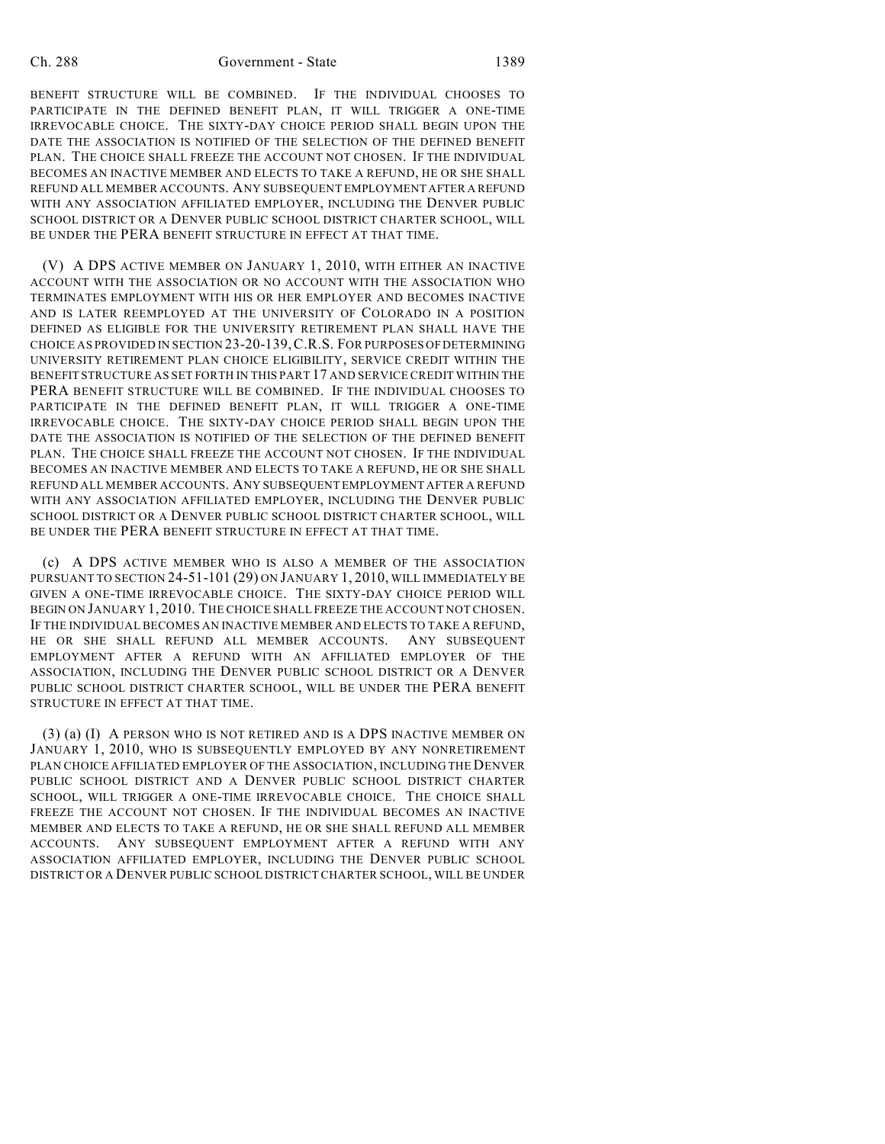BENEFIT STRUCTURE WILL BE COMBINED. IF THE INDIVIDUAL CHOOSES TO PARTICIPATE IN THE DEFINED BENEFIT PLAN, IT WILL TRIGGER A ONE-TIME IRREVOCABLE CHOICE. THE SIXTY-DAY CHOICE PERIOD SHALL BEGIN UPON THE DATE THE ASSOCIATION IS NOTIFIED OF THE SELECTION OF THE DEFINED BENEFIT PLAN. THE CHOICE SHALL FREEZE THE ACCOUNT NOT CHOSEN. IF THE INDIVIDUAL BECOMES AN INACTIVE MEMBER AND ELECTS TO TAKE A REFUND, HE OR SHE SHALL REFUND ALL MEMBER ACCOUNTS. ANY SUBSEQUENT EMPLOYMENT AFTER A REFUND WITH ANY ASSOCIATION AFFILIATED EMPLOYER, INCLUDING THE DENVER PUBLIC SCHOOL DISTRICT OR A DENVER PUBLIC SCHOOL DISTRICT CHARTER SCHOOL, WILL BE UNDER THE PERA BENEFIT STRUCTURE IN EFFECT AT THAT TIME.

(V) A DPS ACTIVE MEMBER ON JANUARY 1, 2010, WITH EITHER AN INACTIVE ACCOUNT WITH THE ASSOCIATION OR NO ACCOUNT WITH THE ASSOCIATION WHO TERMINATES EMPLOYMENT WITH HIS OR HER EMPLOYER AND BECOMES INACTIVE AND IS LATER REEMPLOYED AT THE UNIVERSITY OF COLORADO IN A POSITION DEFINED AS ELIGIBLE FOR THE UNIVERSITY RETIREMENT PLAN SHALL HAVE THE CHOICE AS PROVIDED IN SECTION 23-20-139,C.R.S. FOR PURPOSES OF DETERMINING UNIVERSITY RETIREMENT PLAN CHOICE ELIGIBILITY, SERVICE CREDIT WITHIN THE BENEFIT STRUCTURE AS SET FORTH IN THIS PART 17 AND SERVICE CREDIT WITHIN THE PERA BENEFIT STRUCTURE WILL BE COMBINED. IF THE INDIVIDUAL CHOOSES TO PARTICIPATE IN THE DEFINED BENEFIT PLAN, IT WILL TRIGGER A ONE-TIME IRREVOCABLE CHOICE. THE SIXTY-DAY CHOICE PERIOD SHALL BEGIN UPON THE DATE THE ASSOCIATION IS NOTIFIED OF THE SELECTION OF THE DEFINED BENEFIT PLAN. THE CHOICE SHALL FREEZE THE ACCOUNT NOT CHOSEN. IF THE INDIVIDUAL BECOMES AN INACTIVE MEMBER AND ELECTS TO TAKE A REFUND, HE OR SHE SHALL REFUND ALL MEMBER ACCOUNTS. ANY SUBSEQUENT EMPLOYMENT AFTER A REFUND WITH ANY ASSOCIATION AFFILIATED EMPLOYER, INCLUDING THE DENVER PUBLIC SCHOOL DISTRICT OR A DENVER PUBLIC SCHOOL DISTRICT CHARTER SCHOOL, WILL BE UNDER THE PERA BENEFIT STRUCTURE IN EFFECT AT THAT TIME.

(c) A DPS ACTIVE MEMBER WHO IS ALSO A MEMBER OF THE ASSOCIATION PURSUANT TO SECTION 24-51-101 (29) ON JANUARY 1, 2010, WILL IMMEDIATELY BE GIVEN A ONE-TIME IRREVOCABLE CHOICE. THE SIXTY-DAY CHOICE PERIOD WILL BEGIN ON JANUARY 1, 2010. THE CHOICE SHALL FREEZE THE ACCOUNT NOT CHOSEN. IF THE INDIVIDUAL BECOMES AN INACTIVE MEMBER AND ELECTS TO TAKE A REFUND, HE OR SHE SHALL REFUND ALL MEMBER ACCOUNTS. ANY SUBSEQUENT EMPLOYMENT AFTER A REFUND WITH AN AFFILIATED EMPLOYER OF THE ASSOCIATION, INCLUDING THE DENVER PUBLIC SCHOOL DISTRICT OR A DENVER PUBLIC SCHOOL DISTRICT CHARTER SCHOOL, WILL BE UNDER THE PERA BENEFIT STRUCTURE IN EFFECT AT THAT TIME.

(3) (a) (I) A PERSON WHO IS NOT RETIRED AND IS A DPS INACTIVE MEMBER ON JANUARY 1, 2010, WHO IS SUBSEQUENTLY EMPLOYED BY ANY NONRETIREMENT PLAN CHOICE AFFILIATED EMPLOYER OF THE ASSOCIATION, INCLUDING THE DENVER PUBLIC SCHOOL DISTRICT AND A DENVER PUBLIC SCHOOL DISTRICT CHARTER SCHOOL, WILL TRIGGER A ONE-TIME IRREVOCABLE CHOICE. THE CHOICE SHALL FREEZE THE ACCOUNT NOT CHOSEN. IF THE INDIVIDUAL BECOMES AN INACTIVE MEMBER AND ELECTS TO TAKE A REFUND, HE OR SHE SHALL REFUND ALL MEMBER ACCOUNTS. ANY SUBSEQUENT EMPLOYMENT AFTER A REFUND WITH ANY ASSOCIATION AFFILIATED EMPLOYER, INCLUDING THE DENVER PUBLIC SCHOOL DISTRICT OR A DENVER PUBLIC SCHOOL DISTRICT CHARTER SCHOOL, WILL BE UNDER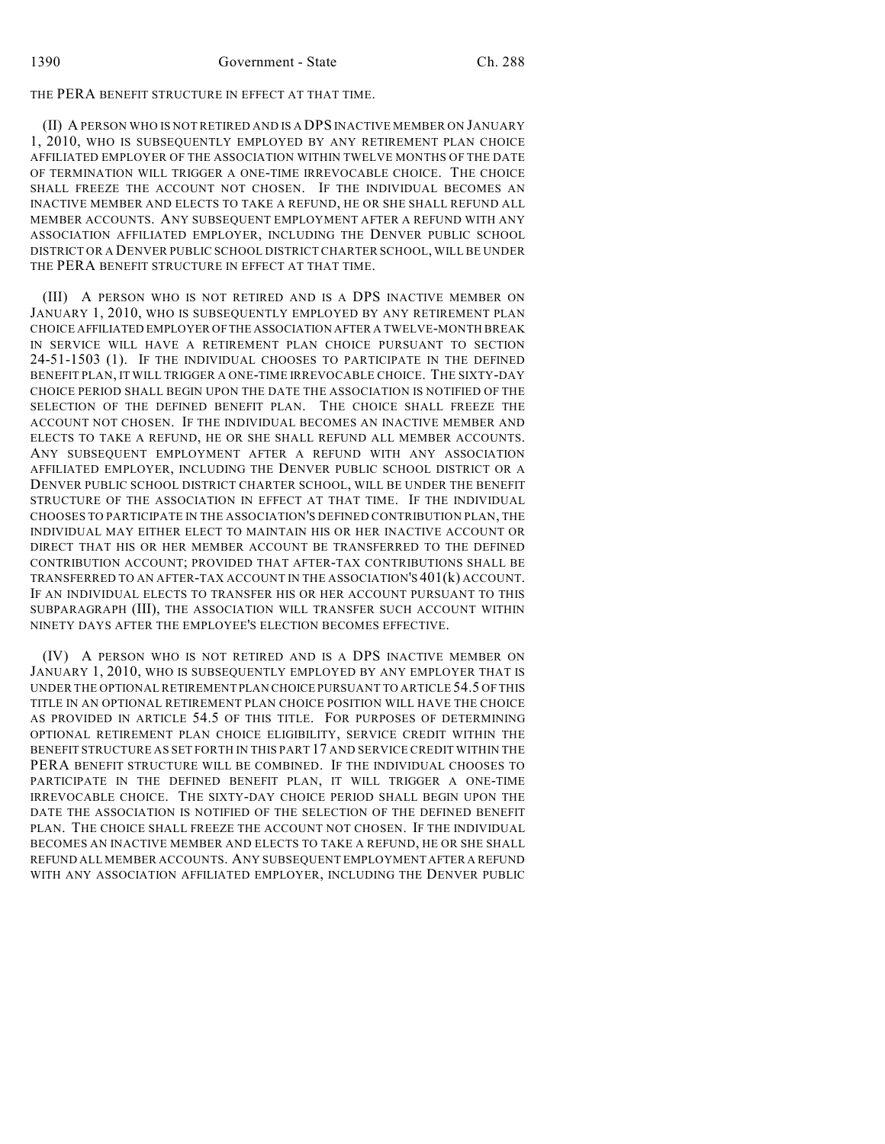THE PERA BENEFIT STRUCTURE IN EFFECT AT THAT TIME.

(II) A PERSON WHO IS NOT RETIRED AND IS A DPS INACTIVE MEMBER ON JANUARY 1, 2010, WHO IS SUBSEQUENTLY EMPLOYED BY ANY RETIREMENT PLAN CHOICE AFFILIATED EMPLOYER OF THE ASSOCIATION WITHIN TWELVE MONTHS OF THE DATE OF TERMINATION WILL TRIGGER A ONE-TIME IRREVOCABLE CHOICE. THE CHOICE SHALL FREEZE THE ACCOUNT NOT CHOSEN. IF THE INDIVIDUAL BECOMES AN INACTIVE MEMBER AND ELECTS TO TAKE A REFUND, HE OR SHE SHALL REFUND ALL MEMBER ACCOUNTS. ANY SUBSEQUENT EMPLOYMENT AFTER A REFUND WITH ANY ASSOCIATION AFFILIATED EMPLOYER, INCLUDING THE DENVER PUBLIC SCHOOL DISTRICT OR A DENVER PUBLIC SCHOOL DISTRICT CHARTER SCHOOL, WILL BE UNDER THE PERA BENEFIT STRUCTURE IN EFFECT AT THAT TIME.

(III) A PERSON WHO IS NOT RETIRED AND IS A DPS INACTIVE MEMBER ON JANUARY 1, 2010, WHO IS SUBSEQUENTLY EMPLOYED BY ANY RETIREMENT PLAN CHOICE AFFILIATED EMPLOYER OF THE ASSOCIATION AFTER A TWELVE-MONTH BREAK IN SERVICE WILL HAVE A RETIREMENT PLAN CHOICE PURSUANT TO SECTION 24-51-1503 (1). IF THE INDIVIDUAL CHOOSES TO PARTICIPATE IN THE DEFINED BENEFIT PLAN, IT WILL TRIGGER A ONE-TIME IRREVOCABLE CHOICE. THE SIXTY-DAY CHOICE PERIOD SHALL BEGIN UPON THE DATE THE ASSOCIATION IS NOTIFIED OF THE SELECTION OF THE DEFINED BENEFIT PLAN. THE CHOICE SHALL FREEZE THE ACCOUNT NOT CHOSEN. IF THE INDIVIDUAL BECOMES AN INACTIVE MEMBER AND ELECTS TO TAKE A REFUND, HE OR SHE SHALL REFUND ALL MEMBER ACCOUNTS. ANY SUBSEQUENT EMPLOYMENT AFTER A REFUND WITH ANY ASSOCIATION AFFILIATED EMPLOYER, INCLUDING THE DENVER PUBLIC SCHOOL DISTRICT OR A DENVER PUBLIC SCHOOL DISTRICT CHARTER SCHOOL, WILL BE UNDER THE BENEFIT STRUCTURE OF THE ASSOCIATION IN EFFECT AT THAT TIME. IF THE INDIVIDUAL CHOOSES TO PARTICIPATE IN THE ASSOCIATION'S DEFINED CONTRIBUTION PLAN, THE INDIVIDUAL MAY EITHER ELECT TO MAINTAIN HIS OR HER INACTIVE ACCOUNT OR DIRECT THAT HIS OR HER MEMBER ACCOUNT BE TRANSFERRED TO THE DEFINED CONTRIBUTION ACCOUNT; PROVIDED THAT AFTER-TAX CONTRIBUTIONS SHALL BE TRANSFERRED TO AN AFTER-TAX ACCOUNT IN THE ASSOCIATION'S 401(k) ACCOUNT. IF AN INDIVIDUAL ELECTS TO TRANSFER HIS OR HER ACCOUNT PURSUANT TO THIS SUBPARAGRAPH (III), THE ASSOCIATION WILL TRANSFER SUCH ACCOUNT WITHIN NINETY DAYS AFTER THE EMPLOYEE'S ELECTION BECOMES EFFECTIVE.

(IV) A PERSON WHO IS NOT RETIRED AND IS A DPS INACTIVE MEMBER ON JANUARY 1, 2010, WHO IS SUBSEQUENTLY EMPLOYED BY ANY EMPLOYER THAT IS UNDER THE OPTIONAL RETIREMENT PLAN CHOICE PURSUANT TO ARTICLE 54.5 OF THIS TITLE IN AN OPTIONAL RETIREMENT PLAN CHOICE POSITION WILL HAVE THE CHOICE AS PROVIDED IN ARTICLE 54.5 OF THIS TITLE. FOR PURPOSES OF DETERMINING OPTIONAL RETIREMENT PLAN CHOICE ELIGIBILITY, SERVICE CREDIT WITHIN THE BENEFIT STRUCTURE AS SET FORTH IN THIS PART 17 AND SERVICE CREDIT WITHIN THE PERA BENEFIT STRUCTURE WILL BE COMBINED. IF THE INDIVIDUAL CHOOSES TO PARTICIPATE IN THE DEFINED BENEFIT PLAN, IT WILL TRIGGER A ONE-TIME IRREVOCABLE CHOICE. THE SIXTY-DAY CHOICE PERIOD SHALL BEGIN UPON THE DATE THE ASSOCIATION IS NOTIFIED OF THE SELECTION OF THE DEFINED BENEFIT PLAN. THE CHOICE SHALL FREEZE THE ACCOUNT NOT CHOSEN. IF THE INDIVIDUAL BECOMES AN INACTIVE MEMBER AND ELECTS TO TAKE A REFUND, HE OR SHE SHALL REFUND ALL MEMBER ACCOUNTS. ANY SUBSEQUENT EMPLOYMENT AFTER A REFUND WITH ANY ASSOCIATION AFFILIATED EMPLOYER, INCLUDING THE DENVER PUBLIC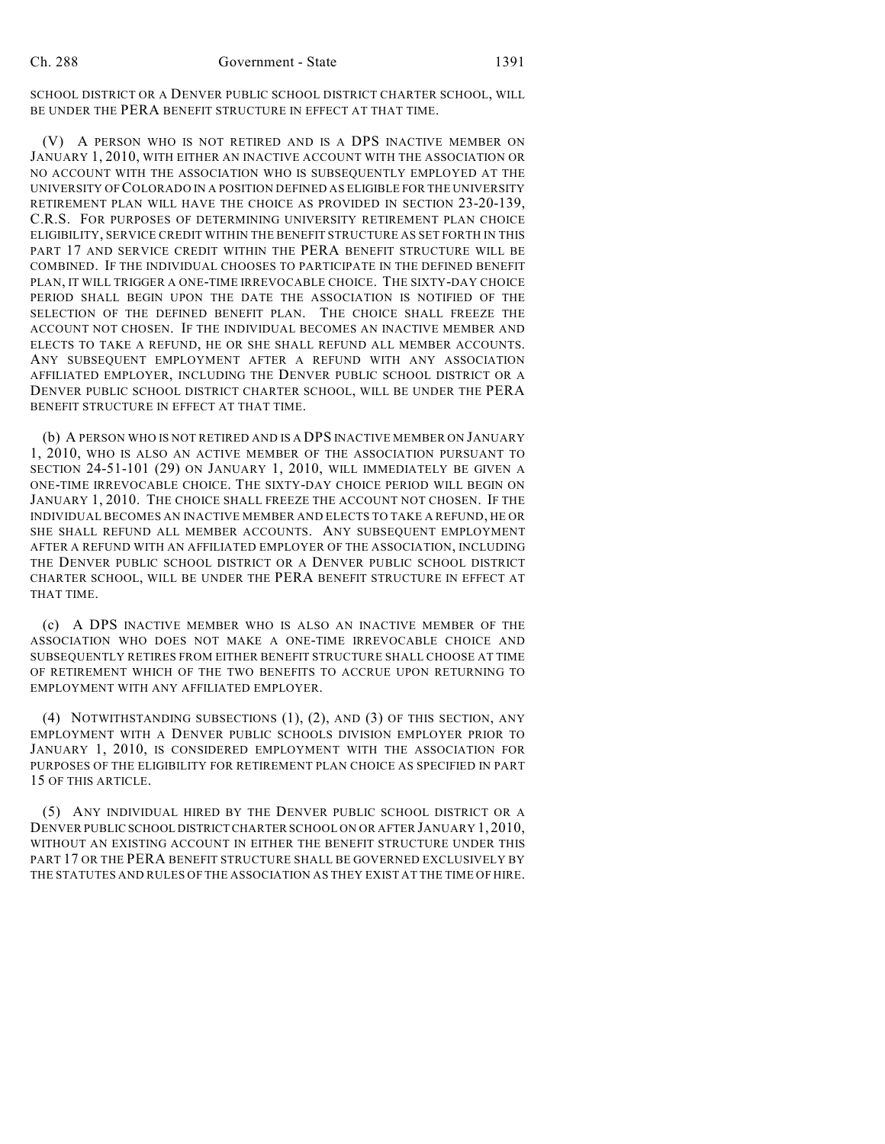SCHOOL DISTRICT OR A DENVER PUBLIC SCHOOL DISTRICT CHARTER SCHOOL, WILL BE UNDER THE PERA BENEFIT STRUCTURE IN EFFECT AT THAT TIME.

(V) A PERSON WHO IS NOT RETIRED AND IS A DPS INACTIVE MEMBER ON JANUARY 1, 2010, WITH EITHER AN INACTIVE ACCOUNT WITH THE ASSOCIATION OR NO ACCOUNT WITH THE ASSOCIATION WHO IS SUBSEQUENTLY EMPLOYED AT THE UNIVERSITY OF COLORADO IN A POSITION DEFINED AS ELIGIBLE FOR THE UNIVERSITY RETIREMENT PLAN WILL HAVE THE CHOICE AS PROVIDED IN SECTION 23-20-139, C.R.S. FOR PURPOSES OF DETERMINING UNIVERSITY RETIREMENT PLAN CHOICE ELIGIBILITY, SERVICE CREDIT WITHIN THE BENEFIT STRUCTURE AS SET FORTH IN THIS PART 17 AND SERVICE CREDIT WITHIN THE PERA BENEFIT STRUCTURE WILL BE COMBINED. IF THE INDIVIDUAL CHOOSES TO PARTICIPATE IN THE DEFINED BENEFIT PLAN, IT WILL TRIGGER A ONE-TIME IRREVOCABLE CHOICE. THE SIXTY-DAY CHOICE PERIOD SHALL BEGIN UPON THE DATE THE ASSOCIATION IS NOTIFIED OF THE SELECTION OF THE DEFINED BENEFIT PLAN. THE CHOICE SHALL FREEZE THE ACCOUNT NOT CHOSEN. IF THE INDIVIDUAL BECOMES AN INACTIVE MEMBER AND ELECTS TO TAKE A REFUND, HE OR SHE SHALL REFUND ALL MEMBER ACCOUNTS. ANY SUBSEQUENT EMPLOYMENT AFTER A REFUND WITH ANY ASSOCIATION AFFILIATED EMPLOYER, INCLUDING THE DENVER PUBLIC SCHOOL DISTRICT OR A DENVER PUBLIC SCHOOL DISTRICT CHARTER SCHOOL, WILL BE UNDER THE PERA BENEFIT STRUCTURE IN EFFECT AT THAT TIME.

(b) A PERSON WHO IS NOT RETIRED AND IS A DPS INACTIVE MEMBER ON JANUARY 1, 2010, WHO IS ALSO AN ACTIVE MEMBER OF THE ASSOCIATION PURSUANT TO SECTION 24-51-101 (29) ON JANUARY 1, 2010, WILL IMMEDIATELY BE GIVEN A ONE-TIME IRREVOCABLE CHOICE. THE SIXTY-DAY CHOICE PERIOD WILL BEGIN ON JANUARY 1, 2010. THE CHOICE SHALL FREEZE THE ACCOUNT NOT CHOSEN. IF THE INDIVIDUAL BECOMES AN INACTIVE MEMBER AND ELECTS TO TAKE A REFUND, HE OR SHE SHALL REFUND ALL MEMBER ACCOUNTS. ANY SUBSEQUENT EMPLOYMENT AFTER A REFUND WITH AN AFFILIATED EMPLOYER OF THE ASSOCIATION, INCLUDING THE DENVER PUBLIC SCHOOL DISTRICT OR A DENVER PUBLIC SCHOOL DISTRICT CHARTER SCHOOL, WILL BE UNDER THE PERA BENEFIT STRUCTURE IN EFFECT AT THAT TIME.

(c) A DPS INACTIVE MEMBER WHO IS ALSO AN INACTIVE MEMBER OF THE ASSOCIATION WHO DOES NOT MAKE A ONE-TIME IRREVOCABLE CHOICE AND SUBSEQUENTLY RETIRES FROM EITHER BENEFIT STRUCTURE SHALL CHOOSE AT TIME OF RETIREMENT WHICH OF THE TWO BENEFITS TO ACCRUE UPON RETURNING TO EMPLOYMENT WITH ANY AFFILIATED EMPLOYER.

(4) NOTWITHSTANDING SUBSECTIONS (1), (2), AND (3) OF THIS SECTION, ANY EMPLOYMENT WITH A DENVER PUBLIC SCHOOLS DIVISION EMPLOYER PRIOR TO JANUARY 1, 2010, IS CONSIDERED EMPLOYMENT WITH THE ASSOCIATION FOR PURPOSES OF THE ELIGIBILITY FOR RETIREMENT PLAN CHOICE AS SPECIFIED IN PART 15 OF THIS ARTICLE.

(5) ANY INDIVIDUAL HIRED BY THE DENVER PUBLIC SCHOOL DISTRICT OR A DENVER PUBLIC SCHOOL DISTRICT CHARTER SCHOOL ON OR AFTER JANUARY 1, 2010, WITHOUT AN EXISTING ACCOUNT IN EITHER THE BENEFIT STRUCTURE UNDER THIS PART 17 OR THE PERA BENEFIT STRUCTURE SHALL BE GOVERNED EXCLUSIVELY BY THE STATUTES AND RULES OF THE ASSOCIATION AS THEY EXIST AT THE TIME OF HIRE.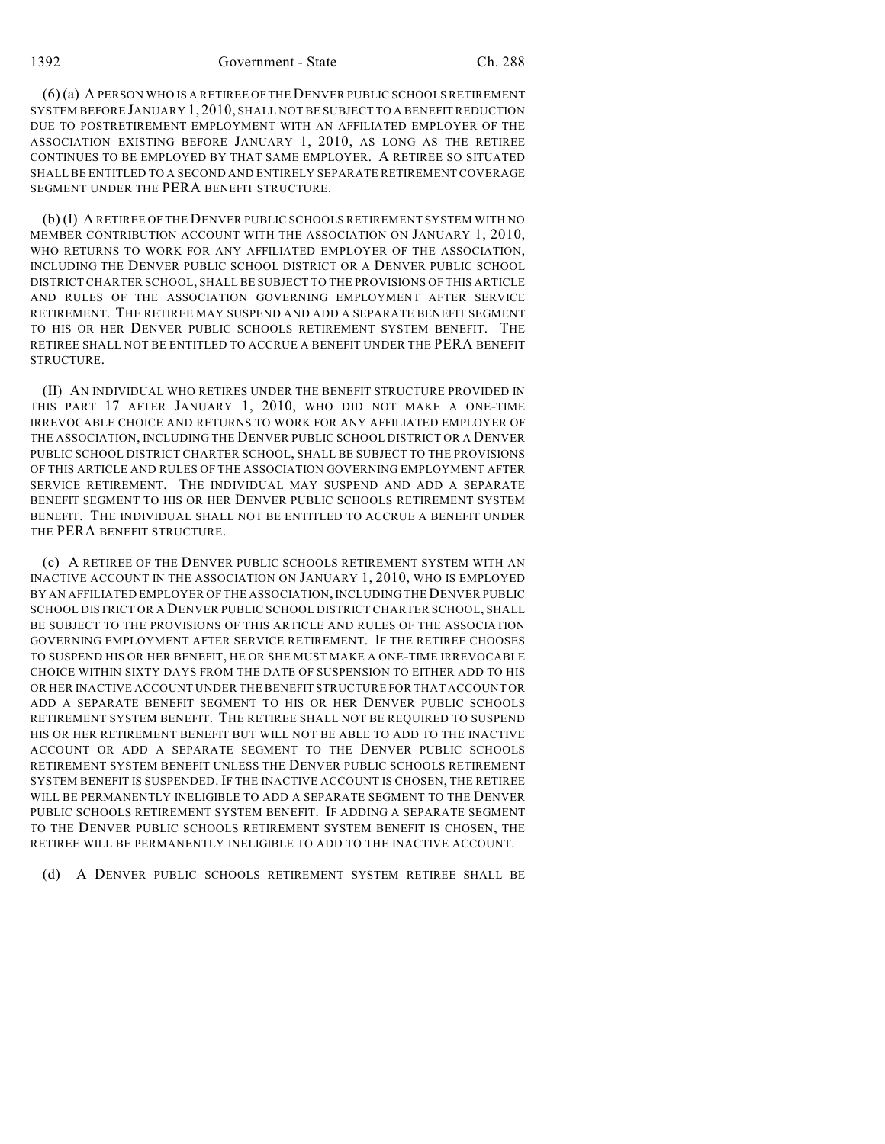1392 Government - State Ch. 288

(6) (a) A PERSON WHO IS A RETIREE OF THE DENVER PUBLIC SCHOOLS RETIREMENT SYSTEM BEFORE JANUARY 1, 2010, SHALL NOT BE SUBJECT TO A BENEFIT REDUCTION DUE TO POSTRETIREMENT EMPLOYMENT WITH AN AFFILIATED EMPLOYER OF THE ASSOCIATION EXISTING BEFORE JANUARY 1, 2010, AS LONG AS THE RETIREE CONTINUES TO BE EMPLOYED BY THAT SAME EMPLOYER. A RETIREE SO SITUATED SHALL BE ENTITLED TO A SECOND AND ENTIRELY SEPARATE RETIREMENT COVERAGE SEGMENT UNDER THE PERA BENEFIT STRUCTURE.

(b) (I) A RETIREE OF THE DENVER PUBLIC SCHOOLS RETIREMENT SYSTEM WITH NO MEMBER CONTRIBUTION ACCOUNT WITH THE ASSOCIATION ON JANUARY 1, 2010, WHO RETURNS TO WORK FOR ANY AFFILIATED EMPLOYER OF THE ASSOCIATION, INCLUDING THE DENVER PUBLIC SCHOOL DISTRICT OR A DENVER PUBLIC SCHOOL DISTRICT CHARTER SCHOOL, SHALL BE SUBJECT TO THE PROVISIONS OF THIS ARTICLE AND RULES OF THE ASSOCIATION GOVERNING EMPLOYMENT AFTER SERVICE RETIREMENT. THE RETIREE MAY SUSPEND AND ADD A SEPARATE BENEFIT SEGMENT TO HIS OR HER DENVER PUBLIC SCHOOLS RETIREMENT SYSTEM BENEFIT. THE RETIREE SHALL NOT BE ENTITLED TO ACCRUE A BENEFIT UNDER THE PERA BENEFIT STRUCTURE.

(II) AN INDIVIDUAL WHO RETIRES UNDER THE BENEFIT STRUCTURE PROVIDED IN THIS PART 17 AFTER JANUARY 1, 2010, WHO DID NOT MAKE A ONE-TIME IRREVOCABLE CHOICE AND RETURNS TO WORK FOR ANY AFFILIATED EMPLOYER OF THE ASSOCIATION, INCLUDING THE DENVER PUBLIC SCHOOL DISTRICT OR A DENVER PUBLIC SCHOOL DISTRICT CHARTER SCHOOL, SHALL BE SUBJECT TO THE PROVISIONS OF THIS ARTICLE AND RULES OF THE ASSOCIATION GOVERNING EMPLOYMENT AFTER SERVICE RETIREMENT. THE INDIVIDUAL MAY SUSPEND AND ADD A SEPARATE BENEFIT SEGMENT TO HIS OR HER DENVER PUBLIC SCHOOLS RETIREMENT SYSTEM BENEFIT. THE INDIVIDUAL SHALL NOT BE ENTITLED TO ACCRUE A BENEFIT UNDER THE PERA BENEFIT STRUCTURE.

(c) A RETIREE OF THE DENVER PUBLIC SCHOOLS RETIREMENT SYSTEM WITH AN INACTIVE ACCOUNT IN THE ASSOCIATION ON JANUARY 1, 2010, WHO IS EMPLOYED BY AN AFFILIATED EMPLOYER OF THE ASSOCIATION, INCLUDING THE DENVER PUBLIC SCHOOL DISTRICT OR A DENVER PUBLIC SCHOOL DISTRICT CHARTER SCHOOL, SHALL BE SUBJECT TO THE PROVISIONS OF THIS ARTICLE AND RULES OF THE ASSOCIATION GOVERNING EMPLOYMENT AFTER SERVICE RETIREMENT. IF THE RETIREE CHOOSES TO SUSPEND HIS OR HER BENEFIT, HE OR SHE MUST MAKE A ONE-TIME IRREVOCABLE CHOICE WITHIN SIXTY DAYS FROM THE DATE OF SUSPENSION TO EITHER ADD TO HIS OR HER INACTIVE ACCOUNT UNDER THE BENEFIT STRUCTURE FOR THAT ACCOUNT OR ADD A SEPARATE BENEFIT SEGMENT TO HIS OR HER DENVER PUBLIC SCHOOLS RETIREMENT SYSTEM BENEFIT. THE RETIREE SHALL NOT BE REQUIRED TO SUSPEND HIS OR HER RETIREMENT BENEFIT BUT WILL NOT BE ABLE TO ADD TO THE INACTIVE ACCOUNT OR ADD A SEPARATE SEGMENT TO THE DENVER PUBLIC SCHOOLS RETIREMENT SYSTEM BENEFIT UNLESS THE DENVER PUBLIC SCHOOLS RETIREMENT SYSTEM BENEFIT IS SUSPENDED. IF THE INACTIVE ACCOUNT IS CHOSEN, THE RETIREE WILL BE PERMANENTLY INELIGIBLE TO ADD A SEPARATE SEGMENT TO THE DENVER PUBLIC SCHOOLS RETIREMENT SYSTEM BENEFIT. IF ADDING A SEPARATE SEGMENT TO THE DENVER PUBLIC SCHOOLS RETIREMENT SYSTEM BENEFIT IS CHOSEN, THE RETIREE WILL BE PERMANENTLY INELIGIBLE TO ADD TO THE INACTIVE ACCOUNT.

(d) A DENVER PUBLIC SCHOOLS RETIREMENT SYSTEM RETIREE SHALL BE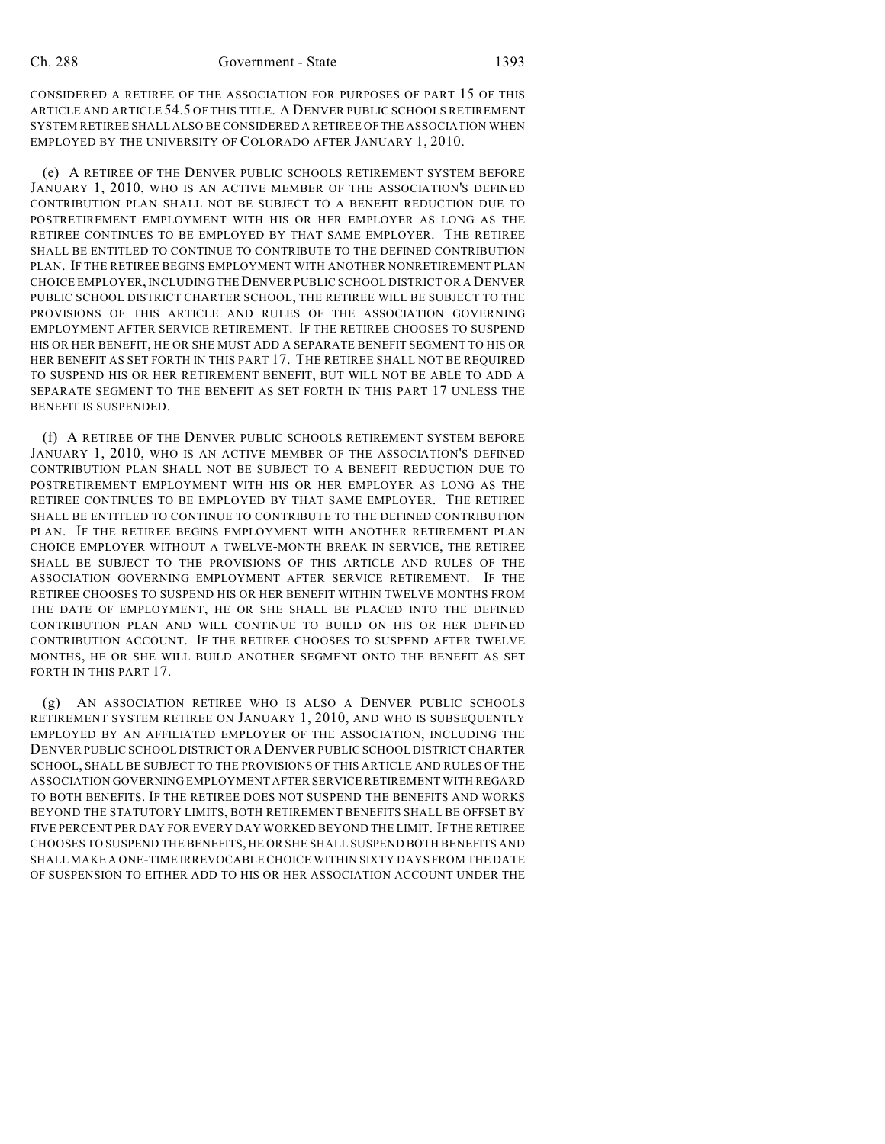CONSIDERED A RETIREE OF THE ASSOCIATION FOR PURPOSES OF PART 15 OF THIS ARTICLE AND ARTICLE 54.5 OF THIS TITLE. A DENVER PUBLIC SCHOOLS RETIREMENT SYSTEM RETIREE SHALL ALSO BE CONSIDERED A RETIREE OF THE ASSOCIATION WHEN EMPLOYED BY THE UNIVERSITY OF COLORADO AFTER JANUARY 1, 2010.

(e) A RETIREE OF THE DENVER PUBLIC SCHOOLS RETIREMENT SYSTEM BEFORE JANUARY 1, 2010, WHO IS AN ACTIVE MEMBER OF THE ASSOCIATION'S DEFINED CONTRIBUTION PLAN SHALL NOT BE SUBJECT TO A BENEFIT REDUCTION DUE TO POSTRETIREMENT EMPLOYMENT WITH HIS OR HER EMPLOYER AS LONG AS THE RETIREE CONTINUES TO BE EMPLOYED BY THAT SAME EMPLOYER. THE RETIREE SHALL BE ENTITLED TO CONTINUE TO CONTRIBUTE TO THE DEFINED CONTRIBUTION PLAN. IF THE RETIREE BEGINS EMPLOYMENT WITH ANOTHER NONRETIREMENT PLAN CHOICE EMPLOYER, INCLUDING THE DENVER PUBLIC SCHOOL DISTRICT OR A DENVER PUBLIC SCHOOL DISTRICT CHARTER SCHOOL, THE RETIREE WILL BE SUBJECT TO THE PROVISIONS OF THIS ARTICLE AND RULES OF THE ASSOCIATION GOVERNING EMPLOYMENT AFTER SERVICE RETIREMENT. IF THE RETIREE CHOOSES TO SUSPEND HIS OR HER BENEFIT, HE OR SHE MUST ADD A SEPARATE BENEFIT SEGMENT TO HIS OR HER BENEFIT AS SET FORTH IN THIS PART 17. THE RETIREE SHALL NOT BE REQUIRED TO SUSPEND HIS OR HER RETIREMENT BENEFIT, BUT WILL NOT BE ABLE TO ADD A SEPARATE SEGMENT TO THE BENEFIT AS SET FORTH IN THIS PART 17 UNLESS THE BENEFIT IS SUSPENDED.

(f) A RETIREE OF THE DENVER PUBLIC SCHOOLS RETIREMENT SYSTEM BEFORE JANUARY 1, 2010, WHO IS AN ACTIVE MEMBER OF THE ASSOCIATION'S DEFINED CONTRIBUTION PLAN SHALL NOT BE SUBJECT TO A BENEFIT REDUCTION DUE TO POSTRETIREMENT EMPLOYMENT WITH HIS OR HER EMPLOYER AS LONG AS THE RETIREE CONTINUES TO BE EMPLOYED BY THAT SAME EMPLOYER. THE RETIREE SHALL BE ENTITLED TO CONTINUE TO CONTRIBUTE TO THE DEFINED CONTRIBUTION PLAN. IF THE RETIREE BEGINS EMPLOYMENT WITH ANOTHER RETIREMENT PLAN CHOICE EMPLOYER WITHOUT A TWELVE-MONTH BREAK IN SERVICE, THE RETIREE SHALL BE SUBJECT TO THE PROVISIONS OF THIS ARTICLE AND RULES OF THE ASSOCIATION GOVERNING EMPLOYMENT AFTER SERVICE RETIREMENT. IF THE RETIREE CHOOSES TO SUSPEND HIS OR HER BENEFIT WITHIN TWELVE MONTHS FROM THE DATE OF EMPLOYMENT, HE OR SHE SHALL BE PLACED INTO THE DEFINED CONTRIBUTION PLAN AND WILL CONTINUE TO BUILD ON HIS OR HER DEFINED CONTRIBUTION ACCOUNT. IF THE RETIREE CHOOSES TO SUSPEND AFTER TWELVE MONTHS, HE OR SHE WILL BUILD ANOTHER SEGMENT ONTO THE BENEFIT AS SET FORTH IN THIS PART 17.

(g) AN ASSOCIATION RETIREE WHO IS ALSO A DENVER PUBLIC SCHOOLS RETIREMENT SYSTEM RETIREE ON JANUARY 1, 2010, AND WHO IS SUBSEQUENTLY EMPLOYED BY AN AFFILIATED EMPLOYER OF THE ASSOCIATION, INCLUDING THE DENVER PUBLIC SCHOOL DISTRICT OR A DENVER PUBLIC SCHOOL DISTRICT CHARTER SCHOOL, SHALL BE SUBJECT TO THE PROVISIONS OF THIS ARTICLE AND RULES OF THE ASSOCIATION GOVERNING EMPLOYMENT AFTER SERVICE RETIREMENT WITH REGARD TO BOTH BENEFITS. IF THE RETIREE DOES NOT SUSPEND THE BENEFITS AND WORKS BEYOND THE STATUTORY LIMITS, BOTH RETIREMENT BENEFITS SHALL BE OFFSET BY FIVE PERCENT PER DAY FOR EVERY DAY WORKED BEYOND THE LIMIT. IF THE RETIREE CHOOSES TO SUSPEND THE BENEFITS, HE OR SHE SHALL SUSPEND BOTH BENEFITS AND SHALL MAKE A ONE-TIME IRREVOCABLE CHOICE WITHIN SIXTY DAYS FROM THE DATE OF SUSPENSION TO EITHER ADD TO HIS OR HER ASSOCIATION ACCOUNT UNDER THE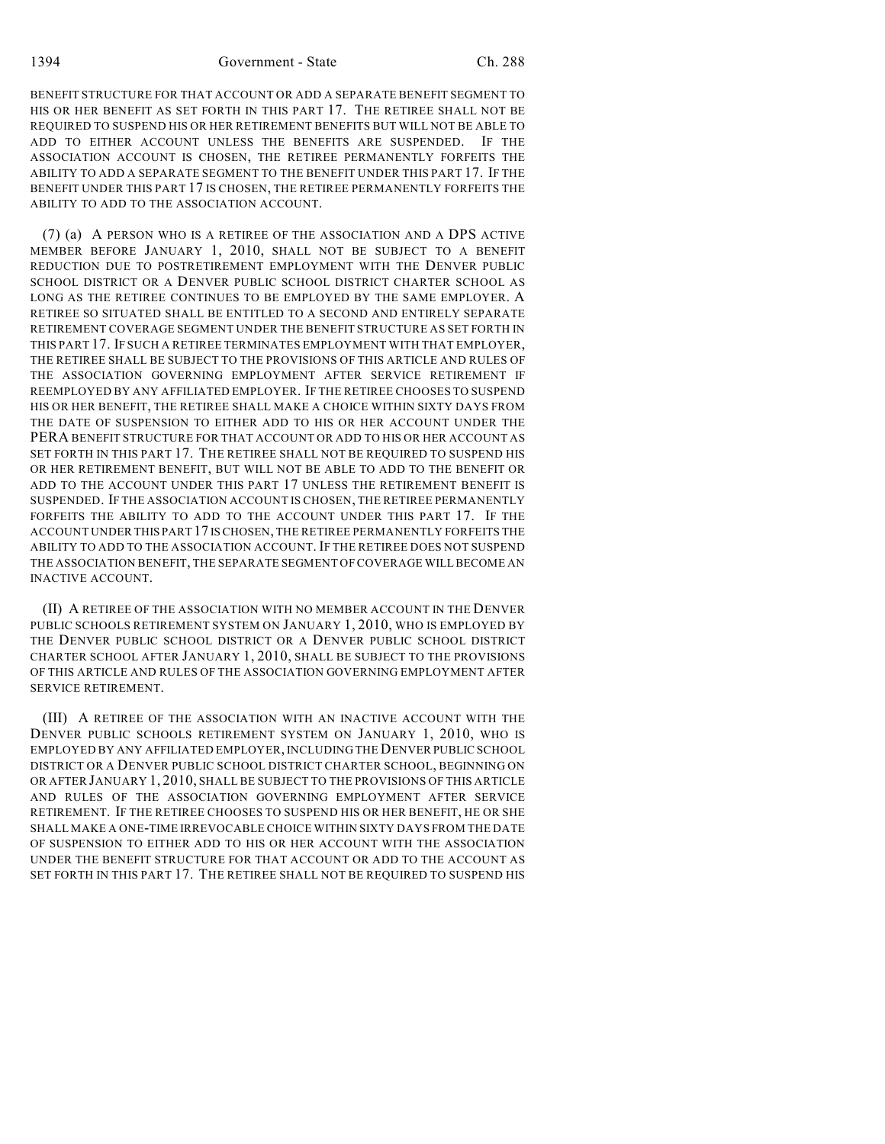BENEFIT STRUCTURE FOR THAT ACCOUNT OR ADD A SEPARATE BENEFIT SEGMENT TO HIS OR HER BENEFIT AS SET FORTH IN THIS PART 17. THE RETIREE SHALL NOT BE REQUIRED TO SUSPEND HIS OR HER RETIREMENT BENEFITS BUT WILL NOT BE ABLE TO ADD TO EITHER ACCOUNT UNLESS THE BENEFITS ARE SUSPENDED. IF THE ASSOCIATION ACCOUNT IS CHOSEN, THE RETIREE PERMANENTLY FORFEITS THE ABILITY TO ADD A SEPARATE SEGMENT TO THE BENEFIT UNDER THIS PART 17. IF THE BENEFIT UNDER THIS PART 17 IS CHOSEN, THE RETIREE PERMANENTLY FORFEITS THE ABILITY TO ADD TO THE ASSOCIATION ACCOUNT.

(7) (a) A PERSON WHO IS A RETIREE OF THE ASSOCIATION AND A DPS ACTIVE MEMBER BEFORE JANUARY 1, 2010, SHALL NOT BE SUBJECT TO A BENEFIT REDUCTION DUE TO POSTRETIREMENT EMPLOYMENT WITH THE DENVER PUBLIC SCHOOL DISTRICT OR A DENVER PUBLIC SCHOOL DISTRICT CHARTER SCHOOL AS LONG AS THE RETIREE CONTINUES TO BE EMPLOYED BY THE SAME EMPLOYER. A RETIREE SO SITUATED SHALL BE ENTITLED TO A SECOND AND ENTIRELY SEPARATE RETIREMENT COVERAGE SEGMENT UNDER THE BENEFIT STRUCTURE AS SET FORTH IN THIS PART 17. IF SUCH A RETIREE TERMINATES EMPLOYMENT WITH THAT EMPLOYER, THE RETIREE SHALL BE SUBJECT TO THE PROVISIONS OF THIS ARTICLE AND RULES OF THE ASSOCIATION GOVERNING EMPLOYMENT AFTER SERVICE RETIREMENT IF REEMPLOYED BY ANY AFFILIATED EMPLOYER. IF THE RETIREE CHOOSES TO SUSPEND HIS OR HER BENEFIT, THE RETIREE SHALL MAKE A CHOICE WITHIN SIXTY DAYS FROM THE DATE OF SUSPENSION TO EITHER ADD TO HIS OR HER ACCOUNT UNDER THE PERA BENEFIT STRUCTURE FOR THAT ACCOUNT OR ADD TO HIS OR HER ACCOUNT AS SET FORTH IN THIS PART 17. THE RETIREE SHALL NOT BE REQUIRED TO SUSPEND HIS OR HER RETIREMENT BENEFIT, BUT WILL NOT BE ABLE TO ADD TO THE BENEFIT OR ADD TO THE ACCOUNT UNDER THIS PART 17 UNLESS THE RETIREMENT BENEFIT IS SUSPENDED. IF THE ASSOCIATION ACCOUNT IS CHOSEN, THE RETIREE PERMANENTLY FORFEITS THE ABILITY TO ADD TO THE ACCOUNT UNDER THIS PART 17. IF THE ACCOUNT UNDER THIS PART 17 IS CHOSEN, THE RETIREE PERMANENTLY FORFEITS THE ABILITY TO ADD TO THE ASSOCIATION ACCOUNT. IF THE RETIREE DOES NOT SUSPEND THE ASSOCIATION BENEFIT, THE SEPARATE SEGMENT OF COVERAGE WILL BECOME AN INACTIVE ACCOUNT.

(II) A RETIREE OF THE ASSOCIATION WITH NO MEMBER ACCOUNT IN THE DENVER PUBLIC SCHOOLS RETIREMENT SYSTEM ON JANUARY 1, 2010, WHO IS EMPLOYED BY THE DENVER PUBLIC SCHOOL DISTRICT OR A DENVER PUBLIC SCHOOL DISTRICT CHARTER SCHOOL AFTER JANUARY 1, 2010, SHALL BE SUBJECT TO THE PROVISIONS OF THIS ARTICLE AND RULES OF THE ASSOCIATION GOVERNING EMPLOYMENT AFTER SERVICE RETIREMENT.

(III) A RETIREE OF THE ASSOCIATION WITH AN INACTIVE ACCOUNT WITH THE DENVER PUBLIC SCHOOLS RETIREMENT SYSTEM ON JANUARY 1, 2010, WHO IS EMPLOYED BY ANY AFFILIATED EMPLOYER, INCLUDING THE DENVER PUBLIC SCHOOL DISTRICT OR A DENVER PUBLIC SCHOOL DISTRICT CHARTER SCHOOL, BEGINNING ON OR AFTER JANUARY 1, 2010, SHALL BE SUBJECT TO THE PROVISIONS OF THIS ARTICLE AND RULES OF THE ASSOCIATION GOVERNING EMPLOYMENT AFTER SERVICE RETIREMENT. IF THE RETIREE CHOOSES TO SUSPEND HIS OR HER BENEFIT, HE OR SHE SHALL MAKE A ONE-TIME IRREVOCABLE CHOICE WITHIN SIXTY DAYS FROM THE DATE OF SUSPENSION TO EITHER ADD TO HIS OR HER ACCOUNT WITH THE ASSOCIATION UNDER THE BENEFIT STRUCTURE FOR THAT ACCOUNT OR ADD TO THE ACCOUNT AS SET FORTH IN THIS PART 17. THE RETIREE SHALL NOT BE REQUIRED TO SUSPEND HIS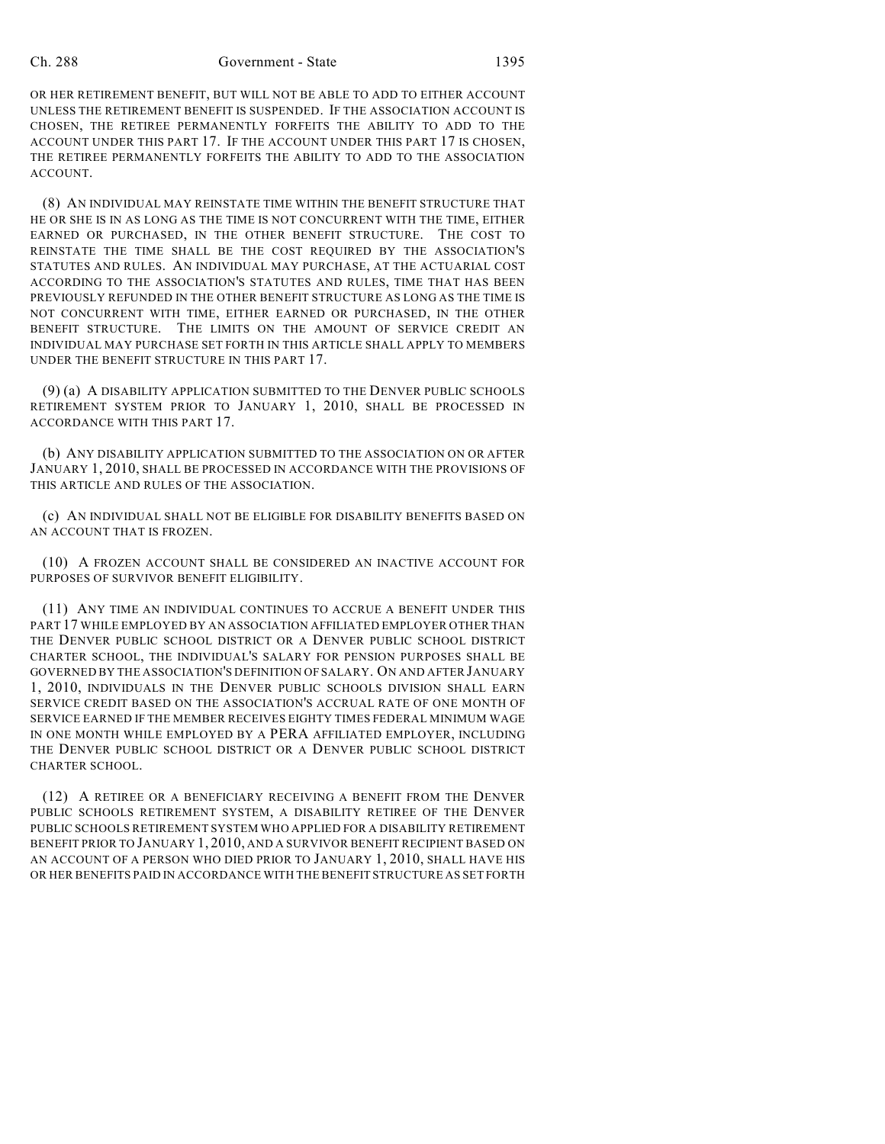#### Ch. 288 Government - State 1395

OR HER RETIREMENT BENEFIT, BUT WILL NOT BE ABLE TO ADD TO EITHER ACCOUNT UNLESS THE RETIREMENT BENEFIT IS SUSPENDED. IF THE ASSOCIATION ACCOUNT IS CHOSEN, THE RETIREE PERMANENTLY FORFEITS THE ABILITY TO ADD TO THE ACCOUNT UNDER THIS PART 17. IF THE ACCOUNT UNDER THIS PART 17 IS CHOSEN, THE RETIREE PERMANENTLY FORFEITS THE ABILITY TO ADD TO THE ASSOCIATION ACCOUNT.

(8) AN INDIVIDUAL MAY REINSTATE TIME WITHIN THE BENEFIT STRUCTURE THAT HE OR SHE IS IN AS LONG AS THE TIME IS NOT CONCURRENT WITH THE TIME, EITHER EARNED OR PURCHASED, IN THE OTHER BENEFIT STRUCTURE. THE COST TO REINSTATE THE TIME SHALL BE THE COST REQUIRED BY THE ASSOCIATION'S STATUTES AND RULES. AN INDIVIDUAL MAY PURCHASE, AT THE ACTUARIAL COST ACCORDING TO THE ASSOCIATION'S STATUTES AND RULES, TIME THAT HAS BEEN PREVIOUSLY REFUNDED IN THE OTHER BENEFIT STRUCTURE AS LONG AS THE TIME IS NOT CONCURRENT WITH TIME, EITHER EARNED OR PURCHASED, IN THE OTHER BENEFIT STRUCTURE. THE LIMITS ON THE AMOUNT OF SERVICE CREDIT AN INDIVIDUAL MAY PURCHASE SET FORTH IN THIS ARTICLE SHALL APPLY TO MEMBERS UNDER THE BENEFIT STRUCTURE IN THIS PART 17.

(9) (a) A DISABILITY APPLICATION SUBMITTED TO THE DENVER PUBLIC SCHOOLS RETIREMENT SYSTEM PRIOR TO JANUARY 1, 2010, SHALL BE PROCESSED IN ACCORDANCE WITH THIS PART 17.

(b) ANY DISABILITY APPLICATION SUBMITTED TO THE ASSOCIATION ON OR AFTER JANUARY 1, 2010, SHALL BE PROCESSED IN ACCORDANCE WITH THE PROVISIONS OF THIS ARTICLE AND RULES OF THE ASSOCIATION.

(c) AN INDIVIDUAL SHALL NOT BE ELIGIBLE FOR DISABILITY BENEFITS BASED ON AN ACCOUNT THAT IS FROZEN.

(10) A FROZEN ACCOUNT SHALL BE CONSIDERED AN INACTIVE ACCOUNT FOR PURPOSES OF SURVIVOR BENEFIT ELIGIBILITY.

(11) ANY TIME AN INDIVIDUAL CONTINUES TO ACCRUE A BENEFIT UNDER THIS PART 17 WHILE EMPLOYED BY AN ASSOCIATION AFFILIATED EMPLOYER OTHER THAN THE DENVER PUBLIC SCHOOL DISTRICT OR A DENVER PUBLIC SCHOOL DISTRICT CHARTER SCHOOL, THE INDIVIDUAL'S SALARY FOR PENSION PURPOSES SHALL BE GOVERNED BY THE ASSOCIATION'S DEFINITION OF SALARY. ON AND AFTER JANUARY 1, 2010, INDIVIDUALS IN THE DENVER PUBLIC SCHOOLS DIVISION SHALL EARN SERVICE CREDIT BASED ON THE ASSOCIATION'S ACCRUAL RATE OF ONE MONTH OF SERVICE EARNED IF THE MEMBER RECEIVES EIGHTY TIMES FEDERAL MINIMUM WAGE IN ONE MONTH WHILE EMPLOYED BY A PERA AFFILIATED EMPLOYER, INCLUDING THE DENVER PUBLIC SCHOOL DISTRICT OR A DENVER PUBLIC SCHOOL DISTRICT CHARTER SCHOOL.

(12) A RETIREE OR A BENEFICIARY RECEIVING A BENEFIT FROM THE DENVER PUBLIC SCHOOLS RETIREMENT SYSTEM, A DISABILITY RETIREE OF THE DENVER PUBLIC SCHOOLS RETIREMENT SYSTEM WHO APPLIED FOR A DISABILITY RETIREMENT BENEFIT PRIOR TO JANUARY 1, 2010, AND A SURVIVOR BENEFIT RECIPIENT BASED ON AN ACCOUNT OF A PERSON WHO DIED PRIOR TO JANUARY 1, 2010, SHALL HAVE HIS OR HER BENEFITS PAID IN ACCORDANCE WITH THE BENEFIT STRUCTURE AS SET FORTH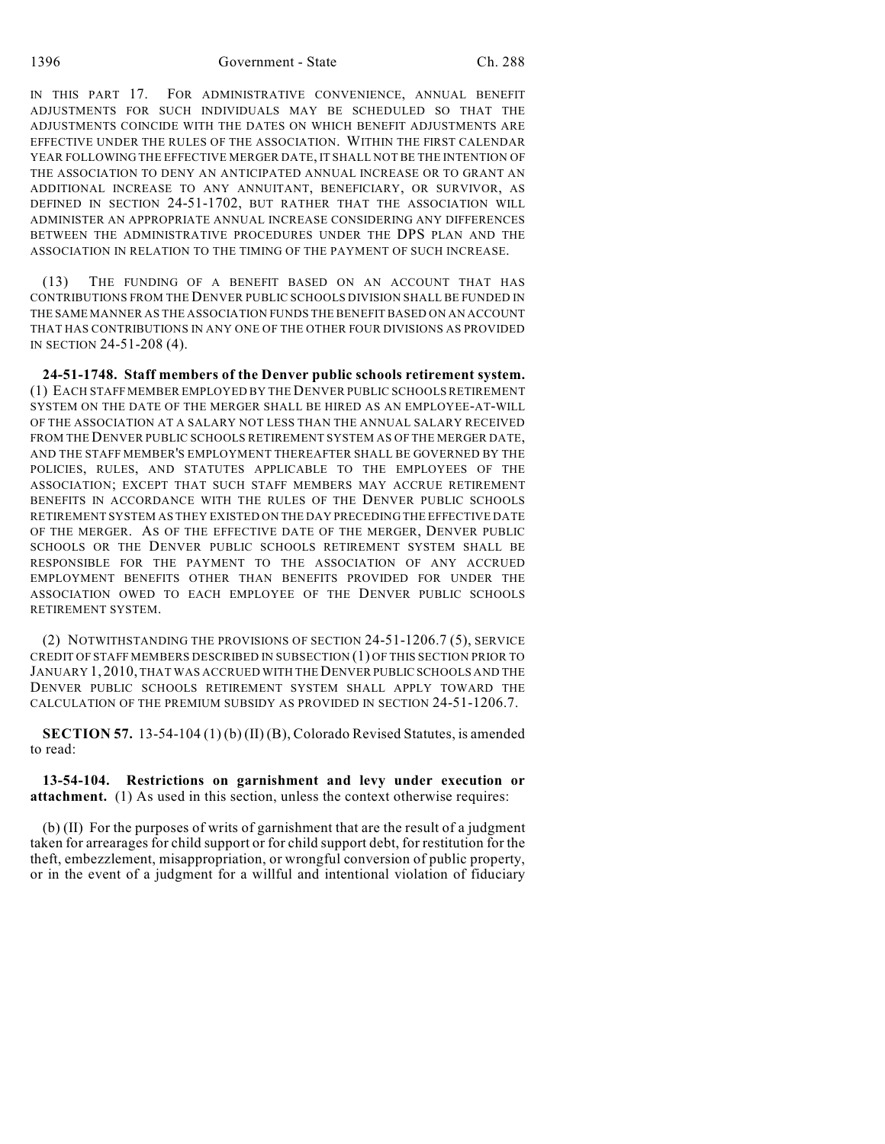IN THIS PART 17. FOR ADMINISTRATIVE CONVENIENCE, ANNUAL BENEFIT ADJUSTMENTS FOR SUCH INDIVIDUALS MAY BE SCHEDULED SO THAT THE ADJUSTMENTS COINCIDE WITH THE DATES ON WHICH BENEFIT ADJUSTMENTS ARE EFFECTIVE UNDER THE RULES OF THE ASSOCIATION. WITHIN THE FIRST CALENDAR YEAR FOLLOWING THE EFFECTIVE MERGER DATE, IT SHALL NOT BE THE INTENTION OF THE ASSOCIATION TO DENY AN ANTICIPATED ANNUAL INCREASE OR TO GRANT AN ADDITIONAL INCREASE TO ANY ANNUITANT, BENEFICIARY, OR SURVIVOR, AS DEFINED IN SECTION 24-51-1702, BUT RATHER THAT THE ASSOCIATION WILL ADMINISTER AN APPROPRIATE ANNUAL INCREASE CONSIDERING ANY DIFFERENCES BETWEEN THE ADMINISTRATIVE PROCEDURES UNDER THE DPS PLAN AND THE ASSOCIATION IN RELATION TO THE TIMING OF THE PAYMENT OF SUCH INCREASE.

(13) THE FUNDING OF A BENEFIT BASED ON AN ACCOUNT THAT HAS CONTRIBUTIONS FROM THE DENVER PUBLIC SCHOOLS DIVISION SHALL BE FUNDED IN THE SAME MANNER AS THE ASSOCIATION FUNDS THE BENEFIT BASED ON AN ACCOUNT THAT HAS CONTRIBUTIONS IN ANY ONE OF THE OTHER FOUR DIVISIONS AS PROVIDED IN SECTION 24-51-208 (4).

**24-51-1748. Staff members of the Denver public schools retirement system.** (1) EACH STAFF MEMBER EMPLOYED BY THE DENVER PUBLIC SCHOOLS RETIREMENT SYSTEM ON THE DATE OF THE MERGER SHALL BE HIRED AS AN EMPLOYEE-AT-WILL OF THE ASSOCIATION AT A SALARY NOT LESS THAN THE ANNUAL SALARY RECEIVED FROM THE DENVER PUBLIC SCHOOLS RETIREMENT SYSTEM AS OF THE MERGER DATE, AND THE STAFF MEMBER'S EMPLOYMENT THEREAFTER SHALL BE GOVERNED BY THE POLICIES, RULES, AND STATUTES APPLICABLE TO THE EMPLOYEES OF THE ASSOCIATION; EXCEPT THAT SUCH STAFF MEMBERS MAY ACCRUE RETIREMENT BENEFITS IN ACCORDANCE WITH THE RULES OF THE DENVER PUBLIC SCHOOLS RETIREMENT SYSTEM AS THEY EXISTED ON THE DAY PRECEDING THE EFFECTIVE DATE OF THE MERGER. AS OF THE EFFECTIVE DATE OF THE MERGER, DENVER PUBLIC SCHOOLS OR THE DENVER PUBLIC SCHOOLS RETIREMENT SYSTEM SHALL BE RESPONSIBLE FOR THE PAYMENT TO THE ASSOCIATION OF ANY ACCRUED EMPLOYMENT BENEFITS OTHER THAN BENEFITS PROVIDED FOR UNDER THE ASSOCIATION OWED TO EACH EMPLOYEE OF THE DENVER PUBLIC SCHOOLS RETIREMENT SYSTEM.

(2) NOTWITHSTANDING THE PROVISIONS OF SECTION 24-51-1206.7 (5), SERVICE CREDIT OF STAFF MEMBERS DESCRIBED IN SUBSECTION (1) OF THIS SECTION PRIOR TO JANUARY 1, 2010, THAT WAS ACCRUED WITH THE DENVER PUBLIC SCHOOLS AND THE DENVER PUBLIC SCHOOLS RETIREMENT SYSTEM SHALL APPLY TOWARD THE CALCULATION OF THE PREMIUM SUBSIDY AS PROVIDED IN SECTION 24-51-1206.7.

**SECTION 57.** 13-54-104 (1) (b) (II) (B), Colorado Revised Statutes, is amended to read:

**13-54-104. Restrictions on garnishment and levy under execution or attachment.** (1) As used in this section, unless the context otherwise requires:

(b) (II) For the purposes of writs of garnishment that are the result of a judgment taken for arrearages for child support or for child support debt, for restitution for the theft, embezzlement, misappropriation, or wrongful conversion of public property, or in the event of a judgment for a willful and intentional violation of fiduciary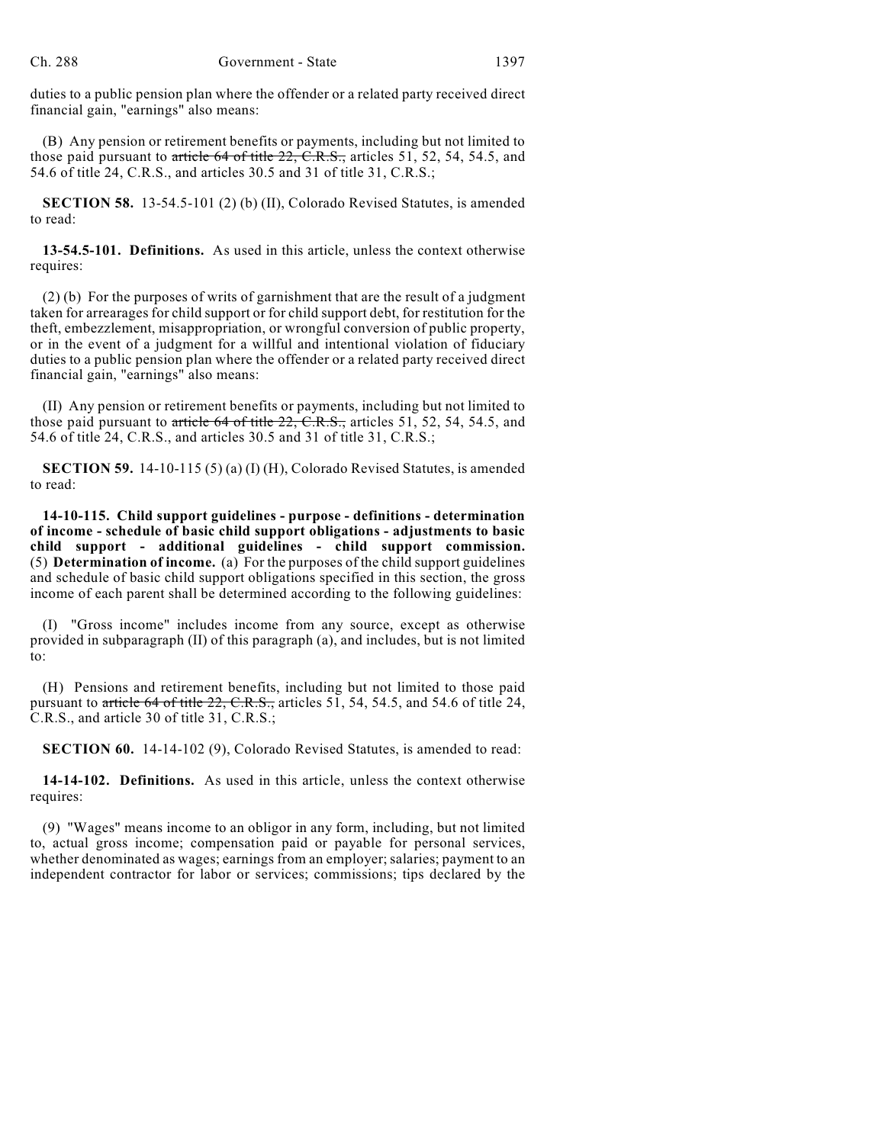duties to a public pension plan where the offender or a related party received direct financial gain, "earnings" also means:

(B) Any pension or retirement benefits or payments, including but not limited to those paid pursuant to article 64 of title 22, C.R.S., articles 51, 52, 54, 54.5, and 54.6 of title 24, C.R.S., and articles 30.5 and 31 of title 31, C.R.S.;

**SECTION 58.** 13-54.5-101 (2) (b) (II), Colorado Revised Statutes, is amended to read:

**13-54.5-101. Definitions.** As used in this article, unless the context otherwise requires:

(2) (b) For the purposes of writs of garnishment that are the result of a judgment taken for arrearages for child support or for child support debt, for restitution for the theft, embezzlement, misappropriation, or wrongful conversion of public property, or in the event of a judgment for a willful and intentional violation of fiduciary duties to a public pension plan where the offender or a related party received direct financial gain, "earnings" also means:

(II) Any pension or retirement benefits or payments, including but not limited to those paid pursuant to article 64 of title 22, C.R.S., articles 51, 52, 54, 54.5, and 54.6 of title 24, C.R.S., and articles 30.5 and 31 of title 31, C.R.S.;

**SECTION 59.** 14-10-115 (5) (a) (I) (H), Colorado Revised Statutes, is amended to read:

**14-10-115. Child support guidelines - purpose - definitions - determination of income - schedule of basic child support obligations - adjustments to basic child support - additional guidelines - child support commission.** (5) **Determination of income.** (a) For the purposes of the child support guidelines and schedule of basic child support obligations specified in this section, the gross income of each parent shall be determined according to the following guidelines:

(I) "Gross income" includes income from any source, except as otherwise provided in subparagraph (II) of this paragraph (a), and includes, but is not limited to:

(H) Pensions and retirement benefits, including but not limited to those paid pursuant to article 64 of title  $22$ , C.R.S., articles 51, 54, 54.5, and 54.6 of title 24, C.R.S., and article 30 of title 31, C.R.S.;

**SECTION 60.** 14-14-102 (9), Colorado Revised Statutes, is amended to read:

**14-14-102. Definitions.** As used in this article, unless the context otherwise requires:

(9) "Wages" means income to an obligor in any form, including, but not limited to, actual gross income; compensation paid or payable for personal services, whether denominated as wages; earnings from an employer; salaries; payment to an independent contractor for labor or services; commissions; tips declared by the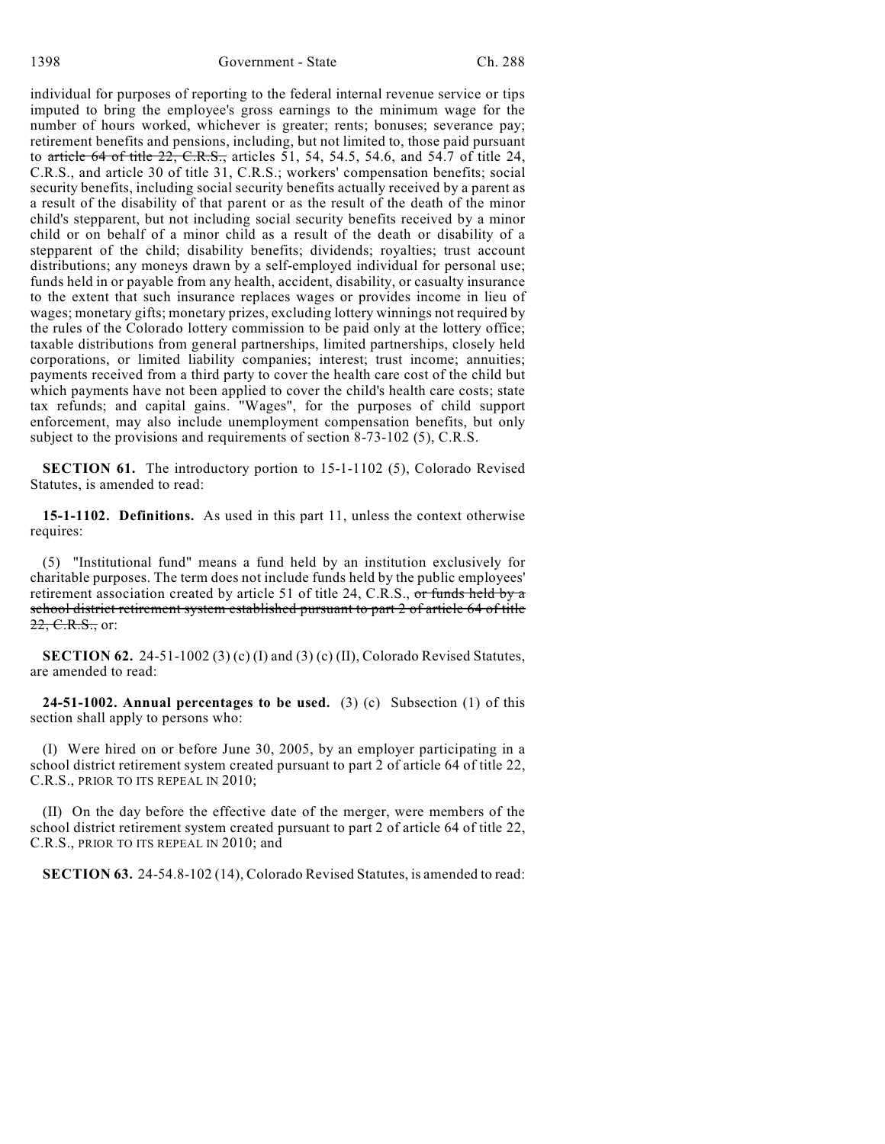1398 Government - State Ch. 288

individual for purposes of reporting to the federal internal revenue service or tips imputed to bring the employee's gross earnings to the minimum wage for the number of hours worked, whichever is greater; rents; bonuses; severance pay; retirement benefits and pensions, including, but not limited to, those paid pursuant to article 64 of title 22, C.R.S., articles 51, 54, 54.5, 54.6, and 54.7 of title 24, C.R.S., and article 30 of title 31, C.R.S.; workers' compensation benefits; social security benefits, including social security benefits actually received by a parent as a result of the disability of that parent or as the result of the death of the minor child's stepparent, but not including social security benefits received by a minor child or on behalf of a minor child as a result of the death or disability of a stepparent of the child; disability benefits; dividends; royalties; trust account distributions; any moneys drawn by a self-employed individual for personal use; funds held in or payable from any health, accident, disability, or casualty insurance to the extent that such insurance replaces wages or provides income in lieu of wages; monetary gifts; monetary prizes, excluding lottery winnings not required by the rules of the Colorado lottery commission to be paid only at the lottery office; taxable distributions from general partnerships, limited partnerships, closely held corporations, or limited liability companies; interest; trust income; annuities; payments received from a third party to cover the health care cost of the child but which payments have not been applied to cover the child's health care costs; state tax refunds; and capital gains. "Wages", for the purposes of child support enforcement, may also include unemployment compensation benefits, but only subject to the provisions and requirements of section 8-73-102 (5), C.R.S.

**SECTION 61.** The introductory portion to 15-1-1102 (5), Colorado Revised Statutes, is amended to read:

**15-1-1102. Definitions.** As used in this part 11, unless the context otherwise requires:

(5) "Institutional fund" means a fund held by an institution exclusively for charitable purposes. The term does not include funds held by the public employees' retirement association created by article 51 of title 24, C.R.S., or funds held by  $\alpha$ school district retirement system established pursuant to part 2 of article 64 of title 22, C.R.S., or:

**SECTION 62.** 24-51-1002 (3) (c) (I) and (3) (c) (II), Colorado Revised Statutes, are amended to read:

**24-51-1002. Annual percentages to be used.** (3) (c) Subsection (1) of this section shall apply to persons who:

(I) Were hired on or before June 30, 2005, by an employer participating in a school district retirement system created pursuant to part 2 of article 64 of title 22, C.R.S., PRIOR TO ITS REPEAL IN 2010;

(II) On the day before the effective date of the merger, were members of the school district retirement system created pursuant to part 2 of article 64 of title 22, C.R.S., PRIOR TO ITS REPEAL IN 2010; and

**SECTION 63.** 24-54.8-102 (14), Colorado Revised Statutes, is amended to read: